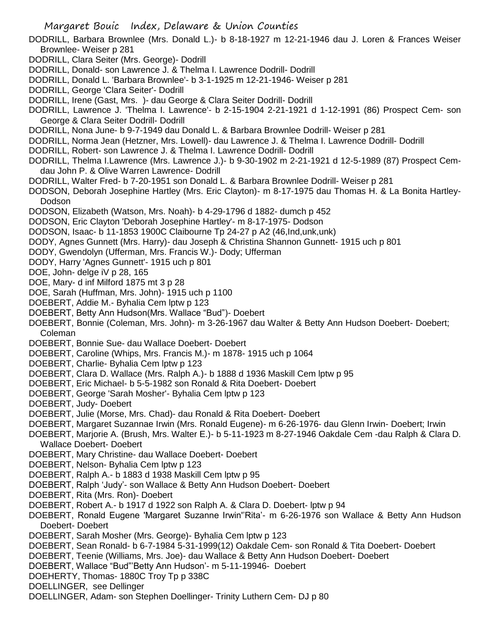- DODRILL, Barbara Brownlee (Mrs. Donald L.)- b 8-18-1927 m 12-21-1946 dau J. Loren & Frances Weiser Brownlee- Weiser p 281
- DODRILL, Clara Seiter (Mrs. George)- Dodrill
- DODRILL, Donald- son Lawrence J. & Thelma I. Lawrence Dodrill- Dodrill
- DODRILL, Donald L. 'Barbara Brownlee'- b 3-1-1925 m 12-21-1946- Weiser p 281
- DODRILL, George 'Clara Seiter'- Dodrill
- DODRILL, Irene (Gast, Mrs. )- dau George & Clara Seiter Dodrill- Dodrill
- DODRILL, Lawrence J. 'Thelma I. Lawrence'- b 2-15-1904 2-21-1921 d 1-12-1991 (86) Prospect Cem- son George & Clara Seiter Dodrill- Dodrill
- DODRILL, Nona June- b 9-7-1949 dau Donald L. & Barbara Brownlee Dodrill- Weiser p 281
- DODRILL, Norma Jean (Hetzner, Mrs. Lowell)- dau Lawrence J. & Thelma I. Lawrence Dodrill- Dodrill
- DODRILL, Robert- son Lawrence J. & Thelma I. Lawrence Dodrill- Dodrill
- DODRILL, Thelma I.Lawrence (Mrs. Lawrence J.)- b 9-30-1902 m 2-21-1921 d 12-5-1989 (87) Prospect Cemdau John P. & Olive Warren Lawrence- Dodrill
- DODRILL, Walter Fred- b 7-20-1951 son Donald L. & Barbara Brownlee Dodrill- Weiser p 281
- DODSON, Deborah Josephine Hartley (Mrs. Eric Clayton)- m 8-17-1975 dau Thomas H. & La Bonita Hartley-Dodson
- DODSON, Elizabeth (Watson, Mrs. Noah)- b 4-29-1796 d 1882- dumch p 452
- DODSON, Eric Clayton 'Deborah Josephine Hartley'- m 8-17-1975- Dodson
- DODSON, Isaac- b 11-1853 1900C Claibourne Tp 24-27 p A2 (46,Ind,unk,unk)
- DODY, Agnes Gunnett (Mrs. Harry)- dau Joseph & Christina Shannon Gunnett- 1915 uch p 801
- DODY, Gwendolyn (Ufferman, Mrs. Francis W.)- Dody; Ufferman
- DODY, Harry 'Agnes Gunnett'- 1915 uch p 801
- DOE, John- delge iV p 28, 165
- DOE, Mary- d inf Milford 1875 mt 3 p 28
- DOE, Sarah (Huffman, Mrs. John)- 1915 uch p 1100
- DOEBERT, Addie M.- Byhalia Cem lptw p 123
- DOEBERT, Betty Ann Hudson(Mrs. Wallace "Bud")- Doebert
- DOEBERT, Bonnie (Coleman, Mrs. John)- m 3-26-1967 dau Walter & Betty Ann Hudson Doebert- Doebert; Coleman
- DOEBERT, Bonnie Sue- dau Wallace Doebert- Doebert
- DOEBERT, Caroline (Whips, Mrs. Francis M.)- m 1878- 1915 uch p 1064
- DOEBERT, Charlie- Byhalia Cem lptw p 123
- DOEBERT, Clara D. Wallace (Mrs. Ralph A.)- b 1888 d 1936 Maskill Cem lptw p 95
- DOEBERT, Eric Michael- b 5-5-1982 son Ronald & Rita Doebert- Doebert
- DOEBERT, George 'Sarah Mosher'- Byhalia Cem lptw p 123
- DOEBERT, Judy- Doebert
- DOEBERT, Julie (Morse, Mrs. Chad)- dau Ronald & Rita Doebert- Doebert
- DOEBERT, Margaret Suzannae Irwin (Mrs. Ronald Eugene)- m 6-26-1976- dau Glenn Irwin- Doebert; Irwin
- DOEBERT, Marjorie A. (Brush, Mrs. Walter E.)- b 5-11-1923 m 8-27-1946 Oakdale Cem -dau Ralph & Clara D. Wallace Doebert- Doebert
- DOEBERT, Mary Christine- dau Wallace Doebert- Doebert
- DOEBERT, Nelson- Byhalia Cem lptw p 123
- DOEBERT, Ralph A.- b 1883 d 1938 Maskill Cem lptw p 95
- DOEBERT, Ralph 'Judy'- son Wallace & Betty Ann Hudson Doebert- Doebert
- DOEBERT, Rita (Mrs. Ron)- Doebert
- DOEBERT, Robert A.- b 1917 d 1922 son Ralph A. & Clara D. Doebert- lptw p 94
- DOEBERT, Ronald Eugene 'Margaret Suzanne Irwin''Rita'- m 6-26-1976 son Wallace & Betty Ann Hudson Doebert- Doebert
- DOEBERT, Sarah Mosher (Mrs. George)- Byhalia Cem lptw p 123
- DOEBERT, Sean Ronald- b 6-7-1984 5-31-1999(12) Oakdale Cem- son Ronald & Tita Doebert- Doebert
- DOEBERT, Teenie (Williams, Mrs. Joe)- dau Wallace & Betty Ann Hudson Doebert- Doebert
- DOEBERT, Wallace "Bud"'Betty Ann Hudson'- m 5-11-19946- Doebert
- DOEHERTY, Thomas- 1880C Troy Tp p 338C
- DOELLINGER, see Dellinger
- DOELLINGER, Adam- son Stephen Doellinger- Trinity Luthern Cem- DJ p 80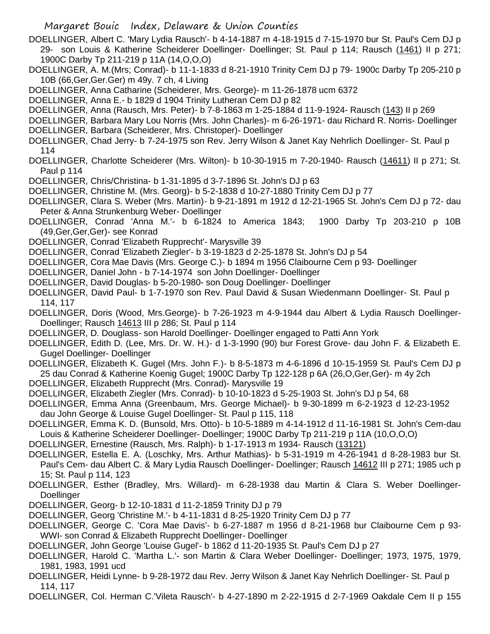- DOELLINGER, Albert C. 'Mary Lydia Rausch'- b 4-14-1887 m 4-18-1915 d 7-15-1970 bur St. Paul's Cem DJ p 29- son Louis & Katherine Scheiderer Doellinger- Doellinger; St. Paul p 114; Rausch (1461) II p 271; 1900C Darby Tp 211-219 p 11A (14,O,O,O)
- DOELLINGER, A. M.(Mrs; Conrad)- b 11-1-1833 d 8-21-1910 Trinity Cem DJ p 79- 1900c Darby Tp 205-210 p 10B (66,Ger,Ger.Ger) m 49y. 7 ch, 4 Living
- DOELLINGER, Anna Catharine (Scheiderer, Mrs. George)- m 11-26-1878 ucm 6372
- DOELLINGER, Anna E.- b 1829 d 1904 Trinity Lutheran Cem DJ p 82
- DOELLINGER, Anna (Rausch, Mrs. Peter)- b 7-8-1863 m 1-25-1884 d 11-9-1924- Rausch (143) II p 269
- DOELLINGER, Barbara Mary Lou Norris (Mrs. John Charles)- m 6-26-1971- dau Richard R. Norris- Doellinger DOELLINGER, Barbara (Scheiderer, Mrs. Christoper)- Doellinger
- DOELLINGER, Chad Jerry- b 7-24-1975 son Rev. Jerry Wilson & Janet Kay Nehrlich Doellinger- St. Paul p 114
- DOELLINGER, Charlotte Scheiderer (Mrs. Wilton)- b 10-30-1915 m 7-20-1940- Rausch (14611) II p 271; St. Paul p 114
- DOELLINGER, Chris/Christina- b 1-31-1895 d 3-7-1896 St. John's DJ p 63
- DOELLINGER, Christine M. (Mrs. Georg)- b 5-2-1838 d 10-27-1880 Trinity Cem DJ p 77
- DOELLINGER, Clara S. Weber (Mrs. Martin)- b 9-21-1891 m 1912 d 12-21-1965 St. John's Cem DJ p 72- dau Peter & Anna Strunkenburg Weber- Doellinger
- DOELLINGER, Conrad 'Anna M.'- b 6-1824 to America 1843; 1900 Darby Tp 203-210 p 10B (49,Ger,Ger,Ger)- see Konrad
- DOELLINGER, Conrad 'Elizabeth Rupprecht'- Marysville 39
- DOELLINGER, Conrad 'Elizabeth Ziegler'- b 3-19-1823 d 2-25-1878 St. John's DJ p 54
- DOELLINGER, Cora Mae Davis (Mrs. George C.)- b 1894 m 1956 Claibourne Cem p 93- Doellinger
- DOELLINGER, Daniel John b 7-14-1974 son John Doellinger- Doellinger
- DOELLINGER, David Douglas- b 5-20-1980- son Doug Doellinger- Doellinger
- DOELLINGER, David Paul- b 1-7-1970 son Rev. Paul David & Susan Wiedenmann Doellinger- St. Paul p 114, 117
- DOELLINGER, Doris (Wood, Mrs.George)- b 7-26-1923 m 4-9-1944 dau Albert & Lydia Rausch Doellinger-Doellinger; Rausch 14613 III p 286; St. Paul p 114
- DOELLINGER, D. Douglass- son Harold Doellinger- Doellinger engaged to Patti Ann York
- DOELLINGER, Edith D. (Lee, Mrs. Dr. W. H.)- d 1-3-1990 (90) bur Forest Grove- dau John F. & Elizabeth E. Gugel Doellinger- Doellinger
- DOELLINGER, Elizabeth K. Gugel (Mrs. John F.)- b 8-5-1873 m 4-6-1896 d 10-15-1959 St. Paul's Cem DJ p 25 dau Conrad & Katherine Koenig Gugel; 1900C Darby Tp 122-128 p 6A (26,O,Ger,Ger)- m 4y 2ch
- DOELLINGER, Elizabeth Rupprecht (Mrs. Conrad)- Marysville 19
- DOELLINGER, Elizabeth Ziegler (Mrs. Conrad)- b 10-10-1823 d 5-25-1903 St. John's DJ p 54, 68
- DOELLINGER, Emma Anna (Greenbaum, Mrs. George Michael)- b 9-30-1899 m 6-2-1923 d 12-23-1952 dau John George & Louise Gugel Doellinger- St. Paul p 115, 118
- DOELLINGER, Emma K. D. (Bunsold, Mrs. Otto)- b 10-5-1889 m 4-14-1912 d 11-16-1981 St. John's Cem-dau Louis & Katherine Scheiderer Doellinger- Doellinger; 1900C Darby Tp 211-219 p 11A (10,O,O,O)
- DOELLINGER, Ernestine (Rausch, Mrs. Ralph)- b 1-17-1913 m 1934- Rausch (13121)
- DOELLINGER, Estella E. A. (Loschky, Mrs. Arthur Mathias)- b 5-31-1919 m 4-26-1941 d 8-28-1983 bur St. Paul's Cem- dau Albert C. & Mary Lydia Rausch Doellinger- Doellinger; Rausch 14612 III p 271; 1985 uch p 15; St. Paul p 114, 123
- DOELLINGER, Esther (Bradley, Mrs. Willard)- m 6-28-1938 dau Martin & Clara S. Weber Doellinger-**Doellinger**
- DOELLINGER, Georg- b 12-10-1831 d 11-2-1859 Trinity DJ p 79
- DOELLINGER, Georg 'Christine M.'- b 4-11-1831 d 8-25-1920 Trinity Cem DJ p 77
- DOELLINGER, George C. 'Cora Mae Davis'- b 6-27-1887 m 1956 d 8-21-1968 bur Claibourne Cem p 93- WWI- son Conrad & Elizabeth Rupprecht Doellinger- Doellinger
- DOELLINGER, John George 'Louise Gugel'- b 1862 d 11-20-1935 St. Paul's Cem DJ p 27
- DOELLINGER, Harold C. 'Martha L.'- son Martin & Clara Weber Doellinger- Doellinger; 1973, 1975, 1979, 1981, 1983, 1991 ucd
- DOELLINGER, Heidi Lynne- b 9-28-1972 dau Rev. Jerry Wilson & Janet Kay Nehrlich Doellinger- St. Paul p 114, 117
- DOELLINGER, Col. Herman C.'Vileta Rausch'- b 4-27-1890 m 2-22-1915 d 2-7-1969 Oakdale Cem II p 155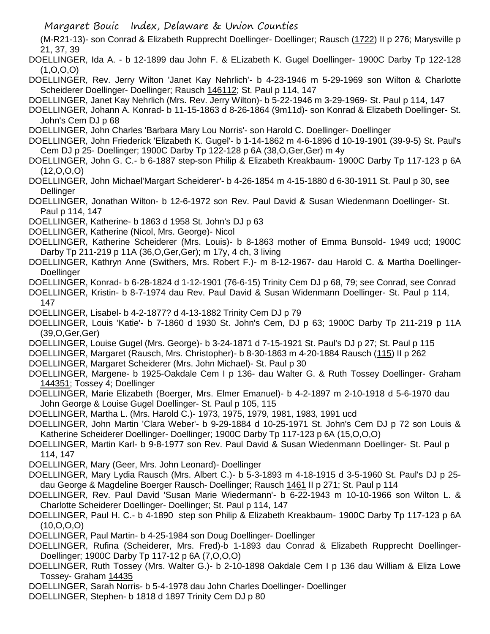(M-R21-13)- son Conrad & Elizabeth Rupprecht Doellinger- Doellinger; Rausch (1722) II p 276; Marysville p 21, 37, 39

DOELLINGER, Ida A. - b 12-1899 dau John F. & ELizabeth K. Gugel Doellinger- 1900C Darby Tp 122-128 (1,O,O,O)

DOELLINGER, Rev. Jerry Wilton 'Janet Kay Nehrlich'- b 4-23-1946 m 5-29-1969 son Wilton & Charlotte Scheiderer Doellinger- Doellinger; Rausch 146112; St. Paul p 114, 147

DOELLINGER, Janet Kay Nehrlich (Mrs. Rev. Jerry Wilton)- b 5-22-1946 m 3-29-1969- St. Paul p 114, 147

DOELLINGER, Johann A. Konrad- b 11-15-1863 d 8-26-1864 (9m11d)- son Konrad & Elizabeth Doellinger- St. John's Cem DJ p 68

DOELLINGER, John Charles 'Barbara Mary Lou Norris'- son Harold C. Doellinger- Doellinger

DOELLINGER, John Friederick 'Elizabeth K. Gugel'- b 1-14-1862 m 4-6-1896 d 10-19-1901 (39-9-5) St. Paul's Cem DJ p 25- Doellinger; 1900C Darby Tp 122-128 p 6A (38,O,Ger,Ger) m 4y

- DOELLINGER, John G. C.- b 6-1887 step-son Philip & Elizabeth Kreakbaum- 1900C Darby Tp 117-123 p 6A (12,O,O,O)
- DOELLINGER, John Michael'Margart Scheiderer'- b 4-26-1854 m 4-15-1880 d 6-30-1911 St. Paul p 30, see Dellinger
- DOELLINGER, Jonathan Wilton- b 12-6-1972 son Rev. Paul David & Susan Wiedenmann Doellinger- St. Paul p 114, 147

DOELLINGER, Katherine- b 1863 d 1958 St. John's DJ p 63

DOELLINGER, Katherine (Nicol, Mrs. George)- Nicol

DOELLINGER, Katherine Scheiderer (Mrs. Louis)- b 8-1863 mother of Emma Bunsold- 1949 ucd; 1900C Darby Tp 211-219 p 11A (36,O,Ger,Ger); m 17y, 4 ch, 3 living

DOELLINGER, Kathryn Anne (Swithers, Mrs. Robert F.)- m 8-12-1967- dau Harold C. & Martha Doellinger-Doellinger

DOELLINGER, Konrad- b 6-28-1824 d 1-12-1901 (76-6-15) Trinity Cem DJ p 68, 79; see Conrad, see Conrad

DOELLINGER, Kristin- b 8-7-1974 dau Rev. Paul David & Susan Widenmann Doellinger- St. Paul p 114, 147

DOELLINGER, Lisabel- b 4-2-1877? d 4-13-1882 Trinity Cem DJ p 79

DOELLINGER, Louis 'Katie'- b 7-1860 d 1930 St. John's Cem, DJ p 63; 1900C Darby Tp 211-219 p 11A (39,O,Ger,Ger)

DOELLINGER, Louise Gugel (Mrs. George)- b 3-24-1871 d 7-15-1921 St. Paul's DJ p 27; St. Paul p 115

DOELLINGER, Margaret (Rausch, Mrs. Christopher)- b 8-30-1863 m 4-20-1884 Rausch (115) II p 262

DOELLINGER, Margaret Scheiderer (Mrs. John Michael)- St. Paul p 30

DOELLINGER, Margene- b 1925-Oakdale Cem I p 136- dau Walter G. & Ruth Tossey Doellinger- Graham 144351; Tossey 4; Doellinger

DOELLINGER, Marie Elizabeth (Boerger, Mrs. Elmer Emanuel)- b 4-2-1897 m 2-10-1918 d 5-6-1970 dau John George & Louise Gugel Doellinger- St. Paul p 105, 115

DOELLINGER, Martha L. (Mrs. Harold C.)- 1973, 1975, 1979, 1981, 1983, 1991 ucd

- DOELLINGER, John Martin 'Clara Weber'- b 9-29-1884 d 10-25-1971 St. John's Cem DJ p 72 son Louis & Katherine Scheiderer Doellinger- Doellinger; 1900C Darby Tp 117-123 p 6A (15,O,O,O)
- DOELLINGER, Martin Karl- b 9-8-1977 son Rev. Paul David & Susan Wiedenmann Doellinger- St. Paul p 114, 147

DOELLINGER, Mary (Geer, Mrs. John Leonard)- Doellinger

DOELLINGER, Mary Lydia Rausch (Mrs. Albert C.)- b 5-3-1893 m 4-18-1915 d 3-5-1960 St. Paul's DJ p 25 dau George & Magdeline Boerger Rausch- Doellinger; Rausch 1461 II p 271; St. Paul p 114

DOELLINGER, Rev. Paul David 'Susan Marie Wiedermann'- b 6-22-1943 m 10-10-1966 son Wilton L. & Charlotte Scheiderer Doellinger- Doellinger; St. Paul p 114, 147

DOELLINGER, Paul H. C.- b 4-1890 step son Philip & Elizabeth Kreakbaum- 1900C Darby Tp 117-123 p 6A (10,O,O,O)

DOELLINGER, Paul Martin- b 4-25-1984 son Doug Doellinger- Doellinger

DOELLINGER, Rufina (Scheiderer, Mrs. Fred)-b 1-1893 dau Conrad & Elizabeth Rupprecht Doellinger-Doellinger; 1900C Darby Tp 117-12 p 6A (7,O,O,O)

DOELLINGER, Ruth Tossey (Mrs. Walter G.)- b 2-10-1898 Oakdale Cem I p 136 dau William & Eliza Lowe Tossey- Graham 14435

DOELLINGER, Sarah Norris- b 5-4-1978 dau John Charles Doellinger- Doellinger

DOELLINGER, Stephen- b 1818 d 1897 Trinity Cem DJ p 80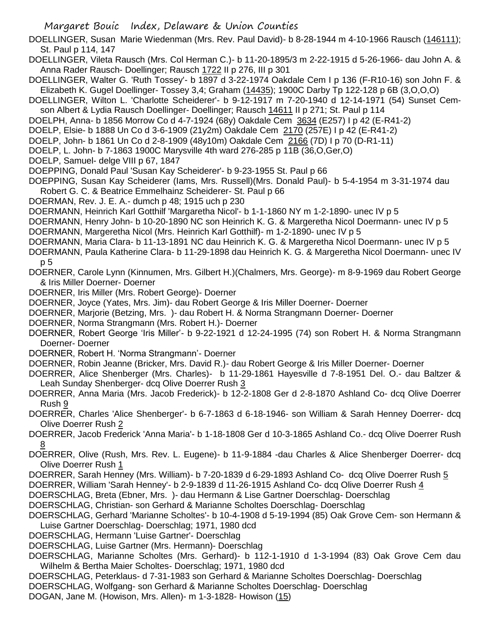DOELLINGER, Susan Marie Wiedenman (Mrs. Rev. Paul David)- b 8-28-1944 m 4-10-1966 Rausch (146111); St. Paul p 114, 147

DOELLINGER, Vileta Rausch (Mrs. Col Herman C.)- b 11-20-1895/3 m 2-22-1915 d 5-26-1966- dau John A. & Anna Rader Rausch- Doellinger; Rausch 1722 II p 276, III p 301

DOELLINGER, Walter G. 'Ruth Tossey'- b 1897 d 3-22-1974 Oakdale Cem I p 136 (F-R10-16) son John F. & Elizabeth K. Gugel Doellinger- Tossey 3,4; Graham (14435); 1900C Darby Tp 122-128 p 6B (3,O,O,O)

DOELLINGER, Wilton L. 'Charlotte Scheiderer'- b 9-12-1917 m 7-20-1940 d 12-14-1971 (54) Sunset Cemson Albert & Lydia Rausch Doellinger- Doellinger; Rausch 14611 II p 271; St. Paul p 114

DOELPH, Anna- b 1856 Morrow Co d 4-7-1924 (68y) Oakdale Cem 3634 (E257) I p 42 (E-R41-2)

DOELP, Elsie- b 1888 Un Co d 3-6-1909 (21y2m) Oakdale Cem 2170 (257E) I p 42 (E-R41-2)

DOELP, John- b 1861 Un Co d 2-8-1909 (48y10m) Oakdale Cem 2166 (7D) I p 70 (D-R1-11)

DOELP, L. John- b 7-1863 1900C Marysville 4th ward 276-285 p 11B (36,O,Ger,O)

DOELP, Samuel- delge VIII p 67, 1847

DOEPPING, Donald Paul 'Susan Kay Scheiderer'- b 9-23-1955 St. Paul p 66

DOEPPING, Susan Kay Scheiderer (Iams, Mrs. Russell)(Mrs. Donald Paul)- b 5-4-1954 m 3-31-1974 dau Robert G. C. & Beatrice Emmelhainz Scheiderer- St. Paul p 66

DOERMAN, Rev. J. E. A.- dumch p 48; 1915 uch p 230

DOERMANN, Heinrich Karl Gotthilf 'Margaretha Nicol'- b 1-1-1860 NY m 1-2-1890- unec IV p 5

DOERMANN, Henry John- b 10-20-1890 NC son Heinrich K. G. & Margeretha Nicol Doermann- unec IV p 5

DOERMANN, Margeretha Nicol (Mrs. Heinrich Karl Gotthilf)- m 1-2-1890- unec IV p 5

DOERMANN, Maria Clara- b 11-13-1891 NC dau Heinrich K. G. & Margeretha Nicol Doermann- unec IV p 5

DOERMANN, Paula Katherine Clara- b 11-29-1898 dau Heinrich K. G. & Margeretha Nicol Doermann- unec IV p 5

DOERNER, Carole Lynn (Kinnumen, Mrs. Gilbert H.)(Chalmers, Mrs. George)- m 8-9-1969 dau Robert George & Iris Miller Doerner- Doerner

DOERNER, Iris Miller (Mrs. Robert George)- Doerner

DOERNER, Joyce (Yates, Mrs. Jim)- dau Robert George & Iris Miller Doerner- Doerner

DOERNER, Marjorie (Betzing, Mrs. )- dau Robert H. & Norma Strangmann Doerner- Doerner

DOERNER, Norma Strangmann (Mrs. Robert H.)- Doerner

DOERNER, Robert George 'Iris Miller'- b 9-22-1921 d 12-24-1995 (74) son Robert H. & Norma Strangmann Doerner- Doerner

DOERNER, Robert H. 'Norma Strangmann'- Doerner

DOERNER, Robin Jeanne (Bricker, Mrs. David R.)- dau Robert George & Iris Miller Doerner- Doerner

DOERRER, Alice Shenberger (Mrs. Charles)- b 11-29-1861 Hayesville d 7-8-1951 Del. O.- dau Baltzer & Leah Sunday Shenberger- dcq Olive Doerrer Rush 3

DOERRER, Anna Maria (Mrs. Jacob Frederick)- b 12-2-1808 Ger d 2-8-1870 Ashland Co- dcq Olive Doerrer Rush 9

DOERRER, Charles 'Alice Shenberger'- b 6-7-1863 d 6-18-1946- son William & Sarah Henney Doerrer- dcq Olive Doerrer Rush 2

DOERRER, Jacob Frederick 'Anna Maria'- b 1-18-1808 Ger d 10-3-1865 Ashland Co.- dcq Olive Doerrer Rush 8

DOERRER, Olive (Rush, Mrs. Rev. L. Eugene)- b 11-9-1884 -dau Charles & Alice Shenberger Doerrer- dcq Olive Doerrer Rush 1

DOERRER, Sarah Henney (Mrs. William)- b 7-20-1839 d 6-29-1893 Ashland Co- dcq Olive Doerrer Rush 5

DOERRER, William 'Sarah Henney'- b 2-9-1839 d 11-26-1915 Ashland Co- dcq Olive Doerrer Rush 4

DOERSCHLAG, Breta (Ebner, Mrs. )- dau Hermann & Lise Gartner Doerschlag- Doerschlag

DOERSCHLAG, Christian- son Gerhard & Marianne Scholtes Doerschlag- Doerschlag

DOERSCHLAG, Gerhard 'Marianne Scholtes'- b 10-4-1908 d 5-19-1994 (85) Oak Grove Cem- son Hermann & Luise Gartner Doerschlag- Doerschlag; 1971, 1980 dcd

DOERSCHLAG, Hermann 'Luise Gartner'- Doerschlag

DOERSCHLAG, Luise Gartner (Mrs. Hermann)- Doerschlag

DOERSCHLAG, Marianne Scholtes (Mrs. Gerhard)- b 112-1-1910 d 1-3-1994 (83) Oak Grove Cem dau Wilhelm & Bertha Maier Scholtes- Doerschlag; 1971, 1980 dcd

DOERSCHLAG, Peterklaus- d 7-31-1983 son Gerhard & Marianne Scholtes Doerschlag- Doerschlag

DOERSCHLAG, Wolfgang- son Gerhard & Marianne Scholtes Doerschlag- Doerschlag

DOGAN, Jane M. (Howison, Mrs. Allen)- m 1-3-1828- Howison (15)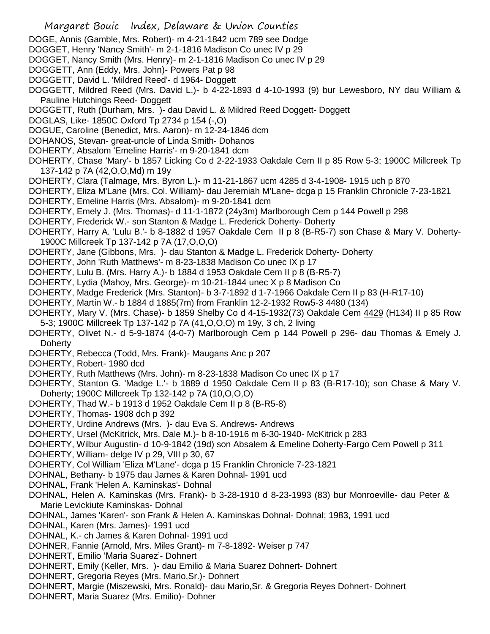- DOGE, Annis (Gamble, Mrs. Robert)- m 4-21-1842 ucm 789 see Dodge
- DOGGET, Henry 'Nancy Smith'- m 2-1-1816 Madison Co unec IV p 29
- DOGGET, Nancy Smith (Mrs. Henry)- m 2-1-1816 Madison Co unec IV p 29
- DOGGETT, Ann (Eddy, Mrs. John)- Powers Pat p 98
- DOGGETT, David L. 'Mildred Reed'- d 1964- Doggett
- DOGGETT, Mildred Reed (Mrs. David L.)- b 4-22-1893 d 4-10-1993 (9) bur Lewesboro, NY dau William & Pauline Hutchings Reed- Doggett
- DOGGETT, Ruth (Durham, Mrs. )- dau David L. & Mildred Reed Doggett- Doggett
- DOGLAS, Like- 1850C Oxford Tp 2734 p 154 (-,O)
- DOGUE, Caroline (Benedict, Mrs. Aaron)- m 12-24-1846 dcm
- DOHANOS, Stevan- great-uncle of Linda Smith- Dohanos
- DOHERTY, Absalom 'Emeline Harris'- m 9-20-1841 dcm
- DOHERTY, Chase 'Mary'- b 1857 Licking Co d 2-22-1933 Oakdale Cem II p 85 Row 5-3; 1900C Millcreek Tp 137-142 p 7A (42,O,O,Md) m 19y
- DOHERTY, Clara (Talmage, Mrs. Byron L.)- m 11-21-1867 ucm 4285 d 3-4-1908- 1915 uch p 870
- DOHERTY, Eliza M'Lane (Mrs. Col. William)- dau Jeremiah M'Lane- dcga p 15 Franklin Chronicle 7-23-1821
- DOHERTY, Emeline Harris (Mrs. Absalom)- m 9-20-1841 dcm
- DOHERTY, Emely J. (Mrs. Thomas)- d 11-1-1872 (24y3m) Marlborough Cem p 144 Powell p 298
- DOHERTY, Frederick W.- son Stanton & Madge L. Frederick Doherty- Doherty
- DOHERTY, Harry A. 'Lulu B.'- b 8-1882 d 1957 Oakdale Cem II p 8 (B-R5-7) son Chase & Mary V. Doherty-1900C Millcreek Tp 137-142 p 7A (17,O,O,O)
- DOHERTY, Jane (Gibbons, Mrs. )- dau Stanton & Madge L. Frederick Doherty- Doherty
- DOHERTY, John 'Ruth Matthews'- m 8-23-1838 Madison Co unec IX p 17
- DOHERTY, Lulu B. (Mrs. Harry A.)- b 1884 d 1953 Oakdale Cem II p 8 (B-R5-7)
- DOHERTY, Lydia (Mahoy, Mrs. George)- m 10-21-1844 unec X p 8 Madison Co
- DOHERTY, Madge Frederick (Mrs. Stanton)- b 3-7-1892 d 1-7-1966 Oakdale Cem II p 83 (H-R17-10)
- DOHERTY, Martin W.- b 1884 d 1885(7m) from Franklin 12-2-1932 Row5-3 4480 (134)
- DOHERTY, Mary V. (Mrs. Chase)- b 1859 Shelby Co d 4-15-1932(73) Oakdale Cem 4429 (H134) II p 85 Row 5-3; 1900C Millcreek Tp 137-142 p 7A (41,O,O,O) m 19y, 3 ch, 2 living
- DOHERTY, Olivet N.- d 5-9-1874 (4-0-7) Marlborough Cem p 144 Powell p 296- dau Thomas & Emely J. **Doherty**
- DOHERTY, Rebecca (Todd, Mrs. Frank)- Maugans Anc p 207
- DOHERTY, Robert- 1980 dcd
- DOHERTY, Ruth Matthews (Mrs. John)- m 8-23-1838 Madison Co unec IX p 17
- DOHERTY, Stanton G. 'Madge L.'- b 1889 d 1950 Oakdale Cem II p 83 (B-R17-10); son Chase & Mary V. Doherty; 1900C Millcreek Tp 132-142 p 7A (10,O,O,O)
- DOHERTY, Thad W.- b 1913 d 1952 Oakdale Cem II p 8 (B-R5-8)
- DOHERTY, Thomas- 1908 dch p 392
- DOHERTY, Urdine Andrews (Mrs. )- dau Eva S. Andrews- Andrews
- DOHERTY, Ursel (McKitrick, Mrs. Dale M.)- b 8-10-1916 m 6-30-1940- McKitrick p 283
- DOHERTY, Wilbur Augustin- d 10-9-1842 (19d) son Absalem & Emeline Doherty-Fargo Cem Powell p 311
- DOHERTY, William- delge IV p 29, VIII p 30, 67
- DOHERTY, Col William 'Eliza M'Lane'- dcga p 15 Franklin Chronicle 7-23-1821
- DOHNAL, Bethany- b 1975 dau James & Karen Dohnal- 1991 ucd
- DOHNAL, Frank 'Helen A. Kaminskas'- Dohnal
- DOHNAL, Helen A. Kaminskas (Mrs. Frank)- b 3-28-1910 d 8-23-1993 (83) bur Monroeville- dau Peter & Marie Levickiute Kaminskas- Dohnal
- DOHNAL, James 'Karen'- son Frank & Helen A. Kaminskas Dohnal- Dohnal; 1983, 1991 ucd
- DOHNAL, Karen (Mrs. James)- 1991 ucd
- DOHNAL, K.- ch James & Karen Dohnal- 1991 ucd
- DOHNER, Fannie (Arnold, Mrs. Miles Grant)- m 7-8-1892- Weiser p 747
- DOHNERT, Emilio 'Maria Suarez'- Dohnert
- DOHNERT, Emily (Keller, Mrs. )- dau Emilio & Maria Suarez Dohnert- Dohnert
- DOHNERT, Gregoria Reyes (Mrs. Mario,Sr.)- Dohnert
- DOHNERT, Margie (Miszewski, Mrs. Ronald)- dau Mario,Sr. & Gregoria Reyes Dohnert- Dohnert
- DOHNERT, Maria Suarez (Mrs. Emilio)- Dohner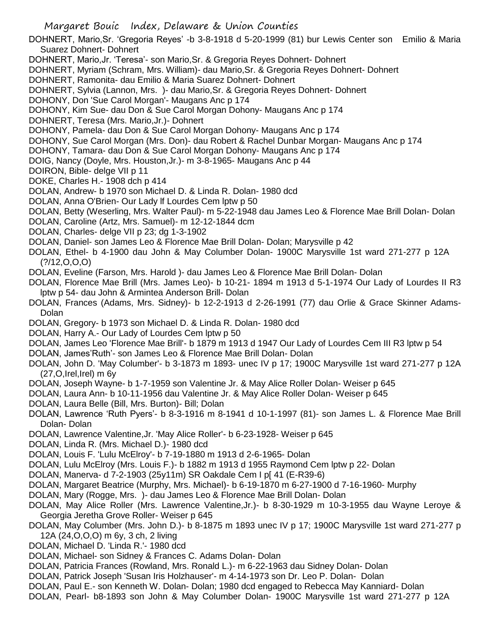DOHNERT, Mario,Sr. 'Gregoria Reyes' -b 3-8-1918 d 5-20-1999 (81) bur Lewis Center son Emilio & Maria Suarez Dohnert- Dohnert

DOHNERT, Mario,Jr. 'Teresa'- son Mario,Sr. & Gregoria Reyes Dohnert- Dohnert

DOHNERT, Myriam (Schram, Mrs. William)- dau Mario,Sr. & Gregoria Reyes Dohnert- Dohnert

DOHNERT, Ramonita- dau Emilio & Maria Suarez Dohnert- Dohnert

DOHNERT, Sylvia (Lannon, Mrs. )- dau Mario,Sr. & Gregoria Reyes Dohnert- Dohnert

DOHONY, Don 'Sue Carol Morgan'- Maugans Anc p 174

DOHONY, Kim Sue- dau Don & Sue Carol Morgan Dohony- Maugans Anc p 174

DOHNERT, Teresa (Mrs. Mario,Jr.)- Dohnert

DOHONY, Pamela- dau Don & Sue Carol Morgan Dohony- Maugans Anc p 174

DOHONY, Sue Carol Morgan (Mrs. Don)- dau Robert & Rachel Dunbar Morgan- Maugans Anc p 174

DOHONY, Tamara- dau Don & Sue Carol Morgan Dohony- Maugans Anc p 174

DOIG, Nancy (Doyle, Mrs. Houston,Jr.)- m 3-8-1965- Maugans Anc p 44

DOIRON, Bible- delge VII p 11

DOKE, Charles H.- 1908 dch p 414

DOLAN, Andrew- b 1970 son Michael D. & Linda R. Dolan- 1980 dcd

DOLAN, Anna O'Brien- Our Lady lf Lourdes Cem lptw p 50

DOLAN, Betty (Weserling, Mrs. Walter Paul)- m 5-22-1948 dau James Leo & Florence Mae Brill Dolan- Dolan

DOLAN, Caroline (Artz, Mrs. Samuel)- m 12-12-1844 dcm

DOLAN, Charles- delge VII p 23; dg 1-3-1902

DOLAN, Daniel- son James Leo & Florence Mae Brill Dolan- Dolan; Marysville p 42

DOLAN, Ethel- b 4-1900 dau John & May Columber Dolan- 1900C Marysville 1st ward 271-277 p 12A  $(?)/12,0,0,0)$ 

DOLAN, Eveline (Farson, Mrs. Harold )- dau James Leo & Florence Mae Brill Dolan- Dolan

DOLAN, Florence Mae Brill (Mrs. James Leo)- b 10-21- 1894 m 1913 d 5-1-1974 Our Lady of Lourdes II R3 lptw p 54- dau John & Armintea Anderson Brill- Dolan

DOLAN, Frances (Adams, Mrs. Sidney)- b 12-2-1913 d 2-26-1991 (77) dau Orlie & Grace Skinner Adams-Dolan

DOLAN, Gregory- b 1973 son Michael D. & Linda R. Dolan- 1980 dcd

DOLAN, Harry A.- Our Lady of Lourdes Cem lptw p 50

DOLAN, James Leo 'Florence Mae Brill'- b 1879 m 1913 d 1947 Our Lady of Lourdes Cem III R3 lptw p 54

DOLAN, James'Ruth'- son James Leo & Florence Mae Brill Dolan- Dolan

DOLAN, John D. 'May Columber'- b 3-1873 m 1893- unec IV p 17; 1900C Marysville 1st ward 271-277 p 12A (27,O,Irel,Irel) m 6y

DOLAN, Joseph Wayne- b 1-7-1959 son Valentine Jr. & May Alice Roller Dolan- Weiser p 645

DOLAN, Laura Ann- b 10-11-1956 dau Valentine Jr. & May Alice Roller Dolan- Weiser p 645

DOLAN, Laura Belle (Bill, Mrs. Burton)- Bill; Dolan

DOLAN, Lawrence 'Ruth Pyers'- b 8-3-1916 m 8-1941 d 10-1-1997 (81)- son James L. & Florence Mae Brill Dolan- Dolan

DOLAN, Lawrence Valentine,Jr. 'May Alice Roller'- b 6-23-1928- Weiser p 645

DOLAN, Linda R. (Mrs. Michael D.)- 1980 dcd

DOLAN, Louis F. 'Lulu McElroy'- b 7-19-1880 m 1913 d 2-6-1965- Dolan

DOLAN, Lulu McElroy (Mrs. Louis F.)- b 1882 m 1913 d 1955 Raymond Cem lptw p 22- Dolan

DOLAN, Manerva- d 7-2-1903 (25y11m) SR Oakdale Cem I p[ 41 (E-R39-6)

DOLAN, Margaret Beatrice (Murphy, Mrs. Michael)- b 6-19-1870 m 6-27-1900 d 7-16-1960- Murphy

DOLAN, Mary (Rogge, Mrs. )- dau James Leo & Florence Mae Brill Dolan- Dolan

DOLAN, May Alice Roller (Mrs. Lawrence Valentine,Jr.)- b 8-30-1929 m 10-3-1955 dau Wayne Leroye & Georgia Jeretha Grove Roller- Weiser p 645

DOLAN, May Columber (Mrs. John D.)- b 8-1875 m 1893 unec IV p 17; 1900C Marysville 1st ward 271-277 p 12A (24,O,O,O) m 6y, 3 ch, 2 living

DOLAN, Michael D. 'Linda R.'- 1980 dcd

DOLAN, Michael- son Sidney & Frances C. Adams Dolan- Dolan

DOLAN, Patricia Frances (Rowland, Mrs. Ronald L.)- m 6-22-1963 dau Sidney Dolan- Dolan

DOLAN, Patrick Joseph 'Susan Iris Holzhauser'- m 4-14-1973 son Dr. Leo P. Dolan- Dolan

DOLAN, Paul E.- son Kenneth W. Dolan- Dolan; 1980 dcd engaged to Rebecca May Kanniard- Dolan

DOLAN, Pearl- b8-1893 son John & May Columber Dolan- 1900C Marysville 1st ward 271-277 p 12A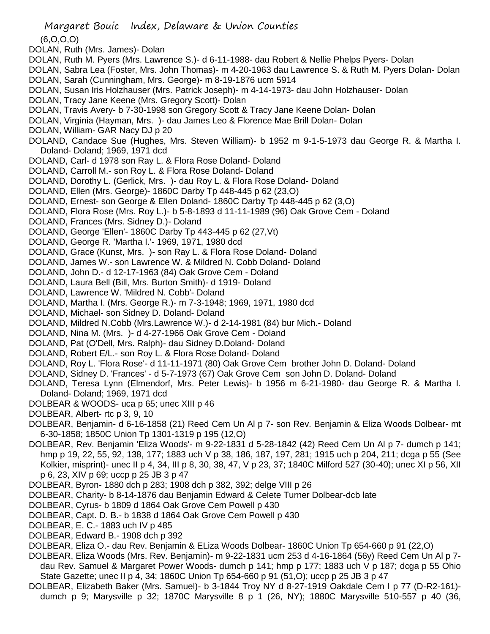- (6,O,O,O)
- DOLAN, Ruth (Mrs. James)- Dolan
- DOLAN, Ruth M. Pyers (Mrs. Lawrence S.)- d 6-11-1988- dau Robert & Nellie Phelps Pyers- Dolan
- DOLAN, Sabra Lea (Foster, Mrs. John Thomas)- m 4-20-1963 dau Lawrence S. & Ruth M. Pyers Dolan- Dolan DOLAN, Sarah (Cunningham, Mrs. George)- m 8-19-1876 ucm 5914
- DOLAN, Susan Iris Holzhauser (Mrs. Patrick Joseph)- m 4-14-1973- dau John Holzhauser- Dolan
- DOLAN, Tracy Jane Keene (Mrs. Gregory Scott)- Dolan
- DOLAN, Travis Avery- b 7-30-1998 son Gregory Scott & Tracy Jane Keene Dolan- Dolan
- DOLAN, Virginia (Hayman, Mrs. )- dau James Leo & Florence Mae Brill Dolan- Dolan
- DOLAN, William- GAR Nacy DJ p 20
- DOLAND, Candace Sue (Hughes, Mrs. Steven William)- b 1952 m 9-1-5-1973 dau George R. & Martha I. Doland- Doland; 1969, 1971 dcd
- DOLAND, Carl- d 1978 son Ray L. & Flora Rose Doland- Doland
- DOLAND, Carroll M.- son Roy L. & Flora Rose Doland- Doland
- DOLAND, Dorothy L. (Gerlick, Mrs. )- dau Roy L. & Flora Rose Doland- Doland
- DOLAND, Ellen (Mrs. George)- 1860C Darby Tp 448-445 p 62 (23,O)
- DOLAND, Ernest- son George & Ellen Doland- 1860C Darby Tp 448-445 p 62 (3,O)
- DOLAND, Flora Rose (Mrs. Roy L.)- b 5-8-1893 d 11-11-1989 (96) Oak Grove Cem Doland
- DOLAND, Frances (Mrs. Sidney D.)- Doland
- DOLAND, George 'Ellen'- 1860C Darby Tp 443-445 p 62 (27,Vt)
- DOLAND, George R. 'Martha I.'- 1969, 1971, 1980 dcd
- DOLAND, Grace (Kunst, Mrs. )- son Ray L. & Flora Rose Doland- Doland
- DOLAND, James W.- son Lawrence W. & Mildred N. Cobb Doland- Doland
- DOLAND, John D.- d 12-17-1963 (84) Oak Grove Cem Doland
- DOLAND, Laura Bell (Bill, Mrs. Burton Smith)- d 1919- Doland
- DOLAND, Lawrence W. 'Mildred N. Cobb'- Doland
- DOLAND, Martha I. (Mrs. George R.)- m 7-3-1948; 1969, 1971, 1980 dcd
- DOLAND, Michael- son Sidney D. Doland- Doland
- DOLAND, Mildred N.Cobb (Mrs.Lawrence W.)- d 2-14-1981 (84) bur Mich.- Doland
- DOLAND, Nina M. (Mrs. )- d 4-27-1966 Oak Grove Cem Doland
- DOLAND, Pat (O'Dell, Mrs. Ralph)- dau Sidney D.Doland- Doland
- DOLAND, Robert E/L.- son Roy L. & Flora Rose Doland- Doland
- DOLAND, Roy L. 'Flora Rose'- d 11-11-1971 (80) Oak Grove Cem brother John D. Doland- Doland
- DOLAND, Sidney D. 'Frances' d 5-7-1973 (67) Oak Grove Cem son John D. Doland- Doland
- DOLAND, Teresa Lynn (Elmendorf, Mrs. Peter Lewis)- b 1956 m 6-21-1980- dau George R. & Martha I. Doland- Doland; 1969, 1971 dcd
- DOLBEAR & WOODS- uca p 65; unec XIII p 46
- DOLBEAR, Albert- rtc p 3, 9, 10
- DOLBEAR, Benjamin- d 6-16-1858 (21) Reed Cem Un Al p 7- son Rev. Benjamin & Eliza Woods Dolbear- mt 6-30-1858; 1850C Union Tp 1301-1319 p 195 (12,O)
- DOLBEAR, Rev. Benjamin 'Eliza Woods'- m 9-22-1831 d 5-28-1842 (42) Reed Cem Un Al p 7- dumch p 141; hmp p 19, 22, 55, 92, 138, 177; 1883 uch V p 38, 186, 187, 197, 281; 1915 uch p 204, 211; dcga p 55 (See Kolkier, misprint)- unec II p 4, 34, III p 8, 30, 38, 47, V p 23, 37; 1840C Milford 527 (30-40); unec XI p 56, XII p 6, 23, XIV p 69; uccp p 25 JB 3 p 47
- DOLBEAR, Byron- 1880 dch p 283; 1908 dch p 382, 392; delge VIII p 26
- DOLBEAR, Charity- b 8-14-1876 dau Benjamin Edward & Celete Turner Dolbear-dcb late
- DOLBEAR, Cyrus- b 1809 d 1864 Oak Grove Cem Powell p 430
- DOLBEAR, Capt. D. B.- b 1838 d 1864 Oak Grove Cem Powell p 430
- DOLBEAR, E. C.- 1883 uch IV p 485
- DOLBEAR, Edward B.- 1908 dch p 392
- DOLBEAR, Eliza O.- dau Rev. Benjamin & ELiza Woods Dolbear- 1860C Union Tp 654-660 p 91 (22,O)
- DOLBEAR, Eliza Woods (Mrs. Rev. Benjamin)- m 9-22-1831 ucm 253 d 4-16-1864 (56y) Reed Cem Un Al p 7 dau Rev. Samuel & Margaret Power Woods- dumch p 141; hmp p 177; 1883 uch V p 187; dcga p 55 Ohio State Gazette; unec II p 4, 34; 1860C Union Tp 654-660 p 91 (51,O); uccp p 25 JB 3 p 47
- DOLBEAR, Elizabeth Baker (Mrs. Samuel)- b 3-1844 Troy NY d 8-27-1919 Oakdale Cem I p 77 (D-R2-161) dumch p 9; Marysville p 32; 1870C Marysville 8 p 1 (26, NY); 1880C Marysville 510-557 p 40 (36,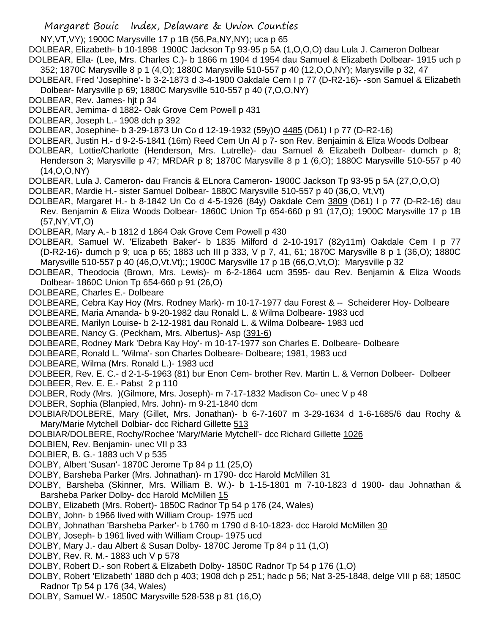NY,VT,VY); 1900C Marysville 17 p 1B (56,Pa,NY,NY); uca p 65

DOLBEAR, Elizabeth- b 10-1898 1900C Jackson Tp 93-95 p 5A (1,O,O,O) dau Lula J. Cameron Dolbear DOLBEAR, Ella- (Lee, Mrs. Charles C.)- b 1866 m 1904 d 1954 dau Samuel & Elizabeth Dolbear- 1915 uch p

352; 1870C Marysville 8 p 1 (4,O); 1880C Marysville 510-557 p 40 (12,O,O,NY); Marysville p 32, 47 DOLBEAR, Fred 'Josephine'- b 3-2-1873 d 3-4-1900 Oakdale Cem I p 77 (D-R2-16)- -son Samuel & Elizabeth

Dolbear- Marysville p 69; 1880C Marysville 510-557 p 40 (7,O,O,NY)

DOLBEAR, Rev. James- hjt p 34

DOLBEAR, Jemima- d 1882- Oak Grove Cem Powell p 431

DOLBEAR, Joseph L.- 1908 dch p 392

DOLBEAR, Josephine- b 3-29-1873 Un Co d 12-19-1932 (59y)O 4485 (D61) I p 77 (D-R2-16)

DOLBEAR, Justin H.- d 9-2-5-1841 (16m) Reed Cem Un Al p 7- son Rev. Benjaimin & Eliza Woods Dolbear

- DOLBEAR, Lottie/Charlotte (Henderson, Mrs. Lutrelle)- dau Samuel & Elizabeth Dolbear- dumch p 8; Henderson 3; Marysville p 47; MRDAR p 8; 1870C Marysville 8 p 1 (6,O); 1880C Marysville 510-557 p 40 (14,O,O,NY)
- DOLBEAR, Lula J. Cameron- dau Francis & ELnora Cameron- 1900C Jackson Tp 93-95 p 5A (27,O,O,O)
- DOLBEAR, Mardie H.- sister Samuel Dolbear- 1880C Marysville 510-557 p 40 (36,O, Vt,Vt)
- DOLBEAR, Margaret H.- b 8-1842 Un Co d 4-5-1926 (84y) Oakdale Cem 3809 (D61) I p 77 (D-R2-16) dau Rev. Benjamin & Eliza Woods Dolbear- 1860C Union Tp 654-660 p 91 (17,O); 1900C Marysville 17 p 1B (57,NY,VT,O)
- DOLBEAR, Mary A.- b 1812 d 1864 Oak Grove Cem Powell p 430
- DOLBEAR, Samuel W. 'Elizabeth Baker'- b 1835 Milford d 2-10-1917 (82y11m) Oakdale Cem I p 77 (D-R2-16)- dumch p 9; uca p 65; 1883 uch III p 333, V p 7, 41, 61; 1870C Marysville 8 p 1 (36,O); 1880C Marysville 510-557 p 40 (46,O,Vt.Vt);; 1900C Marysville 17 p 1B (66,O,Vt,O); Marysville p 32
- DOLBEAR, Theodocia (Brown, Mrs. Lewis)- m 6-2-1864 ucm 3595- dau Rev. Benjamin & Eliza Woods Dolbear- 1860C Union Tp 654-660 p 91 (26,O)
- DOLBEARE, Charles E.- Dolbeare

DOLBEARE, Cebra Kay Hoy (Mrs. Rodney Mark)- m 10-17-1977 dau Forest & -- Scheiderer Hoy- Dolbeare

DOLBEARE, Maria Amanda- b 9-20-1982 dau Ronald L. & Wilma Dolbeare- 1983 ucd

- DOLBEARE, Marilyn Louise- b 2-12-1981 dau Ronald L. & Wilma Dolbeare- 1983 ucd
- DOLBEARE, Nancy G. (Peckham, Mrs. Albertus)- Asp (391-6)
- DOLBEARE, Rodney Mark 'Debra Kay Hoy'- m 10-17-1977 son Charles E. Dolbeare- Dolbeare
- DOLBEARE, Ronald L. 'Wilma'- son Charles Dolbeare- Dolbeare; 1981, 1983 ucd
- DOLBEARE, Wilma (Mrs. Ronald L.)- 1983 ucd

DOLBEER, Rev. E. C.- d 2-1-5-1963 (81) bur Enon Cem- brother Rev. Martin L. & Vernon Dolbeer- Dolbeer

DOLBEER, Rev. E. E.- Pabst 2 p 110

DOLBER, Rody (Mrs. )(Gilmore, Mrs. Joseph)- m 7-17-1832 Madison Co- unec V p 48

- DOLBER, Sophia (Blanpied, Mrs. John)- m 9-21-1840 dcm
- DOLBIAR/DOLBERE, Mary (Gillet, Mrs. Jonathan)- b 6-7-1607 m 3-29-1634 d 1-6-1685/6 dau Rochy & Mary/Marie Mytchell Dolbiar- dcc Richard Gillette 513
- DOLBIAR/DOLBERE, Rochy/Rochee 'Mary/Marie Mytchell'- dcc Richard Gillette 1026
- DOLBIEN, Rev. Benjamin- unec VII p 33
- DOLBIER, B. G.- 1883 uch V p 535
- DOLBY, Albert 'Susan'- 1870C Jerome Tp 84 p 11 (25,O)
- DOLBY, Barsheba Parker (Mrs. Johnathan)- m 1790- dcc Harold McMillen 31
- DOLBY, Barsheba (Skinner, Mrs. William B. W.)- b 1-15-1801 m 7-10-1823 d 1900- dau Johnathan & Barsheba Parker Dolby- dcc Harold McMillen 15
- DOLBY, Elizabeth (Mrs. Robert)- 1850C Radnor Tp 54 p 176 (24, Wales)
- DOLBY, John- b 1966 lived with William Croup- 1975 ucd
- DOLBY, Johnathan 'Barsheba Parker'- b 1760 m 1790 d 8-10-1823- dcc Harold McMillen 30
- DOLBY, Joseph- b 1961 lived with William Croup- 1975 ucd
- DOLBY, Mary J.- dau Albert & Susan Dolby- 1870C Jerome Tp 84 p 11 (1,O)
- DOLBY, Rev. R. M.- 1883 uch V p 578
- DOLBY, Robert D.- son Robert & Elizabeth Dolby- 1850C Radnor Tp 54 p 176 (1,O)
- DOLBY, Robert 'Elizabeth' 1880 dch p 403; 1908 dch p 251; hadc p 56; Nat 3-25-1848, delge VIII p 68; 1850C Radnor Tp 54 p 176 (34, Wales)
- DOLBY, Samuel W.- 1850C Marysville 528-538 p 81 (16,O)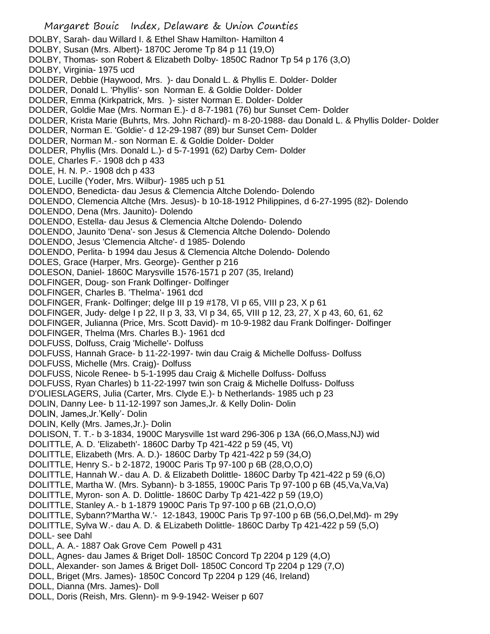Margaret Bouic Index, Delaware & Union Counties DOLBY, Sarah- dau Willard I. & Ethel Shaw Hamilton- Hamilton 4 DOLBY, Susan (Mrs. Albert)- 1870C Jerome Tp 84 p 11 (19,O) DOLBY, Thomas- son Robert & Elizabeth Dolby- 1850C Radnor Tp 54 p 176 (3,O) DOLBY, Virginia- 1975 ucd DOLDER, Debbie (Haywood, Mrs. )- dau Donald L. & Phyllis E. Dolder- Dolder DOLDER, Donald L. 'Phyllis'- son Norman E. & Goldie Dolder- Dolder DOLDER, Emma (Kirkpatrick, Mrs. )- sister Norman E. Dolder- Dolder DOLDER, Goldie Mae (Mrs. Norman E.)- d 8-7-1981 (76) bur Sunset Cem- Dolder DOLDER, Krista Marie (Buhrts, Mrs. John Richard)- m 8-20-1988- dau Donald L. & Phyllis Dolder- Dolder DOLDER, Norman E. 'Goldie'- d 12-29-1987 (89) bur Sunset Cem- Dolder DOLDER, Norman M.- son Norman E. & Goldie Dolder- Dolder DOLDER, Phyllis (Mrs. Donald L.)- d 5-7-1991 (62) Darby Cem- Dolder DOLE, Charles F.- 1908 dch p 433 DOLE, H. N. P.- 1908 dch p 433 DOLE, Lucille (Yoder, Mrs. Wilbur)- 1985 uch p 51 DOLENDO, Benedicta- dau Jesus & Clemencia Altche Dolendo- Dolendo DOLENDO, Clemencia Altche (Mrs. Jesus)- b 10-18-1912 Philippines, d 6-27-1995 (82)- Dolendo DOLENDO, Dena (Mrs. Jaunito)- Dolendo DOLENDO, Estella- dau Jesus & Clemencia Altche Dolendo- Dolendo DOLENDO, Jaunito 'Dena'- son Jesus & Clemencia Altche Dolendo- Dolendo DOLENDO, Jesus 'Clemencia Altche'- d 1985- Dolendo DOLENDO, Perlita- b 1994 dau Jesus & Clemencia Altche Dolendo- Dolendo DOLES, Grace (Harper, Mrs. George)- Genther p 216 DOLESON, Daniel- 1860C Marysville 1576-1571 p 207 (35, Ireland) DOLFINGER, Doug- son Frank Dolfinger- Dolfinger DOLFINGER, Charles B. 'Thelma'- 1961 dcd DOLFINGER, Frank- Dolfinger; delge III p 19 #178, VI p 65, VIII p 23, X p 61 DOLFINGER, Judy- delge I p 22, II p 3, 33, VI p 34, 65, VIII p 12, 23, 27, X p 43, 60, 61, 62 DOLFINGER, Julianna (Price, Mrs. Scott David)- m 10-9-1982 dau Frank Dolfinger- Dolfinger DOLFINGER, Thelma (Mrs. Charles B.)- 1961 dcd DOLFUSS, Dolfuss, Craig 'Michelle'- Dolfuss DOLFUSS, Hannah Grace- b 11-22-1997- twin dau Craig & Michelle Dolfuss- Dolfuss DOLFUSS, Michelle (Mrs. Craig)- Dolfuss DOLFUSS, Nicole Renee- b 5-1-1995 dau Craig & Michelle Dolfuss- Dolfuss DOLFUSS, Ryan Charles) b 11-22-1997 twin son Craig & Michelle Dolfuss- Dolfuss D'OLIESLAGERS, Julia (Carter, Mrs. Clyde E.)- b Netherlands- 1985 uch p 23 DOLIN, Danny Lee- b 11-12-1997 son James,Jr. & Kelly Dolin- Dolin DOLIN, James,Jr.'Kelly'- Dolin DOLIN, Kelly (Mrs. James,Jr.)- Dolin DOLISON, T. T.- b 3-1834, 1900C Marysville 1st ward 296-306 p 13A (66,O,Mass,NJ) wid DOLITTLE, A. D. 'Elizabeth'- 1860C Darby Tp 421-422 p 59 (45, Vt) DOLITTLE, Elizabeth (Mrs. A. D.)- 1860C Darby Tp 421-422 p 59 (34,O) DOLITTLE, Henry S.- b 2-1872, 1900C Paris Tp 97-100 p 6B (28,O,O,O) DOLITTLE, Hannah W.- dau A. D. & Elizabeth Dolittle- 1860C Darby Tp 421-422 p 59 (6,O) DOLITTLE, Martha W. (Mrs. Sybann)- b 3-1855, 1900C Paris Tp 97-100 p 6B (45,Va,Va,Va) DOLITTLE, Myron- son A. D. Dolittle- 1860C Darby Tp 421-422 p 59 (19,O) DOLITTLE, Stanley A.- b 1-1879 1900C Paris Tp 97-100 p 6B (21,O,O,O) DOLITTLE, Sybann?'Martha W.'- 12-1843, 1900C Paris Tp 97-100 p 6B (56,O,Del,Md)- m 29y DOLITTLE, Sylva W.- dau A. D. & ELizabeth Dolittle- 1860C Darby Tp 421-422 p 59 (5,O) DOLL- see Dahl DOLL, A. A.- 1887 Oak Grove Cem Powell p 431 DOLL, Agnes- dau James & Briget Doll- 1850C Concord Tp 2204 p 129 (4,O) DOLL, Alexander- son James & Briget Doll- 1850C Concord Tp 2204 p 129 (7,O) DOLL, Briget (Mrs. James)- 1850C Concord Tp 2204 p 129 (46, Ireland) DOLL, Dianna (Mrs. James)- Doll DOLL, Doris (Reish, Mrs. Glenn)- m 9-9-1942- Weiser p 607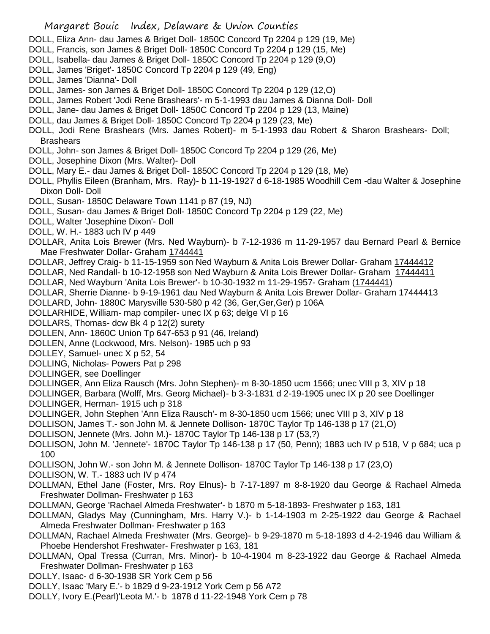- DOLL, Eliza Ann- dau James & Briget Doll- 1850C Concord Tp 2204 p 129 (19, Me)
- DOLL, Francis, son James & Briget Doll- 1850C Concord Tp 2204 p 129 (15, Me)
- DOLL, Isabella- dau James & Briget Doll- 1850C Concord Tp 2204 p 129 (9,O)
- DOLL, James 'Briget'- 1850C Concord Tp 2204 p 129 (49, Eng)
- DOLL, James 'Dianna'- Doll
- DOLL, James- son James & Briget Doll- 1850C Concord Tp 2204 p 129 (12,O)
- DOLL, James Robert 'Jodi Rene Brashears'- m 5-1-1993 dau James & Dianna Doll- Doll
- DOLL, Jane- dau James & Briget Doll- 1850C Concord Tp 2204 p 129 (13, Maine)
- DOLL, dau James & Briget Doll- 1850C Concord Tp 2204 p 129 (23, Me)
- DOLL, Jodi Rene Brashears (Mrs. James Robert)- m 5-1-1993 dau Robert & Sharon Brashears- Doll; **Brashears**
- DOLL, John- son James & Briget Doll- 1850C Concord Tp 2204 p 129 (26, Me)
- DOLL, Josephine Dixon (Mrs. Walter)- Doll
- DOLL, Mary E.- dau James & Briget Doll- 1850C Concord Tp 2204 p 129 (18, Me)
- DOLL, Phyllis Eileen (Branham, Mrs. Ray)- b 11-19-1927 d 6-18-1985 Woodhill Cem -dau Walter & Josephine Dixon Doll- Doll
- DOLL, Susan- 1850C Delaware Town 1141 p 87 (19, NJ)
- DOLL, Susan- dau James & Briget Doll- 1850C Concord Tp 2204 p 129 (22, Me)
- DOLL, Walter 'Josephine Dixon'- Doll
- DOLL, W. H.- 1883 uch IV p 449
- DOLLAR, Anita Lois Brewer (Mrs. Ned Wayburn)- b 7-12-1936 m 11-29-1957 dau Bernard Pearl & Bernice Mae Freshwater Dollar- Graham 1744441
- DOLLAR, Jeffrey Craig- b 11-15-1959 son Ned Wayburn & Anita Lois Brewer Dollar- Graham 17444412
- DOLLAR, Ned Randall- b 10-12-1958 son Ned Wayburn & Anita Lois Brewer Dollar- Graham 17444411
- DOLLAR, Ned Wayburn 'Anita Lois Brewer'- b 10-30-1932 m 11-29-1957- Graham (1744441)
- DOLLAR, Sherrie Dianne- b 9-19-1961 dau Ned Wayburn & Anita Lois Brewer Dollar- Graham 17444413
- DOLLARD, John- 1880C Marysville 530-580 p 42 (36, Ger,Ger,Ger) p 106A
- DOLLARHIDE, William- map compiler- unec IX p 63; delge VI p 16
- DOLLARS, Thomas- dcw Bk 4 p 12(2) surety
- DOLLEN, Ann- 1860C Union Tp 647-653 p 91 (46, Ireland)
- DOLLEN, Anne (Lockwood, Mrs. Nelson)- 1985 uch p 93
- DOLLEY, Samuel- unec X p 52, 54
- DOLLING, Nicholas- Powers Pat p 298
- DOLLINGER, see Doellinger
- DOLLINGER, Ann Eliza Rausch (Mrs. John Stephen)- m 8-30-1850 ucm 1566; unec VIII p 3, XIV p 18
- DOLLINGER, Barbara (Wolff, Mrs. Georg Michael)- b 3-3-1831 d 2-19-1905 unec IX p 20 see Doellinger
- DOLLINGER, Herman- 1915 uch p 318
- DOLLINGER, John Stephen 'Ann Eliza Rausch'- m 8-30-1850 ucm 1566; unec VIII p 3, XIV p 18
- DOLLISON, James T.- son John M. & Jennete Dollison- 1870C Taylor Tp 146-138 p 17 (21,O)
- DOLLISON, Jennete (Mrs. John M.)- 1870C Taylor Tp 146-138 p 17 (53,?)
- DOLLISON, John M. 'Jennete'- 1870C Taylor Tp 146-138 p 17 (50, Penn); 1883 uch IV p 518, V p 684; uca p 100
- DOLLISON, John W.- son John M. & Jennete Dollison- 1870C Taylor Tp 146-138 p 17 (23,O)
- DOLLISON, W. T.- 1883 uch IV p 474
- DOLLMAN, Ethel Jane (Foster, Mrs. Roy Elnus)- b 7-17-1897 m 8-8-1920 dau George & Rachael Almeda Freshwater Dollman- Freshwater p 163
- DOLLMAN, George 'Rachael Almeda Freshwater'- b 1870 m 5-18-1893- Freshwater p 163, 181
- DOLLMAN, Gladys May (Cunningham, Mrs. Harry V.)- b 1-14-1903 m 2-25-1922 dau George & Rachael Almeda Freshwater Dollman- Freshwater p 163
- DOLLMAN, Rachael Almeda Freshwater (Mrs. George)- b 9-29-1870 m 5-18-1893 d 4-2-1946 dau William & Phoebe Hendershot Freshwater- Freshwater p 163, 181
- DOLLMAN, Opal Tressa (Curran, Mrs. Minor)- b 10-4-1904 m 8-23-1922 dau George & Rachael Almeda Freshwater Dollman- Freshwater p 163
- DOLLY, Isaac- d 6-30-1938 SR York Cem p 56
- DOLLY, Isaac 'Mary E.'- b 1829 d 9-23-1912 York Cem p 56 A72
- DOLLY, Ivory E.(Pearl)'Leota M.'- b 1878 d 11-22-1948 York Cem p 78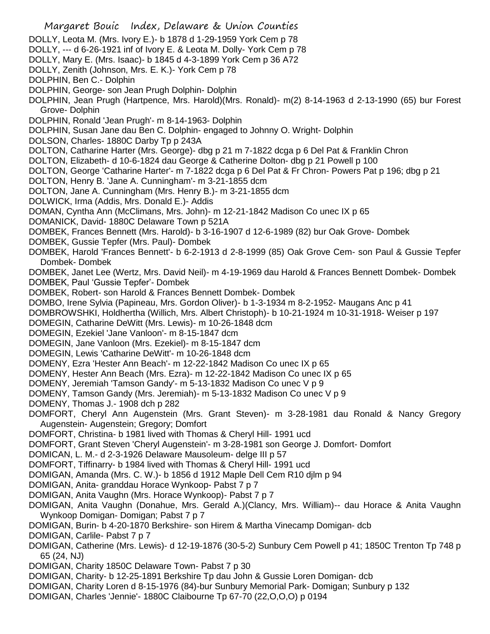Margaret Bouic Index, Delaware & Union Counties DOLLY, Leota M. (Mrs. Ivory E.)- b 1878 d 1-29-1959 York Cem p 78 DOLLY, --- d 6-26-1921 inf of Ivory E. & Leota M. Dolly- York Cem p 78 DOLLY, Mary E. (Mrs. Isaac)- b 1845 d 4-3-1899 York Cem p 36 A72 DOLLY, Zenith (Johnson, Mrs. E. K.)- York Cem p 78 DOLPHIN, Ben C.- Dolphin DOLPHIN, George- son Jean Prugh Dolphin- Dolphin DOLPHIN, Jean Prugh (Hartpence, Mrs. Harold)(Mrs. Ronald)- m(2) 8-14-1963 d 2-13-1990 (65) bur Forest Grove- Dolphin DOLPHIN, Ronald 'Jean Prugh'- m 8-14-1963- Dolphin DOLPHIN, Susan Jane dau Ben C. Dolphin- engaged to Johnny O. Wright- Dolphin DOLSON, Charles- 1880C Darby Tp p 243A DOLTON, Catharine Harter (Mrs. George)- dbg p 21 m 7-1822 dcga p 6 Del Pat & Franklin Chron DOLTON, Elizabeth- d 10-6-1824 dau George & Catherine Dolton- dbg p 21 Powell p 100 DOLTON, George 'Catharine Harter'- m 7-1822 dcga p 6 Del Pat & Fr Chron- Powers Pat p 196; dbg p 21 DOLTON, Henry B. 'Jane A. Cunningham'- m 3-21-1855 dcm DOLTON, Jane A. Cunningham (Mrs. Henry B.)- m 3-21-1855 dcm DOLWICK, Irma (Addis, Mrs. Donald E.)- Addis DOMAN, Cyntha Ann (McClimans, Mrs. John)- m 12-21-1842 Madison Co unec IX p 65 DOMANICK, David- 1880C Delaware Town p 521A DOMBEK, Frances Bennett (Mrs. Harold)- b 3-16-1907 d 12-6-1989 (82) bur Oak Grove- Dombek DOMBEK, Gussie Tepfer (Mrs. Paul)- Dombek DOMBEK, Harold 'Frances Bennett'- b 6-2-1913 d 2-8-1999 (85) Oak Grove Cem- son Paul & Gussie Tepfer Dombek- Dombek DOMBEK, Janet Lee (Wertz, Mrs. David Neil)- m 4-19-1969 dau Harold & Frances Bennett Dombek- Dombek DOMBEK, Paul 'Gussie Tepfer'- Dombek DOMBEK, Robert- son Harold & Frances Bennett Dombek- Dombek DOMBO, Irene Sylvia (Papineau, Mrs. Gordon Oliver)- b 1-3-1934 m 8-2-1952- Maugans Anc p 41 DOMBROWSHKI, Holdhertha (Willich, Mrs. Albert Christoph)- b 10-21-1924 m 10-31-1918- Weiser p 197 DOMEGIN, Catharine DeWitt (Mrs. Lewis)- m 10-26-1848 dcm DOMEGIN, Ezekiel 'Jane Vanloon'- m 8-15-1847 dcm DOMEGIN, Jane Vanloon (Mrs. Ezekiel)- m 8-15-1847 dcm DOMEGIN, Lewis 'Catharine DeWitt'- m 10-26-1848 dcm DOMENY, Ezra 'Hester Ann Beach'- m 12-22-1842 Madison Co unec IX p 65 DOMENY, Hester Ann Beach (Mrs. Ezra)- m 12-22-1842 Madison Co unec IX p 65 DOMENY, Jeremiah 'Tamson Gandy'- m 5-13-1832 Madison Co unec V p 9 DOMENY, Tamson Gandy (Mrs. Jeremiah)- m 5-13-1832 Madison Co unec V p 9 DOMENY, Thomas J.- 1908 dch p 282 DOMFORT, Cheryl Ann Augenstein (Mrs. Grant Steven)- m 3-28-1981 dau Ronald & Nancy Gregory Augenstein- Augenstein; Gregory; Domfort DOMFORT, Christina- b 1981 lived with Thomas & Cheryl Hill- 1991 ucd DOMFORT, Grant Steven 'Cheryl Augenstein'- m 3-28-1981 son George J. Domfort- Domfort DOMICAN, L. M.- d 2-3-1926 Delaware Mausoleum- delge III p 57 DOMFORT, Tiffinarry- b 1984 lived with Thomas & Cheryl Hill- 1991 ucd DOMIGAN, Amanda (Mrs. C. W.)- b 1856 d 1912 Maple Dell Cem R10 djlm p 94 DOMIGAN, Anita- granddau Horace Wynkoop- Pabst 7 p 7 DOMIGAN, Anita Vaughn (Mrs. Horace Wynkoop)- Pabst 7 p 7 DOMIGAN, Anita Vaughn (Donahue, Mrs. Gerald A.)(Clancy, Mrs. William)-- dau Horace & Anita Vaughn Wynkoop Domigan- Domigan; Pabst 7 p 7 DOMIGAN, Burin- b 4-20-1870 Berkshire- son Hirem & Martha Vinecamp Domigan- dcb DOMIGAN, Carlile- Pabst 7 p 7 DOMIGAN, Catherine (Mrs. Lewis)- d 12-19-1876 (30-5-2) Sunbury Cem Powell p 41; 1850C Trenton Tp 748 p 65 (24, NJ) DOMIGAN, Charity 1850C Delaware Town- Pabst 7 p 30 DOMIGAN, Charity- b 12-25-1891 Berkshire Tp dau John & Gussie Loren Domigan- dcb DOMIGAN, Charity Loren d 8-15-1976 (84)-bur Sunbury Memorial Park- Domigan; Sunbury p 132 DOMIGAN, Charles 'Jennie'- 1880C Claibourne Tp 67-70 (22,O,O,O) p 0194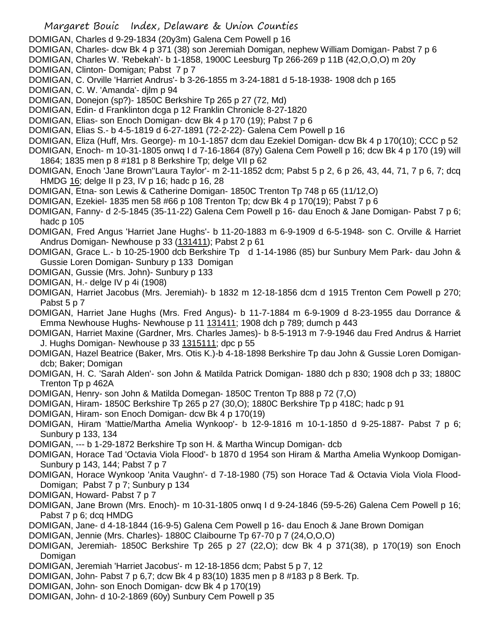- DOMIGAN, Charles d 9-29-1834 (20y3m) Galena Cem Powell p 16
- DOMIGAN, Charles- dcw Bk 4 p 371 (38) son Jeremiah Domigan, nephew William Domigan- Pabst 7 p 6
- DOMIGAN, Charles W. 'Rebekah'- b 1-1858, 1900C Leesburg Tp 266-269 p 11B (42,O,O,O) m 20y
- DOMIGAN, Clinton- Domigan; Pabst 7 p 7
- DOMIGAN, C. Orville 'Harriet Andrus'- b 3-26-1855 m 3-24-1881 d 5-18-1938- 1908 dch p 165
- DOMIGAN, C. W. 'Amanda'- djlm p 94
- DOMIGAN, Donejon (sp?)- 1850C Berkshire Tp 265 p 27 (72, Md)
- DOMIGAN, Edin- d Franklinton dcga p 12 Franklin Chronicle 8-27-1820
- DOMIGAN, Elias- son Enoch Domigan- dcw Bk 4 p 170 (19); Pabst 7 p 6
- DOMIGAN, Elias S.- b 4-5-1819 d 6-27-1891 (72-2-22)- Galena Cem Powell p 16
- DOMIGAN, Eliza (Huff, Mrs. George)- m 10-1-1857 dcm dau Ezekiel Domigan- dcw Bk 4 p 170(10); CCC p 52
- DOMIGAN, Enoch- m 10-31-1805 onwq I d 7-16-1864 (87y) Galena Cem Powell p 16; dcw Bk 4 p 170 (19) will 1864; 1835 men p 8 #181 p 8 Berkshire Tp; delge VII p 62
- DOMIGAN, Enoch 'Jane Brown''Laura Taylor'- m 2-11-1852 dcm; Pabst 5 p 2, 6 p 26, 43, 44, 71, 7 p 6, 7; dcq HMDG 16; delge II p 23, IV p 16; hadc p 16, 28
- DOMIGAN, Etna- son Lewis & Catherine Domigan- 1850C Trenton Tp 748 p 65 (11/12,O)
- DOMIGAN, Ezekiel- 1835 men 58 #66 p 108 Trenton Tp; dcw Bk 4 p 170(19); Pabst 7 p 6
- DOMIGAN, Fanny- d 2-5-1845 (35-11-22) Galena Cem Powell p 16- dau Enoch & Jane Domigan- Pabst 7 p 6; hadc p 105
- DOMIGAN, Fred Angus 'Harriet Jane Hughs'- b 11-20-1883 m 6-9-1909 d 6-5-1948- son C. Orville & Harriet Andrus Domigan- Newhouse p 33 (131411); Pabst 2 p 61
- DOMIGAN, Grace L.- b 10-25-1900 dcb Berkshire Tp d 1-14-1986 (85) bur Sunbury Mem Park- dau John & Gussie Loren Domigan- Sunbury p 133 Domigan
- DOMIGAN, Gussie (Mrs. John)- Sunbury p 133
- DOMIGAN, H.- delge IV p 4i (1908)
- DOMIGAN, Harriet Jacobus (Mrs. Jeremiah)- b 1832 m 12-18-1856 dcm d 1915 Trenton Cem Powell p 270; Pabst 5 p 7
- DOMIGAN, Harriet Jane Hughs (Mrs. Fred Angus)- b 11-7-1884 m 6-9-1909 d 8-23-1955 dau Dorrance & Emma Newhouse Hughs- Newhouse p 11 131411; 1908 dch p 789; dumch p 443
- DOMIGAN, Harriet Maxine (Gardner, Mrs. Charles James)- b 8-5-1913 m 7-9-1946 dau Fred Andrus & Harriet J. Hughs Domigan- Newhouse p 33 1315111; dpc p 55
- DOMIGAN, Hazel Beatrice (Baker, Mrs. Otis K.)-b 4-18-1898 Berkshire Tp dau John & Gussie Loren Domigandcb; Baker; Domigan
- DOMIGAN, H. C. 'Sarah Alden'- son John & Matilda Patrick Domigan- 1880 dch p 830; 1908 dch p 33; 1880C Trenton Tp p 462A
- DOMIGAN, Henry- son John & Matilda Domegan- 1850C Trenton Tp 888 p 72 (7,O)
- DOMIGAN, Hiram- 1850C Berkshire Tp 265 p 27 (30,O); 1880C Berkshire Tp p 418C; hadc p 91
- DOMIGAN, Hiram- son Enoch Domigan- dcw Bk 4 p 170(19)
- DOMIGAN, Hiram 'Mattie/Martha Amelia Wynkoop'- b 12-9-1816 m 10-1-1850 d 9-25-1887- Pabst 7 p 6; Sunbury p 133, 134
- DOMIGAN, --- b 1-29-1872 Berkshire Tp son H. & Martha Wincup Domigan- dcb
- DOMIGAN, Horace Tad 'Octavia Viola Flood'- b 1870 d 1954 son Hiram & Martha Amelia Wynkoop Domigan-Sunbury p 143, 144; Pabst 7 p 7
- DOMIGAN, Horace Wynkoop 'Anita Vaughn'- d 7-18-1980 (75) son Horace Tad & Octavia Viola Viola Flood-Domigan; Pabst 7 p 7; Sunbury p 134
- DOMIGAN, Howard- Pabst 7 p 7
- DOMIGAN, Jane Brown (Mrs. Enoch)- m 10-31-1805 onwq I d 9-24-1846 (59-5-26) Galena Cem Powell p 16; Pabst 7 p 6; dcq HMDG
- DOMIGAN, Jane- d 4-18-1844 (16-9-5) Galena Cem Powell p 16- dau Enoch & Jane Brown Domigan
- DOMIGAN, Jennie (Mrs. Charles)- 1880C Claibourne Tp 67-70 p 7 (24,O,O,O)
- DOMIGAN, Jeremiah- 1850C Berkshire Tp 265 p 27 (22,O); dcw Bk 4 p 371(38), p 170(19) son Enoch Domigan
- DOMIGAN, Jeremiah 'Harriet Jacobus'- m 12-18-1856 dcm; Pabst 5 p 7, 12
- DOMIGAN, John- Pabst 7 p 6,7; dcw Bk 4 p 83(10) 1835 men p 8 #183 p 8 Berk. Tp.
- DOMIGAN, John- son Enoch Domigan- dcw Bk 4 p 170(19)
- DOMIGAN, John- d 10-2-1869 (60y) Sunbury Cem Powell p 35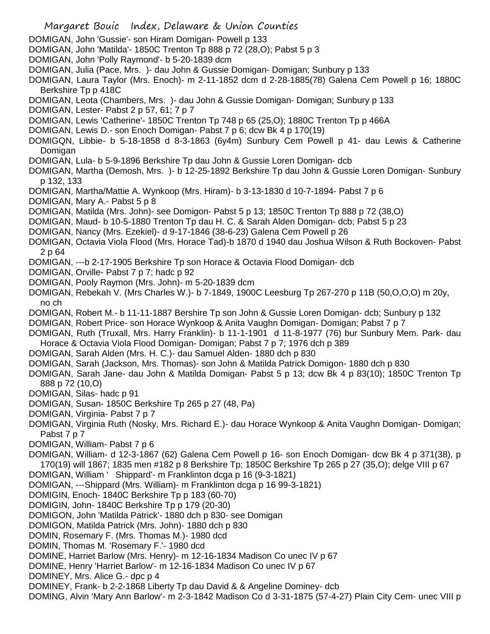Margaret Bouic Index, Delaware & Union Counties DOMIGAN, John 'Gussie'- son Hiram Domigan- Powell p 133 DOMIGAN, John 'Matilda'- 1850C Trenton Tp 888 p 72 (28,O); Pabst 5 p 3 DOMIGAN, John 'Polly Raymond'- b 5-20-1839 dcm DOMIGAN, Julia (Pace, Mrs. )- dau John & Gussie Domigan- Domigan; Sunbury p 133 DOMIGAN, Laura Taylor (Mrs. Enoch)- m 2-11-1852 dcm d 2-28-1885(78) Galena Cem Powell p 16; 1880C Berkshire Tp p 418C DOMIGAN, Leota (Chambers, Mrs. )- dau John & Gussie Domigan- Domigan; Sunbury p 133 DOMIGAN, Lester- Pabst 2 p 57, 61; 7 p 7 DOMIGAN, Lewis 'Catherine'- 1850C Trenton Tp 748 p 65 (25,O); 1880C Trenton Tp p 466A DOMIGAN, Lewis D.- son Enoch Domigan- Pabst 7 p 6; dcw Bk 4 p 170(19) DOMIGQN, Libbie- b 5-18-1858 d 8-3-1863 (6y4m) Sunbury Cem Powell p 41- dau Lewis & Catherine **Domigan** DOMIGAN, Lula- b 5-9-1896 Berkshire Tp dau John & Gussie Loren Domigan- dcb DOMIGAN, Martha (Demosh, Mrs. )- b 12-25-1892 Berkshire Tp dau John & Gussie Loren Domigan- Sunbury p 132, 133 DOMIGAN, Martha/Mattie A. Wynkoop (Mrs. Hiram)- b 3-13-1830 d 10-7-1894- Pabst 7 p 6 DOMIGAN, Mary A.- Pabst 5 p 8 DOMIGAN, Matilda (Mrs. John)- see Domigon- Pabst 5 p 13; 1850C Trenton Tp 888 p 72 (38,O) DOMIGAN, Maud- b 10-5-1880 Trenton Tp dau H. C. & Sarah Alden Domigan- dcb; Pabst 5 p 23 DOMIGAN, Nancy (Mrs. Ezekiel)- d 9-17-1846 (38-6-23) Galena Cem Powell p 26 DOMIGAN, Octavia Viola Flood (Mrs. Horace Tad)-b 1870 d 1940 dau Joshua Wilson & Ruth Bockoven- Pabst 2 p 64 DOMIGAN, ---b 2-17-1905 Berkshire Tp son Horace & Octavia Flood Domigan- dcb DOMIGAN, Orville- Pabst 7 p 7; hadc p 92 DOMIGAN, Pooly Raymon (Mrs. John)- m 5-20-1839 dcm DOMIGAN, Rebekah V. (Mrs Charles W.)- b 7-1849, 1900C Leesburg Tp 267-270 p 11B (50,O,O,O) m 20y, no ch DOMIGAN, Robert M.- b 11-11-1887 Bershire Tp son John & Gussie Loren Domigan- dcb; Sunbury p 132 DOMIGAN, Robert Price- son Horace Wynkoop & Anita Vaughn Domigan- Domigan; Pabst 7 p 7 DOMIGAN, Ruth (Truxall, Mrs. Harry Franklin)- b 11-1-1901 d 11-8-1977 (76) bur Sunbury Mem. Park- dau Horace & Octavia Viola Flood Domigan- Domigan; Pabst 7 p 7; 1976 dch p 389 DOMIGAN, Sarah Alden (Mrs. H. C.)- dau Samuel Alden- 1880 dch p 830 DOMIGAN, Sarah (Jackson, Mrs. Thomas)- son John & Matilda Patrick Domigon- 1880 dch p 830 DOMIGAN, Sarah Jane- dau John & Matilda Domigan- Pabst 5 p 13; dcw Bk 4 p 83(10); 1850C Trenton Tp 888 p 72 (10,O) DOMIGAN, Silas- hadc p 91 DOMIGAN, Susan- 1850C Berkshire Tp 265 p 27 (48, Pa) DOMIGAN, Virginia- Pabst 7 p 7 DOMIGAN, Virginia Ruth (Nosky, Mrs. Richard E.)- dau Horace Wynkoop & Anita Vaughn Domigan- Domigan; Pabst 7 p 7 DOMIGAN, William- Pabst 7 p 6 DOMIGAN, William- d 12-3-1867 (62) Galena Cem Powell p 16- son Enoch Domigan- dcw Bk 4 p 371(38), p 170(19) will 1867; 1835 men #182 p 8 Berkshire Tp; 1850C Berkshire Tp 265 p 27 (35,O); delge VIII p 67 DOMIGAN, William ' Shippard'- m Franklinton dcga p 16 (9-3-1821) DOMIGAN, ---Shippard (Mrs. William)- m Franklinton dcga p 16 99-3-1821) DOMIGIN, Enoch- 1840C Berkshire Tp p 183 (60-70) DOMIGIN, John- 1840C Berkshire Tp p 179 (20-30) DOMIGON, John 'Matilda Patrick'- 1880 dch p 830- see Domigan DOMIGON, Matilda Patrick (Mrs. John)- 1880 dch p 830 DOMIN, Rosemary F. (Mrs. Thomas M.)- 1980 dcd DOMIN, Thomas M. 'Rosemary F.'- 1980 dcd DOMINE, Harriet Barlow (Mrs. Henry)- m 12-16-1834 Madison Co unec IV p 67 DOMINE, Henry 'Harriet Barlow'- m 12-16-1834 Madison Co unec IV p 67 DOMINEY, Mrs. Alice G.- dpc p 4 DOMINEY, Frank- b 2-2-1868 Liberty Tp dau David & & Angeline Dominey- dcb DOMING, Alvin 'Mary Ann Barlow'- m 2-3-1842 Madison Co d 3-31-1875 (57-4-27) Plain City Cem- unec VIII p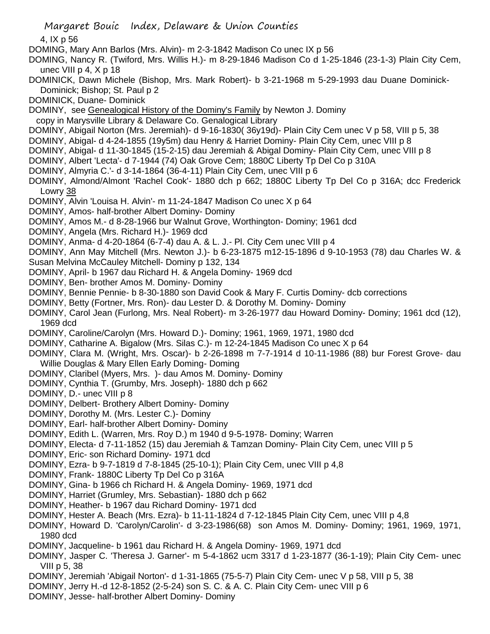4, IX p 56

- DOMING, Mary Ann Barlos (Mrs. Alvin)- m 2-3-1842 Madison Co unec IX p 56
- DOMING, Nancy R. (Twiford, Mrs. Willis H.)- m 8-29-1846 Madison Co d 1-25-1846 (23-1-3) Plain City Cem, unec VIII p 4, X p 18
- DOMINICK, Dawn Michele (Bishop, Mrs. Mark Robert)- b 3-21-1968 m 5-29-1993 dau Duane Dominick-Dominick; Bishop; St. Paul p 2
- DOMINICK, Duane- Dominick
- DOMINY, see Genealogical History of the Dominy's Family by Newton J. Dominy
- copy in Marysville Library & Delaware Co. Genalogical Library
- DOMINY, Abigail Norton (Mrs. Jeremiah)- d 9-16-1830( 36y19d)- Plain City Cem unec V p 58, VIII p 5, 38
- DOMINY, Abigal- d 4-24-1855 (19y5m) dau Henry & Harriet Dominy- Plain City Cem, unec VIII p 8
- DOMINY, Abigal- d 11-30-1845 (15-2-15) dau Jeremiah & Abigal Dominy- Plain City Cem, unec VIII p 8
- DOMINY, Albert 'Lecta'- d 7-1944 (74) Oak Grove Cem; 1880C Liberty Tp Del Co p 310A
- DOMINY, Almyria C.'- d 3-14-1864 (36-4-11) Plain City Cem, unec VIII p 6
- DOMINY, Almond/Almont 'Rachel Cook'- 1880 dch p 662; 1880C Liberty Tp Del Co p 316A; dcc Frederick Lowry 38
- DOMINY, Alvin 'Louisa H. Alvin'- m 11-24-1847 Madison Co unec X p 64
- DOMINY, Amos- half-brother Albert Dominy- Dominy
- DOMINY, Amos M.- d 8-28-1966 bur Walnut Grove, Worthington- Dominy; 1961 dcd
- DOMINY, Angela (Mrs. Richard H.)- 1969 dcd
- DOMINY, Anma- d 4-20-1864 (6-7-4) dau A. & L. J.- Pl. City Cem unec VIII p 4
- DOMINY, Ann May Mitchell (Mrs. Newton J.)- b 6-23-1875 m12-15-1896 d 9-10-1953 (78) dau Charles W. &
- Susan Melvina McCauley Mitchell- Dominy p 132, 134
- DOMINY, April- b 1967 dau Richard H. & Angela Dominy- 1969 dcd
- DOMINY, Ben- brother Amos M. Dominy- Dominy
- DOMINY, Bennie Pennie- b 8-30-1880 son David Cook & Mary F. Curtis Dominy- dcb corrections
- DOMINY, Betty (Fortner, Mrs. Ron)- dau Lester D. & Dorothy M. Dominy- Dominy
- DOMINY, Carol Jean (Furlong, Mrs. Neal Robert)- m 3-26-1977 dau Howard Dominy- Dominy; 1961 dcd (12), 1969 dcd
- DOMINY, Caroline/Carolyn (Mrs. Howard D.)- Dominy; 1961, 1969, 1971, 1980 dcd
- DOMINY, Catharine A. Bigalow (Mrs. Silas C.)- m 12-24-1845 Madison Co unec X p 64
- DOMINY, Clara M. (Wright, Mrs. Oscar)- b 2-26-1898 m 7-7-1914 d 10-11-1986 (88) bur Forest Grove- dau Willie Douglas & Mary Ellen Early Doming- Doming
- DOMINY, Claribel (Myers, Mrs. )- dau Amos M. Dominy- Dominy
- DOMINY, Cynthia T. (Grumby, Mrs. Joseph)- 1880 dch p 662
- DOMINY, D.- unec VIII p 8
- DOMINY, Delbert- Brothery Albert Dominy- Dominy
- DOMINY, Dorothy M. (Mrs. Lester C.)- Dominy
- DOMINY, Earl- half-brother Albert Dominy- Dominy
- DOMINY, Edith L. (Warren, Mrs. Roy D.) m 1940 d 9-5-1978- Dominy; Warren
- DOMINY, Electa- d 7-11-1852 (15) dau Jeremiah & Tamzan Dominy- Plain City Cem, unec VIII p 5
- DOMINY, Eric- son Richard Dominy- 1971 dcd
- DOMINY, Ezra- b 9-7-1819 d 7-8-1845 (25-10-1); Plain City Cem, unec VIII p 4,8
- DOMINY, Frank- 1880C Liberty Tp Del Co p 316A
- DOMINY, Gina- b 1966 ch Richard H. & Angela Dominy- 1969, 1971 dcd
- DOMINY, Harriet (Grumley, Mrs. Sebastian)- 1880 dch p 662
- DOMINY, Heather- b 1967 dau Richard Dominy- 1971 dcd
- DOMINY, Hester A. Beach (Mrs. Ezra)- b 11-11-1824 d 7-12-1845 Plain City Cem, unec VIII p 4,8
- DOMINY, Howard D. 'Carolyn/Carolin'- d 3-23-1986(68) son Amos M. Dominy- Dominy; 1961, 1969, 1971, 1980 dcd
- DOMINY, Jacqueline- b 1961 dau Richard H. & Angela Dominy- 1969, 1971 dcd
- DOMINY, Jasper C. 'Theresa J. Garner'- m 5-4-1862 ucm 3317 d 1-23-1877 (36-1-19); Plain City Cem- unec VIII p 5, 38
- DOMINY, Jeremiah 'Abigail Norton'- d 1-31-1865 (75-5-7) Plain City Cem- unec V p 58, VIII p 5, 38
- DOMINY, Jerry H.-d 12-8-1852 (2-5-24) son S. C. & A. C. Plain City Cem- unec VIII p 6
- DOMINY, Jesse- half-brother Albert Dominy- Dominy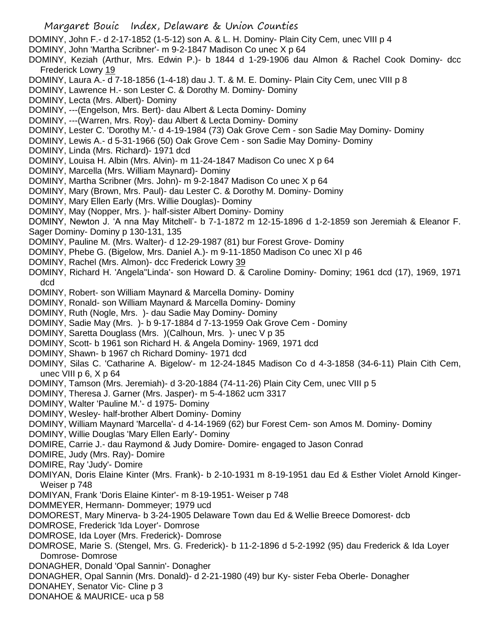Margaret Bouic Index, Delaware & Union Counties DOMINY, John F.- d 2-17-1852 (1-5-12) son A. & L. H. Dominy- Plain City Cem, unec VIII p 4 DOMINY, John 'Martha Scribner'- m 9-2-1847 Madison Co unec X p 64 DOMINY, Keziah (Arthur, Mrs. Edwin P.)- b 1844 d 1-29-1906 dau Almon & Rachel Cook Dominy- dcc Frederick Lowry 19 DOMINY, Laura A.- d 7-18-1856 (1-4-18) dau J. T. & M. E. Dominy- Plain City Cem, unec VIII p 8 DOMINY, Lawrence H.- son Lester C. & Dorothy M. Dominy- Dominy DOMINY, Lecta (Mrs. Albert)- Dominy DOMINY, ---(Engelson, Mrs. Bert)- dau Albert & Lecta Dominy- Dominy DOMINY, ---(Warren, Mrs. Roy)- dau Albert & Lecta Dominy- Dominy DOMINY, Lester C. 'Dorothy M.'- d 4-19-1984 (73) Oak Grove Cem - son Sadie May Dominy- Dominy DOMINY, Lewis A.- d 5-31-1966 (50) Oak Grove Cem - son Sadie May Dominy- Dominy DOMINY, Linda (Mrs. Richard)- 1971 dcd DOMINY, Louisa H. Albin (Mrs. Alvin)- m 11-24-1847 Madison Co unec X p 64 DOMINY, Marcella (Mrs. William Maynard)- Dominy DOMINY, Martha Scribner (Mrs. John)- m 9-2-1847 Madison Co unec X p 64 DOMINY, Mary (Brown, Mrs. Paul)- dau Lester C. & Dorothy M. Dominy- Dominy DOMINY, Mary Ellen Early (Mrs. Willie Douglas)- Dominy DOMINY, May (Nopper, Mrs. )- half-sister Albert Dominy- Dominy DOMINY, Newton J. 'A nna May Mitchell'- b 7-1-1872 m 12-15-1896 d 1-2-1859 son Jeremiah & Eleanor F. Sager Dominy- Dominy p 130-131, 135 DOMINY, Pauline M. (Mrs. Walter)- d 12-29-1987 (81) bur Forest Grove- Dominy DOMINY, Phebe G. (Bigelow, Mrs. Daniel A.)- m 9-11-1850 Madison Co unec XI p 46 DOMINY, Rachel (Mrs. Almon)- dcc Frederick Lowry 39 DOMINY, Richard H. 'Angela''Linda'- son Howard D. & Caroline Dominy- Dominy; 1961 dcd (17), 1969, 1971 dcd DOMINY, Robert- son William Maynard & Marcella Dominy- Dominy DOMINY, Ronald- son William Maynard & Marcella Dominy- Dominy DOMINY, Ruth (Nogle, Mrs. )- dau Sadie May Dominy- Dominy DOMINY, Sadie May (Mrs. )- b 9-17-1884 d 7-13-1959 Oak Grove Cem - Dominy DOMINY, Saretta Douglass (Mrs. )(Calhoun, Mrs. )- unec V p 35 DOMINY, Scott- b 1961 son Richard H. & Angela Dominy- 1969, 1971 dcd DOMINY, Shawn- b 1967 ch Richard Dominy- 1971 dcd DOMINY, Silas C. 'Catharine A. Bigelow'- m 12-24-1845 Madison Co d 4-3-1858 (34-6-11) Plain Cith Cem, unec VIII  $p 6$ ,  $X p 64$ DOMINY, Tamson (Mrs. Jeremiah)- d 3-20-1884 (74-11-26) Plain City Cem, unec VIII p 5 DOMINY, Theresa J. Garner (Mrs. Jasper)- m 5-4-1862 ucm 3317 DOMINY, Walter 'Pauline M.'- d 1975- Dominy DOMINY, Wesley- half-brother Albert Dominy- Dominy DOMINY, William Maynard 'Marcella'- d 4-14-1969 (62) bur Forest Cem- son Amos M. Dominy- Dominy DOMINY, Willie Douglas 'Mary Ellen Early'- Dominy DOMIRE, Carrie J.- dau Raymond & Judy Domire- Domire- engaged to Jason Conrad DOMIRE, Judy (Mrs. Ray)- Domire DOMIRE, Ray 'Judy'- Domire DOMIYAN, Doris Elaine Kinter (Mrs. Frank)- b 2-10-1931 m 8-19-1951 dau Ed & Esther Violet Arnold Kinger-Weiser p 748 DOMIYAN, Frank 'Doris Elaine Kinter'- m 8-19-1951- Weiser p 748 DOMMEYER, Hermann- Dommeyer; 1979 ucd DOMOREST, Mary Minerva- b 3-24-1905 Delaware Town dau Ed & Wellie Breece Domorest- dcb DOMROSE, Frederick 'Ida Loyer'- Domrose DOMROSE, Ida Loyer (Mrs. Frederick)- Domrose DOMROSE, Marie S. (Stengel, Mrs. G. Frederick)- b 11-2-1896 d 5-2-1992 (95) dau Frederick & Ida Loyer Domrose- Domrose DONAGHER, Donald 'Opal Sannin'- Donagher DONAGHER, Opal Sannin (Mrs. Donald)- d 2-21-1980 (49) bur Ky- sister Feba Oberle- Donagher DONAHEY, Senator Vic- Cline p 3 DONAHOE & MAURICE- uca p 58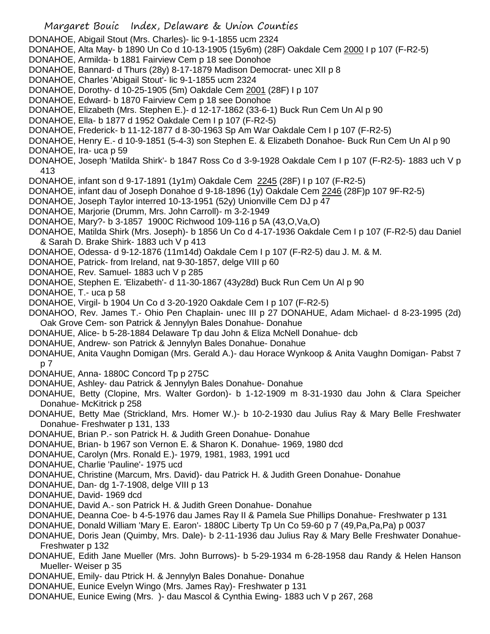- Margaret Bouic Index, Delaware & Union Counties
- DONAHOE, Abigail Stout (Mrs. Charles)- lic 9-1-1855 ucm 2324
- DONAHOE, Alta May- b 1890 Un Co d 10-13-1905 (15y6m) (28F) Oakdale Cem 2000 I p 107 (F-R2-5)
- DONAHOE, Armilda- b 1881 Fairview Cem p 18 see Donohoe
- DONAHOE, Bannard- d Thurs (28y) 8-17-1879 Madison Democrat- unec XII p 8
- DONAHOE, Charles 'Abigail Stout'- lic 9-1-1855 ucm 2324
- DONAHOE, Dorothy- d 10-25-1905 (5m) Oakdale Cem 2001 (28F) I p 107
- DONAHOE, Edward- b 1870 Fairview Cem p 18 see Donohoe
- DONAHOE, Elizabeth (Mrs. Stephen E.)- d 12-17-1862 (33-6-1) Buck Run Cem Un Al p 90
- DONAHOE, Ella- b 1877 d 1952 Oakdale Cem I p 107 (F-R2-5)
- DONAHOE, Frederick- b 11-12-1877 d 8-30-1963 Sp Am War Oakdale Cem I p 107 (F-R2-5)
- DONAHOE, Henry E.- d 10-9-1851 (5-4-3) son Stephen E. & Elizabeth Donahoe- Buck Run Cem Un Al p 90 DONAHOE, Ira- uca p 59
- DONAHOE, Joseph 'Matilda Shirk'- b 1847 Ross Co d 3-9-1928 Oakdale Cem I p 107 (F-R2-5)- 1883 uch V p 413
- DONAHOE, infant son d 9-17-1891 (1y1m) Oakdale Cem 2245 (28F) I p 107 (F-R2-5)
- DONAHOE, infant dau of Joseph Donahoe d 9-18-1896 (1y) Oakdale Cem 2246 (28F)p 107 9F-R2-5)
- DONAHOE, Joseph Taylor interred 10-13-1951 (52y) Unionville Cem DJ p 47
- DONAHOE, Marjorie (Drumm, Mrs. John Carroll)- m 3-2-1949
- DONAHOE, Mary?- b 3-1857 1900C Richwood 109-116 p 5A (43,O,Va,O)
- DONAHOE, Matilda Shirk (Mrs. Joseph)- b 1856 Un Co d 4-17-1936 Oakdale Cem I p 107 (F-R2-5) dau Daniel & Sarah D. Brake Shirk- 1883 uch V p 413
- DONAHOE, Odessa- d 9-12-1876 (11m14d) Oakdale Cem I p 107 (F-R2-5) dau J. M. & M.
- DONAHOE, Patrick- from Ireland, nat 9-30-1857, delge VIII p 60
- DONAHOE, Rev. Samuel- 1883 uch V p 285
- DONAHOE, Stephen E. 'Elizabeth'- d 11-30-1867 (43y28d) Buck Run Cem Un Al p 90
- DONAHOE, T.- uca p 58
- DONAHOE, Virgil- b 1904 Un Co d 3-20-1920 Oakdale Cem I p 107 (F-R2-5)
- DONAHOO, Rev. James T.- Ohio Pen Chaplain- unec III p 27 DONAHUE, Adam Michael- d 8-23-1995 (2d) Oak Grove Cem- son Patrick & Jennylyn Bales Donahue- Donahue
- DONAHUE, Alice- b 5-28-1884 Delaware Tp dau John & Eliza McNell Donahue- dcb
- DONAHUE, Andrew- son Patrick & Jennylyn Bales Donahue- Donahue
- DONAHUE, Anita Vaughn Domigan (Mrs. Gerald A.)- dau Horace Wynkoop & Anita Vaughn Domigan- Pabst 7 p 7
- DONAHUE, Anna- 1880C Concord Tp p 275C
- DONAHUE, Ashley- dau Patrick & Jennylyn Bales Donahue- Donahue
- DONAHUE, Betty (Clopine, Mrs. Walter Gordon)- b 1-12-1909 m 8-31-1930 dau John & Clara Speicher Donahue- McKitrick p 258
- DONAHUE, Betty Mae (Strickland, Mrs. Homer W.)- b 10-2-1930 dau Julius Ray & Mary Belle Freshwater Donahue- Freshwater p 131, 133
- DONAHUE, Brian P.- son Patrick H. & Judith Green Donahue- Donahue
- DONAHUE, Brian- b 1967 son Vernon E. & Sharon K. Donahue- 1969, 1980 dcd
- DONAHUE, Carolyn (Mrs. Ronald E.)- 1979, 1981, 1983, 1991 ucd
- DONAHUE, Charlie 'Pauline'- 1975 ucd
- DONAHUE, Christine (Marcum, Mrs. David)- dau Patrick H. & Judith Green Donahue- Donahue
- DONAHUE, Dan- dg 1-7-1908, delge VIII p 13
- DONAHUE, David- 1969 dcd
- DONAHUE, David A.- son Patrick H. & Judith Green Donahue- Donahue
- DONAHUE, Deanna Coe- b 4-5-1976 dau James Ray II & Pamela Sue Phillips Donahue- Freshwater p 131
- DONAHUE, Donald William 'Mary E. Earon'- 1880C Liberty Tp Un Co 59-60 p 7 (49,Pa,Pa,Pa) p 0037
- DONAHUE, Doris Jean (Quimby, Mrs. Dale)- b 2-11-1936 dau Julius Ray & Mary Belle Freshwater Donahue-Freshwater p 132
- DONAHUE, Edith Jane Mueller (Mrs. John Burrows)- b 5-29-1934 m 6-28-1958 dau Randy & Helen Hanson Mueller- Weiser p 35
- DONAHUE, Emily- dau Ptrick H. & Jennylyn Bales Donahue- Donahue
- DONAHUE, Eunice Evelyn Wingo (Mrs. James Ray)- Freshwater p 131
- DONAHUE, Eunice Ewing (Mrs. )- dau Mascol & Cynthia Ewing- 1883 uch V p 267, 268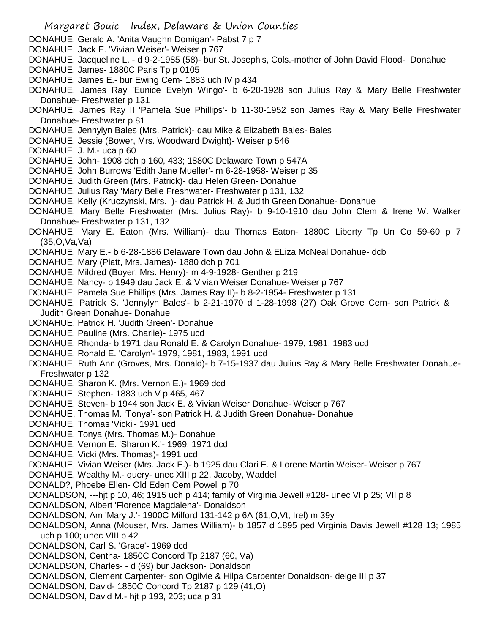- DONAHUE, Gerald A. 'Anita Vaughn Domigan'- Pabst 7 p 7
- DONAHUE, Jack E. 'Vivian Weiser'- Weiser p 767
- DONAHUE, Jacqueline L. d 9-2-1985 (58)- bur St. Joseph's, Cols.-mother of John David Flood- Donahue
- DONAHUE, James- 1880C Paris Tp p 0105
- DONAHUE, James E.- bur Ewing Cem- 1883 uch IV p 434
- DONAHUE, James Ray 'Eunice Evelyn Wingo'- b 6-20-1928 son Julius Ray & Mary Belle Freshwater Donahue- Freshwater p 131
- DONAHUE, James Ray II 'Pamela Sue Phillips'- b 11-30-1952 son James Ray & Mary Belle Freshwater Donahue- Freshwater p 81
- DONAHUE, Jennylyn Bales (Mrs. Patrick)- dau Mike & Elizabeth Bales- Bales
- DONAHUE, Jessie (Bower, Mrs. Woodward Dwight)- Weiser p 546
- DONAHUE, J. M.- uca p 60
- DONAHUE, John- 1908 dch p 160, 433; 1880C Delaware Town p 547A
- DONAHUE, John Burrows 'Edith Jane Mueller'- m 6-28-1958- Weiser p 35
- DONAHUE, Judith Green (Mrs. Patrick)- dau Helen Green- Donahue
- DONAHUE, Julius Ray 'Mary Belle Freshwater- Freshwater p 131, 132
- DONAHUE, Kelly (Kruczynski, Mrs. )- dau Patrick H. & Judith Green Donahue- Donahue
- DONAHUE, Mary Belle Freshwater (Mrs. Julius Ray)- b 9-10-1910 dau John Clem & Irene W. Walker Donahue- Freshwater p 131, 132
- DONAHUE, Mary E. Eaton (Mrs. William)- dau Thomas Eaton- 1880C Liberty Tp Un Co 59-60 p 7 (35,O,Va,Va)
- DONAHUE, Mary E.- b 6-28-1886 Delaware Town dau John & ELiza McNeal Donahue- dcb
- DONAHUE, Mary (Piatt, Mrs. James)- 1880 dch p 701
- DONAHUE, Mildred (Boyer, Mrs. Henry)- m 4-9-1928- Genther p 219
- DONAHUE, Nancy- b 1949 dau Jack E. & Vivian Weiser Donahue- Weiser p 767
- DONAHUE, Pamela Sue Phillips (Mrs. James Ray II)- b 8-2-1954- Freshwater p 131
- DONAHUE, Patrick S. 'Jennylyn Bales'- b 2-21-1970 d 1-28-1998 (27) Oak Grove Cem- son Patrick & Judith Green Donahue- Donahue
- DONAHUE, Patrick H. 'Judith Green'- Donahue
- DONAHUE, Pauline (Mrs. Charlie)- 1975 ucd
- DONAHUE, Rhonda- b 1971 dau Ronald E. & Carolyn Donahue- 1979, 1981, 1983 ucd
- DONAHUE, Ronald E. 'Carolyn'- 1979, 1981, 1983, 1991 ucd
- DONAHUE, Ruth Ann (Groves, Mrs. Donald)- b 7-15-1937 dau Julius Ray & Mary Belle Freshwater Donahue-Freshwater p 132
- DONAHUE, Sharon K. (Mrs. Vernon E.)- 1969 dcd
- DONAHUE, Stephen- 1883 uch V p 465, 467
- DONAHUE, Steven- b 1944 son Jack E. & Vivian Weiser Donahue- Weiser p 767
- DONAHUE, Thomas M. 'Tonya'- son Patrick H. & Judith Green Donahue- Donahue
- DONAHUE, Thomas 'Vicki'- 1991 ucd
- DONAHUE, Tonya (Mrs. Thomas M.)- Donahue
- DONAHUE, Vernon E. 'Sharon K.'- 1969, 1971 dcd
- DONAHUE, Vicki (Mrs. Thomas)- 1991 ucd
- DONAHUE, Vivian Weiser (Mrs. Jack E.)- b 1925 dau Clari E. & Lorene Martin Weiser- Weiser p 767
- DONAHUE, Wealthy M.- query- unec XIII p 22, Jacoby, Waddel
- DONALD?, Phoebe Ellen- Old Eden Cem Powell p 70
- DONALDSON, ---hjt p 10, 46; 1915 uch p 414; family of Virginia Jewell #128- unec VI p 25; VII p 8
- DONALDSON, Albert 'Florence Magdalena'- Donaldson
- DONALDSON, Am 'Mary J.'- 1900C Milford 131-142 p 6A (61,O,Vt, Irel) m 39y
- DONALDSON, Anna (Mouser, Mrs. James William)- b 1857 d 1895 ped Virginia Davis Jewell #128 13; 1985 uch p 100; unec VIII p 42
- DONALDSON, Carl S. 'Grace'- 1969 dcd
- DONALDSON, Centha- 1850C Concord Tp 2187 (60, Va)
- DONALDSON, Charles- d (69) bur Jackson- Donaldson
- DONALDSON, Clement Carpenter- son Ogilvie & Hilpa Carpenter Donaldson- delge III p 37
- DONALDSON, David- 1850C Concord Tp 2187 p 129 (41,O)
- DONALDSON, David M.- hjt p 193, 203; uca p 31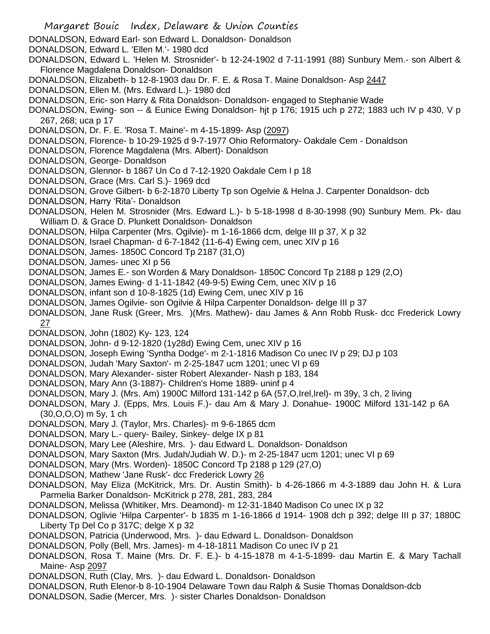Margaret Bouic Index, Delaware & Union Counties DONALDSON, Edward Earl- son Edward L. Donaldson- Donaldson DONALDSON, Edward L. 'Ellen M.'- 1980 dcd DONALDSON, Edward L. 'Helen M. Strosnider'- b 12-24-1902 d 7-11-1991 (88) Sunbury Mem.- son Albert & Florence Magdalena Donaldson- Donaldson DONALDSON, Elizabeth- b 12-8-1903 dau Dr. F. E. & Rosa T. Maine Donaldson- Asp 2447 DONALDSON, Ellen M. (Mrs. Edward L.)- 1980 dcd DONALDSON, Eric- son Harry & Rita Donaldson- Donaldson- engaged to Stephanie Wade DONALDSON, Ewing- son -- & Eunice Ewing Donaldson- hjt p 176; 1915 uch p 272; 1883 uch IV p 430, V p 267, 268; uca p 17 DONALDSON, Dr. F. E. 'Rosa T. Maine'- m 4-15-1899- Asp (2097) DONALDSON, Florence- b 10-29-1925 d 9-7-1977 Ohio Reformatory- Oakdale Cem - Donaldson DONALDSON, Florence Magdalena (Mrs. Albert)- Donaldson DONALDSON, George- Donaldson DONALDSON, Glennor- b 1867 Un Co d 7-12-1920 Oakdale Cem I p 18 DONALDSON, Grace (Mrs. Carl S.)- 1969 dcd DONALDSON, Grove Gilbert- b 6-2-1870 Liberty Tp son Ogelvie & Helna J. Carpenter Donaldson- dcb DONALDSON, Harry 'Rita'- Donaldson DONALDSON, Helen M. Strosnider (Mrs. Edward L.)- b 5-18-1998 d 8-30-1998 (90) Sunbury Mem. Pk- dau William D. & Grace D. Plunkett Donaldson- Donaldson DONALDSON, Hilpa Carpenter (Mrs. Ogilvie)- m 1-16-1866 dcm, delge III p 37, X p 32 DONALDSON, Israel Chapman- d 6-7-1842 (11-6-4) Ewing cem, unec XIV p 16 DONALDSON, James- 1850C Concord Tp 2187 (31,O) DONALDSON, James- unec XI p 56 DONALDSON, James E.- son Worden & Mary Donaldson- 1850C Concord Tp 2188 p 129 (2,O) DONALDSON, James Ewing- d 1-11-1842 (49-9-5) Ewing Cem, unec XIV p 16 DONALDSON, infant son d 10-8-1825 (1d) Ewing Cem, unec XIV p 16 DONALDSON, James Ogilvie- son Ogilvie & Hilpa Carpenter Donaldson- delge III p 37 DONALDSON, Jane Rusk (Greer, Mrs. )(Mrs. Mathew)- dau James & Ann Robb Rusk- dcc Frederick Lowry 27 DONALDSON, John (1802) Ky- 123, 124 DONALDSON, John- d 9-12-1820 (1y28d) Ewing Cem, unec XIV p 16 DONALDSON, Joseph Ewing 'Syntha Dodge'- m 2-1-1816 Madison Co unec IV p 29; DJ p 103 DONALDSON, Judah 'Mary Saxton'- m 2-25-1847 ucm 1201; unec VI p 69 DONALDSON, Mary Alexander- sister Robert Alexander- Nash p 183, 184 DONALDSON, Mary Ann (3-1887)- Children's Home 1889- uninf p 4 DONALDSON, Mary J. (Mrs. Am) 1900C Milford 131-142 p 6A (57,O,Irel,Irel)- m 39y, 3 ch, 2 living DONALDSON, Mary J. (Epps, Mrs. Louis F.)- dau Am & Mary J. Donahue- 1900C Milford 131-142 p 6A (30,O,O,O) m 5y, 1 ch DONALDSON, Mary J. (Taylor, Mrs. Charles)- m 9-6-1865 dcm DONALDSON, Mary L.- query- Bailey, Sinkey- delge IX p 81 DONALDSON, Mary Lee (Aleshire, Mrs. )- dau Edward L. Donaldson- Donaldson DONALDSON, Mary Saxton (Mrs. Judah/Judiah W. D.)- m 2-25-1847 ucm 1201; unec VI p 69 DONALDSON, Mary (Mrs. Worden)- 1850C Concord Tp 2188 p 129 (27,O) DONALDSON, Mathew 'Jane Rusk'- dcc Frederick Lowry 26 DONALDSON, May Eliza (McKitrick, Mrs. Dr. Austin Smith)- b 4-26-1866 m 4-3-1889 dau John H. & Lura Parmelia Barker Donaldson- McKitrick p 278, 281, 283, 284 DONALDSON, Melissa (Whitiker, Mrs. Deamond)- m 12-31-1840 Madison Co unec IX p 32 DONALDSON, Oglivie 'Hilpa Carpenter'- b 1835 m 1-16-1866 d 1914- 1908 dch p 392; delge III p 37; 1880C Liberty Tp Del Co p 317C; delge X p 32 DONALDSON, Patricia (Underwood, Mrs. )- dau Edward L. Donaldson- Donaldson DONALDSON, Polly (Bell, Mrs. James)- m 4-18-1811 Madison Co unec IV p 21 DONALDSON, Rosa T. Maine (Mrs. Dr. F. E.)- b 4-15-1878 m 4-1-5-1899- dau Martin E. & Mary Tachall Maine- Asp 2097 DONALDSON, Ruth (Clay, Mrs. )- dau Edward L. Donaldson- Donaldson DONALDSON, Ruth Elenor-b 8-10-1904 Delaware Town dau Ralph & Susie Thomas Donaldson-dcb DONALDSON, Sadie (Mercer, Mrs. )- sister Charles Donaldson- Donaldson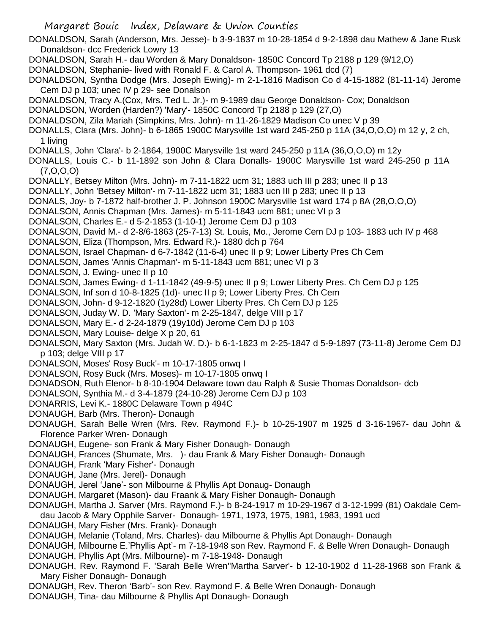Margaret Bouic Index, Delaware & Union Counties DONALDSON, Sarah (Anderson, Mrs. Jesse)- b 3-9-1837 m 10-28-1854 d 9-2-1898 dau Mathew & Jane Rusk Donaldson- dcc Frederick Lowry 13 DONALDSON, Sarah H.- dau Worden & Mary Donaldson- 1850C Concord Tp 2188 p 129 (9/12,O) DONALDSON, Stephanie- lived with Ronald F. & Carol A. Thompson- 1961 dcd (7) DONALDSON, Syntha Dodge (Mrs. Joseph Ewing)- m 2-1-1816 Madison Co d 4-15-1882 (81-11-14) Jerome Cem DJ p 103; unec IV p 29- see Donalson DONALDSON, Tracy A.(Cox, Mrs. Ted L. Jr.)- m 9-1989 dau George Donaldson- Cox; Donaldson DONALDSON, Worden (Harden?) 'Mary'- 1850C Concord Tp 2188 p 129 (27,O) DONALDSON, Zila Mariah (Simpkins, Mrs. John)- m 11-26-1829 Madison Co unec V p 39 DONALLS, Clara (Mrs. John)- b 6-1865 1900C Marysville 1st ward 245-250 p 11A (34,O,O,O) m 12 y, 2 ch, 1 living DONALLS, John 'Clara'- b 2-1864, 1900C Marysville 1st ward 245-250 p 11A (36,O,O,O) m 12y DONALLS, Louis C.- b 11-1892 son John & Clara Donalls- 1900C Marysville 1st ward 245-250 p 11A (7,O,O,O) DONALLY, Betsey Milton (Mrs. John)- m 7-11-1822 ucm 31; 1883 uch III p 283; unec II p 13 DONALLY, John 'Betsey Milton'- m 7-11-1822 ucm 31; 1883 ucn III p 283; unec II p 13 DONALS, Joy- b 7-1872 half-brother J. P. Johnson 1900C Marysville 1st ward 174 p 8A (28,O,O,O) DONALSON, Annis Chapman (Mrs. James)- m 5-11-1843 ucm 881; unec VI p 3 DONALSON, Charles E.- d 5-2-1853 (1-10-1) Jerome Cem DJ p 103 DONALSON, David M.- d 2-8/6-1863 (25-7-13) St. Louis, Mo., Jerome Cem DJ p 103- 1883 uch IV p 468 DONALSON, Eliza (Thompson, Mrs. Edward R.)- 1880 dch p 764 DONALSON, Israel Chapman- d 6-7-1842 (11-6-4) unec II p 9; Lower Liberty Pres Ch Cem DONALSON, James 'Annis Chapman'- m 5-11-1843 ucm 881; unec VI p 3 DONALSON, J. Ewing- unec II p 10 DONALSON, James Ewing- d 1-11-1842 (49-9-5) unec II p 9; Lower Liberty Pres. Ch Cem DJ p 125 DONALSON, Inf son d 10-8-1825 (1d)- unec II p 9; Lower Liberty Pres. Ch Cem DONALSON, John- d 9-12-1820 (1y28d) Lower Liberty Pres. Ch Cem DJ p 125 DONALSON, Juday W. D. 'Mary Saxton'- m 2-25-1847, delge VIII p 17 DONALSON, Mary E.- d 2-24-1879 (19y10d) Jerome Cem DJ p 103 DONALSON, Mary Louise- delge X p 20, 61 DONALSON, Mary Saxton (Mrs. Judah W. D.)- b 6-1-1823 m 2-25-1847 d 5-9-1897 (73-11-8) Jerome Cem DJ p 103; delge VIII p 17 DONALSON, Moses' Rosy Buck'- m 10-17-1805 onwq I DONALSON, Rosy Buck (Mrs. Moses)- m 10-17-1805 onwq I DONADSON, Ruth Elenor- b 8-10-1904 Delaware town dau Ralph & Susie Thomas Donaldson- dcb DONALSON, Synthia M.- d 3-4-1879 (24-10-28) Jerome Cem DJ p 103 DONARRIS, Levi K.- 1880C Delaware Town p 494C DONAUGH, Barb (Mrs. Theron)- Donaugh DONAUGH, Sarah Belle Wren (Mrs. Rev. Raymond F.)- b 10-25-1907 m 1925 d 3-16-1967- dau John & Florence Parker Wren- Donaugh DONAUGH, Eugene- son Frank & Mary Fisher Donaugh- Donaugh DONAUGH, Frances (Shumate, Mrs. )- dau Frank & Mary Fisher Donaugh- Donaugh DONAUGH, Frank 'Mary Fisher'- Donaugh DONAUGH, Jane (Mrs. Jerel)- Donaugh DONAUGH, Jerel 'Jane'- son Milbourne & Phyllis Apt Donaug- Donaugh DONAUGH, Margaret (Mason)- dau Fraank & Mary Fisher Donaugh- Donaugh DONAUGH, Martha J. Sarver (Mrs. Raymond F.)- b 8-24-1917 m 10-29-1967 d 3-12-1999 (81) Oakdale Cemdau Jacob & Mary Opphile Sarver- Donaugh- 1971, 1973, 1975, 1981, 1983, 1991 ucd DONAUGH, Mary Fisher (Mrs. Frank)- Donaugh DONAUGH, Melanie (Toland, Mrs. Charles)- dau Milbourne & Phyllis Apt Donaugh- Donaugh DONAUGH, Milbourne E.'Phyllis Apt'- m 7-18-1948 son Rev. Raymond F. & Belle Wren Donaugh- Donaugh DONAUGH, Phyllis Apt (Mrs. Milbourne)- m 7-18-1948- Donaugh DONAUGH, Rev. Raymond F. 'Sarah Belle Wren''Martha Sarver'- b 12-10-1902 d 11-28-1968 son Frank & Mary Fisher Donaugh- Donaugh DONAUGH, Rev. Theron 'Barb'- son Rev. Raymond F. & Belle Wren Donaugh- Donaugh DONAUGH, Tina- dau Milbourne & Phyllis Apt Donaugh- Donaugh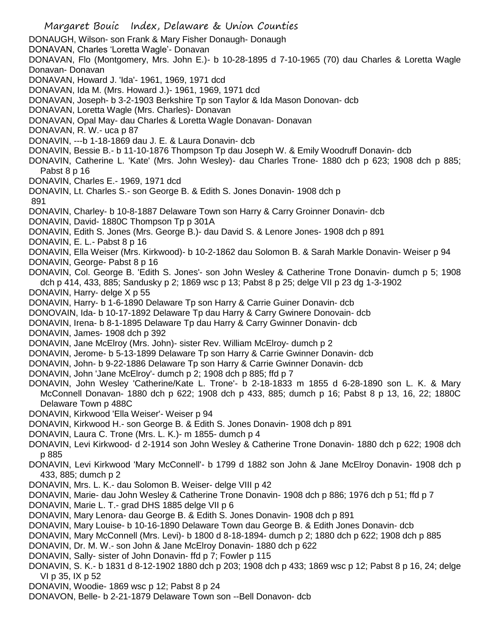Margaret Bouic Index, Delaware & Union Counties DONAUGH, Wilson- son Frank & Mary Fisher Donaugh- Donaugh DONAVAN, Charles 'Loretta Wagle'- Donavan DONAVAN, Flo (Montgomery, Mrs. John E.)- b 10-28-1895 d 7-10-1965 (70) dau Charles & Loretta Wagle Donavan- Donavan DONAVAN, Howard J. 'Ida'- 1961, 1969, 1971 dcd DONAVAN, Ida M. (Mrs. Howard J.)- 1961, 1969, 1971 dcd DONAVAN, Joseph- b 3-2-1903 Berkshire Tp son Taylor & Ida Mason Donovan- dcb DONAVAN, Loretta Wagle (Mrs. Charles)- Donavan DONAVAN, Opal May- dau Charles & Loretta Wagle Donavan- Donavan DONAVAN, R. W.- uca p 87 DONAVIN, ---b 1-18-1869 dau J. E. & Laura Donavin- dcb DONAVIN, Bessie B.- b 11-10-1876 Thompson Tp dau Joseph W. & Emily Woodruff Donavin- dcb DONAVIN, Catherine L. 'Kate' (Mrs. John Wesley)- dau Charles Trone- 1880 dch p 623; 1908 dch p 885; Pabst 8 p 16 DONAVIN, Charles E.- 1969, 1971 dcd DONAVIN, Lt. Charles S.- son George B. & Edith S. Jones Donavin- 1908 dch p 891 DONAVIN, Charley- b 10-8-1887 Delaware Town son Harry & Carry Groinner Donavin- dcb DONAVIN, David- 1880C Thompson Tp p 301A DONAVIN, Edith S. Jones (Mrs. George B.)- dau David S. & Lenore Jones- 1908 dch p 891 DONAVIN, E. L.- Pabst 8 p 16 DONAVIN, Ella Weiser (Mrs. Kirkwood)- b 10-2-1862 dau Solomon B. & Sarah Markle Donavin- Weiser p 94 DONAVIN, George- Pabst 8 p 16 DONAVIN, Col. George B. 'Edith S. Jones'- son John Wesley & Catherine Trone Donavin- dumch p 5; 1908 dch p 414, 433, 885; Sandusky p 2; 1869 wsc p 13; Pabst 8 p 25; delge VII p 23 dg 1-3-1902 DONAVIN, Harry- delge X p 55 DONAVIN, Harry- b 1-6-1890 Delaware Tp son Harry & Carrie Guiner Donavin- dcb DONOVAIN, Ida- b 10-17-1892 Delaware Tp dau Harry & Carry Gwinere Donovain- dcb DONAVIN, Irena- b 8-1-1895 Delaware Tp dau Harry & Carry Gwinner Donavin- dcb DONAVIN, James- 1908 dch p 392 DONAVIN, Jane McElroy (Mrs. John)- sister Rev. William McElroy- dumch p 2 DONAVIN, Jerome- b 5-13-1899 Delaware Tp son Harry & Carrie Gwinner Donavin- dcb DONAVIN, John- b 9-22-1886 Delaware Tp son Harry & Carrie Gwinner Donavin- dcb DONAVIN, John 'Jane McElroy'- dumch p 2; 1908 dch p 885; ffd p 7 DONAVIN, John Wesley 'Catherine/Kate L. Trone'- b 2-18-1833 m 1855 d 6-28-1890 son L. K. & Mary McConnell Donavan- 1880 dch p 622; 1908 dch p 433, 885; dumch p 16; Pabst 8 p 13, 16, 22; 1880C Delaware Town p 488C DONAVIN, Kirkwood 'Ella Weiser'- Weiser p 94 DONAVIN, Kirkwood H.- son George B. & Edith S. Jones Donavin- 1908 dch p 891 DONAVIN, Laura C. Trone (Mrs. L. K.)- m 1855- dumch p 4 DONAVIN, Levi Kirkwood- d 2-1914 son John Wesley & Catherine Trone Donavin- 1880 dch p 622; 1908 dch p 885 DONAVIN, Levi Kirkwood 'Mary McConnell'- b 1799 d 1882 son John & Jane McElroy Donavin- 1908 dch p 433, 885; dumch p 2 DONAVIN, Mrs. L. K.- dau Solomon B. Weiser- delge VIII p 42 DONAVIN, Marie- dau John Wesley & Catherine Trone Donavin- 1908 dch p 886; 1976 dch p 51; ffd p 7 DONAVIN, Marie L. T.- grad DHS 1885 delge VII p 6 DONAVIN, Mary Lenora- dau George B. & Edith S. Jones Donavin- 1908 dch p 891 DONAVIN, Mary Louise- b 10-16-1890 Delaware Town dau George B. & Edith Jones Donavin- dcb DONAVIN, Mary McConnell (Mrs. Levi)- b 1800 d 8-18-1894- dumch p 2; 1880 dch p 622; 1908 dch p 885 DONAVIN, Dr. M. W.- son John & Jane McElroy Donavin- 1880 dch p 622 DONAVIN, Sally- sister of John Donavin- ffd p 7; Fowler p 115 DONAVIN, S. K.- b 1831 d 8-12-1902 1880 dch p 203; 1908 dch p 433; 1869 wsc p 12; Pabst 8 p 16, 24; delge VI p 35, IX p 52 DONAVIN, Woodie- 1869 wsc p 12; Pabst 8 p 24 DONAVON, Belle- b 2-21-1879 Delaware Town son --Bell Donavon- dcb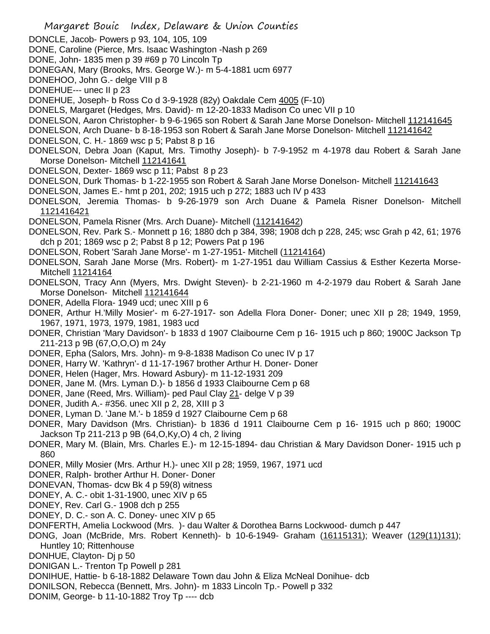Margaret Bouic Index, Delaware & Union Counties DONCLE, Jacob- Powers p 93, 104, 105, 109 DONE, Caroline (Pierce, Mrs. Isaac Washington -Nash p 269 DONE, John- 1835 men p 39 #69 p 70 Lincoln Tp DONEGAN, Mary (Brooks, Mrs. George W.)- m 5-4-1881 ucm 6977 DONEHOO, John G.- delge VIII p 8 DONEHUE--- unec II p 23 DONEHUE, Joseph- b Ross Co d 3-9-1928 (82y) Oakdale Cem 4005 (F-10) DONELS, Margaret (Hedges, Mrs. David)- m 12-20-1833 Madison Co unec VII p 10 DONELSON, Aaron Christopher- b 9-6-1965 son Robert & Sarah Jane Morse Donelson- Mitchell 112141645 DONELSON, Arch Duane- b 8-18-1953 son Robert & Sarah Jane Morse Donelson- Mitchell 112141642 DONELSON, C. H.- 1869 wsc p 5; Pabst 8 p 16 DONELSON, Debra Joan (Kaput, Mrs. Timothy Joseph)- b 7-9-1952 m 4-1978 dau Robert & Sarah Jane Morse Donelson- Mitchell 112141641 DONELSON, Dexter- 1869 wsc p 11; Pabst 8 p 23 DONELSON, Durk Thomas- b 1-22-1955 son Robert & Sarah Jane Morse Donelson- Mitchell 112141643 DONELSON, James E.- hmt p 201, 202; 1915 uch p 272; 1883 uch IV p 433 DONELSON, Jeremia Thomas- b 9-26-1979 son Arch Duane & Pamela Risner Donelson- Mitchell 1121416421 DONELSON, Pamela Risner (Mrs. Arch Duane)- Mitchell (112141642) DONELSON, Rev. Park S.- Monnett p 16; 1880 dch p 384, 398; 1908 dch p 228, 245; wsc Grah p 42, 61; 1976 dch p 201; 1869 wsc p 2; Pabst 8 p 12; Powers Pat p 196 DONELSON, Robert 'Sarah Jane Morse'- m 1-27-1951- Mitchell (11214164) DONELSON, Sarah Jane Morse (Mrs. Robert)- m 1-27-1951 dau William Cassius & Esther Kezerta Morse-Mitchell 11214164 DONELSON, Tracy Ann (Myers, Mrs. Dwight Steven)- b 2-21-1960 m 4-2-1979 dau Robert & Sarah Jane Morse Donelson- Mitchell 112141644 DONER, Adella Flora- 1949 ucd; unec XIII p 6 DONER, Arthur H.'Milly Mosier'- m 6-27-1917- son Adella Flora Doner- Doner; unec XII p 28; 1949, 1959, 1967, 1971, 1973, 1979, 1981, 1983 ucd DONER, Christian 'Mary Davidson'- b 1833 d 1907 Claibourne Cem p 16- 1915 uch p 860; 1900C Jackson Tp 211-213 p 9B (67,O,O,O) m 24y DONER, Epha (Salors, Mrs. John)- m 9-8-1838 Madison Co unec IV p 17 DONER, Harry W. 'Kathryn'- d 11-17-1967 brother Arthur H. Doner- Doner DONER, Helen (Hager, Mrs. Howard Asbury)- m 11-12-1931 209 DONER, Jane M. (Mrs. Lyman D.)- b 1856 d 1933 Claibourne Cem p 68 DONER, Jane (Reed, Mrs. William)- ped Paul Clay 21- delge V p 39 DONER, Judith A.- #356. unec XII p 2, 28, XIII p 3 DONER, Lyman D. 'Jane M.'- b 1859 d 1927 Claibourne Cem p 68 DONER, Mary Davidson (Mrs. Christian)- b 1836 d 1911 Claibourne Cem p 16- 1915 uch p 860; 1900C Jackson Tp 211-213 p 9B (64,O,Ky,O) 4 ch, 2 living DONER, Mary M. (Blain, Mrs. Charles E.)- m 12-15-1894- dau Christian & Mary Davidson Doner- 1915 uch p 860 DONER, Milly Mosier (Mrs. Arthur H.)- unec XII p 28; 1959, 1967, 1971 ucd DONER, Ralph- brother Arthur H. Doner- Doner DONEVAN, Thomas- dcw Bk 4 p 59(8) witness DONEY, A. C.- obit 1-31-1900, unec XIV p 65 DONEY, Rev. Carl G.- 1908 dch p 255 DONEY, D. C.- son A. C. Doney- unec XIV p 65 DONFERTH, Amelia Lockwood (Mrs. )- dau Walter & Dorothea Barns Lockwood- dumch p 447 DONG, Joan (McBride, Mrs. Robert Kenneth)- b 10-6-1949- Graham (16115131); Weaver (129(11)131); Huntley 10; Rittenhouse DONHUE, Clayton- Dj p 50 DONIGAN L.- Trenton Tp Powell p 281 DONIHUE, Hattie- b 6-18-1882 Delaware Town dau John & Eliza McNeal Donihue- dcb DONILSON, Rebecca (Bennett, Mrs. John)- m 1833 Lincoln Tp.- Powell p 332 DONIM, George- b 11-10-1882 Troy Tp ---- dcb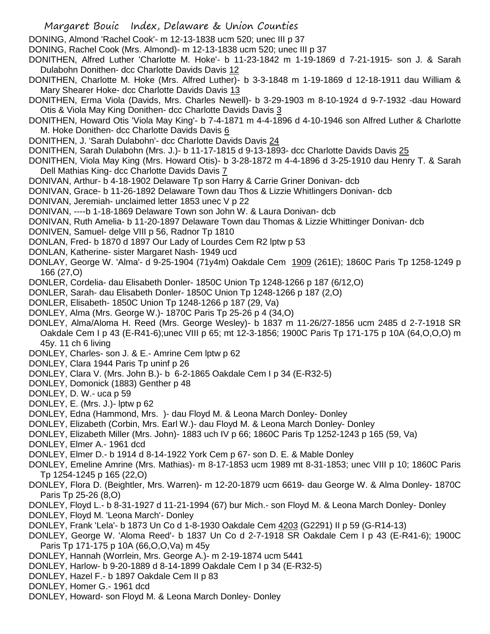DONING, Almond 'Rachel Cook'- m 12-13-1838 ucm 520; unec III p 37

DONING, Rachel Cook (Mrs. Almond)- m 12-13-1838 ucm 520; unec III p 37

DONITHEN, Alfred Luther 'Charlotte M. Hoke'- b 11-23-1842 m 1-19-1869 d 7-21-1915- son J. & Sarah Dulabohn Donithen- dcc Charlotte Davids Davis 12

DONITHEN, Charlotte M. Hoke (Mrs. Alfred Luther)- b 3-3-1848 m 1-19-1869 d 12-18-1911 dau William & Mary Shearer Hoke- dcc Charlotte Davids Davis 13

- DONITHEN, Erma Viola (Davids, Mrs. Charles Newell)- b 3-29-1903 m 8-10-1924 d 9-7-1932 -dau Howard Otis & Viola May King Donithen- dcc Charlotte Davids Davis 3
- DONITHEN, Howard Otis 'Viola May King'- b 7-4-1871 m 4-4-1896 d 4-10-1946 son Alfred Luther & Charlotte M. Hoke Donithen- dcc Charlotte Davids Davis 6
- DONITHEN, J. 'Sarah Dulabohn'- dcc Charlotte Davids Davis 24

DONITHEN, Sarah Dulabohn (Mrs. J.)- b 11-17-1815 d 9-13-1893- dcc Charlotte Davids Davis 25

- DONITHEN, Viola May King (Mrs. Howard Otis)- b 3-28-1872 m 4-4-1896 d 3-25-1910 dau Henry T. & Sarah Dell Mathias King- dcc Charlotte Davids Davis 7
- DONIVAN, Arthur- b 4-18-1902 Delaware Tp son Harry & Carrie Griner Donivan- dcb
- DONIVAN, Grace- b 11-26-1892 Delaware Town dau Thos & Lizzie Whitlingers Donivan- dcb
- DONIVAN, Jeremiah- unclaimed letter 1853 unec V p 22
- DONIVAN, ----b 1-18-1869 Delaware Town son John W. & Laura Donivan- dcb
- DONIVAN, Ruth Amelia- b 11-20-1897 Delaware Town dau Thomas & Lizzie Whittinger Donivan- dcb
- DONIVEN, Samuel- delge VIII p 56, Radnor Tp 1810
- DONLAN, Fred- b 1870 d 1897 Our Lady of Lourdes Cem R2 lptw p 53
- DONLAN, Katherine- sister Margaret Nash- 1949 ucd
- DONLAY, George W. 'Alma'- d 9-25-1904 (71y4m) Oakdale Cem 1009 (261E); 1860C Paris Tp 1258-1249 p 166 (27,O)
- DONLER, Cordelia- dau Elisabeth Donler- 1850C Union Tp 1248-1266 p 187 (6/12,O)
- DONLER, Sarah- dau Elisabeth Donler- 1850C Union Tp 1248-1266 p 187 (2,O)
- DONLER, Elisabeth- 1850C Union Tp 1248-1266 p 187 (29, Va)
- DONLEY, Alma (Mrs. George W.)- 1870C Paris Tp 25-26 p 4 (34,O)
- DONLEY, Alma/Aloma H. Reed (Mrs. George Wesley)- b 1837 m 11-26/27-1856 ucm 2485 d 2-7-1918 SR Oakdale Cem I p 43 (E-R41-6);unec VIII p 65; mt 12-3-1856; 1900C Paris Tp 171-175 p 10A (64,O,O,O) m 45y. 11 ch 6 living
- DONLEY, Charles- son J. & E.- Amrine Cem lptw p 62
- DONLEY, Clara 1944 Paris Tp uninf p 26
- DONLEY, Clara V. (Mrs. John B.)- b 6-2-1865 Oakdale Cem I p 34 (E-R32-5)
- DONLEY, Domonick (1883) Genther p 48
- DONLEY, D. W.- uca p 59
- DONLEY, E. (Mrs. J.)- lptw p 62
- DONLEY, Edna (Hammond, Mrs. )- dau Floyd M. & Leona March Donley- Donley
- DONLEY, Elizabeth (Corbin, Mrs. Earl W.)- dau Floyd M. & Leona March Donley- Donley
- DONLEY, Elizabeth Miller (Mrs. John)- 1883 uch IV p 66; 1860C Paris Tp 1252-1243 p 165 (59, Va)
- DONLEY, Elmer A.- 1961 dcd
- DONLEY, Elmer D.- b 1914 d 8-14-1922 York Cem p 67- son D. E. & Mable Donley
- DONLEY, Emeline Amrine (Mrs. Mathias)- m 8-17-1853 ucm 1989 mt 8-31-1853; unec VIII p 10; 1860C Paris Tp 1254-1245 p 165 (22,O)
- DONLEY, Flora D. (Beightler, Mrs. Warren)- m 12-20-1879 ucm 6619- dau George W. & Alma Donley- 1870C Paris Tp 25-26 (8,O)
- DONLEY, Floyd L.- b 8-31-1927 d 11-21-1994 (67) bur Mich.- son Floyd M. & Leona March Donley- Donley
- DONLEY, Floyd M. 'Leona March'- Donley
- DONLEY, Frank 'Lela'- b 1873 Un Co d 1-8-1930 Oakdale Cem 4203 (G2291) II p 59 (G-R14-13)
- DONLEY, George W. 'Aloma Reed'- b 1837 Un Co d 2-7-1918 SR Oakdale Cem I p 43 (E-R41-6); 1900C Paris Tp 171-175 p 10A (66,O,O,Va) m 45y
- DONLEY, Hannah (Worrlein, Mrs. George A.)- m 2-19-1874 ucm 5441
- DONLEY, Harlow- b 9-20-1889 d 8-14-1899 Oakdale Cem I p 34 (E-R32-5)
- DONLEY, Hazel F.- b 1897 Oakdale Cem II p 83
- DONLEY, Homer G.- 1961 dcd
- DONLEY, Howard- son Floyd M. & Leona March Donley- Donley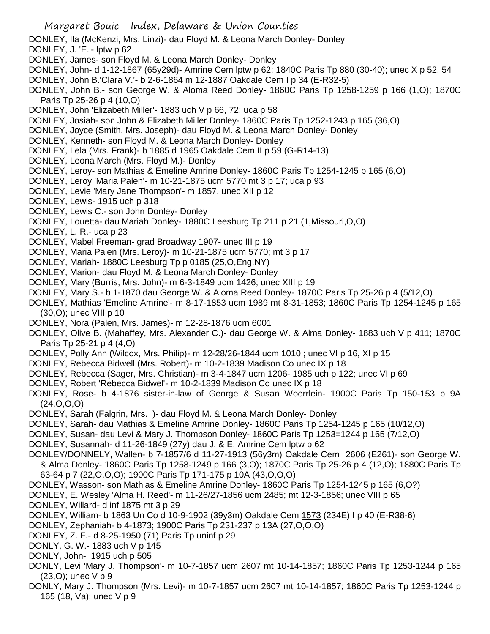- DONLEY, Ila (McKenzi, Mrs. Linzi)- dau Floyd M. & Leona March Donley- Donley
- DONLEY, J. 'E.'- lptw p 62
- DONLEY, James- son Floyd M. & Leona March Donley- Donley
- DONLEY, John- d 1-12-1867 (65y29d)- Amrine Cem lptw p 62; 1840C Paris Tp 880 (30-40); unec X p 52, 54
- DONLEY, John B.'Clara V.'- b 2-6-1864 m 12-1887 Oakdale Cem I p 34 (E-R32-5)
- DONLEY, John B.- son George W. & Aloma Reed Donley- 1860C Paris Tp 1258-1259 p 166 (1,O); 1870C Paris Tp 25-26 p 4 (10,O)
- DONLEY, John 'Elizabeth Miller'- 1883 uch V p 66, 72; uca p 58
- DONLEY, Josiah- son John & Elizabeth Miller Donley- 1860C Paris Tp 1252-1243 p 165 (36,O)
- DONLEY, Joyce (Smith, Mrs. Joseph)- dau Floyd M. & Leona March Donley- Donley
- DONLEY, Kenneth- son Floyd M. & Leona March Donley- Donley
- DONLEY, Lela (Mrs. Frank)- b 1885 d 1965 Oakdale Cem II p 59 (G-R14-13)
- DONLEY, Leona March (Mrs. Floyd M.)- Donley
- DONLEY, Leroy- son Mathias & Emeline Amrine Donley- 1860C Paris Tp 1254-1245 p 165 (6,O)
- DONLEY, Leroy 'Maria Palen'- m 10-21-1875 ucm 5770 mt 3 p 17; uca p 93
- DONLEY, Levie 'Mary Jane Thompson'- m 1857, unec XII p 12
- DONLEY, Lewis- 1915 uch p 318
- DONLEY, Lewis C.- son John Donley- Donley
- DONLEY, Louetta- dau Mariah Donley- 1880C Leesburg Tp 211 p 21 (1,Missouri,O,O)
- DONLEY, L. R.- uca p 23
- DONLEY, Mabel Freeman- grad Broadway 1907- unec III p 19
- DONLEY, Maria Palen (Mrs. Leroy)- m 10-21-1875 ucm 5770; mt 3 p 17
- DONLEY, Mariah- 1880C Leesburg Tp p 0185 (25,O,Eng,NY)
- DONLEY, Marion- dau Floyd M. & Leona March Donley- Donley
- DONLEY, Mary (Burris, Mrs. John)- m 6-3-1849 ucm 1426; unec XIII p 19
- DONLEY, Mary S.- b 1-1870 dau George W. & Aloma Reed Donley- 1870C Paris Tp 25-26 p 4 (5/12,O)
- DONLEY, Mathias 'Emeline Amrine'- m 8-17-1853 ucm 1989 mt 8-31-1853; 1860C Paris Tp 1254-1245 p 165 (30,O); unec VIII p 10
- DONLEY, Nora (Palen, Mrs. James)- m 12-28-1876 ucm 6001
- DONLEY, Olive B. (Mahaffey, Mrs. Alexander C.)- dau George W. & Alma Donley- 1883 uch V p 411; 1870C Paris Tp 25-21 p 4 (4,O)
- DONLEY, Polly Ann (Wilcox, Mrs. Philip)- m 12-28/26-1844 ucm 1010 ; unec VI p 16, XI p 15
- DONLEY, Rebecca Bidwell (Mrs. Robert)- m 10-2-1839 Madison Co unec IX p 18
- DONLEY, Rebecca (Sager, Mrs. Christian)- m 3-4-1847 ucm 1206- 1985 uch p 122; unec VI p 69
- DONLEY, Robert 'Rebecca Bidwel'- m 10-2-1839 Madison Co unec IX p 18
- DONLEY, Rose- b 4-1876 sister-in-law of George & Susan Woerrlein- 1900C Paris Tp 150-153 p 9A (24,O,O,O)
- DONLEY, Sarah (Falgrin, Mrs. )- dau Floyd M. & Leona March Donley- Donley
- DONLEY, Sarah- dau Mathias & Emeline Amrine Donley- 1860C Paris Tp 1254-1245 p 165 (10/12,O)
- DONLEY, Susan- dau Levi & Mary J. Thompson Donley- 1860C Paris Tp 1253=1244 p 165 (7/12,O)
- DONLEY, Susannah- d 11-26-1849 (27y) dau J. & E. Amrine Cem lptw p 62
- DONLEY/DONNELY, Wallen- b 7-1857/6 d 11-27-1913 (56y3m) Oakdale Cem 2606 (E261)- son George W. & Alma Donley- 1860C Paris Tp 1258-1249 p 166 (3,O); 1870C Paris Tp 25-26 p 4 (12,O); 1880C Paris Tp 63-64 p 7 (22,O,O,O); 1900C Paris Tp 171-175 p 10A (43,O,O,O)
- DONLEY, Wasson- son Mathias & Emeline Amrine Donley- 1860C Paris Tp 1254-1245 p 165 (6,O?)
- DONLEY, E. Wesley 'Alma H. Reed'- m 11-26/27-1856 ucm 2485; mt 12-3-1856; unec VIII p 65
- DONLEY, Willard- d inf 1875 mt 3 p 29
- DONLEY, William- b 1863 Un Co d 10-9-1902 (39y3m) Oakdale Cem 1573 (234E) I p 40 (E-R38-6)
- DONLEY, Zephaniah- b 4-1873; 1900C Paris Tp 231-237 p 13A (27,O,O,O)
- DONLEY, Z. F.- d 8-25-1950 (71) Paris Tp uninf p 29
- DONLY, G. W.- 1883 uch V p 145
- DONLY, John- 1915 uch p 505
- DONLY, Levi 'Mary J. Thompson'- m 10-7-1857 ucm 2607 mt 10-14-1857; 1860C Paris Tp 1253-1244 p 165 (23,O); unec V p 9
- DONLY, Mary J. Thompson (Mrs. Levi)- m 10-7-1857 ucm 2607 mt 10-14-1857; 1860C Paris Tp 1253-1244 p 165 (18, Va); unec V p 9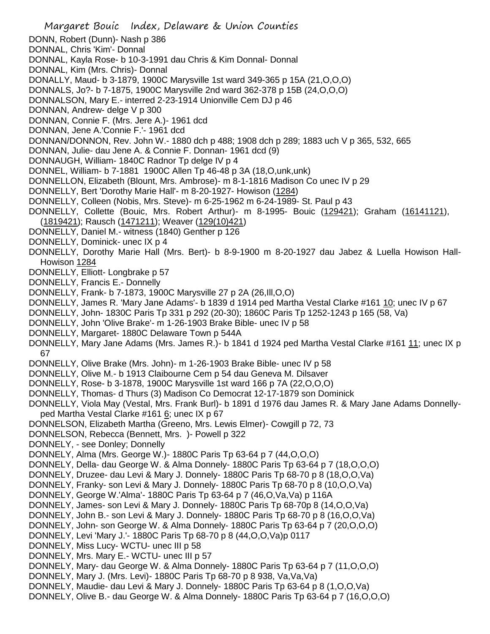Margaret Bouic Index, Delaware & Union Counties DONN, Robert (Dunn)- Nash p 386 DONNAL, Chris 'Kim'- Donnal DONNAL, Kayla Rose- b 10-3-1991 dau Chris & Kim Donnal- Donnal DONNAL, Kim (Mrs. Chris)- Donnal DONALLY, Maud- b 3-1879, 1900C Marysville 1st ward 349-365 p 15A (21,O,O,O) DONNALS, Jo?- b 7-1875, 1900C Marysville 2nd ward 362-378 p 15B (24,O,O,O) DONNALSON, Mary E.- interred 2-23-1914 Unionville Cem DJ p 46 DONNAN, Andrew- delge V p 300 DONNAN, Connie F. (Mrs. Jere A.)- 1961 dcd DONNAN, Jene A.'Connie F.'- 1961 dcd DONNAN/DONNON, Rev. John W.- 1880 dch p 488; 1908 dch p 289; 1883 uch V p 365, 532, 665 DONNAN, Julie- dau Jene A. & Connie F. Donnan- 1961 dcd (9) DONNAUGH, William- 1840C Radnor Tp delge IV p 4 DONNEL, William- b 7-1881 1900C Allen Tp 46-48 p 3A (18,O,unk,unk) DONNELLON, Elizabeth (Blount, Mrs. Ambrose)- m 8-1-1816 Madison Co unec IV p 29 DONNELLY, Bert 'Dorothy Marie Hall'- m 8-20-1927- Howison (1284) DONNELLY, Colleen (Nobis, Mrs. Steve)- m 6-25-1962 m 6-24-1989- St. Paul p 43 DONNELLY, Collette (Bouic, Mrs. Robert Arthur)- m 8-1995- Bouic (129421); Graham (16141121), (1819421); Rausch (1471211); Weaver (129(10)421) DONNELLY, Daniel M.- witness (1840) Genther p 126 DONNELLY, Dominick- unec IX p 4 DONNELLY, Dorothy Marie Hall (Mrs. Bert)- b 8-9-1900 m 8-20-1927 dau Jabez & Luella Howison Hall-Howison 1284 DONNELLY, Elliott- Longbrake p 57 DONNELLY, Francis E.- Donnelly DONNELLY, Frank- b 7-1873, 1900C Marysville 27 p 2A (26,Ill,O,O) DONNELLY, James R. 'Mary Jane Adams'- b 1839 d 1914 ped Martha Vestal Clarke #161 10; unec IV p 67 DONNELLY, John- 1830C Paris Tp 331 p 292 (20-30); 1860C Paris Tp 1252-1243 p 165 (58, Va) DONNELLY, John 'Olive Brake'- m 1-26-1903 Brake Bible- unec IV p 58 DONNELLY, Margaret- 1880C Delaware Town p 544A DONNELLY, Mary Jane Adams (Mrs. James R.) - b 1841 d 1924 ped Martha Vestal Clarke #161 11; unec IX p 67 DONNELLY, Olive Brake (Mrs. John)- m 1-26-1903 Brake Bible- unec IV p 58 DONNELLY, Olive M.- b 1913 Claibourne Cem p 54 dau Geneva M. Dilsaver DONNELLY, Rose- b 3-1878, 1900C Marysville 1st ward 166 p 7A (22,O,O,O) DONNELLY, Thomas- d Thurs (3) Madison Co Democrat 12-17-1879 son Dominick DONNELLY, Viola May (Vestal, Mrs. Frank Burl)- b 1891 d 1976 dau James R. & Mary Jane Adams Donnellyped Martha Vestal Clarke #161 6; unec IX p 67 DONNELSON, Elizabeth Martha (Greeno, Mrs. Lewis Elmer)- Cowgill p 72, 73 DONNELSON, Rebecca (Bennett, Mrs. )- Powell p 322 DONNELY, - see Donley; Donnelly DONNELY, Alma (Mrs. George W.)- 1880C Paris Tp 63-64 p 7 (44,O,O,O) DONNELY, Della- dau George W. & Alma Donnely- 1880C Paris Tp 63-64 p 7 (18,O,O,O) DONNELY, Druzee- dau Levi & Mary J. Donnely- 1880C Paris Tp 68-70 p 8 (18,O,O,Va) DONNELY, Franky- son Levi & Mary J. Donnely- 1880C Paris Tp 68-70 p 8 (10,O,O,Va) DONNELY, George W.'Alma'- 1880C Paris Tp 63-64 p 7 (46,O,Va,Va) p 116A DONNELY, James- son Levi & Mary J. Donnely- 1880C Paris Tp 68-70p 8 (14,O,O,Va) DONNELY, John B.- son Levi & Mary J. Donnely- 1880C Paris Tp 68-70 p 8 (16,O,O,Va) DONNELY, John- son George W. & Alma Donnely- 1880C Paris Tp 63-64 p 7 (20,O,O,O) DONNELY, Levi 'Mary J.'- 1880C Paris Tp 68-70 p 8 (44,O,O,Va)p 0117 DONNELY, Miss Lucy- WCTU- unec III p 58 DONNELY, Mrs. Mary E.- WCTU- unec III p 57 DONNELY, Mary- dau George W. & Alma Donnely- 1880C Paris Tp 63-64 p 7 (11,O,O,O) DONNELY, Mary J. (Mrs. Levi)- 1880C Paris Tp 68-70 p 8 938, Va,Va,Va) DONNELY, Maudie- dau Levi & Mary J. Donnely- 1880C Paris Tp 63-64 p 8 (1,O,O,Va) DONNELY, Olive B.- dau George W. & Alma Donnely- 1880C Paris Tp 63-64 p 7 (16,O,O,O)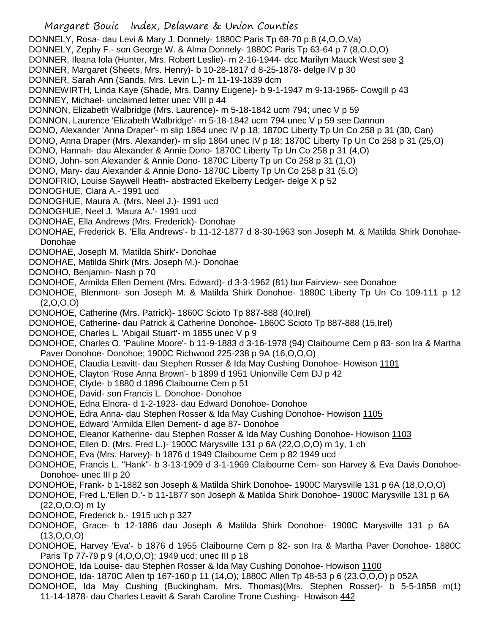Margaret Bouic Index, Delaware & Union Counties DONNELY, Rosa- dau Levi & Mary J. Donnely- 1880C Paris Tp 68-70 p 8 (4,O,O,Va) DONNELY, Zephy F.- son George W. & Alma Donnely- 1880C Paris Tp 63-64 p 7 (8,O,O,O) DONNER, Ileana Iola (Hunter, Mrs. Robert Leslie)- m 2-16-1944- dcc Marilyn Mauck West see 3 DONNER, Margaret (Sheets, Mrs. Henry)- b 10-28-1817 d 8-25-1878- delge IV p 30 DONNER, Sarah Ann (Sands, Mrs. Levin L.)- m 11-19-1839 dcm DONNEWIRTH, Linda Kaye (Shade, Mrs. Danny Eugene)- b 9-1-1947 m 9-13-1966- Cowgill p 43 DONNEY, Michael- unclaimed letter unec VIII p 44 DONNON, Elizabeth Walbridge (Mrs. Laurence)- m 5-18-1842 ucm 794; unec V p 59 DONNON, Laurence 'Elizabeth Walbridge'- m 5-18-1842 ucm 794 unec V p 59 see Dannon DONO, Alexander 'Anna Draper'- m slip 1864 unec IV p 18; 1870C Liberty Tp Un Co 258 p 31 (30, Can) DONO, Anna Draper (Mrs. Alexander)- m slip 1864 unec IV p 18; 1870C Liberty Tp Un Co 258 p 31 (25,O) DONO, Hannah- dau Alexander & Annie Dono- 1870C Liberty Tp Un Co 258 p 31 (4,O) DONO, John- son Alexander & Annie Dono- 1870C Liberty Tp un Co 258 p 31 (1,O) DONO, Mary- dau Alexander & Annie Dono- 1870C Liberty Tp Un Co 258 p 31 (5,O) DONOFRIO, Louise Saywell Heath- abstracted Ekelberry Ledger- delge X p 52 DONOGHUE, Clara A.- 1991 ucd DONOGHUE, Maura A. (Mrs. Neel J.)- 1991 ucd DONOGHUE, Neel J. 'Maura A.'- 1991 ucd DONOHAE, Ella Andrews (Mrs. Frederick)- Donohae DONOHAE, Frederick B. 'Ella Andrews'- b 11-12-1877 d 8-30-1963 son Joseph M. & Matilda Shirk Donohae-Donohae DONOHAE, Joseph M. 'Matilda Shirk'- Donohae DONOHAE, Matilda Shirk (Mrs. Joseph M.)- Donohae DONOHO, Benjamin- Nash p 70 DONOHOE, Armilda Ellen Dement (Mrs. Edward)- d 3-3-1962 (81) bur Fairview- see Donahoe DONOHOE, Blenmont- son Joseph M. & Matilda Shirk Donohoe- 1880C Liberty Tp Un Co 109-111 p 12  $(2,0,0,0)$ DONOHOE, Catherine (Mrs. Patrick)- 1860C Scioto Tp 887-888 (40,Irel) DONOHOE, Catherine- dau Patrick & Catherine Donohoe- 1860C Scioto Tp 887-888 (15,Irel) DONOHOE, Charles L. 'Abigail Stuart'- m 1855 unec V p 9 DONOHOE, Charles O. 'Pauline Moore'- b 11-9-1883 d 3-16-1978 (94) Claibourne Cem p 83- son Ira & Martha Paver Donohoe- Donohoe; 1900C Richwood 225-238 p 9A (16,O,O,O) DONOHOE, Claudia Leavitt- dau Stephen Rosser & Ida May Cushing Donohoe- Howison 1101 DONOHOE, Clayton 'Rose Anna Brown'- b 1899 d 1951 Unionville Cem DJ p 42 DONOHOE, Clyde- b 1880 d 1896 Claibourne Cem p 51 DONOHOE, David- son Francis L. Donohoe- Donohoe DONOHOE, Edna Elnora- d 1-2-1923- dau Edward Donohoe- Donohoe DONOHOE, Edra Anna- dau Stephen Rosser & Ida May Cushing Donohoe- Howison 1105 DONOHOE, Edward 'Armilda Ellen Dement- d age 87- Donohoe DONOHOE, Eleanor Katherine- dau Stephen Rosser & Ida May Cushing Donohoe- Howison 1103 DONOHOE, Ellen D. (Mrs. Fred L.)- 1900C Marysville 131 p 6A (22,O,O,O) m 1y, 1 ch DONOHOE, Eva (Mrs. Harvey)- b 1876 d 1949 Claibourne Cem p 82 1949 ucd DONOHOE, Francis L. "Hank"- b 3-13-1909 d 3-1-1969 Claibourne Cem- son Harvey & Eva Davis Donohoe-Donohoe- unec III p 20 DONOHOE, Frank- b 1-1882 son Joseph & Matilda Shirk Donohoe- 1900C Marysville 131 p 6A (18,O,O,O) DONOHOE, Fred L.'Ellen D.'- b 11-1877 son Joseph & Matilda Shirk Donohoe- 1900C Marysville 131 p 6A (22,O,O,O) m 1y DONOHOE, Frederick b.- 1915 uch p 327 DONOHOE, Grace- b 12-1886 dau Joseph & Matilda Shirk Donohoe- 1900C Marysville 131 p 6A (13,O,O,O) DONOHOE, Harvey 'Eva'- b 1876 d 1955 Claibourne Cem p 82- son Ira & Martha Paver Donohoe- 1880C Paris Tp 77-79 p 9 (4,O,O,O); 1949 ucd; unec III p 18 DONOHOE, Ida Louise- dau Stephen Rosser & Ida May Cushing Donohoe- Howison 1100 DONOHOE, Ida- 1870C Allen tp 167-160 p 11 (14,O); 1880C Allen Tp 48-53 p 6 (23,O,O,O) p 052A

DONOHOE, Ida May Cushing (Buckingham, Mrs. Thomas)(Mrs. Stephen Rosser)- b 5-5-1858 m(1) 11-14-1878- dau Charles Leavitt & Sarah Caroline Trone Cushing- Howison 442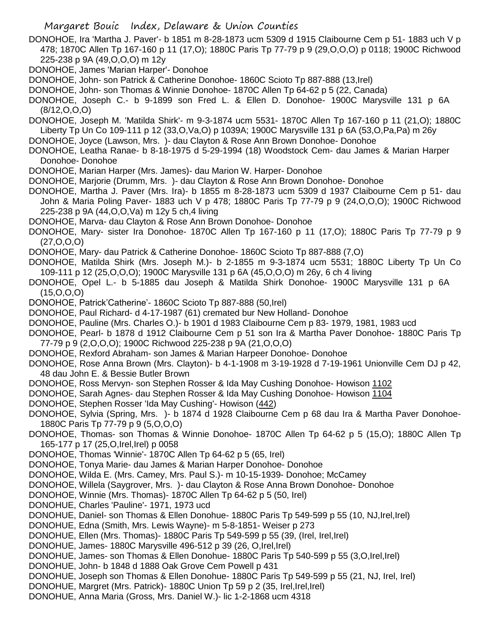DONOHOE, Ira 'Martha J. Paver'- b 1851 m 8-28-1873 ucm 5309 d 1915 Claibourne Cem p 51- 1883 uch V p 478; 1870C Allen Tp 167-160 p 11 (17,O); 1880C Paris Tp 77-79 p 9 (29,O,O,O) p 0118; 1900C Richwood 225-238 p 9A (49,O,O,O) m 12y

- DONOHOE, James 'Marian Harper'- Donohoe
- DONOHOE, John- son Patrick & Catherine Donohoe- 1860C Scioto Tp 887-888 (13,Irel)
- DONOHOE, John- son Thomas & Winnie Donohoe- 1870C Allen Tp 64-62 p 5 (22, Canada)
- DONOHOE, Joseph C.- b 9-1899 son Fred L. & Ellen D. Donohoe- 1900C Marysville 131 p 6A (8/12,O,O,O)
- DONOHOE, Joseph M. 'Matilda Shirk'- m 9-3-1874 ucm 5531- 1870C Allen Tp 167-160 p 11 (21,O); 1880C Liberty Tp Un Co 109-111 p 12 (33,O,Va,O) p 1039A; 1900C Marysville 131 p 6A (53,O,Pa,Pa) m 26y
- DONOHOE, Joyce (Lawson, Mrs. )- dau Clayton & Rose Ann Brown Donohoe- Donohoe
- DONOHOE, Leatha Ranae- b 8-18-1975 d 5-29-1994 (18) Woodstock Cem- dau James & Marian Harper Donohoe- Donohoe
- DONOHOE, Marian Harper (Mrs. James)- dau Marion W. Harper- Donohoe
- DONOHOE, Marjorie (Drumm, Mrs. )- dau Clayton & Rose Ann Brown Donohoe- Donohoe
- DONOHOE, Martha J. Paver (Mrs. Ira)- b 1855 m 8-28-1873 ucm 5309 d 1937 Claibourne Cem p 51- dau John & Maria Poling Paver- 1883 uch V p 478; 1880C Paris Tp 77-79 p 9 (24,O,O,O); 1900C Richwood 225-238 p 9A (44,O,O,Va) m 12y 5 ch,4 living
- DONOHOE, Marva- dau Clayton & Rose Ann Brown Donohoe- Donohoe
- DONOHOE, Mary- sister Ira Donohoe- 1870C Allen Tp 167-160 p 11 (17,O); 1880C Paris Tp 77-79 p 9 (27,O,O,O)
- DONOHOE, Mary- dau Patrick & Catherine Donohoe- 1860C Scioto Tp 887-888 (7,O)
- DONOHOE, Matilda Shirk (Mrs. Joseph M.)- b 2-1855 m 9-3-1874 ucm 5531; 1880C Liberty Tp Un Co 109-111 p 12 (25,O,O,O); 1900C Marysville 131 p 6A (45,O,O,O) m 26y, 6 ch 4 living
- DONOHOE, Opel L.- b 5-1885 dau Joseph & Matilda Shirk Donohoe- 1900C Marysville 131 p 6A (15,O,O,O)
- DONOHOE, Patrick'Catherine'- 1860C Scioto Tp 887-888 (50,Irel)
- DONOHOE, Paul Richard- d 4-17-1987 (61) cremated bur New Holland- Donohoe
- DONOHOE, Pauline (Mrs. Charles O.)- b 1901 d 1983 Claibourne Cem p 83- 1979, 1981, 1983 ucd
- DONOHOE, Pearl- b 1878 d 1912 Claibourne Cem p 51 son Ira & Martha Paver Donohoe- 1880C Paris Tp 77-79 p 9 (2,O,O,O); 1900C Richwood 225-238 p 9A (21,O,O,O)
- DONOHOE, Rexford Abraham- son James & Marian Harpeer Donohoe- Donohoe
- DONOHOE, Rose Anna Brown (Mrs. Clayton)- b 4-1-1908 m 3-19-1928 d 7-19-1961 Unionville Cem DJ p 42, 48 dau John E. & Bessie Butler Brown
- DONOHOE, Ross Mervyn- son Stephen Rosser & Ida May Cushing Donohoe- Howison 1102
- DONOHOE, Sarah Agnes- dau Stephen Rosser & Ida May Cushing Donohoe- Howison 1104
- DONOHOE, Stephen Rosser 'Ida May Cushing'- Howison (442)
- DONOHOE, Sylvia (Spring, Mrs. )- b 1874 d 1928 Claibourne Cem p 68 dau Ira & Martha Paver Donohoe-1880C Paris Tp 77-79 p 9 (5,O,O,O)
- DONOHOE, Thomas- son Thomas & Winnie Donohoe- 1870C Allen Tp 64-62 p 5 (15,O); 1880C Allen Tp 165-177 p 17 (25,O,Irel,Irel) p 0058
- DONOHOE, Thomas 'Winnie'- 1870C Allen Tp 64-62 p 5 (65, Irel)
- DONOHOE, Tonya Marie- dau James & Marian Harper Donohoe- Donohoe
- DONOHOE, Wilda E. (Mrs. Camey, Mrs. Paul S.)- m 10-15-1939- Donohoe; McCamey
- DONOHOE, Willela (Saygrover, Mrs. )- dau Clayton & Rose Anna Brown Donohoe- Donohoe
- DONOHOE, Winnie (Mrs. Thomas)- 1870C Allen Tp 64-62 p 5 (50, Irel)
- DONOHUE, Charles 'Pauline'- 1971, 1973 ucd
- DONOHUE, Daniel- son Thomas & Ellen Donohue- 1880C Paris Tp 549-599 p 55 (10, NJ,Irel,Irel)
- DONOHUE, Edna (Smith, Mrs. Lewis Wayne)- m 5-8-1851- Weiser p 273
- DONOHUE, Ellen (Mrs. Thomas)- 1880C Paris Tp 549-599 p 55 (39, (Irel, Irel,Irel)
- DONOHUE, James- 1880C Marysville 496-512 p 39 (26, O, Irel, Irel)
- DONOHUE, James- son Thomas & Ellen Donohue- 1880C Paris Tp 540-599 p 55 (3,O,Irel,Irel)
- DONOHUE, John- b 1848 d 1888 Oak Grove Cem Powell p 431
- DONOHUE, Joseph son Thomas & Ellen Donohue- 1880C Paris Tp 549-599 p 55 (21, NJ, Irel, Irel)
- DONOHUE, Margret (Mrs. Patrick) 1880C Union Tp 59 p 2 (35, Irel, Irel, Irel)
- DONOHUE, Anna Maria (Gross, Mrs. Daniel W.)- lic 1-2-1868 ucm 4318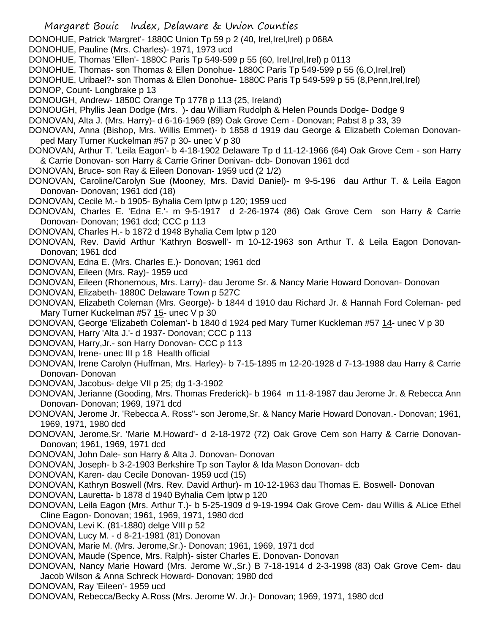- Margaret Bouic Index, Delaware & Union Counties DONOHUE, Patrick 'Margret'- 1880C Union Tp 59 p 2 (40, Irel,Irel,Irel) p 068A DONOHUE, Pauline (Mrs. Charles)- 1971, 1973 ucd DONOHUE, Thomas 'Ellen'- 1880C Paris Tp 549-599 p 55 (60, Irel,Irel,Irel) p 0113 DONOHUE, Thomas- son Thomas & Ellen Donohue- 1880C Paris Tp 549-599 p 55 (6,O,Irel,Irel) DONOHUE, Uribael?- son Thomas & Ellen Donohue- 1880C Paris Tp 549-599 p 55 (8, Penn, Irel, Irel) DONOP, Count- Longbrake p 13 DONOUGH, Andrew- 1850C Orange Tp 1778 p 113 (25, Ireland) DONOUGH, Phyllis Jean Dodge (Mrs. )- dau William Rudolph & Helen Pounds Dodge- Dodge 9 DONOVAN, Alta J. (Mrs. Harry)- d 6-16-1969 (89) Oak Grove Cem - Donovan; Pabst 8 p 33, 39 DONOVAN, Anna (Bishop, Mrs. Willis Emmet)- b 1858 d 1919 dau George & Elizabeth Coleman Donovanped Mary Turner Kuckelman #57 p 30- unec V p 30 DONOVAN, Arthur T. 'Leila Eagon'- b 4-18-1902 Delaware Tp d 11-12-1966 (64) Oak Grove Cem - son Harry & Carrie Donovan- son Harry & Carrie Griner Donivan- dcb- Donovan 1961 dcd DONOVAN, Bruce- son Ray & Eileen Donovan- 1959 ucd (2 1/2) DONOVAN, Caroline/Carolyn Sue (Mooney, Mrs. David Daniel)- m 9-5-196 dau Arthur T. & Leila Eagon Donovan- Donovan; 1961 dcd (18) DONOVAN, Cecile M.- b 1905- Byhalia Cem lptw p 120; 1959 ucd DONOVAN, Charles E. 'Edna E.'- m 9-5-1917 d 2-26-1974 (86) Oak Grove Cem son Harry & Carrie Donovan- Donovan; 1961 dcd; CCC p 113 DONOVAN, Charles H.- b 1872 d 1948 Byhalia Cem lptw p 120 DONOVAN, Rev. David Arthur 'Kathryn Boswell'- m 10-12-1963 son Arthur T. & Leila Eagon Donovan-Donovan; 1961 dcd DONOVAN, Edna E. (Mrs. Charles E.)- Donovan; 1961 dcd DONOVAN, Eileen (Mrs. Ray)- 1959 ucd DONOVAN, Eileen (Rhonemous, Mrs. Larry)- dau Jerome Sr. & Nancy Marie Howard Donovan- Donovan DONOVAN, Elizabeth- 1880C Delaware Town p 527C DONOVAN, Elizabeth Coleman (Mrs. George)- b 1844 d 1910 dau Richard Jr. & Hannah Ford Coleman- ped Mary Turner Kuckelman #57 15- unec V p 30 DONOVAN, George 'Elizabeth Coleman'- b 1840 d 1924 ped Mary Turner Kuckleman #57 14- unec V p 30 DONOVAN, Harry 'Alta J.'- d 1937- Donovan; CCC p 113 DONOVAN, Harry,Jr.- son Harry Donovan- CCC p 113 DONOVAN, Irene- unec III p 18 Health official DONOVAN, Irene Carolyn (Huffman, Mrs. Harley)- b 7-15-1895 m 12-20-1928 d 7-13-1988 dau Harry & Carrie Donovan- Donovan DONOVAN, Jacobus- delge VII p 25; dg 1-3-1902 DONOVAN, Jerianne (Gooding, Mrs. Thomas Frederick)- b 1964 m 11-8-1987 dau Jerome Jr. & Rebecca Ann Donovan- Donovan; 1969, 1971 dcd DONOVAN, Jerome Jr. 'Rebecca A. Ross"- son Jerome,Sr. & Nancy Marie Howard Donovan.- Donovan; 1961, 1969, 1971, 1980 dcd DONOVAN, Jerome,Sr. 'Marie M.Howard'- d 2-18-1972 (72) Oak Grove Cem son Harry & Carrie Donovan-Donovan; 1961, 1969, 1971 dcd
- DONOVAN, John Dale- son Harry & Alta J. Donovan- Donovan
- DONOVAN, Joseph- b 3-2-1903 Berkshire Tp son Taylor & Ida Mason Donovan- dcb
- DONOVAN, Karen- dau Cecile Donovan- 1959 ucd (15)
- DONOVAN, Kathryn Boswell (Mrs. Rev. David Arthur)- m 10-12-1963 dau Thomas E. Boswell- Donovan
- DONOVAN, Lauretta- b 1878 d 1940 Byhalia Cem lptw p 120
- DONOVAN, Leila Eagon (Mrs. Arthur T.)- b 5-25-1909 d 9-19-1994 Oak Grove Cem- dau Willis & ALice Ethel Cline Eagon- Donovan; 1961, 1969, 1971, 1980 dcd
- DONOVAN, Levi K. (81-1880) delge VIII p 52
- DONOVAN, Lucy M. d 8-21-1981 (81) Donovan
- DONOVAN, Marie M. (Mrs. Jerome,Sr.)- Donovan; 1961, 1969, 1971 dcd
- DONOVAN, Maude (Spence, Mrs. Ralph)- sister Charles E. Donovan- Donovan
- DONOVAN, Nancy Marie Howard (Mrs. Jerome W.,Sr.) B 7-18-1914 d 2-3-1998 (83) Oak Grove Cem- dau Jacob Wilson & Anna Schreck Howard- Donovan; 1980 dcd
- DONOVAN, Ray 'Eileen'- 1959 ucd
- DONOVAN, Rebecca/Becky A.Ross (Mrs. Jerome W. Jr.)- Donovan; 1969, 1971, 1980 dcd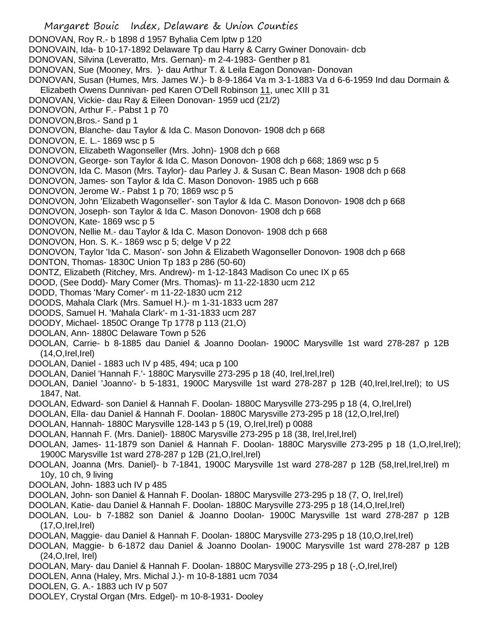Margaret Bouic Index, Delaware & Union Counties DONOVAN, Roy R.- b 1898 d 1957 Byhalia Cem lptw p 120 DONOVAIN, Ida- b 10-17-1892 Delaware Tp dau Harry & Carry Gwiner Donovain- dcb DONOVAN, Silvina (Leveratto, Mrs. Gernan)- m 2-4-1983- Genther p 81 DONOVAN, Sue (Mooney, Mrs. )- dau Arthur T. & Leila Eagon Donovan- Donovan DONOVAN, Susan (Humes, Mrs. James W.)- b 8-9-1864 Va m 3-1-1883 Va d 6-6-1959 Ind dau Dormain & Elizabeth Owens Dunnivan- ped Karen O'Dell Robinson 11, unec XIII p 31 DONOVAN, Vickie- dau Ray & Eileen Donovan- 1959 ucd (21/2) DONOVON, Arthur F.- Pabst 1 p 70 DONOVON,Bros.- Sand p 1 DONOVON, Blanche- dau Taylor & Ida C. Mason Donovon- 1908 dch p 668 DONOVON, E. L.- 1869 wsc p 5 DONOVON, Elizabeth Wagonseller (Mrs. John)- 1908 dch p 668 DONOVON, George- son Taylor & Ida C. Mason Donovon- 1908 dch p 668; 1869 wsc p 5 DONOVON, Ida C. Mason (Mrs. Taylor)- dau Parley J. & Susan C. Bean Mason- 1908 dch p 668 DONOVON, James- son Taylor & Ida C. Mason Donovon- 1985 uch p 668 DONOVON, Jerome W.- Pabst 1 p 70; 1869 wsc p 5 DONOVON, John 'Elizabeth Wagonseller'- son Taylor & Ida C. Mason Donovon- 1908 dch p 668 DONOVON, Joseph- son Taylor & Ida C. Mason Donovon- 1908 dch p 668 DONOVON, Kate- 1869 wsc p 5 DONOVON, Nellie M.- dau Taylor & Ida C. Mason Donovon- 1908 dch p 668 DONOVON, Hon. S. K.- 1869 wsc p 5; delge V p 22 DONOVON, Taylor 'Ida C. Mason'- son John & Elizabeth Wagonseller Donovon- 1908 dch p 668 DONTON, Thomas- 1830C Union Tp 183 p 286 (50-60) DONTZ, Elizabeth (Ritchey, Mrs. Andrew)- m 1-12-1843 Madison Co unec IX p 65 DOOD, (See Dodd)- Mary Comer (Mrs. Thomas)- m 11-22-1830 ucm 212 DODD, Thomas 'Mary Comer'- m 11-22-1830 ucm 212 DOODS, Mahala Clark (Mrs. Samuel H.)- m 1-31-1833 ucm 287 DOODS, Samuel H. 'Mahala Clark'- m 1-31-1833 ucm 287 DOODY, Michael- 1850C Orange Tp 1778 p 113 (21,O) DOOLAN, Ann- 1880C Delaware Town p 526 DOOLAN, Carrie- b 8-1885 dau Daniel & Joanno Doolan- 1900C Marysville 1st ward 278-287 p 12B  $(14, 0, 1$ rel, $|rel\rangle$ DOOLAN, Daniel - 1883 uch IV p 485, 494; uca p 100 DOOLAN, Daniel 'Hannah F.'- 1880C Marysville 273-295 p 18 (40, Irel,Irel,Irel) DOOLAN, Daniel 'Joanno'- b 5-1831, 1900C Marysville 1st ward 278-287 p 12B (40,Irel,Irel,Irel); to US 1847, Nat. DOOLAN, Edward- son Daniel & Hannah F. Doolan- 1880C Marysville 273-295 p 18 (4, O,Irel,Irel) DOOLAN, Ella- dau Daniel & Hannah F. Doolan- 1880C Marysville 273-295 p 18 (12,O,Irel,Irel) DOOLAN, Hannah- 1880C Marysville 128-143 p 5 (19, O,Irel,Irel) p 0088 DOOLAN, Hannah F. (Mrs. Daniel)- 1880C Marysville 273-295 p 18 (38, Irel,Irel,Irel) DOOLAN, James- 11-1879 son Daniel & Hannah F. Doolan- 1880C Marysville 273-295 p 18 (1,O,Irel,Irel); 1900C Marysville 1st ward 278-287 p 12B (21,O,Irel,Irel) DOOLAN, Joanna (Mrs. Daniel)- b 7-1841, 1900C Marysville 1st ward 278-287 p 12B (58,Irel,Irel,Irel) m 10y, 10 ch, 9 living DOOLAN, John- 1883 uch IV p 485 DOOLAN, John- son Daniel & Hannah F. Doolan- 1880C Marysville 273-295 p 18 (7, O, Irel,Irel) DOOLAN, Katie- dau Daniel & Hannah F. Doolan- 1880C Marysville 273-295 p 18 (14,O,Irel,Irel) DOOLAN, Lou- b 7-1882 son Daniel & Joanno Doolan- 1900C Marysville 1st ward 278-287 p 12B  $(17, O, Irel, Irel)$ DOOLAN, Maggie- dau Daniel & Hannah F. Doolan- 1880C Marysville 273-295 p 18 (10,O,Irel,Irel) DOOLAN, Maggie- b 6-1872 dau Daniel & Joanno Doolan- 1900C Marysville 1st ward 278-287 p 12B (24,O,Irel, Irel) DOOLAN, Mary- dau Daniel & Hannah F. Doolan- 1880C Marysville 273-295 p 18 (-,O,Irel,Irel) DOOLEN, Anna (Haley, Mrs. Michal J.)- m 10-8-1881 ucm 7034 DOOLEN, G. A.- 1883 uch IV p 507 DOOLEY, Crystal Organ (Mrs. Edgel)- m 10-8-1931- Dooley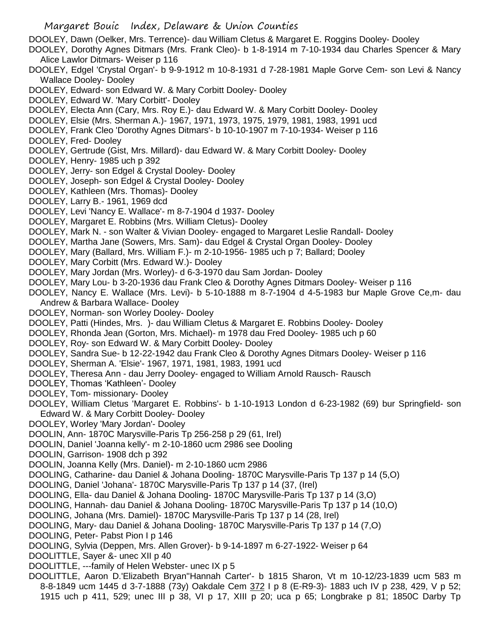- Margaret Bouic Index, Delaware & Union Counties
- DOOLEY, Dawn (Oelker, Mrs. Terrence)- dau William Cletus & Margaret E. Roggins Dooley- Dooley
- DOOLEY, Dorothy Agnes Ditmars (Mrs. Frank Cleo)- b 1-8-1914 m 7-10-1934 dau Charles Spencer & Mary Alice Lawlor Ditmars- Weiser p 116
- DOOLEY, Edgel 'Crystal Organ'- b 9-9-1912 m 10-8-1931 d 7-28-1981 Maple Gorve Cem- son Levi & Nancy Wallace Dooley- Dooley
- DOOLEY, Edward- son Edward W. & Mary Corbitt Dooley- Dooley
- DOOLEY, Edward W. 'Mary Corbitt'- Dooley
- DOOLEY, Electa Ann (Cary, Mrs. Roy E.)- dau Edward W. & Mary Corbitt Dooley- Dooley
- DOOLEY, Elsie (Mrs. Sherman A.)- 1967, 1971, 1973, 1975, 1979, 1981, 1983, 1991 ucd
- DOOLEY, Frank Cleo 'Dorothy Agnes Ditmars'- b 10-10-1907 m 7-10-1934- Weiser p 116
- DOOLEY, Fred- Dooley
- DOOLEY, Gertrude (Gist, Mrs. Millard)- dau Edward W. & Mary Corbitt Dooley- Dooley
- DOOLEY, Henry- 1985 uch p 392
- DOOLEY, Jerry- son Edgel & Crystal Dooley- Dooley
- DOOLEY, Joseph- son Edgel & Crystal Dooley- Dooley
- DOOLEY, Kathleen (Mrs. Thomas)- Dooley
- DOOLEY, Larry B.- 1961, 1969 dcd
- DOOLEY, Levi 'Nancy E. Wallace'- m 8-7-1904 d 1937- Dooley
- DOOLEY, Margaret E. Robbins (Mrs. William Cletus)- Dooley
- DOOLEY, Mark N. son Walter & Vivian Dooley- engaged to Margaret Leslie Randall- Dooley
- DOOLEY, Martha Jane (Sowers, Mrs. Sam)- dau Edgel & Crystal Organ Dooley- Dooley
- DOOLEY, Mary (Ballard, Mrs. William F.)- m 2-10-1956- 1985 uch p 7; Ballard; Dooley
- DOOLEY, Mary Corbitt (Mrs. Edward W.)- Dooley
- DOOLEY, Mary Jordan (Mrs. Worley)- d 6-3-1970 dau Sam Jordan- Dooley
- DOOLEY, Mary Lou- b 3-20-1936 dau Frank Cleo & Dorothy Agnes Ditmars Dooley- Weiser p 116
- DOOLEY, Nancy E. Wallace (Mrs. Levi)- b 5-10-1888 m 8-7-1904 d 4-5-1983 bur Maple Grove Ce,m- dau Andrew & Barbara Wallace- Dooley
- DOOLEY, Norman- son Worley Dooley- Dooley
- DOOLEY, Patti (Hindes, Mrs. )- dau William Cletus & Margaret E. Robbins Dooley- Dooley
- DOOLEY, Rhonda Jean (Gorton, Mrs. Michael)- m 1978 dau Fred Dooley- 1985 uch p 60
- DOOLEY, Roy- son Edward W. & Mary Corbitt Dooley- Dooley
- DOOLEY, Sandra Sue- b 12-22-1942 dau Frank Cleo & Dorothy Agnes Ditmars Dooley- Weiser p 116
- DOOLEY, Sherman A. 'Elsie'- 1967, 1971, 1981, 1983, 1991 ucd
- DOOLEY, Theresa Ann dau Jerry Dooley- engaged to William Arnold Rausch- Rausch
- DOOLEY, Thomas 'Kathleen'- Dooley
- DOOLEY, Tom- missionary- Dooley
- DOOLEY, William Cletus 'Margaret E. Robbins'- b 1-10-1913 London d 6-23-1982 (69) bur Springfield- son Edward W. & Mary Corbitt Dooley- Dooley
- DOOLEY, Worley 'Mary Jordan'- Dooley
- DOOLIN, Ann- 1870C Marysville-Paris Tp 256-258 p 29 (61, Irel)
- DOOLIN, Daniel 'Joanna kelly'- m 2-10-1860 ucm 2986 see Dooling
- DOOLIN, Garrison- 1908 dch p 392
- DOOLIN, Joanna Kelly (Mrs. Daniel)- m 2-10-1860 ucm 2986
- DOOLING, Catharine- dau Daniel & Johana Dooling- 1870C Marysville-Paris Tp 137 p 14 (5,O)
- DOOLING, Daniel 'Johana'- 1870C Marysville-Paris Tp 137 p 14 (37, (Irel)
- DOOLING, Ella- dau Daniel & Johana Dooling- 1870C Marysville-Paris Tp 137 p 14 (3,O)
- DOOLING, Hannah- dau Daniel & Johana Dooling- 1870C Marysville-Paris Tp 137 p 14 (10,O)
- DOOLING, Johana (Mrs. Damiel)- 1870C Marysville-Paris Tp 137 p 14 (28, Irel)
- DOOLING, Mary- dau Daniel & Johana Dooling- 1870C Marysville-Paris Tp 137 p 14 (7,O)
- DOOLING, Peter- Pabst Pion I p 146
- DOOLING, Sylvia (Deppen, Mrs. Allen Grover)- b 9-14-1897 m 6-27-1922- Weiser p 64
- DOOLITTLE, Sayer &- unec XII p 40
- DOOLITTLE, ---family of Helen Webster- unec IX p 5
- DOOLITTLE, Aaron D.'Elizabeth Bryan''Hannah Carter'- b 1815 Sharon, Vt m 10-12/23-1839 ucm 583 m 8-8-1849 ucm 1445 d 3-7-1888 (73y) Oakdale Cem 372 I p 8 (E-R9-3)- 1883 uch IV p 238, 429, V p 52; 1915 uch p 411, 529; unec III p 38, VI p 17, XIII p 20; uca p 65; Longbrake p 81; 1850C Darby Tp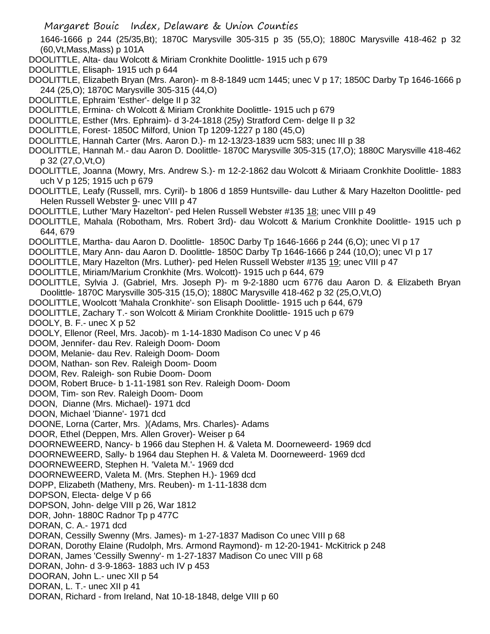1646-1666 p 244 (25/35,Bt); 1870C Marysville 305-315 p 35 (55,O); 1880C Marysville 418-462 p 32 (60,Vt,Mass,Mass) p 101A

DOOLITTLE, Alta- dau Wolcott & Miriam Cronkhite Doolittle- 1915 uch p 679

DOOLITTLE, Elisaph- 1915 uch p 644

- DOOLITTLE, Elizabeth Bryan (Mrs. Aaron)- m 8-8-1849 ucm 1445; unec V p 17; 1850C Darby Tp 1646-1666 p 244 (25,O); 1870C Marysville 305-315 (44,O)
- DOOLITTLE, Ephraim 'Esther'- delge II p 32
- DOOLITTLE, Ermina- ch Wolcott & Miriam Cronkhite Doolittle- 1915 uch p 679
- DOOLITTLE, Esther (Mrs. Ephraim)- d 3-24-1818 (25y) Stratford Cem- delge II p 32
- DOOLITTLE, Forest- 1850C Milford, Union Tp 1209-1227 p 180 (45,O)
- DOOLITTLE, Hannah Carter (Mrs. Aaron D.)- m 12-13/23-1839 ucm 583; unec III p 38
- DOOLITTLE, Hannah M.- dau Aaron D. Doolittle- 1870C Marysville 305-315 (17,O); 1880C Marysville 418-462 p 32 (27,O,Vt,O)
- DOOLITTLE, Joanna (Mowry, Mrs. Andrew S.)- m 12-2-1862 dau Wolcott & Miriaam Cronkhite Doolittle- 1883 uch V p 125; 1915 uch p 679
- DOOLITTLE, Leafy (Russell, mrs. Cyril)- b 1806 d 1859 Huntsville- dau Luther & Mary Hazelton Doolittle- ped Helen Russell Webster 9- unec VIII p 47
- DOOLITTLE, Luther 'Mary Hazelton'- ped Helen Russell Webster #135 18; unec VIII p 49
- DOOLITTLE, Mahala (Robotham, Mrs. Robert 3rd)- dau Wolcott & Marium Cronkhite Doolittle- 1915 uch p 644, 679
- DOOLITTLE, Martha- dau Aaron D. Doolittle- 1850C Darby Tp 1646-1666 p 244 (6,O); unec VI p 17
- DOOLITTLE, Mary Ann- dau Aaron D. Doolittle- 1850C Darby Tp 1646-1666 p 244 (10,O); unec VI p 17
- DOOLITTLE, Mary Hazelton (Mrs. Luther)- ped Helen Russell Webster #135 19; unec VIII p 47
- DOOLITTLE, Miriam/Marium Cronkhite (Mrs. Wolcott)- 1915 uch p 644, 679
- DOOLITTLE, Sylvia J. (Gabriel, Mrs. Joseph P)- m 9-2-1880 ucm 6776 dau Aaron D. & Elizabeth Bryan Doolittle- 1870C Marysville 305-315 (15,O); 1880C Marysville 418-462 p 32 (25,O,Vt,O)
- DOOLITTLE, Woolcott 'Mahala Cronkhite'- son Elisaph Doolittle- 1915 uch p 644, 679
- DOOLITTLE, Zachary T.- son Wolcott & Miriam Cronkhite Doolittle- 1915 uch p 679

DOOLY, B. F.- unec X p 52

- DOOLY, Ellenor (Reel, Mrs. Jacob)- m 1-14-1830 Madison Co unec V p 46
- DOOM, Jennifer- dau Rev. Raleigh Doom- Doom
- DOOM, Melanie- dau Rev. Raleigh Doom- Doom
- DOOM, Nathan- son Rev. Raleigh Doom- Doom
- DOOM, Rev. Raleigh- son Rubie Doom- Doom
- DOOM, Robert Bruce- b 1-11-1981 son Rev. Raleigh Doom- Doom
- DOOM, Tim- son Rev. Raleigh Doom- Doom
- DOON, Dianne (Mrs. Michael)- 1971 dcd
- DOON, Michael 'Dianne'- 1971 dcd
- DOONE, Lorna (Carter, Mrs. )(Adams, Mrs. Charles)- Adams
- DOOR, Ethel (Deppen, Mrs. Allen Grover)- Weiser p 64
- DOORNEWEERD, Nancy- b 1966 dau Stephen H. & Valeta M. Doorneweerd- 1969 dcd
- DOORNEWEERD, Sally- b 1964 dau Stephen H. & Valeta M. Doorneweerd- 1969 dcd
- DOORNEWEERD, Stephen H. 'Valeta M.'- 1969 dcd
- DOORNEWEERD, Valeta M. (Mrs. Stephen H.)- 1969 dcd
- DOPP, Elizabeth (Matheny, Mrs. Reuben)- m 1-11-1838 dcm
- DOPSON, Electa- delge V p 66
- DOPSON, John- delge VIII p 26, War 1812
- DOR, John- 1880C Radnor Tp p 477C
- DORAN, C. A.- 1971 dcd
- DORAN, Cessilly Swenny (Mrs. James)- m 1-27-1837 Madison Co unec VIII p 68
- DORAN, Dorothy Elaine (Rudolph, Mrs. Armond Raymond)- m 12-20-1941- McKitrick p 248
- DORAN, James 'Cessilly Swenny'- m 1-27-1837 Madison Co unec VIII p 68
- DORAN, John- d 3-9-1863- 1883 uch IV p 453
- DOORAN, John L.- unec XII p 54
- DORAN, L. T.- unec XII p 41
- DORAN, Richard from Ireland, Nat 10-18-1848, delge VIII p 60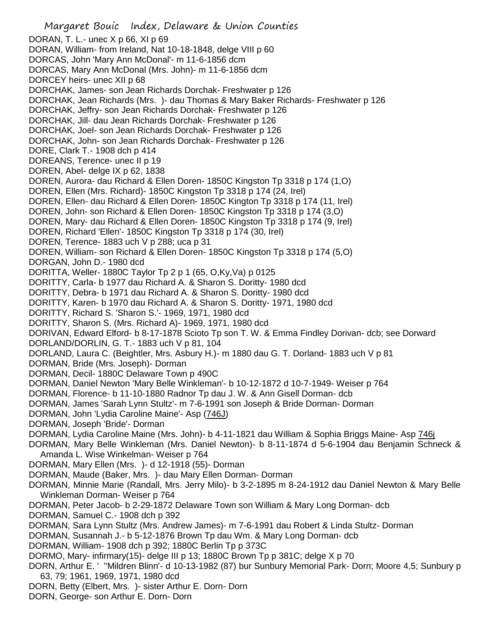Margaret Bouic Index, Delaware & Union Counties DORAN, T. L.- unec X p 66, XI p 69 DORAN, William- from Ireland, Nat 10-18-1848, delge VIII p 60 DORCAS, John 'Mary Ann McDonal'- m 11-6-1856 dcm DORCAS, Mary Ann McDonal (Mrs. John)- m 11-6-1856 dcm DORCEY heirs- unec XII p 68 DORCHAK, James- son Jean Richards Dorchak- Freshwater p 126 DORCHAK, Jean Richards (Mrs. )- dau Thomas & Mary Baker Richards- Freshwater p 126 DORCHAK, Jeffry- son Jean Richards Dorchak- Freshwater p 126 DORCHAK, Jill- dau Jean Richards Dorchak- Freshwater p 126 DORCHAK, Joel- son Jean Richards Dorchak- Freshwater p 126 DORCHAK, John- son Jean Richards Dorchak- Freshwater p 126 DORE, Clark T.- 1908 dch p 414 DOREANS, Terence- unec II p 19 DOREN, Abel- delge IX p 62, 1838 DOREN, Aurora- dau Richard & Ellen Doren- 1850C Kingston Tp 3318 p 174 (1,O) DOREN, Ellen (Mrs. Richard)- 1850C Kingston Tp 3318 p 174 (24, Irel) DOREN, Ellen- dau Richard & Ellen Doren- 1850C Kington Tp 3318 p 174 (11, Irel) DOREN, John- son Richard & Ellen Doren- 1850C Kingston Tp 3318 p 174 (3,O) DOREN, Mary- dau Richard & Ellen Doren- 1850C Kingston Tp 3318 p 174 (9, Irel) DOREN, Richard 'Ellen'- 1850C Kingston Tp 3318 p 174 (30, Irel) DOREN, Terence- 1883 uch V p 288; uca p 31 DOREN, William- son Richard & Ellen Doren- 1850C Kingston Tp 3318 p 174 (5,O) DORGAN, John D.- 1980 dcd DORITTA, Weller- 1880C Taylor Tp 2 p 1 (65, O,Ky,Va) p 0125 DORITTY, Carla- b 1977 dau Richard A. & Sharon S. Doritty- 1980 dcd DORITTY, Debra- b 1971 dau Richard A. & Sharon S. Doritty- 1980 dcd DORITTY, Karen- b 1970 dau Richard A. & Sharon S. Doritty- 1971, 1980 dcd DORITTY, Richard S. 'Sharon S.'- 1969, 1971, 1980 dcd DORITTY, Sharon S. (Mrs. Richard A)- 1969, 1971, 1980 dcd DORIVAN, Edward Elford- b 8-17-1878 Scioto Tp son T. W. & Emma Findley Dorivan- dcb; see Dorward DORLAND/DORLIN, G. T.- 1883 uch V p 81, 104 DORLAND, Laura C. (Beightler, Mrs. Asbury H.)- m 1880 dau G. T. Dorland- 1883 uch V p 81 DORMAN, Bride (Mrs. Joseph)- Dorman DORMAN, Decil- 1880C Delaware Town p 490C DORMAN, Daniel Newton 'Mary Belle Winkleman'- b 10-12-1872 d 10-7-1949- Weiser p 764 DORMAN, Florence- b 11-10-1880 Radnor Tp dau J. W. & Ann Gisell Dorman- dcb DORMAN, James 'Sarah Lynn Stultz'- m 7-6-1991 son Joseph & Bride Dorman- Dorman DORMAN, John 'Lydia Caroline Maine'- Asp (746J) DORMAN, Joseph 'Bride'- Dorman DORMAN, Lydia Caroline Maine (Mrs. John)- b 4-11-1821 dau William & Sophia Briggs Maine- Asp 746j DORMAN, Mary Belle Winkleman (Mrs. Daniel Newton)- b 8-11-1874 d 5-6-1904 dau Benjamin Schneck & Amanda L. Wise Winkelman- Weiser p 764 DORMAN, Mary Ellen (Mrs. )- d 12-1918 (55)- Dorman DORMAN, Maude (Baker, Mrs. )- dau Mary Ellen Dorman- Dorman DORMAN, Minnie Marie (Randall, Mrs. Jerry Milo)- b 3-2-1895 m 8-24-1912 dau Daniel Newton & Mary Belle Winkleman Dorman- Weiser p 764 DORMAN, Peter Jacob- b 2-29-1872 Delaware Town son William & Mary Long Dorman- dcb DORMAN, Samuel C.- 1908 dch p 392 DORMAN, Sara Lynn Stultz (Mrs. Andrew James)- m 7-6-1991 dau Robert & Linda Stultz- Dorman DORMAN, Susannah J.- b 5-12-1876 Brown Tp dau Wm. & Mary Long Dorman- dcb DORMAN, William- 1908 dch p 392; 1880C Berlin Tp p 373C DORMO, Mary- infirmary(15)- delge III p 13; 1880C Brown Tp p 381C; delge X p 70 DORN, Arthur E. ' ''Mildren Blinn'- d 10-13-1982 (87) bur Sunbury Memorial Park- Dorn; Moore 4,5; Sunbury p 63, 79; 1961, 1969, 1971, 1980 dcd DORN, Betty (Elbert, Mrs. )- sister Arthur E. Dorn- Dorn DORN, George- son Arthur E. Dorn- Dorn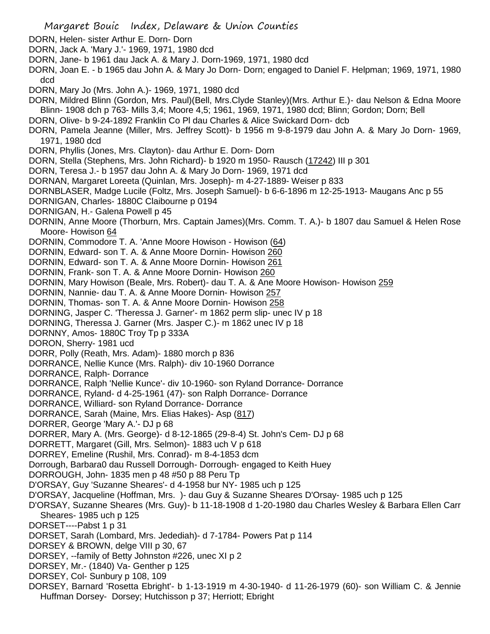- DORN, Helen- sister Arthur E. Dorn- Dorn
- DORN, Jack A. 'Mary J.'- 1969, 1971, 1980 dcd
- DORN, Jane- b 1961 dau Jack A. & Mary J. Dorn-1969, 1971, 1980 dcd
- DORN, Joan E. b 1965 dau John A. & Mary Jo Dorn- Dorn; engaged to Daniel F. Helpman; 1969, 1971, 1980 dcd
- DORN, Mary Jo (Mrs. John A.)- 1969, 1971, 1980 dcd
- DORN, Mildred Blinn (Gordon, Mrs. Paul)(Bell, Mrs.Clyde Stanley)(Mrs. Arthur E.)- dau Nelson & Edna Moore Blinn- 1908 dch p 763- Mills 3,4; Moore 4,5; 1961, 1969, 1971, 1980 dcd; Blinn; Gordon; Dorn; Bell
- DORN, Olive- b 9-24-1892 Franklin Co Pl dau Charles & Alice Swickard Dorn- dcb
- DORN, Pamela Jeanne (Miller, Mrs. Jeffrey Scott)- b 1956 m 9-8-1979 dau John A. & Mary Jo Dorn- 1969, 1971, 1980 dcd
- DORN, Phyllis (Jones, Mrs. Clayton)- dau Arthur E. Dorn- Dorn
- DORN, Stella (Stephens, Mrs. John Richard)- b 1920 m 1950- Rausch (17242) III p 301
- DORN, Teresa J.- b 1957 dau John A. & Mary Jo Dorn- 1969, 1971 dcd
- DORNAN, Margaret Loreeta (Quinlan, Mrs. Joseph)- m 4-27-1889- Weiser p 833
- DORNBLASER, Madge Lucile (Foltz, Mrs. Joseph Samuel)- b 6-6-1896 m 12-25-1913- Maugans Anc p 55
- DORNIGAN, Charles- 1880C Claibourne p 0194
- DORNIGAN, H.- Galena Powell p 45
- DORNIN, Anne Moore (Thorburn, Mrs. Captain James)(Mrs. Comm. T. A.)- b 1807 dau Samuel & Helen Rose Moore- Howison 64
- DORNIN, Commodore T. A. 'Anne Moore Howison Howison (64)
- DORNIN, Edward- son T. A. & Anne Moore Dornin- Howison 260
- DORNIN, Edward- son T. A. & Anne Moore Dornin- Howison 261
- DORNIN, Frank- son T. A. & Anne Moore Dornin- Howison 260
- DORNIN, Mary Howison (Beale, Mrs. Robert)- dau T. A. & Ane Moore Howison- Howison 259
- DORNIN, Nannie- dau T. A. & Anne Moore Dornin- Howison 257
- DORNIN, Thomas- son T. A. & Anne Moore Dornin- Howison 258
- DORNING, Jasper C. 'Theressa J. Garner'- m 1862 perm slip- unec IV p 18
- DORNING, Theressa J. Garner (Mrs. Jasper C.)- m 1862 unec IV p 18
- DORNNY, Amos- 1880C Troy Tp p 333A
- DORON, Sherry- 1981 ucd
- DORR, Polly (Reath, Mrs. Adam)- 1880 morch p 836
- DORRANCE, Nellie Kunce (Mrs. Ralph)- div 10-1960 Dorrance
- DORRANCE, Ralph- Dorrance
- DORRANCE, Ralph 'Nellie Kunce'- div 10-1960- son Ryland Dorrance- Dorrance
- DORRANCE, Ryland- d 4-25-1961 (47)- son Ralph Dorrance- Dorrance
- DORRANCE, Williard- son Ryland Dorrance- Dorrance
- DORRANCE, Sarah (Maine, Mrs. Elias Hakes)- Asp (817)
- DORRER, George 'Mary A.'- DJ p 68
- DORRER, Mary A. (Mrs. George)- d 8-12-1865 (29-8-4) St. John's Cem- DJ p 68
- DORRETT, Margaret (Gill, Mrs. Selmon)- 1883 uch V p 618
- DORREY, Emeline (Rushil, Mrs. Conrad)- m 8-4-1853 dcm
- Dorrough, Barbara0 dau Russell Dorrough- Dorrough- engaged to Keith Huey
- DORROUGH, John- 1835 men p 48 #50 p 88 Peru Tp
- D'ORSAY, Guy 'Suzanne Sheares'- d 4-1958 bur NY- 1985 uch p 125
- D'ORSAY, Jacqueline (Hoffman, Mrs. )- dau Guy & Suzanne Sheares D'Orsay- 1985 uch p 125
- D'ORSAY, Suzanne Sheares (Mrs. Guy)- b 11-18-1908 d 1-20-1980 dau Charles Wesley & Barbara Ellen Carr Sheares- 1985 uch p 125
- DORSET----Pabst 1 p 31
- DORSET, Sarah (Lombard, Mrs. Jedediah)- d 7-1784- Powers Pat p 114
- DORSEY & BROWN, delge VIII p 30, 67
- DORSEY, --family of Betty Johnston #226, unec XI p 2
- DORSEY, Mr.- (1840) Va- Genther p 125
- DORSEY, Col- Sunbury p 108, 109
- DORSEY, Barnard 'Rosetta Ebright'- b 1-13-1919 m 4-30-1940- d 11-26-1979 (60)- son William C. & Jennie Huffman Dorsey- Dorsey; Hutchisson p 37; Herriott; Ebright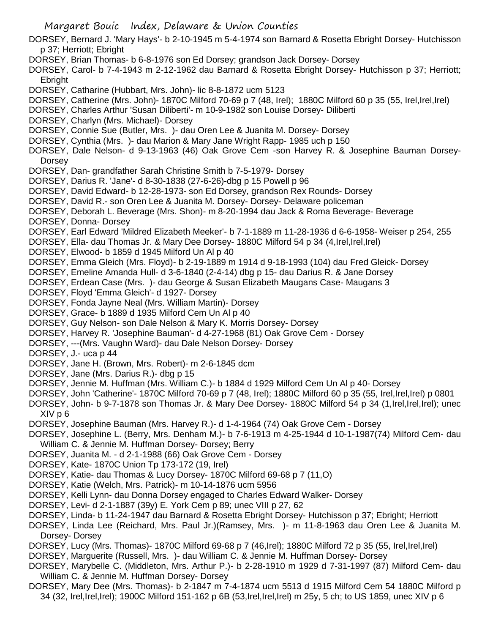- Margaret Bouic Index, Delaware & Union Counties DORSEY, Bernard J. 'Mary Hays'- b 2-10-1945 m 5-4-1974 son Barnard & Rosetta Ebright Dorsey- Hutchisson p 37; Herriott; Ebright DORSEY, Brian Thomas- b 6-8-1976 son Ed Dorsey; grandson Jack Dorsey- Dorsey DORSEY, Carol- b 7-4-1943 m 2-12-1962 dau Barnard & Rosetta Ebright Dorsey- Hutchisson p 37; Herriott; Ebright DORSEY, Catharine (Hubbart, Mrs. John)- lic 8-8-1872 ucm 5123 DORSEY, Catherine (Mrs. John)- 1870C Milford 70-69 p 7 (48, Irel); 1880C Milford 60 p 35 (55, Irel,Irel,Irel) DORSEY, Charles Arthur 'Susan Diliberti'- m 10-9-1982 son Louise Dorsey- Diliberti DORSEY, Charlyn (Mrs. Michael)- Dorsey DORSEY, Connie Sue (Butler, Mrs. )- dau Oren Lee & Juanita M. Dorsey- Dorsey DORSEY, Cynthia (Mrs. )- dau Marion & Mary Jane Wright Rapp- 1985 uch p 150 DORSEY, Dale Nelson- d 9-13-1963 (46) Oak Grove Cem -son Harvey R. & Josephine Bauman Dorsey-**Dorsey** DORSEY, Dan- grandfather Sarah Christine Smith b 7-5-1979- Dorsey DORSEY, Darius R. 'Jane'- d 8-30-1838 (27-6-26)-dbg p 15 Powell p 96 DORSEY, David Edward- b 12-28-1973- son Ed Dorsey, grandson Rex Rounds- Dorsey DORSEY, David R.- son Oren Lee & Juanita M. Dorsey- Dorsey- Delaware policeman DORSEY, Deborah L. Beverage (Mrs. Shon)- m 8-20-1994 dau Jack & Roma Beverage- Beverage DORSEY, Donna- Dorsey DORSEY, Earl Edward 'Mildred Elizabeth Meeker'- b 7-1-1889 m 11-28-1936 d 6-6-1958- Weiser p 254, 255 DORSEY, Ella- dau Thomas Jr. & Mary Dee Dorsey- 1880C Milford 54 p 34 (4, Irel, Irel, Irel) DORSEY, Elwood- b 1859 d 1945 Milford Un Al p 40 DORSEY, Emma Gleich (Mrs. Floyd)- b 2-19-1889 m 1914 d 9-18-1993 (104) dau Fred Gleick- Dorsey DORSEY, Emeline Amanda Hull- d 3-6-1840 (2-4-14) dbg p 15- dau Darius R. & Jane Dorsey DORSEY, Erdean Case (Mrs. )- dau George & Susan Elizabeth Maugans Case- Maugans 3 DORSEY, Floyd 'Emma Gleich'- d 1927- Dorsey DORSEY, Fonda Jayne Neal (Mrs. William Martin)- Dorsey DORSEY, Grace- b 1889 d 1935 Milford Cem Un Al p 40 DORSEY, Guy Nelson- son Dale Nelson & Mary K. Morris Dorsey- Dorsey DORSEY, Harvey R. 'Josephine Bauman'- d 4-27-1968 (81) Oak Grove Cem - Dorsey DORSEY, ---(Mrs. Vaughn Ward)- dau Dale Nelson Dorsey- Dorsey DORSEY, J.- uca p 44 DORSEY, Jane H. (Brown, Mrs. Robert)- m 2-6-1845 dcm DORSEY, Jane (Mrs. Darius R.)- dbg p 15 DORSEY, Jennie M. Huffman (Mrs. William C.)- b 1884 d 1929 Milford Cem Un Al p 40- Dorsey DORSEY, John 'Catherine'- 1870C Milford 70-69 p 7 (48, Irel); 1880C Milford 60 p 35 (55, Irel,Irel,Irel) p 0801 DORSEY, John- b 9-7-1878 son Thomas Jr. & Mary Dee Dorsey- 1880C Milford 54 p 34 (1,Irel,Irel,Irel); unec XIV p 6 DORSEY, Josephine Bauman (Mrs. Harvey R.)- d 1-4-1964 (74) Oak Grove Cem - Dorsey DORSEY, Josephine L. (Berry, Mrs. Denham M.)- b 7-6-1913 m 4-25-1944 d 10-1-1987(74) Milford Cem- dau William C. & Jennie M. Huffman Dorsey- Dorsey; Berry DORSEY, Juanita M. - d 2-1-1988 (66) Oak Grove Cem - Dorsey DORSEY, Kate- 1870C Union Tp 173-172 (19, Irel) DORSEY, Katie- dau Thomas & Lucy Dorsey- 1870C Milford 69-68 p 7 (11,O) DORSEY, Katie (Welch, Mrs. Patrick)- m 10-14-1876 ucm 5956 DORSEY, Kelli Lynn- dau Donna Dorsey engaged to Charles Edward Walker- Dorsey DORSEY, Levi- d 2-1-1887 (39y) E. York Cem p 89; unec VIII p 27, 62 DORSEY, Linda- b 11-24-1947 dau Barnard & Rosetta Ebright Dorsey- Hutchisson p 37; Ebright; Herriott DORSEY, Linda Lee (Reichard, Mrs. Paul Jr.)(Ramsey, Mrs. )- m 11-8-1963 dau Oren Lee & Juanita M. Dorsey- Dorsey
	- DORSEY, Lucy (Mrs. Thomas)- 1870C Milford 69-68 p 7 (46,Irel); 1880C Milford 72 p 35 (55, Irel,Irel,Irel)
	- DORSEY, Marguerite (Russell, Mrs. )- dau William C. & Jennie M. Huffman Dorsey- Dorsey
	- DORSEY, Marybelle C. (Middleton, Mrs. Arthur P.)- b 2-28-1910 m 1929 d 7-31-1997 (87) Milford Cem- dau William C. & Jennie M. Huffman Dorsey- Dorsey
	- DORSEY, Mary Dee (Mrs. Thomas)- b 2-1847 m 7-4-1874 ucm 5513 d 1915 Milford Cem 54 1880C Milford p 34 (32, Irel,Irel,Irel); 1900C Milford 151-162 p 6B (53,Irel,Irel,Irel) m 25y, 5 ch; to US 1859, unec XIV p 6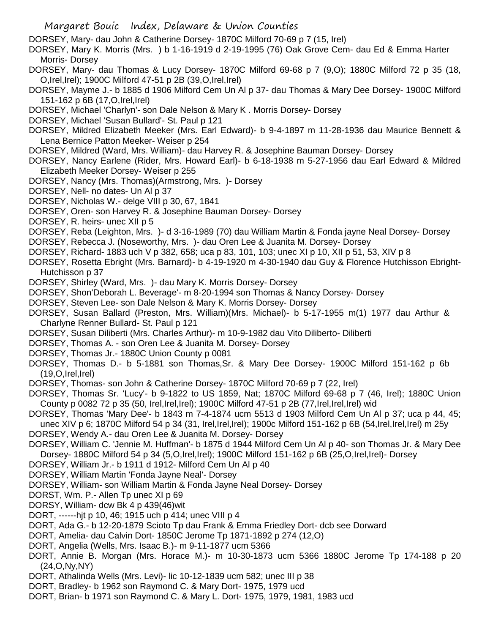DORSEY, Mary- dau John & Catherine Dorsey- 1870C Milford 70-69 p 7 (15, Irel)

DORSEY, Mary K. Morris (Mrs. ) b 1-16-1919 d 2-19-1995 (76) Oak Grove Cem- dau Ed & Emma Harter Morris- Dorsey

DORSEY, Mary- dau Thomas & Lucy Dorsey- 1870C Milford 69-68 p 7 (9,O); 1880C Milford 72 p 35 (18, O,Irel,Irel); 1900C Milford 47-51 p 2B (39,O,Irel,Irel)

- DORSEY, Mayme J.- b 1885 d 1906 Milford Cem Un Al p 37- dau Thomas & Mary Dee Dorsey- 1900C Milford 151-162 p 6B (17,O,Irel,Irel)
- DORSEY, Michael 'Charlyn'- son Dale Nelson & Mary K . Morris Dorsey- Dorsey
- DORSEY, Michael 'Susan Bullard'- St. Paul p 121

DORSEY, Mildred Elizabeth Meeker (Mrs. Earl Edward)- b 9-4-1897 m 11-28-1936 dau Maurice Bennett & Lena Bernice Patton Meeker- Weiser p 254

- DORSEY, Mildred (Ward, Mrs. William)- dau Harvey R. & Josephine Bauman Dorsey- Dorsey
- DORSEY, Nancy Earlene (Rider, Mrs. Howard Earl)- b 6-18-1938 m 5-27-1956 dau Earl Edward & Mildred Elizabeth Meeker Dorsey- Weiser p 255
- DORSEY, Nancy (Mrs. Thomas)(Armstrong, Mrs. )- Dorsey
- DORSEY, Nell- no dates- Un Al p 37
- DORSEY, Nicholas W.- delge VIII p 30, 67, 1841
- DORSEY, Oren- son Harvey R. & Josephine Bauman Dorsey- Dorsey
- DORSEY, R. heirs- unec XII p 5
- DORSEY, Reba (Leighton, Mrs. )- d 3-16-1989 (70) dau William Martin & Fonda jayne Neal Dorsey- Dorsey
- DORSEY, Rebecca J. (Noseworthy, Mrs. )- dau Oren Lee & Juanita M. Dorsey- Dorsey
- DORSEY, Richard- 1883 uch V p 382, 658; uca p 83, 101, 103; unec XI p 10, XII p 51, 53, XIV p 8
- DORSEY, Rosetta Ebright (Mrs. Barnard)- b 4-19-1920 m 4-30-1940 dau Guy & Florence Hutchisson Ebright-Hutchisson p 37
- DORSEY, Shirley (Ward, Mrs. )- dau Mary K. Morris Dorsey- Dorsey
- DORSEY, Shon'Deborah L. Beverage'- m 8-20-1994 son Thomas & Nancy Dorsey- Dorsey
- DORSEY, Steven Lee- son Dale Nelson & Mary K. Morris Dorsey- Dorsey
- DORSEY, Susan Ballard (Preston, Mrs. William)(Mrs. Michael)- b 5-17-1955 m(1) 1977 dau Arthur & Charlyne Renner Bullard- St. Paul p 121
- DORSEY, Susan Diliberti (Mrs. Charles Arthur)- m 10-9-1982 dau Vito Diliberto- Diliberti
- DORSEY, Thomas A. son Oren Lee & Juanita M. Dorsey- Dorsey
- DORSEY, Thomas Jr.- 1880C Union County p 0081
- DORSEY, Thomas D.- b 5-1881 son Thomas,Sr. & Mary Dee Dorsey- 1900C Milford 151-162 p 6b  $(19, O, Irel, Irel)$
- DORSEY, Thomas- son John & Catherine Dorsey- 1870C Milford 70-69 p 7 (22, Irel)
- DORSEY, Thomas Sr. 'Lucy'- b 9-1822 to US 1859, Nat; 1870C Milford 69-68 p 7 (46, Irel); 1880C Union County p 0082 72 p 35 (50, Irel,Irel,Irel); 1900C Milford 47-51 p 2B (77,Irel,Irel,Irel) wid
- DORSEY, Thomas 'Mary Dee'- b 1843 m 7-4-1874 ucm 5513 d 1903 Milford Cem Un Al p 37; uca p 44, 45; unec XIV p 6; 1870C Milford 54 p 34 (31, Irel,Irel,Irel); 1900c Milford 151-162 p 6B (54,Irel,Irel,Irel) m 25y
- DORSEY, Wendy A.- dau Oren Lee & Juanita M. Dorsey- Dorsey

DORSEY, William C. 'Jennie M. Huffman'- b 1875 d 1944 Milford Cem Un Al p 40- son Thomas Jr. & Mary Dee Dorsey- 1880C Milford 54 p 34 (5,O,Irel,Irel); 1900C Milford 151-162 p 6B (25,O,Irel,Irel)- Dorsey

- DORSEY, William Jr.- b 1911 d 1912- Milford Cem Un Al p 40
- DORSEY, William Martin 'Fonda Jayne Neal'- Dorsey
- DORSEY, William- son William Martin & Fonda Jayne Neal Dorsey- Dorsey
- DORST, Wm. P.- Allen Tp unec XI p 69
- DORSY, William- dcw Bk 4 p 439(46)wit
- DORT, ------hjt p 10, 46; 1915 uch p 414; unec VIII p 4
- DORT, Ada G.- b 12-20-1879 Scioto Tp dau Frank & Emma Friedley Dort- dcb see Dorward
- DORT, Amelia- dau Calvin Dort- 1850C Jerome Tp 1871-1892 p 274 (12,O)
- DORT, Angelia (Wells, Mrs. Isaac B.)- m 9-11-1877 ucm 5366
- DORT, Annie B. Morgan (Mrs. Horace M.)- m 10-30-1873 ucm 5366 1880C Jerome Tp 174-188 p 20 (24,O,Ny,NY)
- DORT, Athalinda Wells (Mrs. Levi)- lic 10-12-1839 ucm 582; unec III p 38
- DORT, Bradley- b 1962 son Raymond C. & Mary Dort- 1975, 1979 ucd
- DORT, Brian- b 1971 son Raymond C. & Mary L. Dort- 1975, 1979, 1981, 1983 ucd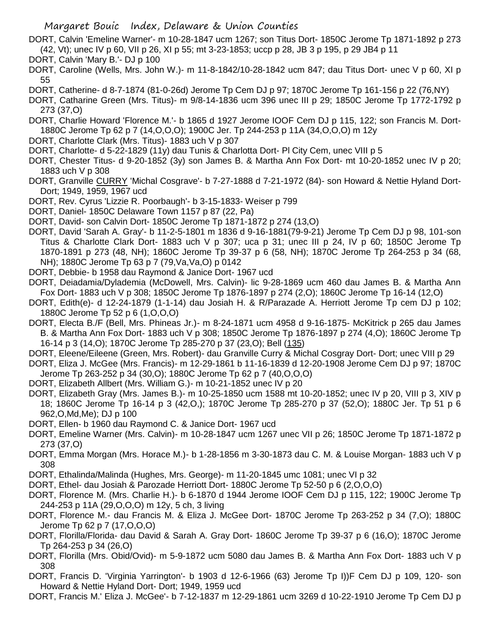- DORT, Calvin 'Emeline Warner'- m 10-28-1847 ucm 1267; son Titus Dort- 1850C Jerome Tp 1871-1892 p 273 (42, Vt); unec IV p 60, VII p 26, XI p 55; mt 3-23-1853; uccp p 28, JB 3 p 195, p 29 JB4 p 11
- DORT, Calvin 'Mary B.'- DJ p 100
- DORT, Caroline (Wells, Mrs. John W.)- m 11-8-1842/10-28-1842 ucm 847; dau Titus Dort- unec V p 60, XI p 55
- DORT, Catherine- d 8-7-1874 (81-0-26d) Jerome Tp Cem DJ p 97; 1870C Jerome Tp 161-156 p 22 (76,NY)
- DORT, Catharine Green (Mrs. Titus)- m 9/8-14-1836 ucm 396 unec III p 29; 1850C Jerome Tp 1772-1792 p 273 (37,O)
- DORT, Charlie Howard 'Florence M.'- b 1865 d 1927 Jerome IOOF Cem DJ p 115, 122; son Francis M. Dort-1880C Jerome Tp 62 p 7 (14,O,O,O); 1900C Jer. Tp 244-253 p 11A (34,O,O,O) m 12y
- DORT, Charlotte Clark (Mrs. Titus)- 1883 uch V p 307
- DORT, Charlotte- d 5-22-1829 (11y) dau Tunis & Charlotta Dort- Pl City Cem, unec VIII p 5
- DORT, Chester Titus- d 9-20-1852 (3y) son James B. & Martha Ann Fox Dort- mt 10-20-1852 unec IV p 20; 1883 uch V p 308
- DORT, Granville CURRY 'Michal Cosgrave'- b 7-27-1888 d 7-21-1972 (84)- son Howard & Nettie Hyland Dort-Dort; 1949, 1959, 1967 ucd
- DORT, Rev. Cyrus 'Lizzie R. Poorbaugh'- b 3-15-1833- Weiser p 799
- DORT, Daniel- 1850C Delaware Town 1157 p 87 (22, Pa)
- DORT, David- son Calvin Dort- 1850C Jerome Tp 1871-1872 p 274 (13,O)
- DORT, David 'Sarah A. Gray'- b 11-2-5-1801 m 1836 d 9-16-1881(79-9-21) Jerome Tp Cem DJ p 98, 101-son Titus & Charlotte Clark Dort- 1883 uch V p 307; uca p 31; unec III p 24, IV p 60; 1850C Jerome Tp 1870-1891 p 273 (48, NH); 1860C Jerome Tp 39-37 p 6 (58, NH); 1870C Jerome Tp 264-253 p 34 (68, NH); 1880C Jerome Tp 63 p 7 (79,Va,Va,O) p 0142
- DORT, Debbie- b 1958 dau Raymond & Janice Dort- 1967 ucd
- DORT, Deiadamia/Dylademia (McDowell, Mrs. Calvin)- lic 9-28-1869 ucm 460 dau James B. & Martha Ann Fox Dort- 1883 uch V p 308; 1850C Jerome Tp 1876-1897 p 274 (2,O); 1860C Jerome Tp 16-14 (12,O)
- DORT, Edith(e)- d 12-24-1879 (1-1-14) dau Josiah H. & R/Parazade A. Herriott Jerome Tp cem DJ p 102; 1880C Jerome Tp 52 p 6 (1,O,O,O)
- DORT, Electa B./F (Bell, Mrs. Phineas Jr.)- m 8-24-1871 ucm 4958 d 9-16-1875- McKitrick p 265 dau James B. & Martha Ann Fox Dort- 1883 uch V p 308; 1850C Jerome Tp 1876-1897 p 274 (4,O); 1860C Jerome Tp 16-14 p 3 (14,O); 1870C Jerome Tp 285-270 p 37 (23,O); Bell (135)
- DORT, Eleene/Eileene (Green, Mrs. Robert)- dau Granville Curry & Michal Cosgray Dort- Dort; unec VIII p 29
- DORT, Eliza J. McGee (Mrs. Francis)- m 12-29-1861 b 11-16-1839 d 12-20-1908 Jerome Cem DJ p 97; 1870C Jerome Tp 263-252 p 34 (30,O); 1880C Jerome Tp 62 p 7 (40,O,O,O)
- DORT, Elizabeth Allbert (Mrs. William G.)- m 10-21-1852 unec IV p 20
- DORT, Elizabeth Gray (Mrs. James B.)- m 10-25-1850 ucm 1588 mt 10-20-1852; unec IV p 20, VIII p 3, XIV p 18; 1860C Jerome Tp 16-14 p 3 (42,O,); 1870C Jerome Tp 285-270 p 37 (52,O); 1880C Jer. Tp 51 p 6 962,O,Md,Me); DJ p 100
- DORT, Ellen- b 1960 dau Raymond C. & Janice Dort- 1967 ucd
- DORT, Emeline Warner (Mrs. Calvin)- m 10-28-1847 ucm 1267 unec VII p 26; 1850C Jerome Tp 1871-1872 p 273 (37,O)
- DORT, Emma Morgan (Mrs. Horace M.)- b 1-28-1856 m 3-30-1873 dau C. M. & Louise Morgan- 1883 uch V p 308
- DORT, Ethalinda/Malinda (Hughes, Mrs. George)- m 11-20-1845 umc 1081; unec VI p 32
- DORT, Ethel- dau Josiah & Parozade Herriott Dort- 1880C Jerome Tp 52-50 p 6 (2,O,O,O)
- DORT, Florence M. (Mrs. Charlie H.)- b 6-1870 d 1944 Jerome IOOF Cem DJ p 115, 122; 1900C Jerome Tp 244-253 p 11A (29,O,O,O) m 12y, 5 ch, 3 living
- DORT, Florence M.- dau Francis M. & Eliza J. McGee Dort- 1870C Jerome Tp 263-252 p 34 (7,O); 1880C Jerome Tp 62 p 7 (17,O,O,O)
- DORT, Florilla/Florida- dau David & Sarah A. Gray Dort- 1860C Jerome Tp 39-37 p 6 (16,O); 1870C Jerome Tp 264-253 p 34 (26,O)
- DORT, Florilla (Mrs. Obid/Ovid)- m 5-9-1872 ucm 5080 dau James B. & Martha Ann Fox Dort- 1883 uch V p 308
- DORT, Francis D. 'Virginia Yarrington'- b 1903 d 12-6-1966 (63) Jerome Tp I))F Cem DJ p 109, 120- son Howard & Nettie Hyland Dort- Dort; 1949, 1959 ucd
- DORT, Francis M.' Eliza J. McGee'- b 7-12-1837 m 12-29-1861 ucm 3269 d 10-22-1910 Jerome Tp Cem DJ p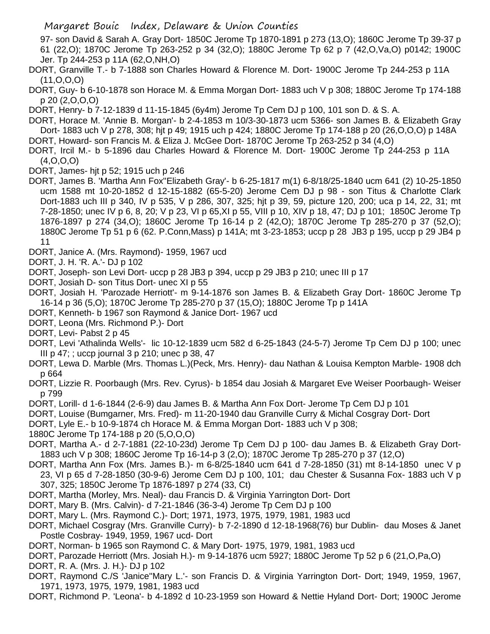- 97- son David & Sarah A. Gray Dort- 1850C Jerome Tp 1870-1891 p 273 (13,O); 1860C Jerome Tp 39-37 p 61 (22,O); 1870C Jerome Tp 263-252 p 34 (32,O); 1880C Jerome Tp 62 p 7 (42,O,Va,O) p0142; 1900C Jer. Tp 244-253 p 11A (62,O,NH,O)
- DORT, Granville T.- b 7-1888 son Charles Howard & Florence M. Dort- 1900C Jerome Tp 244-253 p 11A (11,O,O,O)
- DORT, Guy- b 6-10-1878 son Horace M. & Emma Morgan Dort- 1883 uch V p 308; 1880C Jerome Tp 174-188 p 20 (2,O,O,O)
- DORT, Henry- b 7-12-1839 d 11-15-1845 (6y4m) Jerome Tp Cem DJ p 100, 101 son D. & S. A.
- DORT, Horace M. 'Annie B. Morgan'- b 2-4-1853 m 10/3-30-1873 ucm 5366- son James B. & Elizabeth Gray Dort- 1883 uch V p 278, 308; hjt p 49; 1915 uch p 424; 1880C Jerome Tp 174-188 p 20 (26,O,O,O) p 148A
- DORT, Howard- son Francis M. & Eliza J. McGee Dort- 1870C Jerome Tp 263-252 p 34 (4,O)
- DORT, Ircil M.- b 5-1896 dau Charles Howard & Florence M. Dort- 1900C Jerome Tp 244-253 p 11A  $(4, 0, 0, 0)$
- DORT, James- hjt p 52; 1915 uch p 246
- DORT, James B. 'Martha Ann Fox''Elizabeth Gray'- b 6-25-1817 m(1) 6-8/18/25-1840 ucm 641 (2) 10-25-1850 ucm 1588 mt 10-20-1852 d 12-15-1882 (65-5-20) Jerome Cem DJ p 98 - son Titus & Charlotte Clark Dort-1883 uch III p 340, IV p 535, V p 286, 307, 325; hjt p 39, 59, picture 120, 200; uca p 14, 22, 31; mt 7-28-1850; unec IV p 6, 8, 20; V p 23, VI p 65,XI p 55, VIII p 10, XIV p 18, 47; DJ p 101; 1850C Jerome Tp 1876-1897 p 274 (34,O); 1860C Jerome Tp 16-14 p 2 (42,O); 1870C Jerome Tp 285-270 p 37 (52,O); 1880C Jerome Tp 51 p 6 (62. P.Conn,Mass) p 141A; mt 3-23-1853; uccp p 28 JB3 p 195, uccp p 29 JB4 p 11
- DORT, Janice A. (Mrs. Raymond)- 1959, 1967 ucd
- DORT, J. H. 'R. A.'- DJ p 102
- DORT, Joseph- son Levi Dort- uccp p 28 JB3 p 394, uccp p 29 JB3 p 210; unec III p 17
- DORT, Josiah D- son Titus Dort- unec XI p 55
- DORT, Josiah H. 'Parozade Herriott'- m 9-14-1876 son James B. & Elizabeth Gray Dort- 1860C Jerome Tp 16-14 p 36 (5,O); 1870C Jerome Tp 285-270 p 37 (15,O); 1880C Jerome Tp p 141A
- DORT, Kenneth- b 1967 son Raymond & Janice Dort- 1967 ucd
- DORT, Leona (Mrs. Richmond P.)- Dort
- DORT, Levi- Pabst 2 p 45
- DORT, Levi 'Athalinda Wells'- lic 10-12-1839 ucm 582 d 6-25-1843 (24-5-7) Jerome Tp Cem DJ p 100; unec III p 47; ; uccp journal 3 p 210; unec p 38, 47
- DORT, Lewa D. Marble (Mrs. Thomas L.)(Peck, Mrs. Henry)- dau Nathan & Louisa Kempton Marble- 1908 dch p 664
- DORT, Lizzie R. Poorbaugh (Mrs. Rev. Cyrus)- b 1854 dau Josiah & Margaret Eve Weiser Poorbaugh- Weiser p 799
- DORT, Lorill- d 1-6-1844 (2-6-9) dau James B. & Martha Ann Fox Dort- Jerome Tp Cem DJ p 101
- DORT, Louise (Bumgarner, Mrs. Fred)- m 11-20-1940 dau Granville Curry & Michal Cosgray Dort- Dort
- DORT, Lyle E.- b 10-9-1874 ch Horace M. & Emma Morgan Dort- 1883 uch V p 308;
- 1880C Jerome Tp 174-188 p 20 (5,O,O,O)
- DORT, Martha A.- d 2-7-1881 (22-10-23d) Jerome Tp Cem DJ p 100- dau James B. & Elizabeth Gray Dort-1883 uch V p 308; 1860C Jerome Tp 16-14-p 3 (2,O); 1870C Jerome Tp 285-270 p 37 (12,O)
- DORT, Martha Ann Fox (Mrs. James B.)- m 6-8/25-1840 ucm 641 d 7-28-1850 (31) mt 8-14-1850 unec V p 23, VI p 65 d 7-28-1850 (30-9-6) Jerome Cem DJ p 100, 101; dau Chester & Susanna Fox- 1883 uch V p 307, 325; 1850C Jerome Tp 1876-1897 p 274 (33, Ct)
- DORT, Martha (Morley, Mrs. Neal)- dau Francis D. & Virginia Yarrington Dort- Dort
- DORT, Mary B. (Mrs. Calvin)- d 7-21-1846 (36-3-4) Jerome Tp Cem DJ p 100
- DORT, Mary L. (Mrs. Raymond C.)- Dort; 1971, 1973, 1975, 1979, 1981, 1983 ucd
- DORT, Michael Cosgray (Mrs. Granville Curry)- b 7-2-1890 d 12-18-1968(76) bur Dublin- dau Moses & Janet Postle Cosbray- 1949, 1959, 1967 ucd- Dort
- DORT, Norman- b 1965 son Raymond C. & Mary Dort- 1975, 1979, 1981, 1983 ucd
- DORT, Parozade Herriott (Mrs. Josiah H.)- m 9-14-1876 ucm 5927; 1880C Jerome Tp 52 p 6 (21,O,Pa,O)
- DORT, R. A. (Mrs. J. H.)- DJ p 102
- DORT, Raymond C./S 'Janice''Mary L.'- son Francis D. & Virginia Yarrington Dort- Dort; 1949, 1959, 1967, 1971, 1973, 1975, 1979, 1981, 1983 ucd
- DORT, Richmond P. 'Leona'- b 4-1892 d 10-23-1959 son Howard & Nettie Hyland Dort- Dort; 1900C Jerome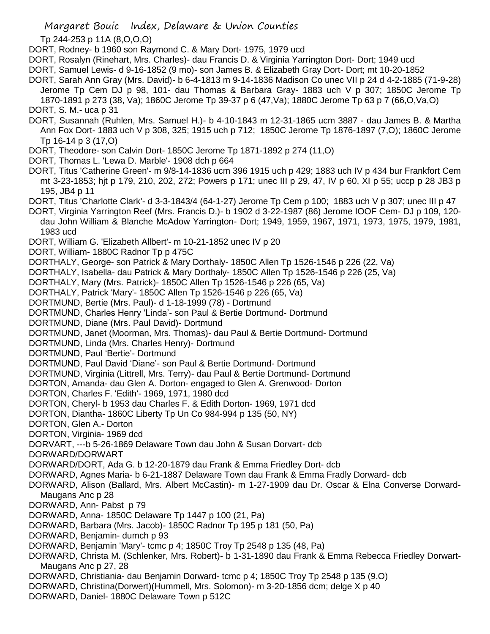Tp 244-253 p 11A (8,O,O,O)

DORT, Rodney- b 1960 son Raymond C. & Mary Dort- 1975, 1979 ucd

DORT, Rosalyn (Rinehart, Mrs. Charles)- dau Francis D. & Virginia Yarrington Dort- Dort; 1949 ucd

DORT, Samuel Lewis- d 9-16-1852 (9 mo)- son James B. & Elizabeth Gray Dort- Dort; mt 10-20-1852

- DORT, Sarah Ann Gray (Mrs. David)- b 6-4-1813 m 9-14-1836 Madison Co unec VII p 24 d 4-2-1885 (71-9-28) Jerome Tp Cem DJ p 98, 101- dau Thomas & Barbara Gray- 1883 uch V p 307; 1850C Jerome Tp 1870-1891 p 273 (38, Va); 1860C Jerome Tp 39-37 p 6 (47,Va); 1880C Jerome Tp 63 p 7 (66,O,Va,O)
- DORT, S. M.- uca p 31
- DORT, Susannah (Ruhlen, Mrs. Samuel H.)- b 4-10-1843 m 12-31-1865 ucm 3887 dau James B. & Martha Ann Fox Dort- 1883 uch V p 308, 325; 1915 uch p 712; 1850C Jerome Tp 1876-1897 (7,O); 1860C Jerome Tp 16-14 p 3 (17,O)
- DORT, Theodore- son Calvin Dort- 1850C Jerome Tp 1871-1892 p 274 (11,O)
- DORT, Thomas L. 'Lewa D. Marble'- 1908 dch p 664
- DORT, Titus 'Catherine Green'- m 9/8-14-1836 ucm 396 1915 uch p 429; 1883 uch IV p 434 bur Frankfort Cem mt 3-23-1853; hjt p 179, 210, 202, 272; Powers p 171; unec III p 29, 47, IV p 60, XI p 55; uccp p 28 JB3 p 195, JB4 p 11
- DORT, Titus 'Charlotte Clark'- d 3-3-1843/4 (64-1-27) Jerome Tp Cem p 100; 1883 uch V p 307; unec III p 47
- DORT, Virginia Yarrington Reef (Mrs. Francis D.)- b 1902 d 3-22-1987 (86) Jerome IOOF Cem- DJ p 109, 120 dau John William & Blanche McAdow Yarrington- Dort; 1949, 1959, 1967, 1971, 1973, 1975, 1979, 1981, 1983 ucd
- DORT, William G. 'Elizabeth Allbert'- m 10-21-1852 unec IV p 20
- DORT, William- 1880C Radnor Tp p 475C
- DORTHALY, George- son Patrick & Mary Dorthaly- 1850C Allen Tp 1526-1546 p 226 (22, Va)
- DORTHALY, Isabella- dau Patrick & Mary Dorthaly- 1850C Allen Tp 1526-1546 p 226 (25, Va)
- DORTHALY, Mary (Mrs. Patrick)- 1850C Allen Tp 1526-1546 p 226 (65, Va)
- DORTHALY, Patrick 'Mary'- 1850C Allen Tp 1526-1546 p 226 (65, Va)
- DORTMUND, Bertie (Mrs. Paul)- d 1-18-1999 (78) Dortmund
- DORTMUND, Charles Henry 'Linda'- son Paul & Bertie Dortmund- Dortmund
- DORTMUND, Diane (Mrs. Paul David)- Dortmund
- DORTMUND, Janet (Moorman, Mrs. Thomas)- dau Paul & Bertie Dortmund- Dortmund
- DORTMUND, Linda (Mrs. Charles Henry)- Dortmund
- DORTMUND, Paul 'Bertie'- Dortmund
- DORTMUND, Paul David 'Diane'- son Paul & Bertie Dortmund- Dortmund
- DORTMUND, Virginia (Littrell, Mrs. Terry)- dau Paul & Bertie Dortmund- Dortmund
- DORTON, Amanda- dau Glen A. Dorton- engaged to Glen A. Grenwood- Dorton
- DORTON, Charles F. 'Edith'- 1969, 1971, 1980 dcd
- DORTON, Cheryl- b 1953 dau Charles F. & Edith Dorton- 1969, 1971 dcd
- DORTON, Diantha- 1860C Liberty Tp Un Co 984-994 p 135 (50, NY)
- DORTON, Glen A.- Dorton
- DORTON, Virginia- 1969 dcd
- DORVART, ---b 5-26-1869 Delaware Town dau John & Susan Dorvart- dcb
- DORWARD/DORWART
- DORWARD/DORT, Ada G. b 12-20-1879 dau Frank & Emma Friedley Dort- dcb
- DORWARD, Agnes Maria- b 6-21-1887 Delaware Town dau Frank & Emma Fradly Dorward- dcb
- DORWARD, Alison (Ballard, Mrs. Albert McCastin)- m 1-27-1909 dau Dr. Oscar & Elna Converse Dorward-Maugans Anc p 28
- DORWARD, Ann- Pabst p 79
- DORWARD, Anna- 1850C Delaware Tp 1447 p 100 (21, Pa)
- DORWARD, Barbara (Mrs. Jacob)- 1850C Radnor Tp 195 p 181 (50, Pa)
- DORWARD, Benjamin- dumch p 93
- DORWARD, Benjamin 'Mary'- tcmc p 4; 1850C Troy Tp 2548 p 135 (48, Pa)
- DORWARD, Christa M. (Schlenker, Mrs. Robert)- b 1-31-1890 dau Frank & Emma Rebecca Friedley Dorwart-Maugans Anc p 27, 28
- DORWARD, Christiania- dau Benjamin Dorward- tcmc p 4; 1850C Troy Tp 2548 p 135 (9,O)
- DORWARD, Christina(Dorwert)(Hummell, Mrs. Solomon)- m 3-20-1856 dcm; delge X p 40
- DORWARD, Daniel- 1880C Delaware Town p 512C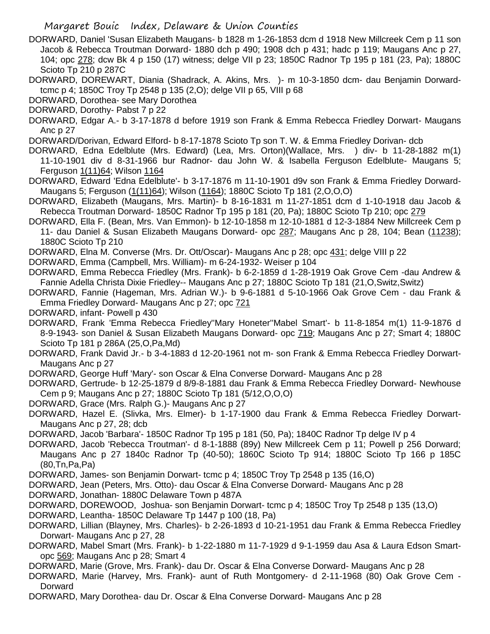- DORWARD, Daniel 'Susan Elizabeth Maugans- b 1828 m 1-26-1853 dcm d 1918 New Millcreek Cem p 11 son Jacob & Rebecca Troutman Dorward- 1880 dch p 490; 1908 dch p 431; hadc p 119; Maugans Anc p 27, 104; opc 278; dcw Bk 4 p 150 (17) witness; delge VII p 23; 1850C Radnor Tp 195 p 181 (23, Pa); 1880C Scioto Tp 210 p 287C
- DORWARD, DOREWART, Diania (Shadrack, A. Akins, Mrs. )- m 10-3-1850 dcm- dau Benjamin Dorwardtcmc p 4; 1850C Troy Tp 2548 p 135 (2,O); delge VII p 65, VIII p 68
- DORWARD, Dorothea- see Mary Dorothea
- DORWARD, Dorothy- Pabst 7 p 22
- DORWARD, Edgar A.- b 3-17-1878 d before 1919 son Frank & Emma Rebecca Friedley Dorwart- Maugans Anc p 27
- DORWARD/Dorivan, Edward Elford- b 8-17-1878 Scioto Tp son T. W. & Emma Friedley Dorivan- dcb
- DORWARD, Edna Edelblute (Mrs. Edward) (Lea, Mrs. Orton)(Wallace, Mrs. ) div- b 11-28-1882 m(1) 11-10-1901 div d 8-31-1966 bur Radnor- dau John W. & Isabella Ferguson Edelblute- Maugans 5; Ferguson 1(11)64; Wilson 1164
- DORWARD, Edward 'Edna Edelblute'- b 3-17-1876 m 11-10-1901 d9v son Frank & Emma Friedley Dorward-Maugans 5; Ferguson (1(11)64); Wilson (1164); 1880C Scioto Tp 181 (2,O,O,O)
- DORWARD, Elizabeth (Maugans, Mrs. Martin)- b 8-16-1831 m 11-27-1851 dcm d 1-10-1918 dau Jacob & Rebecca Troutman Dorward- 1850C Radnor Tp 195 p 181 (20, Pa); 1880C Scioto Tp 210; opc 279
- DORWARD, Ella F. (Bean, Mrs. Van Emmon)- b 12-10-1858 m 12-10-1881 d 12-3-1884 New Millcreek Cem p 11- dau Daniel & Susan Elizabeth Maugans Dorward- opc 287; Maugans Anc p 28, 104; Bean (11238); 1880C Scioto Tp 210
- DORWARD, Elna M. Converse (Mrs. Dr. Ott/Oscar)- Maugans Anc p 28; opc 431; delge VIII p 22
- DORWARD, Emma (Campbell, Mrs. William)- m 6-24-1932- Weiser p 104
- DORWARD, Emma Rebecca Friedley (Mrs. Frank)- b 6-2-1859 d 1-28-1919 Oak Grove Cem -dau Andrew & Fannie Adella Christa Dixie Friedley-- Maugans Anc p 27; 1880C Scioto Tp 181 (21,O,Switz,Switz)
- DORWARD, Fannie (Hageman, Mrs. Adrian W.)- b 9-6-1881 d 5-10-1966 Oak Grove Cem dau Frank & Emma Friedley Dorward- Maugans Anc p 27; opc 721
- DORWARD, infant- Powell p 430
- DORWARD, Frank 'Emma Rebecca Friedley''Mary Honeter''Mabel Smart'- b 11-8-1854 m(1) 11-9-1876 d 8-9-1943- son Daniel & Susan Elizabeth Maugans Dorward- opc 719; Maugans Anc p 27; Smart 4; 1880C Scioto Tp 181 p 286A (25,O,Pa,Md)
- DORWARD, Frank David Jr.- b 3-4-1883 d 12-20-1961 not m- son Frank & Emma Rebecca Friedley Dorwart-Maugans Anc p 27
- DORWARD, George Huff 'Mary'- son Oscar & Elna Converse Dorward- Maugans Anc p 28
- DORWARD, Gertrude- b 12-25-1879 d 8/9-8-1881 dau Frank & Emma Rebecca Friedley Dorward- Newhouse Cem p 9; Maugans Anc p 27; 1880C Scioto Tp 181 (5/12,O,O,O)
- DORWARD, Grace (Mrs. Ralph G.)- Maugans Anc p 27
- DORWARD, Hazel E. (Slivka, Mrs. Elmer)- b 1-17-1900 dau Frank & Emma Rebecca Friedley Dorwart-Maugans Anc p 27, 28; dcb
- DORWARD, Jacob 'Barbara'- 1850C Radnor Tp 195 p 181 (50, Pa); 1840C Radnor Tp delge IV p 4
- DORWARD, Jacob 'Rebecca Troutman'- d 8-1-1888 (89y) New Millcreek Cem p 11; Powell p 256 Dorward; Maugans Anc p 27 1840c Radnor Tp (40-50); 1860C Scioto Tp 914; 1880C Scioto Tp 166 p 185C (80,Tn,Pa,Pa)
- DORWARD, James- son Benjamin Dorwart- tcmc p 4; 1850C Troy Tp 2548 p 135 (16,O)
- DORWARD, Jean (Peters, Mrs. Otto)- dau Oscar & Elna Converse Dorward- Maugans Anc p 28
- DORWARD, Jonathan- 1880C Delaware Town p 487A
- DORWARD, DOREWOOD, Joshua- son Benjamin Dorwart- tcmc p 4; 1850C Troy Tp 2548 p 135 (13,O)
- DORWARD, Leantha- 1850C Delaware Tp 1447 p 100 (18, Pa)
- DORWARD, Lillian (Blayney, Mrs. Charles)- b 2-26-1893 d 10-21-1951 dau Frank & Emma Rebecca Friedley Dorwart- Maugans Anc p 27, 28
- DORWARD, Mabel Smart (Mrs. Frank)- b 1-22-1880 m 11-7-1929 d 9-1-1959 dau Asa & Laura Edson Smartopc 569; Maugans Anc p 28; Smart 4
- DORWARD, Marie (Grove, Mrs. Frank)- dau Dr. Oscar & Elna Converse Dorward- Maugans Anc p 28
- DORWARD, Marie (Harvey, Mrs. Frank)- aunt of Ruth Montgomery- d 2-11-1968 (80) Oak Grove Cem Dorward
- DORWARD, Mary Dorothea- dau Dr. Oscar & Elna Converse Dorward- Maugans Anc p 28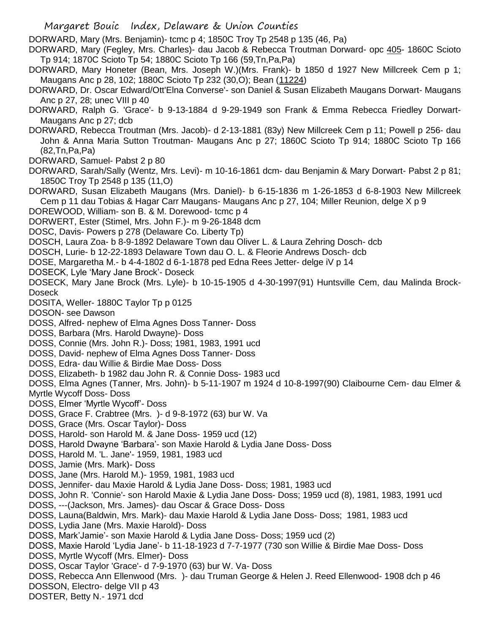Margaret Bouic Index, Delaware & Union Counties DORWARD, Mary (Mrs. Benjamin)- tcmc p 4; 1850C Troy Tp 2548 p 135 (46, Pa) DORWARD, Mary (Fegley, Mrs. Charles)- dau Jacob & Rebecca Troutman Dorward- opc 405- 1860C Scioto Tp 914; 1870C Scioto Tp 54; 1880C Scioto Tp 166 (59,Tn,Pa,Pa) DORWARD, Mary Honeter (Bean, Mrs. Joseph W.)(Mrs. Frank)- b 1850 d 1927 New Millcreek Cem p 1; Maugans Anc p 28, 102; 1880C Scioto Tp 232 (30,O); Bean (11224) DORWARD, Dr. Oscar Edward/Ott'Elna Converse'- son Daniel & Susan Elizabeth Maugans Dorwart- Maugans Anc p 27, 28; unec VIII p 40 DORWARD, Ralph G. 'Grace'- b 9-13-1884 d 9-29-1949 son Frank & Emma Rebecca Friedley Dorwart-Maugans Anc p 27; dcb DORWARD, Rebecca Troutman (Mrs. Jacob)- d 2-13-1881 (83y) New Millcreek Cem p 11; Powell p 256- dau John & Anna Maria Sutton Troutman- Maugans Anc p 27; 1860C Scioto Tp 914; 1880C Scioto Tp 166 (82,Tn,Pa,Pa) DORWARD, Samuel- Pabst 2 p 80 DORWARD, Sarah/Sally (Wentz, Mrs. Levi)- m 10-16-1861 dcm- dau Benjamin & Mary Dorwart- Pabst 2 p 81; 1850C Troy Tp 2548 p 135 (11,O) DORWARD, Susan Elizabeth Maugans (Mrs. Daniel)- b 6-15-1836 m 1-26-1853 d 6-8-1903 New Millcreek Cem p 11 dau Tobias & Hagar Carr Maugans- Maugans Anc p 27, 104; Miller Reunion, delge X p 9 DOREWOOD, William- son B. & M. Dorewood- tcmc p 4 DORWERT, Ester (Stimel, Mrs. John F.)- m 9-26-1848 dcm DOSC, Davis- Powers p 278 (Delaware Co. Liberty Tp) DOSCH, Laura Zoa- b 8-9-1892 Delaware Town dau Oliver L. & Laura Zehring Dosch- dcb DOSCH, Lurie- b 12-22-1893 Delaware Town dau O. L. & Fleorie Andrews Dosch- dcb DOSE, Margaretha M.- b 4-4-1802 d 6-1-1878 ped Edna Rees Jetter- delge iV p 14 DOSECK, Lyle 'Mary Jane Brock'- Doseck DOSECK, Mary Jane Brock (Mrs. Lyle)- b 10-15-1905 d 4-30-1997(91) Huntsville Cem, dau Malinda Brock-**Doseck** DOSITA, Weller- 1880C Taylor Tp p 0125 DOSON- see Dawson DOSS, Alfred- nephew of Elma Agnes Doss Tanner- Doss DOSS, Barbara (Mrs. Harold Dwayne)- Doss DOSS, Connie (Mrs. John R.)- Doss; 1981, 1983, 1991 ucd DOSS, David- nephew of Elma Agnes Doss Tanner- Doss DOSS, Edra- dau Willie & Birdie Mae Doss- Doss DOSS, Elizabeth- b 1982 dau John R. & Connie Doss- 1983 ucd DOSS, Elma Agnes (Tanner, Mrs. John)- b 5-11-1907 m 1924 d 10-8-1997(90) Claibourne Cem- dau Elmer & Myrtle Wycoff Doss- Doss DOSS, Elmer 'Myrtle Wycoff'- Doss DOSS, Grace F. Crabtree (Mrs. )- d 9-8-1972 (63) bur W. Va DOSS, Grace (Mrs. Oscar Taylor)- Doss DOSS, Harold- son Harold M. & Jane Doss- 1959 ucd (12) DOSS, Harold Dwayne 'Barbara'- son Maxie Harold & Lydia Jane Doss- Doss DOSS, Harold M. 'L. Jane'- 1959, 1981, 1983 ucd DOSS, Jamie (Mrs. Mark)- Doss DOSS, Jane (Mrs. Harold M.)- 1959, 1981, 1983 ucd DOSS, Jennifer- dau Maxie Harold & Lydia Jane Doss- Doss; 1981, 1983 ucd DOSS, John R. 'Connie'- son Harold Maxie & Lydia Jane Doss- Doss; 1959 ucd (8), 1981, 1983, 1991 ucd DOSS, ---(Jackson, Mrs. James)- dau Oscar & Grace Doss- Doss DOSS, Launa(Baldwin, Mrs. Mark)- dau Maxie Harold & Lydia Jane Doss- Doss; 1981, 1983 ucd DOSS, Lydia Jane (Mrs. Maxie Harold)- Doss DOSS, Mark'Jamie'- son Maxie Harold & Lydia Jane Doss- Doss; 1959 ucd (2) DOSS, Maxie Harold 'Lydia Jane'- b 11-18-1923 d 7-7-1977 (730 son Willie & Birdie Mae Doss- Doss DOSS, Myrtle Wycoff (Mrs. Elmer)- Doss DOSS, Oscar Taylor 'Grace'- d 7-9-1970 (63) bur W. Va- Doss DOSS, Rebecca Ann Ellenwood (Mrs. )- dau Truman George & Helen J. Reed Ellenwood- 1908 dch p 46 DOSSON, Electro- delge VII p 43

DOSTER, Betty N.- 1971 dcd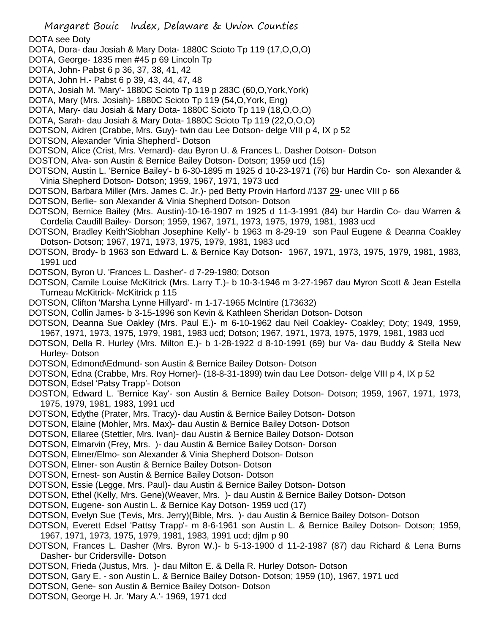DOTA see Doty

- DOTA, Dora- dau Josiah & Mary Dota- 1880C Scioto Tp 119 (17,O,O,O)
- DOTA, George- 1835 men #45 p 69 Lincoln Tp
- DOTA, John- Pabst 6 p 36, 37, 38, 41, 42
- DOTA, John H.- Pabst 6 p 39, 43, 44, 47, 48
- DOTA, Josiah M. 'Mary'- 1880C Scioto Tp 119 p 283C (60,O,York,York)
- DOTA, Mary (Mrs. Josiah)- 1880C Scioto Tp 119 (54,O,York, Eng)
- DOTA, Mary- dau Josiah & Mary Dota- 1880C Scioto Tp 119 (18,O,O,O)
- DOTA, Sarah- dau Josiah & Mary Dota- 1880C Scioto Tp 119 (22,O,O,O)
- DOTSON, Aidren (Crabbe, Mrs. Guy)- twin dau Lee Dotson- delge VIII p 4, IX p 52
- DOTSON, Alexander 'Vinia Shepherd'- Dotson
- DOTSON, Alice (Crist, Mrs. Vernard)- dau Byron U. & Frances L. Dasher Dotson- Dotson
- DOSTON, Alva- son Austin & Bernice Bailey Dotson- Dotson; 1959 ucd (15)
- DOTSON, Austin L. 'Bernice Bailey'- b 6-30-1895 m 1925 d 10-23-1971 (76) bur Hardin Co- son Alexander & Vinia Shepherd Dotson- Dotson; 1959, 1967, 1971, 1973 ucd
- DOTSON, Barbara Miller (Mrs. James C. Jr.)- ped Betty Provin Harford #137 29- unec VIII p 66
- DOTSON, Berlie- son Alexander & Vinia Shepherd Dotson- Dotson
- DOTSON, Bernice Bailey (Mrs. Austin)-10-16-1907 m 1925 d 11-3-1991 (84) bur Hardin Co- dau Warren & Cordelia Caudill Bailey- Dorson; 1959, 1967, 1971, 1973, 1975, 1979, 1981, 1983 ucd
- DOTSON, Bradley Keith'Siobhan Josephine Kelly'- b 1963 m 8-29-19 son Paul Eugene & Deanna Coakley Dotson- Dotson; 1967, 1971, 1973, 1975, 1979, 1981, 1983 ucd
- DOTSON, Brody- b 1963 son Edward L. & Bernice Kay Dotson- 1967, 1971, 1973, 1975, 1979, 1981, 1983, 1991 ucd
- DOTSON, Byron U. 'Frances L. Dasher'- d 7-29-1980; Dotson
- DOTSON, Camile Louise McKitrick (Mrs. Larry T.)- b 10-3-1946 m 3-27-1967 dau Myron Scott & Jean Estella Turneau McKitrick- McKitrick p 115
- DOTSON, Clifton 'Marsha Lynne Hillyard'- m 1-17-1965 McIntire (173632)
- DOTSON, Collin James- b 3-15-1996 son Kevin & Kathleen Sheridan Dotson- Dotson
- DOTSON, Deanna Sue Oakley (Mrs. Paul E.)- m 6-10-1962 dau Neil Coakley- Coakley; Doty; 1949, 1959, 1967, 1971, 1973, 1975, 1979, 1981, 1983 ucd; Dotson; 1967, 1971, 1973, 1975, 1979, 1981, 1983 ucd
- DOTSON, Della R. Hurley (Mrs. Milton E.)- b 1-28-1922 d 8-10-1991 (69) bur Va- dau Buddy & Stella New Hurley- Dotson
- DOTSON, Edmond\Edmund- son Austin & Bernice Bailey Dotson- Dotson
- DOTSON, Edna (Crabbe, Mrs. Roy Homer)- (18-8-31-1899) twin dau Lee Dotson- delge VIII p 4, IX p 52
- DOTSON, Edsel 'Patsy Trapp'- Dotson
- DOSTON, Edward L. 'Bernice Kay'- son Austin & Bernice Bailey Dotson- Dotson; 1959, 1967, 1971, 1973, 1975, 1979, 1981, 1983, 1991 ucd
- DOTSON, Edythe (Prater, Mrs. Tracy)- dau Austin & Bernice Bailey Dotson- Dotson
- DOTSON, Elaine (Mohler, Mrs. Max)- dau Austin & Bernice Bailey Dotson- Dotson
- DOTSON, Ellaree (Stettler, Mrs. Ivan)- dau Austin & Bernice Bailey Dotson- Dotson
- DOTSON, Elmarvin (Frey, Mrs. )- dau Austin & Bernice Bailey Dotson- Dorson
- DOTSON, Elmer/Elmo- son Alexander & Vinia Shepherd Dotson- Dotson
- DOTSON, Elmer- son Austin & Bernice Bailey Dotson- Dotson
- DOTSON, Ernest- son Austin & Bernice Bailey Dotson- Dotson
- DOTSON, Essie (Legge, Mrs. Paul)- dau Austin & Bernice Bailey Dotson- Dotson
- DOTSON, Ethel (Kelly, Mrs. Gene)(Weaver, Mrs. )- dau Austin & Bernice Bailey Dotson- Dotson
- DOTSON, Eugene- son Austin L. & Bernice Kay Dotson- 1959 ucd (17)
- DOTSON, Evelyn Sue (Tevis, Mrs. Jerry)(Bible, Mrs. )- dau Austin & Bernice Bailey Dotson- Dotson
- DOTSON, Everett Edsel 'Pattsy Trapp'- m 8-6-1961 son Austin L. & Bernice Bailey Dotson- Dotson; 1959, 1967, 1971, 1973, 1975, 1979, 1981, 1983, 1991 ucd; djlm p 90
- DOTSON, Frances L. Dasher (Mrs. Byron W.)- b 5-13-1900 d 11-2-1987 (87) dau Richard & Lena Burns Dasher- bur Cridersville- Dotson
- DOTSON, Frieda (Justus, Mrs. )- dau Milton E. & Della R. Hurley Dotson- Dotson
- DOTSON, Gary E. son Austin L. & Bernice Bailey Dotson- Dotson; 1959 (10), 1967, 1971 ucd
- DOTSON, Gene- son Austin & Bernice Bailey Dotson- Dotson
- DOTSON, George H. Jr. 'Mary A.'- 1969, 1971 dcd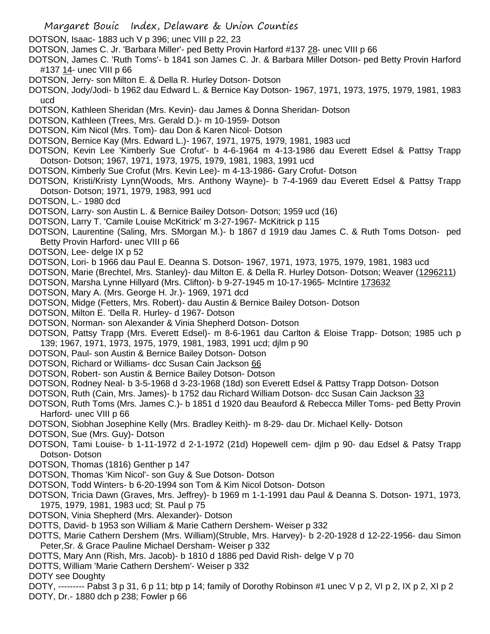- DOTSON, Isaac- 1883 uch V p 396; unec VIII p 22, 23
- DOTSON, James C. Jr. 'Barbara Miller'- ped Betty Provin Harford #137 28- unec VIII p 66
- DOTSON, James C. 'Ruth Toms'- b 1841 son James C. Jr. & Barbara Miller Dotson- ped Betty Provin Harford #137 14- unec VIII p 66
- DOTSON, Jerry- son Milton E. & Della R. Hurley Dotson- Dotson
- DOTSON, Jody/Jodi- b 1962 dau Edward L. & Bernice Kay Dotson- 1967, 1971, 1973, 1975, 1979, 1981, 1983 ucd
- DOTSON, Kathleen Sheridan (Mrs. Kevin)- dau James & Donna Sheridan- Dotson
- DOTSON, Kathleen (Trees, Mrs. Gerald D.)- m 10-1959- Dotson
- DOTSON, Kim Nicol (Mrs. Tom)- dau Don & Karen Nicol- Dotson
- DOTSON, Bernice Kay (Mrs. Edward L.)- 1967, 1971, 1975, 1979, 1981, 1983 ucd
- DOTSON, Kevin Lee 'Kimberly Sue Crofut'- b 4-6-1964 m 4-13-1986 dau Everett Edsel & Pattsy Trapp Dotson- Dotson; 1967, 1971, 1973, 1975, 1979, 1981, 1983, 1991 ucd
- DOTSON, Kimberly Sue Crofut (Mrs. Kevin Lee)- m 4-13-1986- Gary Crofut- Dotson
- DOTSON, Kristi/Kristy Lynn(Woods, Mrs. Anthony Wayne)- b 7-4-1969 dau Everett Edsel & Pattsy Trapp Dotson- Dotson; 1971, 1979, 1983, 991 ucd
- DOTSON, L.- 1980 dcd
- DOTSON, Larry- son Austin L. & Bernice Bailey Dotson- Dotson; 1959 ucd (16)
- DOTSON, Larry T. 'Camile Louise McKitrick' m 3-27-1967- McKitrick p 115
- DOTSON, Laurentine (Saling, Mrs. SMorgan M.)- b 1867 d 1919 dau James C. & Ruth Toms Dotson- ped Betty Provin Harford- unec VIII p 66
- DOTSON, Lee- delge IX p 52
- DOTSON, Lori- b 1966 dau Paul E. Deanna S. Dotson- 1967, 1971, 1973, 1975, 1979, 1981, 1983 ucd
- DOTSON, Marie (Brechtel, Mrs. Stanley)- dau Milton E. & Della R. Hurley Dotson- Dotson; Weaver (1296211)
- DOTSON, Marsha Lynne Hillyard (Mrs. Clifton)- b 9-27-1945 m 10-17-1965- McIntire 173632
- DOTSON, Mary A. (Mrs. George H. Jr.)- 1969, 1971 dcd
- DOTSON, Midge (Fetters, Mrs. Robert)- dau Austin & Bernice Bailey Dotson- Dotson
- DOTSON, Milton E. 'Della R. Hurley- d 1967- Dotson
- DOTSON, Norman- son Alexander & Vinia Shepherd Dotson- Dotson
- DOTSON, Pattsy Trapp (Mrs. Everett Edsel)- m 8-6-1961 dau Carlton & Eloise Trapp- Dotson; 1985 uch p 139; 1967, 1971, 1973, 1975, 1979, 1981, 1983, 1991 ucd; djlm p 90
- DOTSON, Paul- son Austin & Bernice Bailey Dotson- Dotson
- DOTSON, Richard or Williams- dcc Susan Cain Jackson 66
- DOTSON, Robert- son Austin & Bernice Bailey Dotson- Dotson
- DOTSON, Rodney Neal- b 3-5-1968 d 3-23-1968 (18d) son Everett Edsel & Pattsy Trapp Dotson- Dotson
- DOTSON, Ruth (Cain, Mrs. James)- b 1752 dau Richard William Dotson- dcc Susan Cain Jackson 33
- DOTSON, Ruth Toms (Mrs. James C.)- b 1851 d 1920 dau Beauford & Rebecca Miller Toms- ped Betty Provin Harford- unec VIII p 66
- DOTSON, Siobhan Josephine Kelly (Mrs. Bradley Keith)- m 8-29- dau Dr. Michael Kelly- Dotson
- DOTSON, Sue (Mrs. Guy)- Dotson
- DOTSON, Tami Louise- b 1-11-1972 d 2-1-1972 (21d) Hopewell cem- djlm p 90- dau Edsel & Patsy Trapp Dotson- Dotson
- DOTSON, Thomas (1816) Genther p 147
- DOTSON, Thomas 'Kim Nicol'- son Guy & Sue Dotson- Dotson
- DOTSON, Todd Winters- b 6-20-1994 son Tom & Kim Nicol Dotson- Dotson
- DOTSON, Tricia Dawn (Graves, Mrs. Jeffrey)- b 1969 m 1-1-1991 dau Paul & Deanna S. Dotson- 1971, 1973, 1975, 1979, 1981, 1983 ucd; St. Paul p 75
- DOTSON, Vinia Shepherd (Mrs. Alexander)- Dotson
- DOTTS, David- b 1953 son William & Marie Cathern Dershem- Weiser p 332
- DOTTS, Marie Cathern Dershem (Mrs. William)(Struble, Mrs. Harvey)- b 2-20-1928 d 12-22-1956- dau Simon Peter,Sr. & Grace Pauline Michael Dersham- Weiser p 332
- DOTTS, Mary Ann (Rish, Mrs. Jacob)- b 1810 d 1886 ped David Rish- delge V p 70
- DOTTS, William 'Marie Cathern Dershem'- Weiser p 332
- DOTY see Doughty
- DOTY, --------- Pabst 3 p 31, 6 p 11; btp p 14; family of Dorothy Robinson #1 unec V p 2, VI p 2, IX p 2, XI p 2 DOTY, Dr.- 1880 dch p 238; Fowler p 66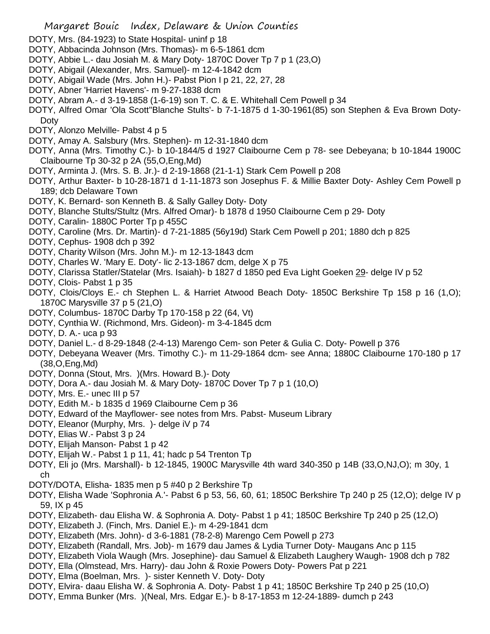- DOTY, Mrs. (84-1923) to State Hospital- uninf p 18
- DOTY, Abbacinda Johnson (Mrs. Thomas)- m 6-5-1861 dcm
- DOTY, Abbie L.- dau Josiah M. & Mary Doty- 1870C Dover Tp 7 p 1 (23,O)
- DOTY, Abigail (Alexander, Mrs. Samuel)- m 12-4-1842 dcm
- DOTY, Abigail Wade (Mrs. John H.)- Pabst Pion I p 21, 22, 27, 28
- DOTY, Abner 'Harriet Havens'- m 9-27-1838 dcm
- DOTY, Abram A.- d 3-19-1858 (1-6-19) son T. C. & E. Whitehall Cem Powell p 34
- DOTY, Alfred Omar 'Ola Scott''Blanche Stults'- b 7-1-1875 d 1-30-1961(85) son Stephen & Eva Brown Doty-Doty
- DOTY, Alonzo Melville- Pabst 4 p 5
- DOTY, Amay A. Salsbury (Mrs. Stephen)- m 12-31-1840 dcm
- DOTY, Anna (Mrs. Timothy C.)- b 10-1844/5 d 1927 Claibourne Cem p 78- see Debeyana; b 10-1844 1900C Claibourne Tp 30-32 p 2A (55,O,Eng,Md)
- DOTY, Arminta J. (Mrs. S. B. Jr.)- d 2-19-1868 (21-1-1) Stark Cem Powell p 208
- DOTY, Arthur Baxter- b 10-28-1871 d 1-11-1873 son Josephus F. & Millie Baxter Doty- Ashley Cem Powell p 189; dcb Delaware Town
- DOTY, K. Bernard- son Kenneth B. & Sally Galley Doty- Doty
- DOTY, Blanche Stults/Stultz (Mrs. Alfred Omar)- b 1878 d 1950 Claibourne Cem p 29- Doty
- DOTY, Caralin- 1880C Porter Tp p 455C
- DOTY, Caroline (Mrs. Dr. Martin)- d 7-21-1885 (56y19d) Stark Cem Powell p 201; 1880 dch p 825
- DOTY, Cephus- 1908 dch p 392
- DOTY, Charity Wilson (Mrs. John M.)- m 12-13-1843 dcm
- DOTY, Charles W. 'Mary E. Doty'- lic 2-13-1867 dcm, delge X p 75
- DOTY, Clarissa Statler/Statelar (Mrs. Isaiah)- b 1827 d 1850 ped Eva Light Goeken 29- delge IV p 52
- DOTY, Clois- Pabst 1 p 35
- DOTY, Clois/Cloys E.- ch Stephen L. & Harriet Atwood Beach Doty- 1850C Berkshire Tp 158 p 16 (1,O); 1870C Marysville 37 p 5 (21,O)
- DOTY, Columbus- 1870C Darby Tp 170-158 p 22 (64, Vt)
- DOTY, Cynthia W. (Richmond, Mrs. Gideon)- m 3-4-1845 dcm
- DOTY, D. A.- uca p 93
- DOTY, Daniel L.- d 8-29-1848 (2-4-13) Marengo Cem- son Peter & Gulia C. Doty- Powell p 376
- DOTY, Debeyana Weaver (Mrs. Timothy C.)- m 11-29-1864 dcm- see Anna; 1880C Claibourne 170-180 p 17 (38,O,Eng,Md)
- DOTY, Donna (Stout, Mrs. )(Mrs. Howard B.)- Doty
- DOTY, Dora A.- dau Josiah M. & Mary Doty- 1870C Dover Tp 7 p 1 (10,O)
- DOTY, Mrs. E.- unec III p 57
- DOTY, Edith M.- b 1835 d 1969 Claibourne Cem p 36
- DOTY, Edward of the Mayflower- see notes from Mrs. Pabst- Museum Library
- DOTY, Eleanor (Murphy, Mrs. )- delge iV p 74
- DOTY, Elias W.- Pabst 3 p 24
- DOTY, Elijah Manson- Pabst 1 p 42
- DOTY, Elijah W.- Pabst 1 p 11, 41; hadc p 54 Trenton Tp
- DOTY, Eli jo (Mrs. Marshall)- b 12-1845, 1900C Marysville 4th ward 340-350 p 14B (33,O,NJ,O); m 30y, 1 ch
- DOTY/DOTA, Elisha- 1835 men p 5 #40 p 2 Berkshire Tp
- DOTY, Elisha Wade 'Sophronia A.'- Pabst 6 p 53, 56, 60, 61; 1850C Berkshire Tp 240 p 25 (12,O); delge IV p 59, IX p 45
- DOTY, Elizabeth- dau Elisha W. & Sophronia A. Doty- Pabst 1 p 41; 1850C Berkshire Tp 240 p 25 (12,O)
- DOTY, Elizabeth J. (Finch, Mrs. Daniel E.)- m 4-29-1841 dcm
- DOTY, Elizabeth (Mrs. John)- d 3-6-1881 (78-2-8) Marengo Cem Powell p 273
- DOTY, Elizabeth (Randall, Mrs. Job)- m 1679 dau James & Lydia Turner Doty- Maugans Anc p 115
- DOTY, Elizabeth Viola Waugh (Mrs. Josephine)- dau Samuel & Elizabeth Laughery Waugh- 1908 dch p 782
- DOTY, Ella (Olmstead, Mrs. Harry)- dau John & Roxie Powers Doty- Powers Pat p 221
- DOTY, Elma (Boelman, Mrs. )- sister Kenneth V. Doty- Doty
- DOTY, Elvira- daau Elisha W. & Sophronia A. Doty- Pabst 1 p 41; 1850C Berkshire Tp 240 p 25 (10,O)
- DOTY, Emma Bunker (Mrs. )(Neal, Mrs. Edgar E.)- b 8-17-1853 m 12-24-1889- dumch p 243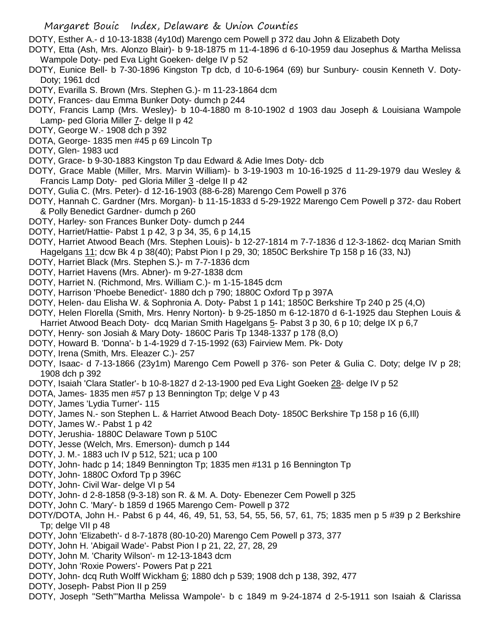- Margaret Bouic Index, Delaware & Union Counties
- DOTY, Esther A.- d 10-13-1838 (4y10d) Marengo cem Powell p 372 dau John & Elizabeth Doty
- DOTY, Etta (Ash, Mrs. Alonzo Blair)- b 9-18-1875 m 11-4-1896 d 6-10-1959 dau Josephus & Martha Melissa Wampole Doty- ped Eva Light Goeken- delge IV p 52
- DOTY, Eunice Bell- b 7-30-1896 Kingston Tp dcb, d 10-6-1964 (69) bur Sunbury- cousin Kenneth V. Doty-Doty; 1961 dcd
- DOTY, Evarilla S. Brown (Mrs. Stephen G.)- m 11-23-1864 dcm
- DOTY, Frances- dau Emma Bunker Doty- dumch p 244
- DOTY, Francis Lamp (Mrs. Wesley)- b 10-4-1880 m 8-10-1902 d 1903 dau Joseph & Louisiana Wampole Lamp- ped Gloria Miller 7- delge II p 42
- DOTY, George W.- 1908 dch p 392
- DOTA, George- 1835 men #45 p 69 Lincoln Tp
- DOTY, Glen- 1983 ucd
- DOTY, Grace- b 9-30-1883 Kingston Tp dau Edward & Adie Imes Doty- dcb
- DOTY, Grace Mable (Miller, Mrs. Marvin William)- b 3-19-1903 m 10-16-1925 d 11-29-1979 dau Wesley & Francis Lamp Doty- ped Gloria Miller 3 -delge II p 42
- DOTY, Gulia C. (Mrs. Peter)- d 12-16-1903 (88-6-28) Marengo Cem Powell p 376
- DOTY, Hannah C. Gardner (Mrs. Morgan)- b 11-15-1833 d 5-29-1922 Marengo Cem Powell p 372- dau Robert & Polly Benedict Gardner- dumch p 260
- DOTY, Harley- son Frances Bunker Doty- dumch p 244
- DOTY, Harriet/Hattie- Pabst 1 p 42, 3 p 34, 35, 6 p 14,15
- DOTY, Harriet Atwood Beach (Mrs. Stephen Louis)- b 12-27-1814 m 7-7-1836 d 12-3-1862- dcq Marian Smith Hagelgans 11; dcw Bk 4 p 38(40); Pabst Pion I p 29, 30; 1850C Berkshire Tp 158 p 16 (33, NJ)
- DOTY, Harriet Black (Mrs. Stephen S.)- m 7-7-1836 dcm
- DOTY, Harriet Havens (Mrs. Abner)- m 9-27-1838 dcm
- DOTY, Harriet N. (Richmond, Mrs. William C.)- m 1-15-1845 dcm
- DOTY, Harrison 'Phoebe Benedict'- 1880 dch p 790; 1880C Oxford Tp p 397A
- DOTY, Helen- dau Elisha W. & Sophronia A. Doty- Pabst 1 p 141; 1850C Berkshire Tp 240 p 25 (4,O)
- DOTY, Helen Florella (Smith, Mrs. Henry Norton)- b 9-25-1850 m 6-12-1870 d 6-1-1925 dau Stephen Louis &
- Harriet Atwood Beach Doty- dcq Marian Smith Hagelgans 5- Pabst 3 p 30, 6 p 10; delge IX p 6,7
- DOTY, Henry- son Josiah & Mary Doty- 1860C Paris Tp 1348-1337 p 178 (8,O)
- DOTY, Howard B. 'Donna'- b 1-4-1929 d 7-15-1992 (63) Fairview Mem. Pk- Doty
- DOTY, Irena (Smith, Mrs. Eleazer C.)- 257
- DOTY, Isaac- d 7-13-1866 (23y1m) Marengo Cem Powell p 376- son Peter & Gulia C. Doty; delge IV p 28; 1908 dch p 392
- DOTY, Isaiah 'Clara Statler'- b 10-8-1827 d 2-13-1900 ped Eva Light Goeken 28- delge IV p 52
- DOTA, James- 1835 men #57 p 13 Bennington Tp; delge V p 43
- DOTY, James 'Lydia Turner'- 115
- DOTY, James N.- son Stephen L. & Harriet Atwood Beach Doty- 1850C Berkshire Tp 158 p 16 (6,Ill)
- DOTY, James W.- Pabst 1 p 42
- DOTY, Jerushia- 1880C Delaware Town p 510C
- DOTY, Jesse (Welch, Mrs. Emerson)- dumch p 144
- DOTY, J. M.- 1883 uch IV p 512, 521; uca p 100
- DOTY, John- hadc p 14; 1849 Bennington Tp; 1835 men #131 p 16 Bennington Tp
- DOTY, John- 1880C Oxford Tp p 396C
- DOTY, John- Civil War- delge VI p 54
- DOTY, John- d 2-8-1858 (9-3-18) son R. & M. A. Doty- Ebenezer Cem Powell p 325
- DOTY, John C. 'Mary'- b 1859 d 1965 Marengo Cem- Powell p 372
- DOTY/DOTA, John H.- Pabst 6 p 44, 46, 49, 51, 53, 54, 55, 56, 57, 61, 75; 1835 men p 5 #39 p 2 Berkshire Tp; delge VII p 48
- DOTY, John 'Elizabeth'- d 8-7-1878 (80-10-20) Marengo Cem Powell p 373, 377
- DOTY, John H. 'Abigail Wade'- Pabst Pion I p 21, 22, 27, 28, 29
- DOTY, John M. 'Charity Wilson'- m 12-13-1843 dcm
- DOTY, John 'Roxie Powers'- Powers Pat p 221
- DOTY, John- dcq Ruth Wolff Wickham  $\underline{6}$ ; 1880 dch p 539; 1908 dch p 138, 392, 477
- DOTY, Joseph- Pabst Pion II p 259
- DOTY, Joseph "Seth"'Martha Melissa Wampole'- b c 1849 m 9-24-1874 d 2-5-1911 son Isaiah & Clarissa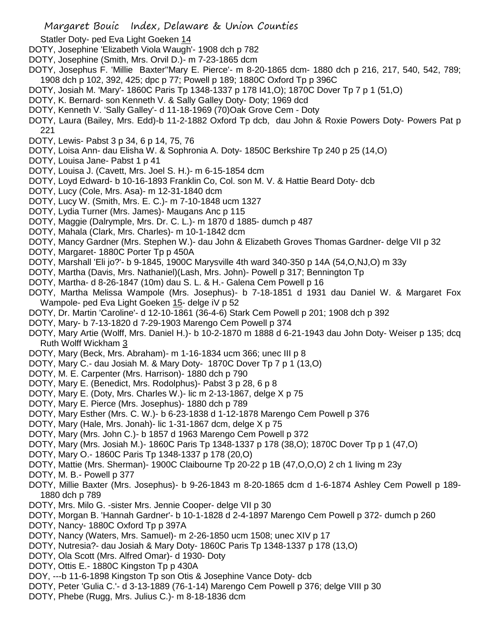Statler Doty- ped Eva Light Goeken 14

- DOTY, Josephine 'Elizabeth Viola Waugh'- 1908 dch p 782
- DOTY, Josephine (Smith, Mrs. Orvil D.)- m 7-23-1865 dcm
- DOTY, Josephus F. 'Millie Baxter''Mary E. Pierce'- m 8-20-1865 dcm- 1880 dch p 216, 217, 540, 542, 789; 1908 dch p 102, 392, 425; dpc p 77; Powell p 189; 1880C Oxford Tp p 396C
- DOTY, Josiah M. 'Mary'- 1860C Paris Tp 1348-1337 p 178 I41,O); 1870C Dover Tp 7 p 1 (51,O)
- DOTY, K. Bernard- son Kenneth V. & Sally Galley Doty- Doty; 1969 dcd
- DOTY, Kenneth V. 'Sally Galley'- d 11-18-1969 (70)Oak Grove Cem Doty
- DOTY, Laura (Bailey, Mrs. Edd)-b 11-2-1882 Oxford Tp dcb, dau John & Roxie Powers Doty- Powers Pat p 221
- DOTY, Lewis- Pabst 3 p 34, 6 p 14, 75, 76
- DOTY, Loisa Ann- dau Elisha W. & Sophronia A. Doty- 1850C Berkshire Tp 240 p 25 (14,O)
- DOTY, Louisa Jane- Pabst 1 p 41
- DOTY, Louisa J. (Cavett, Mrs. Joel S. H.)- m 6-15-1854 dcm
- DOTY, Loyd Edward- b 10-16-1893 Franklin Co, Col. son M. V. & Hattie Beard Doty- dcb
- DOTY, Lucy (Cole, Mrs. Asa)- m 12-31-1840 dcm
- DOTY, Lucy W. (Smith, Mrs. E. C.)- m 7-10-1848 ucm 1327
- DOTY, Lydia Turner (Mrs. James)- Maugans Anc p 115
- DOTY, Maggie (Dalrymple, Mrs. Dr. C. L.)- m 1870 d 1885- dumch p 487
- DOTY, Mahala (Clark, Mrs. Charles)- m 10-1-1842 dcm
- DOTY, Mancy Gardner (Mrs. Stephen W.)- dau John & Elizabeth Groves Thomas Gardner- delge VII p 32
- DOTY, Margaret- 1880C Porter Tp p 450A
- DOTY, Marshall 'Eli jo?'- b 9-1845, 1900C Marysville 4th ward 340-350 p 14A (54,O,NJ,O) m 33y
- DOTY, Martha (Davis, Mrs. Nathaniel)(Lash, Mrs. John)- Powell p 317; Bennington Tp
- DOTY, Martha- d 8-26-1847 (10m) dau S. L. & H.- Galena Cem Powell p 16
- DOTY, Martha Melissa Wampole (Mrs. Josephus)- b 7-18-1851 d 1931 dau Daniel W. & Margaret Fox Wampole- ped Eva Light Goeken 15- delge iV p 52
- DOTY, Dr. Martin 'Caroline'- d 12-10-1861 (36-4-6) Stark Cem Powell p 201; 1908 dch p 392
- DOTY, Mary- b 7-13-1820 d 7-29-1903 Marengo Cem Powell p 374
- DOTY, Mary Artie (Wolff, Mrs. Daniel H.)- b 10-2-1870 m 1888 d 6-21-1943 dau John Doty- Weiser p 135; dcq Ruth Wolff Wickham 3
- DOTY, Mary (Beck, Mrs. Abraham)- m 1-16-1834 ucm 366; unec III p 8
- DOTY, Mary C.- dau Josiah M. & Mary Doty- 1870C Dover Tp 7 p 1 (13,O)
- DOTY, M. E. Carpenter (Mrs. Harrison)- 1880 dch p 790
- DOTY, Mary E. (Benedict, Mrs. Rodolphus)- Pabst 3 p 28, 6 p 8
- DOTY, Mary E. (Doty, Mrs. Charles W.)- lic m 2-13-1867, delge X p 75
- DOTY, Mary E. Pierce (Mrs. Josephus)- 1880 dch p 789
- DOTY, Mary Esther (Mrs. C. W.)- b 6-23-1838 d 1-12-1878 Marengo Cem Powell p 376
- DOTY, Mary (Hale, Mrs. Jonah)- lic 1-31-1867 dcm, delge X p 75
- DOTY, Mary (Mrs. John C.)- b 1857 d 1963 Marengo Cem Powell p 372
- DOTY, Mary (Mrs. Josiah M.)- 1860C Paris Tp 1348-1337 p 178 (38,O); 1870C Dover Tp p 1 (47,O)
- DOTY, Mary O.- 1860C Paris Tp 1348-1337 p 178 (20,O)
- DOTY, Mattie (Mrs. Sherman)- 1900C Claibourne Tp 20-22 p 1B (47,O,O,O) 2 ch 1 living m 23y
- DOTY, M. B.- Powell p 377
- DOTY, Millie Baxter (Mrs. Josephus)- b 9-26-1843 m 8-20-1865 dcm d 1-6-1874 Ashley Cem Powell p 189- 1880 dch p 789
- DOTY, Mrs. Milo G. -sister Mrs. Jennie Cooper- delge VII p 30
- DOTY, Morgan B. 'Hannah Gardner'- b 10-1-1828 d 2-4-1897 Marengo Cem Powell p 372- dumch p 260
- DOTY, Nancy- 1880C Oxford Tp p 397A
- DOTY, Nancy (Waters, Mrs. Samuel)- m 2-26-1850 ucm 1508; unec XIV p 17
- DOTY, Nutresia?- dau Josiah & Mary Doty- 1860C Paris Tp 1348-1337 p 178 (13,O)
- DOTY, Ola Scott (Mrs. Alfred Omar)- d 1930- Doty
- DOTY, Ottis E.- 1880C Kingston Tp p 430A
- DOY, ---b 11-6-1898 Kingston Tp son Otis & Josephine Vance Doty- dcb
- DOTY, Peter 'Gulia C.'- d 3-13-1889 (76-1-14) Marengo Cem Powell p 376; delge VIII p 30
- DOTY, Phebe (Rugg, Mrs. Julius C.)- m 8-18-1836 dcm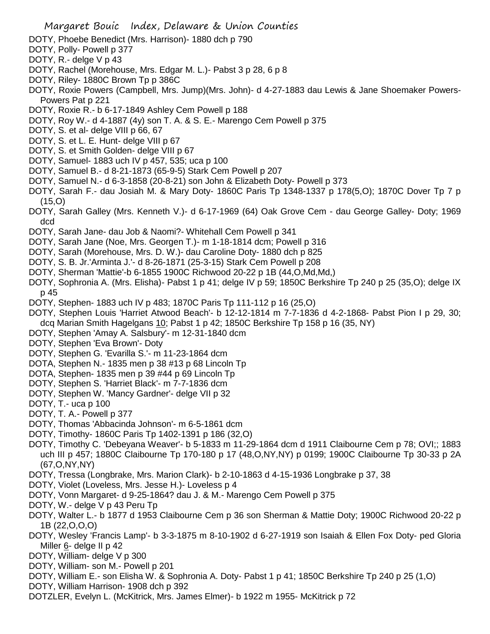- DOTY, Phoebe Benedict (Mrs. Harrison)- 1880 dch p 790
- DOTY, Polly- Powell p 377
- DOTY, R.- delge V p 43
- DOTY, Rachel (Morehouse, Mrs. Edgar M. L.)- Pabst 3 p 28, 6 p 8
- DOTY, Riley- 1880C Brown Tp p 386C
- DOTY, Roxie Powers (Campbell, Mrs. Jump)(Mrs. John)- d 4-27-1883 dau Lewis & Jane Shoemaker Powers-Powers Pat p 221
- DOTY, Roxie R.- b 6-17-1849 Ashley Cem Powell p 188
- DOTY, Roy W.- d 4-1887 (4y) son T. A. & S. E.- Marengo Cem Powell p 375
- DOTY, S. et al- delge VIII p 66, 67
- DOTY, S. et L. E. Hunt- delge VIII p 67
- DOTY, S. et Smith Golden- delge VIII p 67
- DOTY, Samuel- 1883 uch IV p 457, 535; uca p 100
- DOTY, Samuel B.- d 8-21-1873 (65-9-5) Stark Cem Powell p 207
- DOTY, Samuel N.- d 6-3-1858 (20-8-21) son John & Elizabeth Doty- Powell p 373
- DOTY, Sarah F.- dau Josiah M. & Mary Doty- 1860C Paris Tp 1348-1337 p 178(5,O); 1870C Dover Tp 7 p (15,O)
- DOTY, Sarah Galley (Mrs. Kenneth V.)- d 6-17-1969 (64) Oak Grove Cem dau George Galley- Doty; 1969 dcd
- DOTY, Sarah Jane- dau Job & Naomi?- Whitehall Cem Powell p 341
- DOTY, Sarah Jane (Noe, Mrs. Georgen T.)- m 1-18-1814 dcm; Powell p 316
- DOTY, Sarah (Morehouse, Mrs. D. W.)- dau Caroline Doty- 1880 dch p 825
- DOTY, S. B. Jr.'Arminta J.'- d 8-26-1871 (25-3-15) Stark Cem Powell p 208
- DOTY, Sherman 'Mattie'-b 6-1855 1900C Richwood 20-22 p 1B (44,O,Md,Md,)
- DOTY, Sophronia A. (Mrs. Elisha)- Pabst 1 p 41; delge IV p 59; 1850C Berkshire Tp 240 p 25 (35,O); delge IX p 45
- DOTY, Stephen- 1883 uch IV p 483; 1870C Paris Tp 111-112 p 16 (25,O)
- DOTY, Stephen Louis 'Harriet Atwood Beach'- b 12-12-1814 m 7-7-1836 d 4-2-1868- Pabst Pion I p 29, 30; dcq Marian Smith Hagelgans 10; Pabst 1 p 42; 1850C Berkshire Tp 158 p 16 (35, NY)
- DOTY, Stephen 'Amay A. Salsbury'- m 12-31-1840 dcm
- DOTY, Stephen 'Eva Brown'- Doty
- DOTY, Stephen G. 'Evarilla S.'- m 11-23-1864 dcm
- DOTA, Stephen N.- 1835 men p 38 #13 p 68 Lincoln Tp
- DOTA, Stephen- 1835 men p 39 #44 p 69 Lincoln Tp
- DOTY, Stephen S. 'Harriet Black'- m 7-7-1836 dcm
- DOTY, Stephen W. 'Mancy Gardner'- delge VII p 32
- DOTY, T.- uca p 100
- DOTY, T. A.- Powell p 377
- DOTY, Thomas 'Abbacinda Johnson'- m 6-5-1861 dcm
- DOTY, Timothy- 1860C Paris Tp 1402-1391 p 186 (32,O)
- DOTY, Timothy C. 'Debeyana Weaver'- b 5-1833 m 11-29-1864 dcm d 1911 Claibourne Cem p 78; OVI;; 1883 uch III p 457; 1880C Claibourne Tp 170-180 p 17 (48,O,NY,NY) p 0199; 1900C Claibourne Tp 30-33 p 2A (67,O,NY,NY)
- DOTY, Tressa (Longbrake, Mrs. Marion Clark)- b 2-10-1863 d 4-15-1936 Longbrake p 37, 38
- DOTY, Violet (Loveless, Mrs. Jesse H.)- Loveless p 4
- DOTY, Vonn Margaret- d 9-25-1864? dau J. & M.- Marengo Cem Powell p 375
- DOTY, W.- delge V p 43 Peru Tp
- DOTY, Walter L.- b 1877 d 1953 Claibourne Cem p 36 son Sherman & Mattie Doty; 1900C Richwood 20-22 p 1B (22,O,O,O)
- DOTY, Wesley 'Francis Lamp'- b 3-3-1875 m 8-10-1902 d 6-27-1919 son Isaiah & Ellen Fox Doty- ped Gloria Miller 6- delge II p 42
- DOTY, William- delge V p 300
- DOTY, William- son M.- Powell p 201
- DOTY, William E.- son Elisha W. & Sophronia A. Doty- Pabst 1 p 41; 1850C Berkshire Tp 240 p 25 (1,O)
- DOTY, William Harrison- 1908 dch p 392
- DOTZLER, Evelyn L. (McKitrick, Mrs. James Elmer)- b 1922 m 1955- McKitrick p 72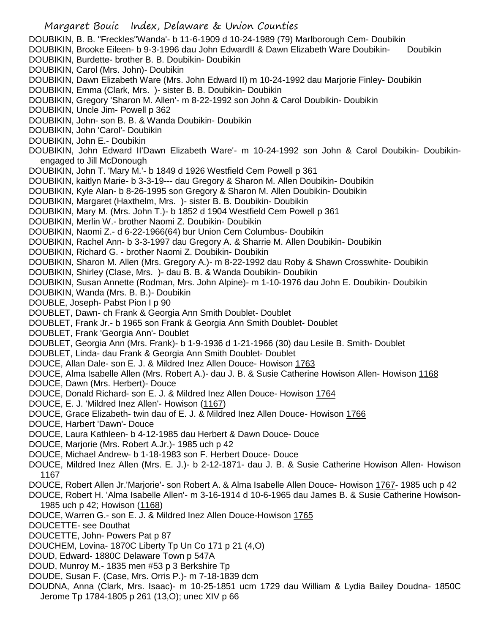- DOUBIKIN, B. B. "Freckles''Wanda'- b 11-6-1909 d 10-24-1989 (79) Marlborough Cem- Doubikin
- DOUBIKIN, Brooke Eileen- b 9-3-1996 dau John EdwardII & Dawn Elizabeth Ware Doubikin- Doubikin DOUBIKIN, Burdette- brother B. B. Doubikin- Doubikin
- DOUBIKIN, Carol (Mrs. John)- Doubikin
- DOUBIKIN, Dawn Elizabeth Ware (Mrs. John Edward II) m 10-24-1992 dau Marjorie Finley- Doubikin
- DOUBIKIN, Emma (Clark, Mrs. )- sister B. B. Doubikin- Doubikin
- DOUBIKIN, Gregory 'Sharon M. Allen'- m 8-22-1992 son John & Carol Doubikin- Doubikin
- DOUBIKIN, Uncle Jim- Powell p 362
- DOUBIKIN, John- son B. B. & Wanda Doubikin- Doubikin
- DOUBIKIN, John 'Carol'- Doubikin
- DOUBIKIN, John E.- Doubikin
- DOUBIKIN, John Edward II'Dawn Elizabeth Ware'- m 10-24-1992 son John & Carol Doubikin- Doubikinengaged to Jill McDonough
- DOUBIKIN, John T. 'Mary M.'- b 1849 d 1926 Westfield Cem Powell p 361
- DOUBIKIN, kaitlyn Marie- b 3-3-19--- dau Gregory & Sharon M. Allen Doubikin- Doubikin
- DOUBIKIN, Kyle Alan- b 8-26-1995 son Gregory & Sharon M. Allen Doubikin- Doubikin
- DOUBIKIN, Margaret (Haxthelm, Mrs. )- sister B. B. Doubikin- Doubikin
- DOUBIKIN, Mary M. (Mrs. John T.)- b 1852 d 1904 Westfield Cem Powell p 361
- DOUBIKIN, Merlin W.- brother Naomi Z. Doubikin- Doubikin
- DOUBIKIN, Naomi Z.- d 6-22-1966(64) bur Union Cem Columbus- Doubikin
- DOUBIKIN, Rachel Ann- b 3-3-1997 dau Gregory A. & Sharrie M. Allen Doubikin- Doubikin
- DOUBIKIN, Richard G. brother Naomi Z. Doubikin- Doubikin
- DOUBIKIN, Sharon M. Allen (Mrs. Gregory A.)- m 8-22-1992 dau Roby & Shawn Crosswhite- Doubikin
- DOUBIKIN, Shirley (Clase, Mrs. )- dau B. B. & Wanda Doubikin- Doubikin
- DOUBIKIN, Susan Annette (Rodman, Mrs. John Alpine)- m 1-10-1976 dau John E. Doubikin- Doubikin
- DOUBIKIN, Wanda (Mrs. B. B.)- Doubikin
- DOUBLE, Joseph- Pabst Pion I p 90
- DOUBLET, Dawn- ch Frank & Georgia Ann Smith Doublet- Doublet
- DOUBLET, Frank Jr.- b 1965 son Frank & Georgia Ann Smith Doublet- Doublet
- DOUBLET, Frank 'Georgia Ann'- Doublet
- DOUBLET, Georgia Ann (Mrs. Frank)- b 1-9-1936 d 1-21-1966 (30) dau Lesile B. Smith- Doublet
- DOUBLET, Linda- dau Frank & Georgia Ann Smith Doublet- Doublet
- DOUCE, Allan Dale- son E. J. & Mildred Inez Allen Douce- Howison 1763
- DOUCE, Alma Isabelle Allen (Mrs. Robert A.)- dau J. B. & Susie Catherine Howison Allen- Howison 1168
- DOUCE, Dawn (Mrs. Herbert)- Douce
- DOUCE, Donald Richard- son E. J. & Mildred Inez Allen Douce- Howison 1764
- DOUCE, E. J. 'Mildred Inez Allen'- Howison (1167)
- DOUCE, Grace Elizabeth- twin dau of E. J. & Mildred Inez Allen Douce- Howison 1766
- DOUCE, Harbert 'Dawn'- Douce
- DOUCE, Laura Kathleen- b 4-12-1985 dau Herbert & Dawn Douce- Douce
- DOUCE, Marjorie (Mrs. Robert A.Jr.)- 1985 uch p 42
- DOUCE, Michael Andrew- b 1-18-1983 son F. Herbert Douce- Douce
- DOUCE, Mildred Inez Allen (Mrs. E. J.)- b 2-12-1871- dau J. B. & Susie Catherine Howison Allen- Howison 1167
- DOUCE, Robert Allen Jr.'Marjorie'- son Robert A. & Alma Isabelle Allen Douce- Howison 1767- 1985 uch p 42
- DOUCE, Robert H. 'Alma Isabelle Allen'- m 3-16-1914 d 10-6-1965 dau James B. & Susie Catherine Howison-1985 uch p 42; Howison (1168)
- DOUCE, Warren G.- son E. J. & Mildred Inez Allen Douce-Howison 1765
- DOUCETTE- see Douthat
- DOUCETTE, John- Powers Pat p 87
- DOUCHEM, Lovina- 1870C Liberty Tp Un Co 171 p 21 (4,O)
- DOUD, Edward- 1880C Delaware Town p 547A
- DOUD, Munroy M.- 1835 men #53 p 3 Berkshire Tp
- DOUDE, Susan F. (Case, Mrs. Orris P.)- m 7-18-1839 dcm
- DOUDNA, Anna (Clark, Mrs. Isaac)- m 10-25-1851 ucm 1729 dau William & Lydia Bailey Doudna- 1850C Jerome Tp 1784-1805 p 261 (13,O); unec XIV p 66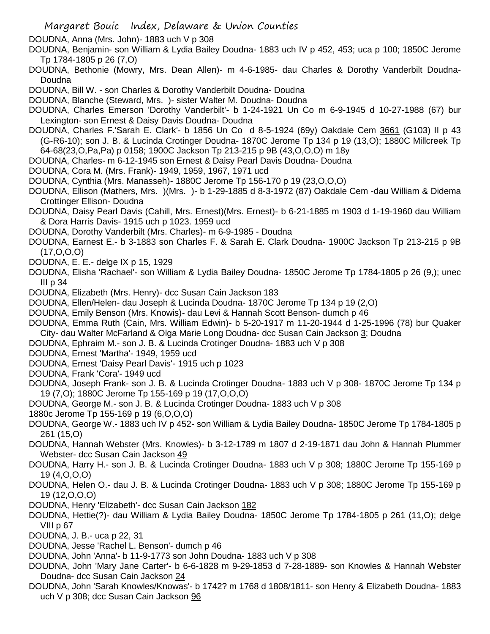DOUDNA, Anna (Mrs. John)- 1883 uch V p 308

- DOUDNA, Benjamin- son William & Lydia Bailey Doudna- 1883 uch IV p 452, 453; uca p 100; 1850C Jerome Tp 1784-1805 p 26 (7,O)
- DOUDNA, Bethonie (Mowry, Mrs. Dean Allen)- m 4-6-1985- dau Charles & Dorothy Vanderbilt Doudna-Doudna
- DOUDNA, Bill W. son Charles & Dorothy Vanderbilt Doudna- Doudna
- DOUDNA, Blanche (Steward, Mrs. )- sister Walter M. Doudna- Doudna
- DOUDNA, Charles Emerson 'Dorothy Vanderbilt'- b 1-24-1921 Un Co m 6-9-1945 d 10-27-1988 (67) bur Lexington- son Ernest & Daisy Davis Doudna- Doudna
- DOUDNA, Charles F.'Sarah E. Clark'- b 1856 Un Co d 8-5-1924 (69y) Oakdale Cem 3661 (G103) II p 43 (G-R6-10); son J. B. & Lucinda Crotinger Doudna- 1870C Jerome Tp 134 p 19 (13,O); 1880C Millcreek Tp 64-68(23,O,Pa,Pa) p 0158; 1900C Jackson Tp 213-215 p 9B (43,O,O,O) m 18y
- DOUDNA, Charles- m 6-12-1945 son Ernest & Daisy Pearl Davis Doudna- Doudna
- DOUDNA, Cora M. (Mrs. Frank)- 1949, 1959, 1967, 1971 ucd
- DOUDNA, Cynthia (Mrs. Manasseh)- 1880C Jerome Tp 156-170 p 19 (23,O,O,O)
- DOUDNA, Ellison (Mathers, Mrs. )(Mrs. )- b 1-29-1885 d 8-3-1972 (87) Oakdale Cem -dau William & Didema Crottinger Ellison- Doudna
- DOUDNA, Daisy Pearl Davis (Cahill, Mrs. Ernest)(Mrs. Ernest)- b 6-21-1885 m 1903 d 1-19-1960 dau William & Dora Harris Davis- 1915 uch p 1023. 1959 ucd
- DOUDNA, Dorothy Vanderbilt (Mrs. Charles)- m 6-9-1985 Doudna
- DOUDNA, Earnest E.- b 3-1883 son Charles F. & Sarah E. Clark Doudna- 1900C Jackson Tp 213-215 p 9B (17,O,O,O)
- DOUDNA, E. E.- delge IX p 15, 1929
- DOUDNA, Elisha 'Rachael'- son William & Lydia Bailey Doudna- 1850C Jerome Tp 1784-1805 p 26 (9,); unec III p 34
- DOUDNA, Elizabeth (Mrs. Henry)- dcc Susan Cain Jackson 183
- DOUDNA, Ellen/Helen- dau Joseph & Lucinda Doudna- 1870C Jerome Tp 134 p 19 (2,O)
- DOUDNA, Emily Benson (Mrs. Knowis)- dau Levi & Hannah Scott Benson- dumch p 46
- DOUDNA, Emma Ruth (Cain, Mrs. William Edwin)- b 5-20-1917 m 11-20-1944 d 1-25-1996 (78) bur Quaker City- dau Walter McFarland & Olga Marie Long Doudna- dcc Susan Cain Jackson 3; Doudna
- DOUDNA, Ephraim M.- son J. B. & Lucinda Crotinger Doudna- 1883 uch V p 308
- DOUDNA, Ernest 'Martha'- 1949, 1959 ucd
- DOUDNA, Ernest 'Daisy Pearl Davis'- 1915 uch p 1023
- DOUDNA, Frank 'Cora'- 1949 ucd
- DOUDNA, Joseph Frank- son J. B. & Lucinda Crotinger Doudna- 1883 uch V p 308- 1870C Jerome Tp 134 p 19 (7,O); 1880C Jerome Tp 155-169 p 19 (17,O,O,O)
- DOUDNA, George M.- son J. B. & Lucinda Crotinger Doudna- 1883 uch V p 308
- 1880c Jerome Tp 155-169 p 19 (6,O,O,O)
- DOUDNA, George W.- 1883 uch IV p 452- son William & Lydia Bailey Doudna- 1850C Jerome Tp 1784-1805 p 261 (15,O)
- DOUDNA, Hannah Webster (Mrs. Knowles)- b 3-12-1789 m 1807 d 2-19-1871 dau John & Hannah Plummer Webster- dcc Susan Cain Jackson 49
- DOUDNA, Harry H.- son J. B. & Lucinda Crotinger Doudna- 1883 uch V p 308; 1880C Jerome Tp 155-169 p 19 (4,O,O,O)
- DOUDNA, Helen O.- dau J. B. & Lucinda Crotinger Doudna- 1883 uch V p 308; 1880C Jerome Tp 155-169 p 19 (12,O,O,O)
- DOUDNA, Henry 'Elizabeth'- dcc Susan Cain Jackson 182
- DOUDNA, Hettie(?)- dau William & Lydia Bailey Doudna- 1850C Jerome Tp 1784-1805 p 261 (11,O); delge VIII p 67
- DOUDNA, J. B.- uca p 22, 31
- DOUDNA, Jesse 'Rachel L. Benson'- dumch p 46
- DOUDNA, John 'Anna'- b 11-9-1773 son John Doudna- 1883 uch V p 308
- DOUDNA, John 'Mary Jane Carter'- b 6-6-1828 m 9-29-1853 d 7-28-1889- son Knowles & Hannah Webster Doudna- dcc Susan Cain Jackson 24
- DOUDNA, John 'Sarah Knowles/Knowas'- b 1742? m 1768 d 1808/1811- son Henry & Elizabeth Doudna- 1883 uch V p 308; dcc Susan Cain Jackson 96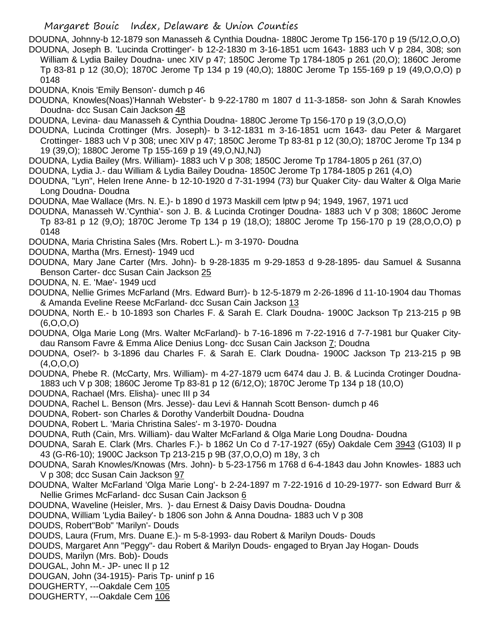DOUDNA, Johnny-b 12-1879 son Manasseh & Cynthia Doudna- 1880C Jerome Tp 156-170 p 19 (5/12,O,O,O) DOUDNA, Joseph B. 'Lucinda Crottinger'- b 12-2-1830 m 3-16-1851 ucm 1643- 1883 uch V p 284, 308; son William & Lydia Bailey Doudna- unec XIV p 47; 1850C Jerome Tp 1784-1805 p 261 (20,O); 1860C Jerome Tp 83-81 p 12 (30,O); 1870C Jerome Tp 134 p 19 (40,O); 1880C Jerome Tp 155-169 p 19 (49,O,O,O) p 0148

DOUDNA, Knois 'Emily Benson'- dumch p 46

- DOUDNA, Knowles(Noas)'Hannah Webster'- b 9-22-1780 m 1807 d 11-3-1858- son John & Sarah Knowles Doudna- dcc Susan Cain Jackson 48
- DOUDNA, Levina- dau Manasseh & Cynthia Doudna- 1880C Jerome Tp 156-170 p 19 (3,O,O,O)
- DOUDNA, Lucinda Crottinger (Mrs. Joseph)- b 3-12-1831 m 3-16-1851 ucm 1643- dau Peter & Margaret Crottinger- 1883 uch V p 308; unec XIV p 47; 1850C Jerome Tp 83-81 p 12 (30,O); 1870C Jerome Tp 134 p 19 (39,O); 1880C Jerome Tp 155-169 p 19 (49,O,NJ,NJ)
- DOUDNA, Lydia Bailey (Mrs. William)- 1883 uch V p 308; 1850C Jerome Tp 1784-1805 p 261 (37,O)
- DOUDNA, Lydia J.- dau William & Lydia Bailey Doudna- 1850C Jerome Tp 1784-1805 p 261 (4,O)
- DOUDNA, "Lyn", Helen Irene Anne- b 12-10-1920 d 7-31-1994 (73) bur Quaker City- dau Walter & Olga Marie Long Doudna- Doudna
- DOUDNA, Mae Wallace (Mrs. N. E.)- b 1890 d 1973 Maskill cem lptw p 94; 1949, 1967, 1971 ucd
- DOUDNA, Manasseh W.'Cynthia'- son J. B. & Lucinda Crotinger Doudna- 1883 uch V p 308; 1860C Jerome Tp 83-81 p 12 (9,O); 1870C Jerome Tp 134 p 19 (18,O); 1880C Jerome Tp 156-170 p 19 (28,O,O,O) p 0148
- DOUDNA, Maria Christina Sales (Mrs. Robert L.)- m 3-1970- Doudna
- DOUDNA, Martha (Mrs. Ernest)- 1949 ucd
- DOUDNA, Mary Jane Carter (Mrs. John)- b 9-28-1835 m 9-29-1853 d 9-28-1895- dau Samuel & Susanna Benson Carter- dcc Susan Cain Jackson 25
- DOUDNA, N. E. 'Mae'- 1949 ucd
- DOUDNA, Nellie Grimes McFarland (Mrs. Edward Burr)- b 12-5-1879 m 2-26-1896 d 11-10-1904 dau Thomas & Amanda Eveline Reese McFarland- dcc Susan Cain Jackson 13
- DOUDNA, North E.- b 10-1893 son Charles F. & Sarah E. Clark Doudna- 1900C Jackson Tp 213-215 p 9B (6,O,O,O)
- DOUDNA, Olga Marie Long (Mrs. Walter McFarland)- b 7-16-1896 m 7-22-1916 d 7-7-1981 bur Quaker Citydau Ransom Favre & Emma Alice Denius Long- dcc Susan Cain Jackson 7; Doudna
- DOUDNA, Osel?- b 3-1896 dau Charles F. & Sarah E. Clark Doudna- 1900C Jackson Tp 213-215 p 9B  $(4.0.0.0)$
- DOUDNA, Phebe R. (McCarty, Mrs. William)- m 4-27-1879 ucm 6474 dau J. B. & Lucinda Crotinger Doudna-1883 uch V p 308; 1860C Jerome Tp 83-81 p 12 (6/12,O); 1870C Jerome Tp 134 p 18 (10,O)
- DOUDNA, Rachael (Mrs. Elisha)- unec III p 34
- DOUDNA, Rachel L. Benson (Mrs. Jesse)- dau Levi & Hannah Scott Benson- dumch p 46
- DOUDNA, Robert- son Charles & Dorothy Vanderbilt Doudna- Doudna
- DOUDNA, Robert L. 'Maria Christina Sales'- m 3-1970- Doudna
- DOUDNA, Ruth (Cain, Mrs. William)- dau Walter McFarland & Olga Marie Long Doudna- Doudna
- DOUDNA, Sarah E. Clark (Mrs. Charles F.)- b 1862 Un Co d 7-17-1927 (65y) Oakdale Cem 3943 (G103) II p 43 (G-R6-10); 1900C Jackson Tp 213-215 p 9B (37,O,O,O) m 18y, 3 ch
- DOUDNA, Sarah Knowles/Knowas (Mrs. John)- b 5-23-1756 m 1768 d 6-4-1843 dau John Knowles- 1883 uch V p 308; dcc Susan Cain Jackson 97
- DOUDNA, Walter McFarland 'Olga Marie Long'- b 2-24-1897 m 7-22-1916 d 10-29-1977- son Edward Burr & Nellie Grimes McFarland- dcc Susan Cain Jackson 6
- DOUDNA, Waveline (Heisler, Mrs. )- dau Ernest & Daisy Davis Doudna- Doudna
- DOUDNA, William 'Lydia Bailey'- b 1806 son John & Anna Doudna- 1883 uch V p 308
- DOUDS, Robert"Bob" 'Marilyn'- Douds
- DOUDS, Laura (Frum, Mrs. Duane E.)- m 5-8-1993- dau Robert & Marilyn Douds- Douds
- DOUDS, Margaret Ann "Peggy"- dau Robert & Marilyn Douds- engaged to Bryan Jay Hogan- Douds
- DOUDS, Marilyn (Mrs. Bob)- Douds
- DOUGAL, John M.- JP- unec II p 12
- DOUGAN, John (34-1915)- Paris Tp- uninf p 16
- DOUGHERTY, ---Oakdale Cem 105
- DOUGHERTY, ---Oakdale Cem 106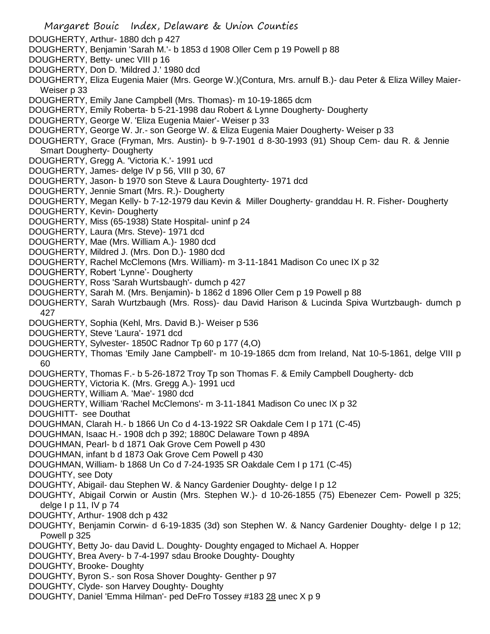- DOUGHERTY, Arthur- 1880 dch p 427 DOUGHERTY, Benjamin 'Sarah M.'- b 1853 d 1908 Oller Cem p 19 Powell p 88 DOUGHERTY, Betty- unec VIII p 16 DOUGHERTY, Don D. 'Mildred J.' 1980 dcd DOUGHERTY, Eliza Eugenia Maier (Mrs. George W.)(Contura, Mrs. arnulf B.)- dau Peter & Eliza Willey Maier-Weiser p 33 DOUGHERTY, Emily Jane Campbell (Mrs. Thomas)- m 10-19-1865 dcm DOUGHERTY, Emily Roberta- b 5-21-1998 dau Robert & Lynne Dougherty- Dougherty DOUGHERTY, George W. 'Eliza Eugenia Maier'- Weiser p 33 DOUGHERTY, George W. Jr.- son George W. & Eliza Eugenia Maier Dougherty- Weiser p 33 DOUGHERTY, Grace (Fryman, Mrs. Austin)- b 9-7-1901 d 8-30-1993 (91) Shoup Cem- dau R. & Jennie Smart Dougherty- Dougherty DOUGHERTY, Gregg A. 'Victoria K.'- 1991 ucd DOUGHERTY, James- delge IV p 56, VIII p 30, 67 DOUGHERTY, Jason- b 1970 son Steve & Laura Doughterty- 1971 dcd DOUGHERTY, Jennie Smart (Mrs. R.)- Dougherty DOUGHERTY, Megan Kelly- b 7-12-1979 dau Kevin & Miller Dougherty- granddau H. R. Fisher- Dougherty DOUGHERTY, Kevin- Dougherty DOUGHERTY, Miss (65-1938) State Hospital- uninf p 24 DOUGHERTY, Laura (Mrs. Steve)- 1971 dcd DOUGHERTY, Mae (Mrs. William A.)- 1980 dcd DOUGHERTY, Mildred J. (Mrs. Don D.)- 1980 dcd DOUGHERTY, Rachel McClemons (Mrs. William)- m 3-11-1841 Madison Co unec IX p 32 DOUGHERTY, Robert 'Lynne'- Dougherty DOUGHERTY, Ross 'Sarah Wurtsbaugh'- dumch p 427 DOUGHERTY, Sarah M. (Mrs. Benjamin)- b 1862 d 1896 Oller Cem p 19 Powell p 88 DOUGHERTY, Sarah Wurtzbaugh (Mrs. Ross)- dau David Harison & Lucinda Spiva Wurtzbaugh- dumch p 427 DOUGHERTY, Sophia (Kehl, Mrs. David B.)- Weiser p 536 DOUGHERTY, Steve 'Laura'- 1971 dcd DOUGHERTY, Sylvester- 1850C Radnor Tp 60 p 177 (4,O) DOUGHERTY, Thomas 'Emily Jane Campbell'- m 10-19-1865 dcm from Ireland, Nat 10-5-1861, delge VIII p 60 DOUGHERTY, Thomas F.- b 5-26-1872 Troy Tp son Thomas F. & Emily Campbell Dougherty- dcb DOUGHERTY, Victoria K. (Mrs. Gregg A.)- 1991 ucd DOUGHERTY, William A. 'Mae'- 1980 dcd DOUGHERTY, William 'Rachel McClemons'- m 3-11-1841 Madison Co unec IX p 32 DOUGHITT- see Douthat DOUGHMAN, Clarah H.- b 1866 Un Co d 4-13-1922 SR Oakdale Cem I p 171 (C-45) DOUGHMAN, Isaac H.- 1908 dch p 392; 1880C Delaware Town p 489A DOUGHMAN, Pearl- b d 1871 Oak Grove Cem Powell p 430 DOUGHMAN, infant b d 1873 Oak Grove Cem Powell p 430 DOUGHMAN, William- b 1868 Un Co d 7-24-1935 SR Oakdale Cem I p 171 (C-45) DOUGHTY, see Doty DOUGHTY, Abigail- dau Stephen W. & Nancy Gardenier Doughty- delge I p 12 DOUGHTY, Abigail Corwin or Austin (Mrs. Stephen W.)- d 10-26-1855 (75) Ebenezer Cem- Powell p 325; delge I p 11, IV p  $74$ DOUGHTY, Arthur- 1908 dch p 432 DOUGHTY, Benjamin Corwin- d 6-19-1835 (3d) son Stephen W. & Nancy Gardenier Doughty- delge I p 12; Powell p 325 DOUGHTY, Betty Jo- dau David L. Doughty- Doughty engaged to Michael A. Hopper DOUGHTY, Brea Avery- b 7-4-1997 sdau Brooke Doughty- Doughty DOUGHTY, Brooke- Doughty DOUGHTY, Byron S.- son Rosa Shover Doughty- Genther p 97 DOUGHTY, Clyde- son Harvey Doughty- Doughty
- DOUGHTY, Daniel 'Emma Hilman'- ped DeFro Tossey #183 28 unec X p 9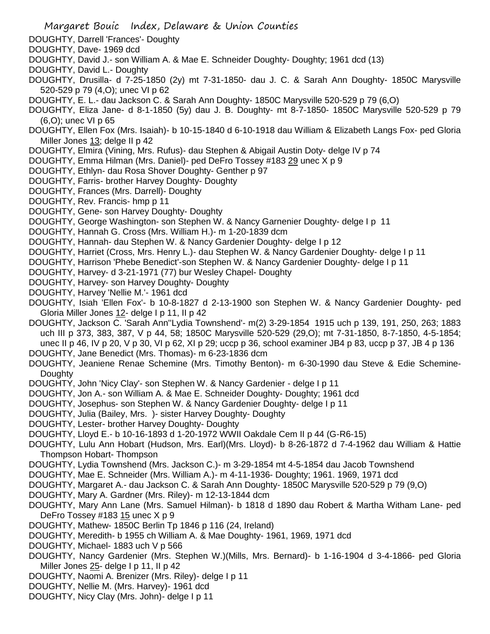- Margaret Bouic Index, Delaware & Union Counties
- DOUGHTY, Darrell 'Frances'- Doughty
- DOUGHTY, Dave- 1969 dcd
- DOUGHTY, David J.- son William A. & Mae E. Schneider Doughty- Doughty; 1961 dcd (13)
- DOUGHTY, David L.- Doughty
- DOUGHTY, Drusilla- d 7-25-1850 (2y) mt 7-31-1850- dau J. C. & Sarah Ann Doughty- 1850C Marysville 520-529 p 79 (4,O); unec VI p 62
- DOUGHTY, E. L.- dau Jackson C. & Sarah Ann Doughty- 1850C Marysville 520-529 p 79 (6,O)
- DOUGHTY, Eliza Jane- d 8-1-1850 (5y) dau J. B. Doughty- mt 8-7-1850- 1850C Marysville 520-529 p 79 (6,O); unec VI p 65
- DOUGHTY, Ellen Fox (Mrs. Isaiah)- b 10-15-1840 d 6-10-1918 dau William & Elizabeth Langs Fox- ped Gloria Miller Jones 13; delge II p 42
- DOUGHTY, Elmira (Vining, Mrs. Rufus)- dau Stephen & Abigail Austin Doty- delge IV p 74
- DOUGHTY, Emma Hilman (Mrs. Daniel)- ped DeFro Tossey #183 29 unec X p 9
- DOUGHTY, Ethlyn- dau Rosa Shover Doughty- Genther p 97
- DOUGHTY, Farris- brother Harvey Doughty- Doughty
- DOUGHTY, Frances (Mrs. Darrell)- Doughty
- DOUGHTY, Rev. Francis- hmp p 11
- DOUGHTY, Gene- son Harvey Doughty- Doughty
- DOUGHTY, George Washington- son Stephen W. & Nancy Garnenier Doughty- delge I p 11
- DOUGHTY, Hannah G. Cross (Mrs. William H.)- m 1-20-1839 dcm
- DOUGHTY, Hannah- dau Stephen W. & Nancy Gardenier Doughty- delge I p 12
- DOUGHTY, Harriet (Cross, Mrs. Henry L.)- dau Stephen W. & Nancy Gardenier Doughty- delge I p 11
- DOUGHTY, Harrison 'Phebe Benedict'-son Stephen W. & Nancy Gardenier Doughty- delge I p 11
- DOUGHTY, Harvey- d 3-21-1971 (77) bur Wesley Chapel- Doughty
- DOUGHTY, Harvey- son Harvey Doughty- Doughty
- DOUGHTY, Harvey 'Nellie M.'- 1961 dcd
- DOUGHTY, Isiah 'Ellen Fox'- b 10-8-1827 d 2-13-1900 son Stephen W. & Nancy Gardenier Doughty- ped Gloria Miller Jones 12- delge I p 11, II p 42
- DOUGHTY, Jackson C. 'Sarah Ann''Lydia Townshend'- m(2) 3-29-1854 1915 uch p 139, 191, 250, 263; 1883 uch III p 373, 383, 387, V p 44, 58; 1850C Marysville 520-529 (29,O); mt 7-31-1850, 8-7-1850, 4-5-1854; unec II p 46, IV p 20, V p 30, VI p 62, XI p 29; uccp p 36, school examiner JB4 p 83, uccp p 37, JB 4 p 136
- DOUGHTY, Jane Benedict (Mrs. Thomas)- m 6-23-1836 dcm
- DOUGHTY, Jeaniene Renae Schemine (Mrs. Timothy Benton)- m 6-30-1990 dau Steve & Edie Schemine-**Doughty**
- DOUGHTY, John 'Nicy Clay'- son Stephen W. & Nancy Gardenier delge I p 11
- DOUGHTY, Jon A.- son William A. & Mae E. Schneider Doughty- Doughty; 1961 dcd
- DOUGHTY, Josephus- son Stephen W. & Nancy Gardenier Doughty- delge I p 11
- DOUGHTY, Julia (Bailey, Mrs. )- sister Harvey Doughty- Doughty
- DOUGHTY, Lester- brother Harvey Doughty- Doughty
- DOUGHTY, Lloyd E.- b 10-16-1893 d 1-20-1972 WWII Oakdale Cem II p 44 (G-R6-15)
- DOUGHTY, Lulu Ann Hobart (Hudson, Mrs. Earl)(Mrs. Lloyd)- b 8-26-1872 d 7-4-1962 dau William & Hattie Thompson Hobart- Thompson
- DOUGHTY, Lydia Townshend (Mrs. Jackson C.)- m 3-29-1854 mt 4-5-1854 dau Jacob Townshend
- DOUGHTY, Mae E. Schneider (Mrs. William A.)- m 4-11-1936- Doughty; 1961. 1969, 1971 dcd
- DOUGHTY, Margaret A.- dau Jackson C. & Sarah Ann Doughty- 1850C Marysville 520-529 p 79 (9,O)
- DOUGHTY, Mary A. Gardner (Mrs. Riley)- m 12-13-1844 dcm
- DOUGHTY, Mary Ann Lane (Mrs. Samuel Hilman)- b 1818 d 1890 dau Robert & Martha Witham Lane- ped DeFro Tossey #183 15 unec X p 9
- DOUGHTY, Mathew- 1850C Berlin Tp 1846 p 116 (24, Ireland)
- DOUGHTY, Meredith- b 1955 ch William A. & Mae Doughty- 1961, 1969, 1971 dcd
- DOUGHTY, Michael- 1883 uch V p 566
- DOUGHTY, Nancy Gardenier (Mrs. Stephen W.)(Mills, Mrs. Bernard)- b 1-16-1904 d 3-4-1866- ped Gloria Miller Jones 25- delge I p 11, II p 42
- DOUGHTY, Naomi A. Brenizer (Mrs. Riley)- delge I p 11
- DOUGHTY, Nellie M. (Mrs. Harvey)- 1961 dcd
- DOUGHTY, Nicy Clay (Mrs. John)- delge I p 11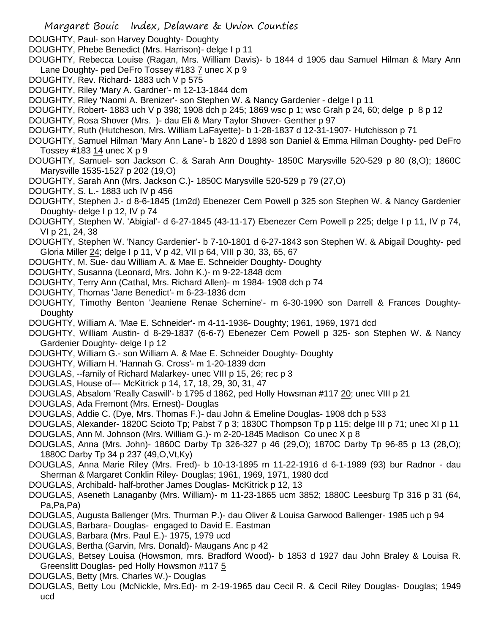- Margaret Bouic Index, Delaware & Union Counties
- DOUGHTY, Paul- son Harvey Doughty- Doughty
- DOUGHTY, Phebe Benedict (Mrs. Harrison)- delge I p 11
- DOUGHTY, Rebecca Louise (Ragan, Mrs. William Davis)- b 1844 d 1905 dau Samuel Hilman & Mary Ann Lane Doughty- ped DeFro Tossey #183 7 unec X p 9
- DOUGHTY, Rev. Richard- 1883 uch V p 575
- DOUGHTY, Riley 'Mary A. Gardner'- m 12-13-1844 dcm
- DOUGHTY, Riley 'Naomi A. Brenizer'- son Stephen W. & Nancy Gardenier delge I p 11
- DOUGHTY, Robert- 1883 uch V p 398; 1908 dch p 245; 1869 wsc p 1; wsc Grah p 24, 60; delge p 8 p 12
- DOUGHTY, Rosa Shover (Mrs. )- dau Eli & Mary Taylor Shover- Genther p 97
- DOUGHTY, Ruth (Hutcheson, Mrs. William LaFayette)- b 1-28-1837 d 12-31-1907- Hutchisson p 71
- DOUGHTY, Samuel Hilman 'Mary Ann Lane'- b 1820 d 1898 son Daniel & Emma Hilman Doughty- ped DeFro Tossey #183 14 unec X p 9
- DOUGHTY, Samuel- son Jackson C. & Sarah Ann Doughty- 1850C Marysville 520-529 p 80 (8,O); 1860C Marysville 1535-1527 p 202 (19,O)
- DOUGHTY, Sarah Ann (Mrs. Jackson C.)- 1850C Marysville 520-529 p 79 (27,O)
- DOUGHTY, S. L.- 1883 uch IV p 456
- DOUGHTY, Stephen J.- d 8-6-1845 (1m2d) Ebenezer Cem Powell p 325 son Stephen W. & Nancy Gardenier Doughty- delge I p 12, IV p 74
- DOUGHTY, Stephen W. 'Abigial'- d 6-27-1845 (43-11-17) Ebenezer Cem Powell p 225; delge I p 11, IV p 74, VI p 21, 24, 38
- DOUGHTY, Stephen W. 'Nancy Gardenier'- b 7-10-1801 d 6-27-1843 son Stephen W. & Abigail Doughty- ped Gloria Miller 24; delge I p 11, V p 42, VII p 64, VIII p 30, 33, 65, 67
- DOUGHTY, M. Sue- dau William A. & Mae E. Schneider Doughty- Doughty
- DOUGHTY, Susanna (Leonard, Mrs. John K.)- m 9-22-1848 dcm
- DOUGHTY, Terry Ann (Cathal, Mrs. Richard Allen)- m 1984- 1908 dch p 74
- DOUGHTY, Thomas 'Jane Benedict'- m 6-23-1836 dcm
- DOUGHTY, Timothy Benton 'Jeaniene Renae Schemine'- m 6-30-1990 son Darrell & Frances Doughty-**Doughty**
- DOUGHTY, William A. 'Mae E. Schneider'- m 4-11-1936- Doughty; 1961, 1969, 1971 dcd
- DOUGHTY, William Austin- d 8-29-1837 (6-6-7) Ebenezer Cem Powell p 325- son Stephen W. & Nancy Gardenier Doughty- delge I p 12
- DOUGHTY, William G.- son William A. & Mae E. Schneider Doughty- Doughty
- DOUGHTY, William H. 'Hannah G. Cross'- m 1-20-1839 dcm
- DOUGLAS, --family of Richard Malarkey- unec VIII p 15, 26; rec p 3
- DOUGLAS, House of--- McKitrick p 14, 17, 18, 29, 30, 31, 47
- DOUGLAS, Absalom 'Really Caswill'- b 1795 d 1862, ped Holly Howsman #117 20; unec VIII p 21
- DOUGLAS, Ada Fremont (Mrs. Ernest)- Douglas
- DOUGLAS, Addie C. (Dye, Mrs. Thomas F.)- dau John & Emeline Douglas- 1908 dch p 533
- DOUGLAS, Alexander- 1820C Scioto Tp; Pabst 7 p 3; 1830C Thompson Tp p 115; delge III p 71; unec XI p 11
- DOUGLAS, Ann M. Johnson (Mrs. William G.)- m 2-20-1845 Madison Co unec X p 8
- DOUGLAS, Anna (Mrs. John)- 1860C Darby Tp 326-327 p 46 (29,O); 1870C Darby Tp 96-85 p 13 (28,O); 1880C Darby Tp 34 p 237 (49,O,Vt,Ky)
- DOUGLAS, Anna Marie Riley (Mrs. Fred)- b 10-13-1895 m 11-22-1916 d 6-1-1989 (93) bur Radnor dau Sherman & Margaret Conklin Riley- Douglas; 1961, 1969, 1971, 1980 dcd
- DOUGLAS, Archibald- half-brother James Douglas- McKitrick p 12, 13
- DOUGLAS, Aseneth Lanaganby (Mrs. William)- m 11-23-1865 ucm 3852; 1880C Leesburg Tp 316 p 31 (64, Pa,Pa,Pa)
- DOUGLAS, Augusta Ballenger (Mrs. Thurman P.)- dau Oliver & Louisa Garwood Ballenger- 1985 uch p 94
- DOUGLAS, Barbara- Douglas- engaged to David E. Eastman
- DOUGLAS, Barbara (Mrs. Paul E.)- 1975, 1979 ucd
- DOUGLAS, Bertha (Garvin, Mrs. Donald)- Maugans Anc p 42
- DOUGLAS, Betsey Louisa (Howsmon, mrs. Bradford Wood)- b 1853 d 1927 dau John Braley & Louisa R. Greenslitt Douglas- ped Holly Howsmon #117 5
- DOUGLAS, Betty (Mrs. Charles W.)- Douglas
- DOUGLAS, Betty Lou (McNickle, Mrs.Ed)- m 2-19-1965 dau Cecil R. & Cecil Riley Douglas- Douglas; 1949 ucd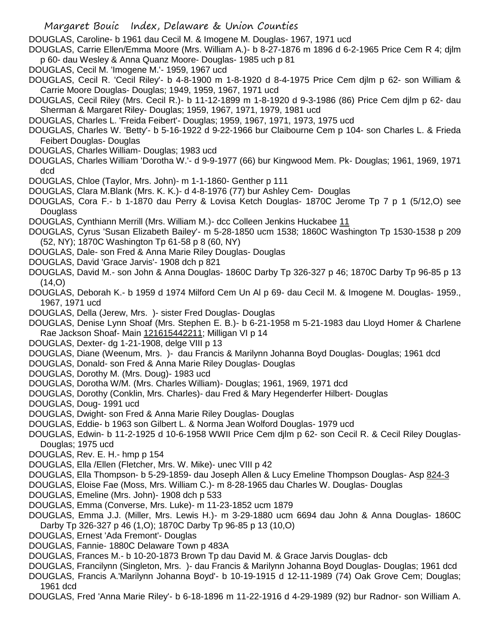DOUGLAS, Caroline- b 1961 dau Cecil M. & Imogene M. Douglas- 1967, 1971 ucd

DOUGLAS, Carrie Ellen/Emma Moore (Mrs. William A.)- b 8-27-1876 m 1896 d 6-2-1965 Price Cem R 4; djlm p 60- dau Wesley & Anna Quanz Moore- Douglas- 1985 uch p 81

- DOUGLAS, Cecil M. 'Imogene M.'- 1959, 1967 ucd
- DOUGLAS, Cecil R. 'Cecil Riley'- b 4-8-1900 m 1-8-1920 d 8-4-1975 Price Cem djlm p 62- son William & Carrie Moore Douglas- Douglas; 1949, 1959, 1967, 1971 ucd
- DOUGLAS, Cecil Riley (Mrs. Cecil R.)- b 11-12-1899 m 1-8-1920 d 9-3-1986 (86) Price Cem djlm p 62- dau Sherman & Margaret Riley- Douglas; 1959, 1967, 1971, 1979, 1981 ucd
- DOUGLAS, Charles L. 'Freida Feibert'- Douglas; 1959, 1967, 1971, 1973, 1975 ucd
- DOUGLAS, Charles W. 'Betty'- b 5-16-1922 d 9-22-1966 bur Claibourne Cem p 104- son Charles L. & Frieda Feibert Douglas- Douglas
- DOUGLAS, Charles William- Douglas; 1983 ucd
- DOUGLAS, Charles William 'Dorotha W.'- d 9-9-1977 (66) bur Kingwood Mem. Pk- Douglas; 1961, 1969, 1971 dcd
- DOUGLAS, Chloe (Taylor, Mrs. John)- m 1-1-1860- Genther p 111
- DOUGLAS, Clara M.Blank (Mrs. K. K.)- d 4-8-1976 (77) bur Ashley Cem- Douglas
- DOUGLAS, Cora F.- b 1-1870 dau Perry & Lovisa Ketch Douglas- 1870C Jerome Tp 7 p 1 (5/12,O) see **Douglass**
- DOUGLAS, Cynthiann Merrill (Mrs. William M.)- dcc Colleen Jenkins Huckabee 11
- DOUGLAS, Cyrus 'Susan Elizabeth Bailey'- m 5-28-1850 ucm 1538; 1860C Washington Tp 1530-1538 p 209 (52, NY); 1870C Washington Tp 61-58 p 8 (60, NY)
- DOUGLAS, Dale- son Fred & Anna Marie Riley Douglas- Douglas
- DOUGLAS, David 'Grace Jarvis'- 1908 dch p 821
- DOUGLAS, David M.- son John & Anna Douglas- 1860C Darby Tp 326-327 p 46; 1870C Darby Tp 96-85 p 13 (14,O)
- DOUGLAS, Deborah K.- b 1959 d 1974 Milford Cem Un Al p 69- dau Cecil M. & Imogene M. Douglas- 1959., 1967, 1971 ucd
- DOUGLAS, Della (Jerew, Mrs. )- sister Fred Douglas- Douglas
- DOUGLAS, Denise Lynn Shoaf (Mrs. Stephen E. B.)- b 6-21-1958 m 5-21-1983 dau Lloyd Homer & Charlene Rae Jackson Shoaf- Main 121615442211; Milligan VI p 14
- DOUGLAS, Dexter- dg 1-21-1908, delge VIII p 13
- DOUGLAS, Diane (Weenum, Mrs. )- dau Francis & Marilynn Johanna Boyd Douglas- Douglas; 1961 dcd
- DOUGLAS, Donald- son Fred & Anna Marie Riley Douglas- Douglas
- DOUGLAS, Dorothy M. (Mrs. Doug)- 1983 ucd
- DOUGLAS, Dorotha W/M. (Mrs. Charles William)- Douglas; 1961, 1969, 1971 dcd
- DOUGLAS, Dorothy (Conklin, Mrs. Charles)- dau Fred & Mary Hegenderfer Hilbert- Douglas
- DOUGLAS, Doug- 1991 ucd
- DOUGLAS, Dwight- son Fred & Anna Marie Riley Douglas- Douglas
- DOUGLAS, Eddie- b 1963 son Gilbert L. & Norma Jean Wolford Douglas- 1979 ucd
- DOUGLAS, Edwin- b 11-2-1925 d 10-6-1958 WWII Price Cem djlm p 62- son Cecil R. & Cecil Riley Douglas-Douglas; 1975 ucd
- DOUGLAS, Rev. E. H.- hmp p 154
- DOUGLAS, Ella /Ellen (Fletcher, Mrs. W. Mike)- unec VIII p 42
- DOUGLAS, Ella Thompson- b 5-29-1859- dau Joseph Allen & Lucy Emeline Thompson Douglas- Asp 824-3
- DOUGLAS, Eloise Fae (Moss, Mrs. William C.)- m 8-28-1965 dau Charles W. Douglas- Douglas
- DOUGLAS, Emeline (Mrs. John)- 1908 dch p 533
- DOUGLAS, Emma (Converse, Mrs. Luke)- m 11-23-1852 ucm 1879
- DOUGLAS, Emma J.J. (Miller, Mrs. Lewis H.)- m 3-29-1880 ucm 6694 dau John & Anna Douglas- 1860C Darby Tp 326-327 p 46 (1,O); 1870C Darby Tp 96-85 p 13 (10,O)
- DOUGLAS, Ernest 'Ada Fremont'- Douglas
- DOUGLAS, Fannie- 1880C Delaware Town p 483A
- DOUGLAS, Frances M.- b 10-20-1873 Brown Tp dau David M. & Grace Jarvis Douglas- dcb
- DOUGLAS, Francilynn (Singleton, Mrs. )- dau Francis & Marilynn Johanna Boyd Douglas- Douglas; 1961 dcd
- DOUGLAS, Francis A.'Marilynn Johanna Boyd'- b 10-19-1915 d 12-11-1989 (74) Oak Grove Cem; Douglas; 1961 dcd
- DOUGLAS, Fred 'Anna Marie Riley'- b 6-18-1896 m 11-22-1916 d 4-29-1989 (92) bur Radnor- son William A.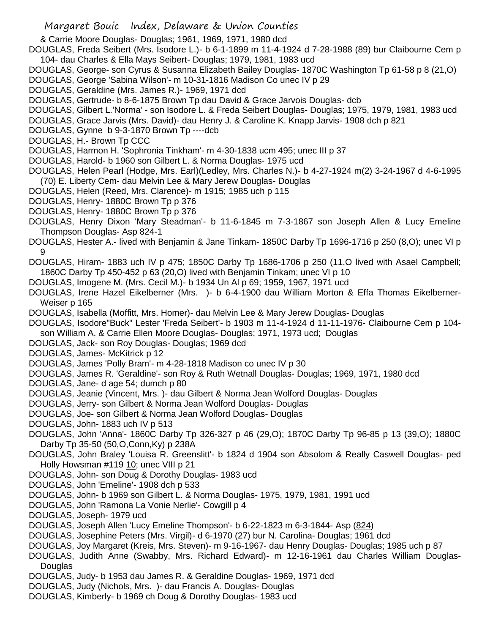& Carrie Moore Douglas- Douglas; 1961, 1969, 1971, 1980 dcd

DOUGLAS, Freda Seibert (Mrs. Isodore L.)- b 6-1-1899 m 11-4-1924 d 7-28-1988 (89) bur Claibourne Cem p 104- dau Charles & Ella Mays Seibert- Douglas; 1979, 1981, 1983 ucd

- DOUGLAS, George- son Cyrus & Susanna Elizabeth Bailey Douglas- 1870C Washington Tp 61-58 p 8 (21,O)
- DOUGLAS, George 'Sabina Wilson'- m 10-31-1816 Madison Co unec IV p 29
- DOUGLAS, Geraldine (Mrs. James R.)- 1969, 1971 dcd
- DOUGLAS, Gertrude- b 8-6-1875 Brown Tp dau David & Grace Jarvois Douglas- dcb
- DOUGLAS, Gilbert L.'Norma' son Isodore L. & Freda Seibert Douglas- Douglas; 1975, 1979, 1981, 1983 ucd
- DOUGLAS, Grace Jarvis (Mrs. David)- dau Henry J. & Caroline K. Knapp Jarvis- 1908 dch p 821
- DOUGLAS, Gynne b 9-3-1870 Brown Tp ----dcb
- DOUGLAS, H.- Brown Tp CCC
- DOUGLAS, Harmon H. 'Sophronia Tinkham'- m 4-30-1838 ucm 495; unec III p 37
- DOUGLAS, Harold- b 1960 son Gilbert L. & Norma Douglas- 1975 ucd
- DOUGLAS, Helen Pearl (Hodge, Mrs. Earl)(Ledley, Mrs. Charles N.)- b 4-27-1924 m(2) 3-24-1967 d 4-6-1995 (70) E. Liberty Cem- dau Melvin Lee & Mary Jerew Douglas- Douglas
- DOUGLAS, Helen (Reed, Mrs. Clarence)- m 1915; 1985 uch p 115
- DOUGLAS, Henry- 1880C Brown Tp p 376
- DOUGLAS, Henry- 1880C Brown Tp p 376
- DOUGLAS, Henry Dixon 'Mary Steadman'- b 11-6-1845 m 7-3-1867 son Joseph Allen & Lucy Emeline Thompson Douglas- Asp 824-1
- DOUGLAS, Hester A.- lived with Benjamin & Jane Tinkam- 1850C Darby Tp 1696-1716 p 250 (8,O); unec VI p 9
- DOUGLAS, Hiram- 1883 uch IV p 475; 1850C Darby Tp 1686-1706 p 250 (11,O lived with Asael Campbell; 1860C Darby Tp 450-452 p 63 (20,O) lived with Benjamin Tinkam; unec VI p 10
- DOUGLAS, Imogene M. (Mrs. Cecil M.)- b 1934 Un Al p 69; 1959, 1967, 1971 ucd
- DOUGLAS, Irene Hazel Eikelberner (Mrs. )- b 6-4-1900 dau William Morton & Effa Thomas Eikelberner-Weiser p 165
- DOUGLAS, Isabella (Moffitt, Mrs. Homer)- dau Melvin Lee & Mary Jerew Douglas- Douglas
- DOUGLAS, Isodore"Buck" Lester 'Freda Seibert'- b 1903 m 11-4-1924 d 11-11-1976- Claibourne Cem p 104 son William A. & Carrie Ellen Moore Douglas- Douglas; 1971, 1973 ucd; Douglas
- DOUGLAS, Jack- son Roy Douglas- Douglas; 1969 dcd
- DOUGLAS, James- McKitrick p 12
- DOUGLAS, James 'Polly Bram'- m 4-28-1818 Madison co unec IV p 30
- DOUGLAS, James R. 'Geraldine'- son Roy & Ruth Wetnall Douglas- Douglas; 1969, 1971, 1980 dcd
- DOUGLAS, Jane- d age 54; dumch p 80
- DOUGLAS, Jeanie (Vincent, Mrs. )- dau Gilbert & Norma Jean Wolford Douglas- Douglas
- DOUGLAS, Jerry- son Gilbert & Norma Jean Wolford Douglas- Douglas
- DOUGLAS, Joe- son Gilbert & Norma Jean Wolford Douglas- Douglas
- DOUGLAS, John- 1883 uch IV p 513
- DOUGLAS, John 'Anna'- 1860C Darby Tp 326-327 p 46 (29,O); 1870C Darby Tp 96-85 p 13 (39,O); 1880C Darby Tp 35-50 (50,O,Conn,Ky) p 238A
- DOUGLAS, John Braley 'Louisa R. Greenslitt'- b 1824 d 1904 son Absolom & Really Caswell Douglas- ped Holly Howsman #119 10; unec VIII p 21
- DOUGLAS, John- son Doug & Dorothy Douglas- 1983 ucd
- DOUGLAS, John 'Emeline'- 1908 dch p 533
- DOUGLAS, John- b 1969 son Gilbert L. & Norma Douglas- 1975, 1979, 1981, 1991 ucd
- DOUGLAS, John 'Ramona La Vonie Nerlie'- Cowgill p 4
- DOUGLAS, Joseph- 1979 ucd
- DOUGLAS, Joseph Allen 'Lucy Emeline Thompson'- b 6-22-1823 m 6-3-1844- Asp (824)
- DOUGLAS, Josephine Peters (Mrs. Virgil)- d 6-1970 (27) bur N. Carolina- Douglas; 1961 dcd
- DOUGLAS, Joy Margaret (Kreis, Mrs. Steven)- m 9-16-1967- dau Henry Douglas- Douglas; 1985 uch p 87
- DOUGLAS, Judith Anne (Swabby, Mrs. Richard Edward)- m 12-16-1961 dau Charles William Douglas-**Douglas**
- DOUGLAS, Judy- b 1953 dau James R. & Geraldine Douglas- 1969, 1971 dcd
- DOUGLAS, Judy (Nichols, Mrs. )- dau Francis A. Douglas- Douglas
- DOUGLAS, Kimberly- b 1969 ch Doug & Dorothy Douglas- 1983 ucd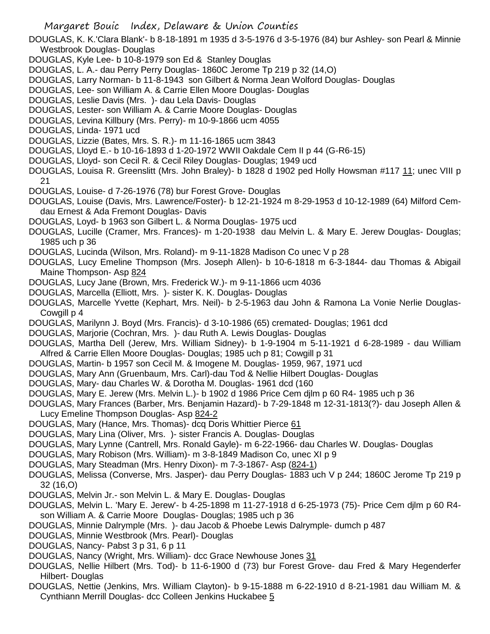DOUGLAS, K. K.'Clara Blank'- b 8-18-1891 m 1935 d 3-5-1976 d 3-5-1976 (84) bur Ashley- son Pearl & Minnie Westbrook Douglas- Douglas

DOUGLAS, Kyle Lee- b 10-8-1979 son Ed & Stanley Douglas

- DOUGLAS, L. A.- dau Perry Perry Douglas- 1860C Jerome Tp 219 p 32 (14,O)
- DOUGLAS, Larry Norman- b 11-8-1943 son Gilbert & Norma Jean Wolford Douglas- Douglas
- DOUGLAS, Lee- son William A. & Carrie Ellen Moore Douglas- Douglas
- DOUGLAS, Leslie Davis (Mrs. )- dau Lela Davis- Douglas
- DOUGLAS, Lester- son William A. & Carrie Moore Douglas- Douglas
- DOUGLAS, Levina Killbury (Mrs. Perry)- m 10-9-1866 ucm 4055
- DOUGLAS, Linda- 1971 ucd
- DOUGLAS, Lizzie (Bates, Mrs. S. R.)- m 11-16-1865 ucm 3843
- DOUGLAS, Lloyd E.- b 10-16-1893 d 1-20-1972 WWII Oakdale Cem II p 44 (G-R6-15)
- DOUGLAS, Lloyd- son Cecil R. & Cecil Riley Douglas- Douglas; 1949 ucd
- DOUGLAS, Louisa R. Greenslitt (Mrs. John Braley)- b 1828 d 1902 ped Holly Howsman #117 11; unec VIII p 21
- DOUGLAS, Louise- d 7-26-1976 (78) bur Forest Grove- Douglas
- DOUGLAS, Louise (Davis, Mrs. Lawrence/Foster)- b 12-21-1924 m 8-29-1953 d 10-12-1989 (64) Milford Cemdau Ernest & Ada Fremont Douglas- Davis
- DOUGLAS, Loyd- b 1963 son Gilbert L. & Norma Douglas- 1975 ucd
- DOUGLAS, Lucille (Cramer, Mrs. Frances)- m 1-20-1938 dau Melvin L. & Mary E. Jerew Douglas- Douglas; 1985 uch p 36
- DOUGLAS, Lucinda (Wilson, Mrs. Roland)- m 9-11-1828 Madison Co unec V p 28
- DOUGLAS, Lucy Emeline Thompson (Mrs. Joseph Allen)- b 10-6-1818 m 6-3-1844- dau Thomas & Abigail Maine Thompson- Asp 824
- DOUGLAS, Lucy Jane (Brown, Mrs. Frederick W.)- m 9-11-1866 ucm 4036
- DOUGLAS, Marcella (Elliott, Mrs. )- sister K. K. Douglas- Douglas
- DOUGLAS, Marcelle Yvette (Kephart, Mrs. Neil)- b 2-5-1963 dau John & Ramona La Vonie Nerlie Douglas-Cowgill p 4
- DOUGLAS, Marilynn J. Boyd (Mrs. Francis)- d 3-10-1986 (65) cremated- Douglas; 1961 dcd
- DOUGLAS, Marjorie (Cochran, Mrs. )- dau Ruth A. Lewis Douglas- Douglas
- DOUGLAS, Martha Dell (Jerew, Mrs. William Sidney)- b 1-9-1904 m 5-11-1921 d 6-28-1989 dau William Alfred & Carrie Ellen Moore Douglas- Douglas; 1985 uch p 81; Cowgill p 31
- DOUGLAS, Martin- b 1957 son Cecil M. & Imogene M. Douglas- 1959, 967, 1971 ucd
- DOUGLAS, Mary Ann (Gruenbaum, Mrs. Carl)-dau Tod & Nellie Hilbert Douglas- Douglas
- DOUGLAS, Mary- dau Charles W. & Dorotha M. Douglas- 1961 dcd (160
- DOUGLAS, Mary E. Jerew (Mrs. Melvin L.)- b 1902 d 1986 Price Cem djlm p 60 R4- 1985 uch p 36
- DOUGLAS, Mary Frances (Barber, Mrs. Benjamin Hazard)- b 7-29-1848 m 12-31-1813(?)- dau Joseph Allen & Lucy Emeline Thompson Douglas- Asp 824-2
- DOUGLAS, Mary (Hance, Mrs. Thomas)- dcq Doris Whittier Pierce 61
- DOUGLAS, Mary Lina (Oliver, Mrs. )- sister Francis A. Douglas- Douglas
- DOUGLAS, Mary Lynne (Cantrell, Mrs. Ronald Gayle)- m 6-22-1966- dau Charles W. Douglas- Douglas
- DOUGLAS, Mary Robison (Mrs. William)- m 3-8-1849 Madison Co, unec XI p 9
- DOUGLAS, Mary Steadman (Mrs. Henry Dixon)- m 7-3-1867- Asp (824-1)
- DOUGLAS, Melissa (Converse, Mrs. Jasper)- dau Perry Douglas- 1883 uch V p 244; 1860C Jerome Tp 219 p 32 (16,O)
- DOUGLAS, Melvin Jr.- son Melvin L. & Mary E. Douglas- Douglas
- DOUGLAS, Melvin L. 'Mary E. Jerew'- b 4-25-1898 m 11-27-1918 d 6-25-1973 (75)- Price Cem djlm p 60 R4 son William A. & Carrie Moore Douglas- Douglas; 1985 uch p 36
- DOUGLAS, Minnie Dalrymple (Mrs. )- dau Jacob & Phoebe Lewis Dalrymple- dumch p 487
- DOUGLAS, Minnie Westbrook (Mrs. Pearl)- Douglas
- DOUGLAS, Nancy- Pabst 3 p 31, 6 p 11
- DOUGLAS, Nancy (Wright, Mrs. William)- dcc Grace Newhouse Jones 31
- DOUGLAS, Nellie Hilbert (Mrs. Tod)- b 11-6-1900 d (73) bur Forest Grove- dau Fred & Mary Hegenderfer Hilbert- Douglas
- DOUGLAS, Nettie (Jenkins, Mrs. William Clayton)- b 9-15-1888 m 6-22-1910 d 8-21-1981 dau William M. & Cynthiann Merrill Douglas- dcc Colleen Jenkins Huckabee 5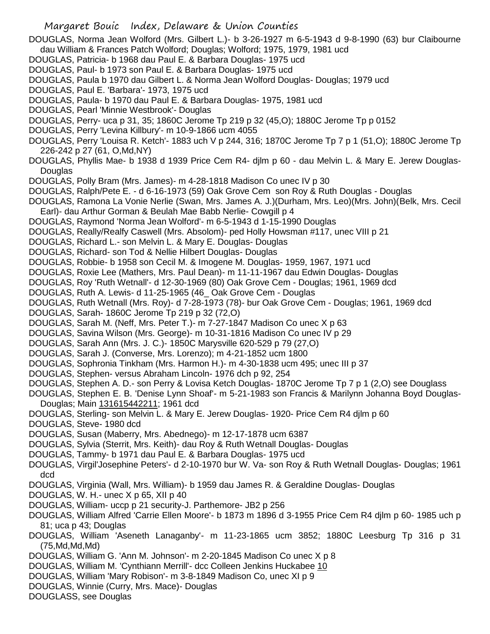- DOUGLAS, Norma Jean Wolford (Mrs. Gilbert L.)- b 3-26-1927 m 6-5-1943 d 9-8-1990 (63) bur Claibourne dau William & Frances Patch Wolford; Douglas; Wolford; 1975, 1979, 1981 ucd
- DOUGLAS, Patricia- b 1968 dau Paul E. & Barbara Douglas- 1975 ucd
- DOUGLAS, Paul- b 1973 son Paul E. & Barbara Douglas- 1975 ucd
- DOUGLAS, Paula b 1970 dau Gilbert L. & Norma Jean Wolford Douglas- Douglas; 1979 ucd
- DOUGLAS, Paul E. 'Barbara'- 1973, 1975 ucd
- DOUGLAS, Paula- b 1970 dau Paul E. & Barbara Douglas- 1975, 1981 ucd
- DOUGLAS, Pearl 'Minnie Westbrook'- Douglas
- DOUGLAS, Perry- uca p 31, 35; 1860C Jerome Tp 219 p 32 (45,O); 1880C Jerome Tp p 0152
- DOUGLAS, Perry 'Levina Killbury'- m 10-9-1866 ucm 4055
- DOUGLAS, Perry 'Louisa R. Ketch'- 1883 uch V p 244, 316; 1870C Jerome Tp 7 p 1 (51,O); 1880C Jerome Tp 226-242 p 27 (61, O,Md,NY)
- DOUGLAS, Phyllis Mae- b 1938 d 1939 Price Cem R4- djlm p 60 dau Melvin L. & Mary E. Jerew Douglas-**Douglas**
- DOUGLAS, Polly Bram (Mrs. James)- m 4-28-1818 Madison Co unec IV p 30
- DOUGLAS, Ralph/Pete E. d 6-16-1973 (59) Oak Grove Cem son Roy & Ruth Douglas Douglas
- DOUGLAS, Ramona La Vonie Nerlie (Swan, Mrs. James A. J.)(Durham, Mrs. Leo)(Mrs. John)(Belk, Mrs. Cecil Earl)- dau Arthur Gorman & Beulah Mae Babb Nerlie- Cowgill p 4
- DOUGLAS, Raymond 'Norma Jean Wolford'- m 6-5-1943 d 1-15-1990 Douglas
- DOUGLAS, Really/Realfy Caswell (Mrs. Absolom)- ped Holly Howsman #117, unec VIII p 21
- DOUGLAS, Richard L.- son Melvin L. & Mary E. Douglas- Douglas
- DOUGLAS, Richard- son Tod & Nellie Hilbert Douglas- Douglas
- DOUGLAS, Robbie- b 1958 son Cecil M. & Imogene M. Douglas- 1959, 1967, 1971 ucd
- DOUGLAS, Roxie Lee (Mathers, Mrs. Paul Dean)- m 11-11-1967 dau Edwin Douglas- Douglas
- DOUGLAS, Roy 'Ruth Wetnall'- d 12-30-1969 (80) Oak Grove Cem Douglas; 1961, 1969 dcd
- DOUGLAS, Ruth A. Lewis- d 11-25-1965 (46\_ Oak Grove Cem Douglas
- DOUGLAS, Ruth Wetnall (Mrs. Roy)- d 7-28-1973 (78)- bur Oak Grove Cem Douglas; 1961, 1969 dcd
- DOUGLAS, Sarah- 1860C Jerome Tp 219 p 32 (72,O)
- DOUGLAS, Sarah M. (Neff, Mrs. Peter T.)- m 7-27-1847 Madison Co unec X p 63
- DOUGLAS, Savina Wilson (Mrs. George)- m 10-31-1816 Madison Co unec IV p 29
- DOUGLAS, Sarah Ann (Mrs. J. C.)- 1850C Marysville 620-529 p 79 (27,O)
- DOUGLAS, Sarah J. (Converse, Mrs. Lorenzo); m 4-21-1852 ucm 1800
- DOUGLAS, Sophronia Tinkham (Mrs. Harmon H.)- m 4-30-1838 ucm 495; unec III p 37
- DOUGLAS, Stephen- versus Abraham Lincoln- 1976 dch p 92, 254
- DOUGLAS, Stephen A. D.- son Perry & Lovisa Ketch Douglas- 1870C Jerome Tp 7 p 1 (2,O) see Douglass
- DOUGLAS, Stephen E. B. 'Denise Lynn Shoaf'- m 5-21-1983 son Francis & Marilynn Johanna Boyd Douglas-Douglas; Main 131615442211; 1961 dcd
- DOUGLAS, Sterling- son Melvin L. & Mary E. Jerew Douglas- 1920- Price Cem R4 djlm p 60
- DOUGLAS, Steve- 1980 dcd
- DOUGLAS, Susan (Maberry, Mrs. Abednego)- m 12-17-1878 ucm 6387
- DOUGLAS, Sylvia (Sterrit, Mrs. Keith)- dau Roy & Ruth Wetnall Douglas- Douglas
- DOUGLAS, Tammy- b 1971 dau Paul E. & Barbara Douglas- 1975 ucd
- DOUGLAS, Virgil'Josephine Peters'- d 2-10-1970 bur W. Va- son Roy & Ruth Wetnall Douglas- Douglas; 1961 dcd
- DOUGLAS, Virginia (Wall, Mrs. William)- b 1959 dau James R. & Geraldine Douglas- Douglas
- DOUGLAS, W. H.- unec X p 65, XII p 40
- DOUGLAS, William- uccp p 21 security-J. Parthemore- JB2 p 256
- DOUGLAS, William Alfred 'Carrie Ellen Moore'- b 1873 m 1896 d 3-1955 Price Cem R4 djlm p 60- 1985 uch p 81; uca p 43; Douglas
- DOUGLAS, William 'Aseneth Lanaganby'- m 11-23-1865 ucm 3852; 1880C Leesburg Tp 316 p 31 (75,Md,Md,Md)
- DOUGLAS, William G. 'Ann M. Johnson'- m 2-20-1845 Madison Co unec X p 8
- DOUGLAS, William M. 'Cynthiann Merrill'- dcc Colleen Jenkins Huckabee 10
- DOUGLAS, William 'Mary Robison'- m 3-8-1849 Madison Co, unec XI p 9
- DOUGLAS, Winnie (Curry, Mrs. Mace)- Douglas
- DOUGLASS, see Douglas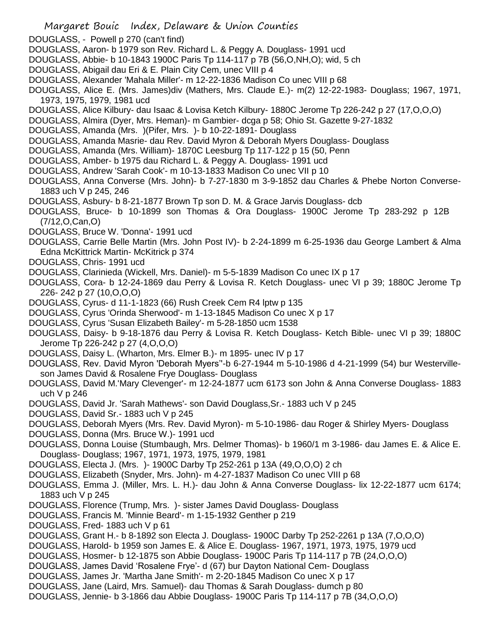- Margaret Bouic Index, Delaware & Union Counties
- DOUGLASS, Powell p 270 (can't find)
- DOUGLASS, Aaron- b 1979 son Rev. Richard L. & Peggy A. Douglass- 1991 ucd
- DOUGLASS, Abbie- b 10-1843 1900C Paris Tp 114-117 p 7B (56,O,NH,O); wid, 5 ch
- DOUGLASS, Abigail dau Eri & E. Plain City Cem, unec VIII p 4
- DOUGLASS, Alexander 'Mahala Miller'- m 12-22-1836 Madison Co unec VIII p 68
- DOUGLASS, Alice E. (Mrs. James)div (Mathers, Mrs. Claude E.)- m(2) 12-22-1983- Douglass; 1967, 1971, 1973, 1975, 1979, 1981 ucd
- DOUGLASS, Alice Kilbury- dau Isaac & Lovisa Ketch Kilbury- 1880C Jerome Tp 226-242 p 27 (17,O,O,O)
- DOUGLASS, Almira (Dyer, Mrs. Heman)- m Gambier- dcga p 58; Ohio St. Gazette 9-27-1832
- DOUGLASS, Amanda (Mrs. )(Pifer, Mrs. )- b 10-22-1891- Douglass
- DOUGLASS, Amanda Masrie- dau Rev. David Myron & Deborah Myers Douglass- Douglass
- DOUGLASS, Amanda (Mrs. William)- 1870C Leesburg Tp 117-122 p 15 (50, Penn
- DOUGLASS, Amber- b 1975 dau Richard L. & Peggy A. Douglass- 1991 ucd
- DOUGLASS, Andrew 'Sarah Cook'- m 10-13-1833 Madison Co unec VII p 10
- DOUGLASS, Anna Converse (Mrs. John)- b 7-27-1830 m 3-9-1852 dau Charles & Phebe Norton Converse-1883 uch V p 245, 246
- DOUGLASS, Asbury- b 8-21-1877 Brown Tp son D. M. & Grace Jarvis Douglass- dcb
- DOUGLASS, Bruce- b 10-1899 son Thomas & Ora Douglass- 1900C Jerome Tp 283-292 p 12B (7/12,O,Can,O)
- DOUGLASS, Bruce W. 'Donna'- 1991 ucd
- DOUGLASS, Carrie Belle Martin (Mrs. John Post IV)- b 2-24-1899 m 6-25-1936 dau George Lambert & Alma Edna McKittrick Martin- McKitrick p 374
- DOUGLASS, Chris- 1991 ucd
- DOUGLASS, Clarinieda (Wickell, Mrs. Daniel)- m 5-5-1839 Madison Co unec IX p 17
- DOUGLASS, Cora- b 12-24-1869 dau Perry & Lovisa R. Ketch Douglass- unec VI p 39; 1880C Jerome Tp 226- 242 p 27 (10,O,O,O)
- DOUGLASS, Cyrus- d 11-1-1823 (66) Rush Creek Cem R4 lptw p 135
- DOUGLASS, Cyrus 'Orinda Sherwood'- m 1-13-1845 Madison Co unec X p 17
- DOUGLASS, Cyrus 'Susan Elizabeth Bailey'- m 5-28-1850 ucm 1538
- DOUGLASS, Daisy- b 9-18-1876 dau Perry & Lovisa R. Ketch Douglass- Ketch Bible- unec VI p 39; 1880C Jerome Tp 226-242 p 27 (4,O,O,O)
- DOUGLASS, Daisy L. (Wharton, Mrs. Elmer B.)- m 1895- unec IV p 17
- DOUGLASS, Rev. David Myron 'Deborah Myers''-b 6-27-1944 m 5-10-1986 d 4-21-1999 (54) bur Westervilleson James David & Rosalene Frye Douglass- Douglass
- DOUGLASS, David M.'Mary Clevenger'- m 12-24-1877 ucm 6173 son John & Anna Converse Douglass- 1883 uch V p 246
- DOUGLASS, David Jr. 'Sarah Mathews'- son David Douglass,Sr.- 1883 uch V p 245
- DOUGLASS, David Sr.- 1883 uch V p 245
- DOUGLASS, Deborah Myers (Mrs. Rev. David Myron)- m 5-10-1986- dau Roger & Shirley Myers- Douglass
- DOUGLASS, Donna (Mrs. Bruce W.)- 1991 ucd
- DOUGLASS, Donna Louise (Stumbaugh, Mrs. Delmer Thomas)- b 1960/1 m 3-1986- dau James E. & Alice E. Douglass- Douglass; 1967, 1971, 1973, 1975, 1979, 1981
- DOUGLASS, Electa J. (Mrs. )- 1900C Darby Tp 252-261 p 13A (49,O,O,O) 2 ch
- DOUGLASS, Elizabeth (Snyder, Mrs. John)- m 4-27-1837 Madison Co unec VIII p 68
- DOUGLASS, Emma J. (Miller, Mrs. L. H.)- dau John & Anna Converse Douglass- lix 12-22-1877 ucm 6174; 1883 uch V p 245
- DOUGLASS, Florence (Trump, Mrs. )- sister James David Douglass- Douglass
- DOUGLASS, Francis M. 'Minnie Beard'- m 1-15-1932 Genther p 219
- DOUGLASS, Fred- 1883 uch V p 61
- DOUGLASS, Grant H.- b 8-1892 son Electa J. Douglass- 1900C Darby Tp 252-2261 p 13A (7,O,O,O)
- DOUGLASS, Harold- b 1959 son James E. & Alice E. Douglass- 1967, 1971, 1973, 1975, 1979 ucd
- DOUGLASS, Hosmer- b 12-1875 son Abbie Douglass- 1900C Paris Tp 114-117 p 7B (24,O,O,O)
- DOUGLASS, James David 'Rosalene Frye'- d (67) bur Dayton National Cem- Douglass
- DOUGLASS, James Jr. 'Martha Jane Smith'- m 2-20-1845 Madison Co unec X p 17
- DOUGLASS, Jane (Laird, Mrs. Samuel)- dau Thomas & Sarah Douglass- dumch p 80
- DOUGLASS, Jennie- b 3-1866 dau Abbie Douglass- 1900C Paris Tp 114-117 p 7B (34,O,O,O)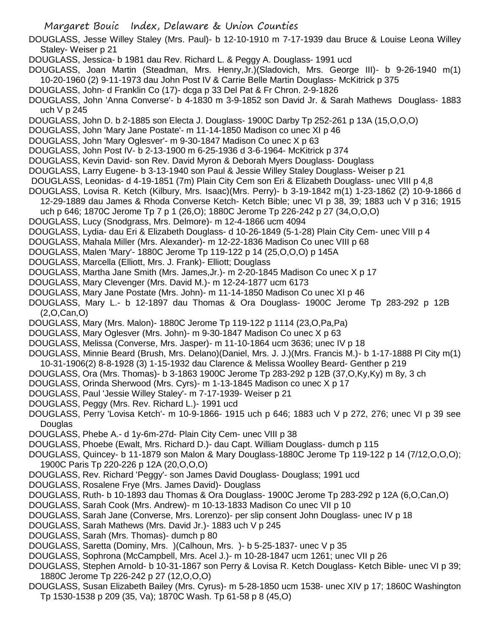DOUGLASS, Jesse Willey Staley (Mrs. Paul)- b 12-10-1910 m 7-17-1939 dau Bruce & Louise Leona Willey Staley- Weiser p 21 DOUGLASS, Jessica- b 1981 dau Rev. Richard L. & Peggy A. Douglass- 1991 ucd DOUGLASS, Joan Martin (Steadman, Mrs. Henry,Jr.)(Sladovich, Mrs. George III)- b 9-26-1940 m(1) 10-20-1960 (2) 9-11-1973 dau John Post IV & Carrie Belle Martin Douglass- McKitrick p 375 DOUGLASS, John- d Franklin Co (17)- dcga p 33 Del Pat & Fr Chron. 2-9-1826 DOUGLASS, John 'Anna Converse'- b 4-1830 m 3-9-1852 son David Jr. & Sarah Mathews Douglass- 1883 uch V p 245 DOUGLASS, John D. b 2-1885 son Electa J. Douglass- 1900C Darby Tp 252-261 p 13A (15,O,O,O) DOUGLASS, John 'Mary Jane Postate'- m 11-14-1850 Madison co unec XI p 46 DOUGLASS, John 'Mary Oglesver'- m 9-30-1847 Madison Co unec X p 63 DOUGLASS, John Post IV- b 2-13-1900 m 6-25-1936 d 3-6-1964- McKitrick p 374 DOUGLASS, Kevin David- son Rev. David Myron & Deborah Myers Douglass- Douglass DOUGLASS, Larry Eugene- b 3-13-1940 son Paul & Jessie Willey Staley Douglass- Weiser p 21 DOUGLASS, Leonidas- d 4-19-1851 (7m) Plain City Cem son Eri & Elizabeth Douglass- unec VIII p 4,8 DOUGLASS, Lovisa R. Ketch (Kilbury, Mrs. Isaac)(Mrs. Perry)- b 3-19-1842 m(1) 1-23-1862 (2) 10-9-1866 d 12-29-1889 dau James & Rhoda Converse Ketch- Ketch Bible; unec VI p 38, 39; 1883 uch V p 316; 1915 uch p 646; 1870C Jerome Tp 7 p 1 (26,O); 1880C Jerome Tp 226-242 p 27 (34,O,O,O) DOUGLASS, Lucy (Snodgrass, Mrs. Delmore)- m 12-4-1866 ucm 4094 DOUGLASS, Lydia- dau Eri & Elizabeth Douglass- d 10-26-1849 (5-1-28) Plain City Cem- unec VIII p 4 DOUGLASS, Mahala Miller (Mrs. Alexander)- m 12-22-1836 Madison Co unec VIII p 68 DOUGLASS, Malen 'Mary'- 1880C Jerome Tp 119-122 p 14 (25,O,O,O) p 145A DOUGLASS, Marcella (Elliott, Mrs. J. Frank)- Elliott; Douglass DOUGLASS, Martha Jane Smith (Mrs. James,Jr.)- m 2-20-1845 Madison Co unec X p 17 DOUGLASS, Mary Clevenger (Mrs. David M.)- m 12-24-1877 ucm 6173 DOUGLASS, Mary Jane Postate (Mrs. John)- m 11-14-1850 Madison Co unec XI p 46 DOUGLASS, Mary L.- b 12-1897 dau Thomas & Ora Douglass- 1900C Jerome Tp 283-292 p 12B (2,O,Can,O) DOUGLASS, Mary (Mrs. Malon)- 1880C Jerome Tp 119-122 p 1114 (23,O,Pa,Pa) DOUGLASS, Mary Oglesver (Mrs. John)- m 9-30-1847 Madison Co unec X p 63 DOUGLASS, Melissa (Converse, Mrs. Jasper)- m 11-10-1864 ucm 3636; unec IV p 18 DOUGLASS, Minnie Beard (Brush, Mrs. Delano)(Daniel, Mrs. J. J.)(Mrs. Francis M.)- b 1-17-1888 Pl City m(1) 10-31-1906(2) 8-8-1928 (3) 1-15-1932 dau Clarence & Melissa Woolley Beard- Genther p 219 DOUGLASS, Ora (Mrs. Thomas)- b 3-1863 1900C Jerome Tp 283-292 p 12B (37,O,Ky,Ky) m 8y, 3 ch DOUGLASS, Orinda Sherwood (Mrs. Cyrs)- m 1-13-1845 Madison co unec X p 17 DOUGLASS, Paul 'Jessie Willey Staley'- m 7-17-1939- Weiser p 21 DOUGLASS, Peggy (Mrs. Rev. Richard L.)- 1991 ucd DOUGLASS, Perry 'Lovisa Ketch'- m 10-9-1866- 1915 uch p 646; 1883 uch V p 272, 276; unec VI p 39 see Douglas DOUGLASS, Phebe A.- d 1y-6m-27d- Plain City Cem- unec VIII p 38 DOUGLASS, Phoebe (Ewalt, Mrs. Richard D.)- dau Capt. William Douglass- dumch p 115 DOUGLASS, Quincey- b 11-1879 son Malon & Mary Douglass-1880C Jerome Tp 119-122 p 14 (7/12,O,O,O); 1900C Paris Tp 220-226 p 12A (20,O,O,O) DOUGLASS, Rev. Richard 'Peggy'- son James David Douglass- Douglass; 1991 ucd DOUGLASS, Rosalene Frye (Mrs. James David)- Douglass DOUGLASS, Ruth- b 10-1893 dau Thomas & Ora Douglass- 1900C Jerome Tp 283-292 p 12A (6,O,Can,O) DOUGLASS, Sarah Cook (Mrs. Andrew)- m 10-13-1833 Madison Co unec VII p 10 DOUGLASS, Sarah Jane (Converse, Mrs. Lorenzo)- per slip consent John Douglass- unec IV p 18 DOUGLASS, Sarah Mathews (Mrs. David Jr.)- 1883 uch V p 245 DOUGLASS, Sarah (Mrs. Thomas)- dumch p 80 DOUGLASS, Saretta (Dominy, Mrs. )(Calhoun, Mrs. )- b 5-25-1837- unec V p 35

Margaret Bouic Index, Delaware & Union Counties

- DOUGLASS, Sophrona (McCampbell, Mrs. Acel J.)- m 10-28-1847 ucm 1261; unec VII p 26
- DOUGLASS, Stephen Arnold- b 10-31-1867 son Perry & Lovisa R. Ketch Douglass- Ketch Bible- unec VI p 39; 1880C Jerome Tp 226-242 p 27 (12,O,O,O)
- DOUGLASS, Susan Elizabeth Bailey (Mrs. Cyrus)- m 5-28-1850 ucm 1538- unec XIV p 17; 1860C Washington Tp 1530-1538 p 209 (35, Va); 1870C Wash. Tp 61-58 p 8 (45,O)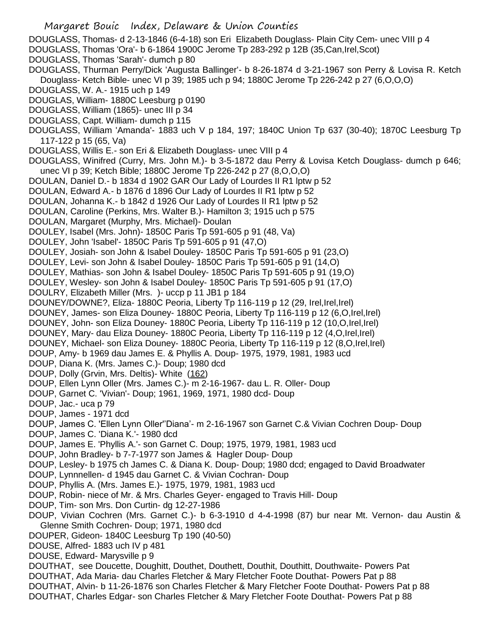Margaret Bouic Index, Delaware & Union Counties DOUGLASS, Thomas- d 2-13-1846 (6-4-18) son Eri Elizabeth Douglass- Plain City Cem- unec VIII p 4 DOUGLASS, Thomas 'Ora'- b 6-1864 1900C Jerome Tp 283-292 p 12B (35,Can,Irel,Scot) DOUGLASS, Thomas 'Sarah'- dumch p 80 DOUGLASS, Thurman Perry/Dick 'Augusta Ballinger'- b 8-26-1874 d 3-21-1967 son Perry & Lovisa R. Ketch Douglass- Ketch Bible- unec VI p 39; 1985 uch p 94; 1880C Jerome Tp 226-242 p 27 (6,O,O,O) DOUGLASS, W. A.- 1915 uch p 149 DOUGLAS, William- 1880C Leesburg p 0190 DOUGLASS, William (1865)- unec III p 34 DOUGLASS, Capt. William- dumch p 115 DOUGLASS, William 'Amanda'- 1883 uch V p 184, 197; 1840C Union Tp 637 (30-40); 1870C Leesburg Tp 117-122 p 15 (65, Va) DOUGLASS, Willis E.- son Eri & Elizabeth Douglass- unec VIII p 4 DOUGLASS, Winifred (Curry, Mrs. John M.)- b 3-5-1872 dau Perry & Lovisa Ketch Douglass- dumch p 646; unec VI p 39; Ketch Bible; 1880C Jerome Tp 226-242 p 27 (8,O,O,O) DOULAN, Daniel D.- b 1834 d 1902 GAR Our Lady of Lourdes II R1 lptw p 52 DOULAN, Edward A.- b 1876 d 1896 Our Lady of Lourdes II R1 lptw p 52 DOULAN, Johanna K.- b 1842 d 1926 Our Lady of Lourdes II R1 lptw p 52 DOULAN, Caroline (Perkins, Mrs. Walter B.)- Hamilton 3; 1915 uch p 575 DOULAN, Margaret (Murphy, Mrs. Michael)- Doulan DOULEY, Isabel (Mrs. John)- 1850C Paris Tp 591-605 p 91 (48, Va) DOULEY, John 'Isabel'- 1850C Paris Tp 591-605 p 91 (47,O) DOULEY, Josiah- son John & Isabel Douley- 1850C Paris Tp 591-605 p 91 (23,O) DOULEY, Levi- son John & Isabel Douley- 1850C Paris Tp 591-605 p 91 (14,O) DOULEY, Mathias- son John & Isabel Douley- 1850C Paris Tp 591-605 p 91 (19,O) DOULEY, Wesley- son John & Isabel Douley- 1850C Paris Tp 591-605 p 91 (17,O) DOULRY, Elizabeth Miller (Mrs. )- uccp p 11 JB1 p 184 DOUNEY/DOWNE?, Eliza- 1880C Peoria, Liberty Tp 116-119 p 12 (29, Irel, Irel) DOUNEY, James- son Eliza Douney- 1880C Peoria, Liberty Tp 116-119 p 12 (6,O,Irel,Irel) DOUNEY, John- son Eliza Douney- 1880C Peoria, Liberty Tp 116-119 p 12 (10,O,Irel,Irel) DOUNEY, Mary- dau Eliza Douney- 1880C Peoria, Liberty Tp 116-119 p 12 (4,O,Irel,Irel) DOUNEY, Michael- son Eliza Douney- 1880C Peoria, Liberty Tp 116-119 p 12 (8,O,Irel,Irel) DOUP, Amy- b 1969 dau James E. & Phyllis A. Doup- 1975, 1979, 1981, 1983 ucd DOUP, Diana K. (Mrs. James C.)- Doup; 1980 dcd DOUP, Dolly (Grvin, Mrs. Deltis)- White (162) DOUP, Ellen Lynn Oller (Mrs. James C.)- m 2-16-1967- dau L. R. Oller- Doup DOUP, Garnet C. 'Vivian'- Doup; 1961, 1969, 1971, 1980 dcd- Doup DOUP, Jac.- uca p 79 DOUP, James - 1971 dcd DOUP, James C. 'Ellen Lynn Oller''Diana'- m 2-16-1967 son Garnet C.& Vivian Cochren Doup- Doup DOUP, James C. 'Diana K.'- 1980 dcd DOUP, James E. 'Phyllis A.'- son Garnet C. Doup; 1975, 1979, 1981, 1983 ucd DOUP, John Bradley- b 7-7-1977 son James & Hagler Doup- Doup DOUP, Lesley- b 1975 ch James C. & Diana K. Doup- Doup; 1980 dcd; engaged to David Broadwater DOUP, Lynnnellen- d 1945 dau Garnet C. & Vivian Cochran- Doup DOUP, Phyllis A. (Mrs. James E.)- 1975, 1979, 1981, 1983 ucd DOUP, Robin- niece of Mr. & Mrs. Charles Geyer- engaged to Travis Hill- Doup DOUP, Tim- son Mrs. Don Curtin- dg 12-27-1986 DOUP, Vivian Cochren (Mrs. Garnet C.)- b 6-3-1910 d 4-4-1998 (87) bur near Mt. Vernon- dau Austin & Glenne Smith Cochren- Doup; 1971, 1980 dcd DOUPER, Gideon- 1840C Leesburg Tp 190 (40-50) DOUSE, Alfred- 1883 uch IV p 481 DOUSE, Edward- Marysville p 9 DOUTHAT, see Doucette, Doughitt, Douthet, Douthett, Douthit, Douthitt, Douthwaite- Powers Pat DOUTHAT, Ada Maria- dau Charles Fletcher & Mary Fletcher Foote Douthat- Powers Pat p 88 DOUTHAT, Alvin- b 11-26-1876 son Charles Fletcher & Mary Fletcher Foote Douthat- Powers Pat p 88 DOUTHAT, Charles Edgar- son Charles Fletcher & Mary Fletcher Foote Douthat- Powers Pat p 88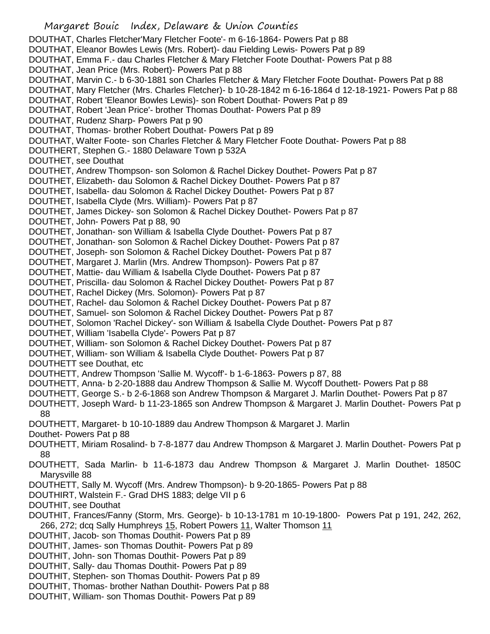Margaret Bouic Index, Delaware & Union Counties DOUTHAT, Charles Fletcher'Mary Fletcher Foote'- m 6-16-1864- Powers Pat p 88 DOUTHAT, Eleanor Bowles Lewis (Mrs. Robert)- dau Fielding Lewis- Powers Pat p 89 DOUTHAT, Emma F.- dau Charles Fletcher & Mary Fletcher Foote Douthat- Powers Pat p 88 DOUTHAT, Jean Price (Mrs. Robert)- Powers Pat p 88 DOUTHAT, Marvin C.- b 6-30-1881 son Charles Fletcher & Mary Fletcher Foote Douthat- Powers Pat p 88 DOUTHAT, Mary Fletcher (Mrs. Charles Fletcher)- b 10-28-1842 m 6-16-1864 d 12-18-1921- Powers Pat p 88 DOUTHAT, Robert 'Eleanor Bowles Lewis)- son Robert Douthat- Powers Pat p 89 DOUTHAT, Robert 'Jean Price'- brother Thomas Douthat- Powers Pat p 89 DOUTHAT, Rudenz Sharp- Powers Pat p 90 DOUTHAT, Thomas- brother Robert Douthat- Powers Pat p 89 DOUTHAT, Walter Foote- son Charles Fletcher & Mary Fletcher Foote Douthat- Powers Pat p 88 DOUTHERT, Stephen G.- 1880 Delaware Town p 532A DOUTHET, see Douthat DOUTHET, Andrew Thompson- son Solomon & Rachel Dickey Douthet- Powers Pat p 87 DOUTHET, Elizabeth- dau Solomon & Rachel Dickey Douthet- Powers Pat p 87 DOUTHET, Isabella- dau Solomon & Rachel Dickey Douthet- Powers Pat p 87 DOUTHET, Isabella Clyde (Mrs. William)- Powers Pat p 87 DOUTHET, James Dickey- son Solomon & Rachel Dickey Douthet- Powers Pat p 87 DOUTHET, John- Powers Pat p 88, 90 DOUTHET, Jonathan- son William & Isabella Clyde Douthet- Powers Pat p 87 DOUTHET, Jonathan- son Solomon & Rachel Dickey Douthet- Powers Pat p 87 DOUTHET, Joseph- son Solomon & Rachel Dickey Douthet- Powers Pat p 87 DOUTHET, Margaret J. Marlin (Mrs. Andrew Thompson)- Powers Pat p 87 DOUTHET, Mattie- dau William & Isabella Clyde Douthet- Powers Pat p 87 DOUTHET, Priscilla- dau Solomon & Rachel Dickey Douthet- Powers Pat p 87 DOUTHET, Rachel Dickey (Mrs. Solomon)- Powers Pat p 87 DOUTHET, Rachel- dau Solomon & Rachel Dickey Douthet- Powers Pat p 87 DOUTHET, Samuel- son Solomon & Rachel Dickey Douthet- Powers Pat p 87 DOUTHET, Solomon 'Rachel Dickey'- son William & Isabella Clyde Douthet- Powers Pat p 87 DOUTHET, William 'Isabella Clyde'- Powers Pat p 87 DOUTHET, William- son Solomon & Rachel Dickey Douthet- Powers Pat p 87 DOUTHET, William- son William & Isabella Clyde Douthet- Powers Pat p 87 DOUTHETT see Douthat, etc DOUTHETT, Andrew Thompson 'Sallie M. Wycoff'- b 1-6-1863- Powers p 87, 88 DOUTHETT, Anna- b 2-20-1888 dau Andrew Thompson & Sallie M. Wycoff Douthett- Powers Pat p 88 DOUTHETT, George S.- b 2-6-1868 son Andrew Thompson & Margaret J. Marlin Douthet- Powers Pat p 87 DOUTHETT, Joseph Ward- b 11-23-1865 son Andrew Thompson & Margaret J. Marlin Douthet- Powers Pat p 88 DOUTHETT, Margaret- b 10-10-1889 dau Andrew Thompson & Margaret J. Marlin Douthet- Powers Pat p 88 DOUTHETT, Miriam Rosalind- b 7-8-1877 dau Andrew Thompson & Margaret J. Marlin Douthet- Powers Pat p 88 DOUTHETT, Sada Marlin- b 11-6-1873 dau Andrew Thompson & Margaret J. Marlin Douthet- 1850C Marysville 88 DOUTHETT, Sally M. Wycoff (Mrs. Andrew Thompson)- b 9-20-1865- Powers Pat p 88 DOUTHIRT, Walstein F.- Grad DHS 1883; delge VII p 6 DOUTHIT, see Douthat DOUTHIT, Frances/Fanny (Storm, Mrs. George)- b 10-13-1781 m 10-19-1800- Powers Pat p 191, 242, 262, 266, 272; dcq Sally Humphreys 15, Robert Powers 11, Walter Thomson 11 DOUTHIT, Jacob- son Thomas Douthit- Powers Pat p 89 DOUTHIT, James- son Thomas Douthit- Powers Pat p 89 DOUTHIT, John- son Thomas Douthit- Powers Pat p 89 DOUTHIT, Sally- dau Thomas Douthit- Powers Pat p 89 DOUTHIT, Stephen- son Thomas Douthit- Powers Pat p 89 DOUTHIT, Thomas- brother Nathan Douthit- Powers Pat p 88 DOUTHIT, William- son Thomas Douthit- Powers Pat p 89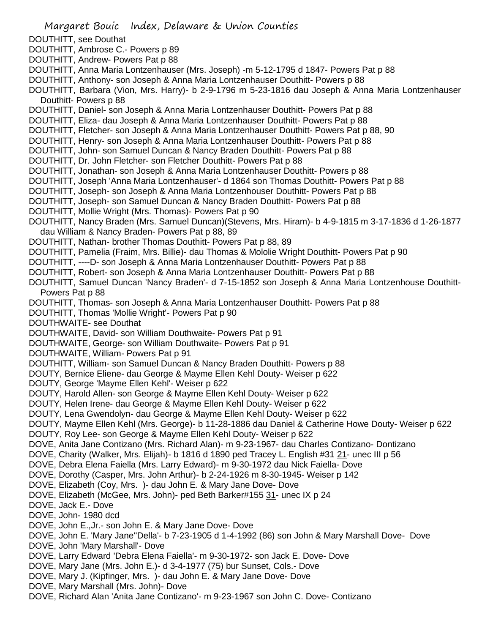Margaret Bouic Index, Delaware & Union Counties DOUTHITT, see Douthat DOUTHITT, Ambrose C.- Powers p 89 DOUTHITT, Andrew- Powers Pat p 88 DOUTHITT, Anna Maria Lontzenhauser (Mrs. Joseph) -m 5-12-1795 d 1847- Powers Pat p 88 DOUTHITT, Anthony- son Joseph & Anna Maria Lontzenhauser Douthitt- Powers p 88 DOUTHITT, Barbara (Vion, Mrs. Harry)- b 2-9-1796 m 5-23-1816 dau Joseph & Anna Maria Lontzenhauser Douthitt- Powers p 88 DOUTHITT, Daniel- son Joseph & Anna Maria Lontzenhauser Douthitt- Powers Pat p 88 DOUTHITT, Eliza- dau Joseph & Anna Maria Lontzenhauser Douthitt- Powers Pat p 88 DOUTHITT, Fletcher- son Joseph & Anna Maria Lontzenhauser Douthitt- Powers Pat p 88, 90 DOUTHITT, Henry- son Joseph & Anna Maria Lontzenhauser Douthitt- Powers Pat p 88 DOUTHITT, John- son Samuel Duncan & Nancy Braden Douthitt- Powers Pat p 88 DOUTHITT, Dr. John Fletcher- son Fletcher Douthitt- Powers Pat p 88 DOUTHITT, Jonathan- son Joseph & Anna Maria Lontzenhauser Douthitt- Powers p 88 DOUTHITT, Joseph 'Anna Maria Lontzenhauser'- d 1864 son Thomas Douthitt- Powers Pat p 88 DOUTHITT, Joseph- son Joseph & Anna Maria Lontzenhouser Douthitt- Powers Pat p 88 DOUTHITT, Joseph- son Samuel Duncan & Nancy Braden Douthitt- Powers Pat p 88 DOUTHITT, Mollie Wright (Mrs. Thomas)- Powers Pat p 90 DOUTHITT, Nancy Braden (Mrs. Samuel Duncan)(Stevens, Mrs. Hiram)- b 4-9-1815 m 3-17-1836 d 1-26-1877 dau William & Nancy Braden- Powers Pat p 88, 89 DOUTHITT, Nathan- brother Thomas Douthitt- Powers Pat p 88, 89 DOUTHITT, Pamelia (Fraim, Mrs. Billie)- dau Thomas & Mololie Wright Douthitt- Powers Pat p 90 DOUTHITT, ----D- son Joseph & Anna Maria Lontzenhauser Douthitt- Powers Pat p 88 DOUTHITT, Robert- son Joseph & Anna Maria Lontzenhauser Douthitt- Powers Pat p 88 DOUTHITT, Samuel Duncan 'Nancy Braden'- d 7-15-1852 son Joseph & Anna Maria Lontzenhouse Douthitt-Powers Pat p 88 DOUTHITT, Thomas- son Joseph & Anna Maria Lontzenhauser Douthitt- Powers Pat p 88 DOUTHITT, Thomas 'Mollie Wright'- Powers Pat p 90 DOUTHWAITE- see Douthat DOUTHWAITE, David- son William Douthwaite- Powers Pat p 91 DOUTHWAITE, George- son William Douthwaite- Powers Pat p 91 DOUTHWAITE, William- Powers Pat p 91 DOUTHITT, William- son Samuel Duncan & Nancy Braden Douthitt- Powers p 88 DOUTY, Bernice Eliene- dau George & Mayme Ellen Kehl Douty- Weiser p 622 DOUTY, George 'Mayme Ellen Kehl'- Weiser p 622 DOUTY, Harold Allen- son George & Mayme Ellen Kehl Douty- Weiser p 622 DOUTY, Helen Irene- dau George & Mayme Ellen Kehl Douty- Weiser p 622 DOUTY, Lena Gwendolyn- dau George & Mayme Ellen Kehl Douty- Weiser p 622 DOUTY, Mayme Ellen Kehl (Mrs. George)- b 11-28-1886 dau Daniel & Catherine Howe Douty- Weiser p 622 DOUTY, Roy Lee- son George & Mayme Ellen Kehl Douty- Weiser p 622 DOVE, Anita Jane Contizano (Mrs. Richard Alan)- m 9-23-1967- dau Charles Contizano- Dontizano DOVE, Charity (Walker, Mrs. Elijah)- b 1816 d 1890 ped Tracey L. English #31 21- unec III p 56 DOVE, Debra Elena Faiella (Mrs. Larry Edward)- m 9-30-1972 dau Nick Faiella- Dove DOVE, Dorothy (Casper, Mrs. John Arthur)- b 2-24-1926 m 8-30-1945- Weiser p 142 DOVE, Elizabeth (Coy, Mrs. )- dau John E. & Mary Jane Dove- Dove DOVE, Elizabeth (McGee, Mrs. John)- ped Beth Barker#155 31- unec IX p 24 DOVE, Jack E.- Dove DOVE, John- 1980 dcd DOVE, John E.,Jr.- son John E. & Mary Jane Dove- Dove DOVE, John E. 'Mary Jane''Della'- b 7-23-1905 d 1-4-1992 (86) son John & Mary Marshall Dove- Dove DOVE, John 'Mary Marshall'- Dove DOVE, Larry Edward 'Debra Elena Faiella'- m 9-30-1972- son Jack E. Dove- Dove DOVE, Mary Jane (Mrs. John E.)- d 3-4-1977 (75) bur Sunset, Cols.- Dove DOVE, Mary J. (Kipfinger, Mrs. )- dau John E. & Mary Jane Dove- Dove DOVE, Mary Marshall (Mrs. John)- Dove DOVE, Richard Alan 'Anita Jane Contizano'- m 9-23-1967 son John C. Dove- Contizano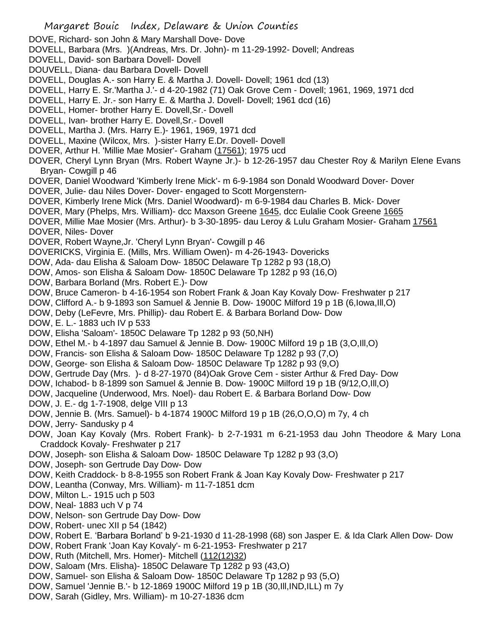DOVE, Richard- son John & Mary Marshall Dove- Dove

DOVELL, Barbara (Mrs. )(Andreas, Mrs. Dr. John)- m 11-29-1992- Dovell; Andreas

- DOVELL, David- son Barbara Dovell- Dovell
- DOUVELL, Diana- dau Barbara Dovell- Dovell
- DOVELL, Douglas A.- son Harry E. & Martha J. Dovell- Dovell; 1961 dcd (13)
- DOVELL, Harry E. Sr.'Martha J.'- d 4-20-1982 (71) Oak Grove Cem Dovell; 1961, 1969, 1971 dcd
- DOVELL, Harry E. Jr.- son Harry E. & Martha J. Dovell- Dovell; 1961 dcd (16)
- DOVELL, Homer- brother Harry E. Dovell,Sr.- Dovell
- DOVELL, Ivan- brother Harry E. Dovell,Sr.- Dovell
- DOVELL, Martha J. (Mrs. Harry E.)- 1961, 1969, 1971 dcd
- DOVELL, Maxine (Wilcox, Mrs. )-sister Harry E.Dr. Dovell- Dovell
- DOVER, Arthur H. 'Millie Mae Mosier'- Graham (17561); 1975 ucd
- DOVER, Cheryl Lynn Bryan (Mrs. Robert Wayne Jr.)- b 12-26-1957 dau Chester Roy & Marilyn Elene Evans Bryan- Cowgill p 46
- DOVER, Daniel Woodward 'Kimberly Irene Mick'- m 6-9-1984 son Donald Woodward Dover- Dover
- DOVER, Julie- dau Niles Dover- Dover- engaged to Scott Morgenstern-
- DOVER, Kimberly Irene Mick (Mrs. Daniel Woodward)- m 6-9-1984 dau Charles B. Mick- Dover
- DOVER, Mary (Phelps, Mrs. William)- dcc Maxson Greene 1645, dcc Eulalie Cook Greene 1665
- DOVER, Millie Mae Mosier (Mrs. Arthur)- b 3-30-1895- dau Leroy & Lulu Graham Mosier- Graham 17561 DOVER, Niles- Dover
- DOVER, Robert Wayne,Jr. 'Cheryl Lynn Bryan'- Cowgill p 46
- DOVERICKS, Virginia E. (Mills, Mrs. William Owen)- m 4-26-1943- Dovericks
- DOW, Ada- dau Elisha & Saloam Dow- 1850C Delaware Tp 1282 p 93 (18,O)
- DOW, Amos- son Elisha & Saloam Dow- 1850C Delaware Tp 1282 p 93 (16,O)
- DOW, Barbara Borland (Mrs. Robert E.)- Dow
- DOW, Bruce Cameron- b 4-16-1954 son Robert Frank & Joan Kay Kovaly Dow- Freshwater p 217
- DOW, Clifford A.- b 9-1893 son Samuel & Jennie B. Dow- 1900C Milford 19 p 1B (6,Iowa,Ill,O)
- DOW, Deby (LeFevre, Mrs. Phillip)- dau Robert E. & Barbara Borland Dow- Dow
- DOW, E. L.- 1883 uch IV p 533
- DOW, Elisha 'Saloam'- 1850C Delaware Tp 1282 p 93 (50,NH)
- DOW, Ethel M.- b 4-1897 dau Samuel & Jennie B. Dow- 1900C Milford 19 p 1B (3,O,Ill,O)
- DOW, Francis- son Elisha & Saloam Dow- 1850C Delaware Tp 1282 p 93 (7,O)
- DOW, George- son Elisha & Saloam Dow- 1850C Delaware Tp 1282 p 93 (9,O)
- DOW, Gertrude Day (Mrs. )- d 8-27-1970 (84)Oak Grove Cem sister Arthur & Fred Day- Dow
- DOW, Ichabod- b 8-1899 son Samuel & Jennie B. Dow- 1900C Milford 19 p 1B (9/12,O,Ill,O)
- DOW, Jacqueline (Underwood, Mrs. Noel)- dau Robert E. & Barbara Borland Dow- Dow
- DOW, J. E.- dg 1-7-1908, delge VIII p 13
- DOW, Jennie B. (Mrs. Samuel)- b 4-1874 1900C Milford 19 p 1B (26,O,O,O) m 7y, 4 ch
- DOW, Jerry- Sandusky p 4
- DOW, Joan Kay Kovaly (Mrs. Robert Frank)- b 2-7-1931 m 6-21-1953 dau John Theodore & Mary Lona Craddock Kovaly- Freshwater p 217
- DOW, Joseph- son Elisha & Saloam Dow- 1850C Delaware Tp 1282 p 93 (3,O)
- DOW, Joseph- son Gertrude Day Dow- Dow
- DOW, Keith Craddock- b 8-8-1955 son Robert Frank & Joan Kay Kovaly Dow- Freshwater p 217
- DOW, Leantha (Conway, Mrs. William)- m 11-7-1851 dcm
- DOW, Milton L.- 1915 uch p 503
- DOW, Neal- 1883 uch V p 74
- DOW, Nelson- son Gertrude Day Dow- Dow
- DOW, Robert- unec XII p 54 (1842)
- DOW, Robert E. 'Barbara Borland' b 9-21-1930 d 11-28-1998 (68) son Jasper E. & Ida Clark Allen Dow- Dow
- DOW, Robert Frank 'Joan Kay Kovaly'- m 6-21-1953- Freshwater p 217
- DOW, Ruth (Mitchell, Mrs. Homer)- Mitchell (112(12)32)
- DOW, Saloam (Mrs. Elisha)- 1850C Delaware Tp 1282 p 93 (43,O)
- DOW, Samuel- son Elisha & Saloam Dow- 1850C Delaware Tp 1282 p 93 (5,O)
- DOW, Samuel 'Jennie B.'- b 12-1869 1900C Milford 19 p 1B (30,Ill,IND,ILL) m 7y
- DOW, Sarah (Gidley, Mrs. William)- m 10-27-1836 dcm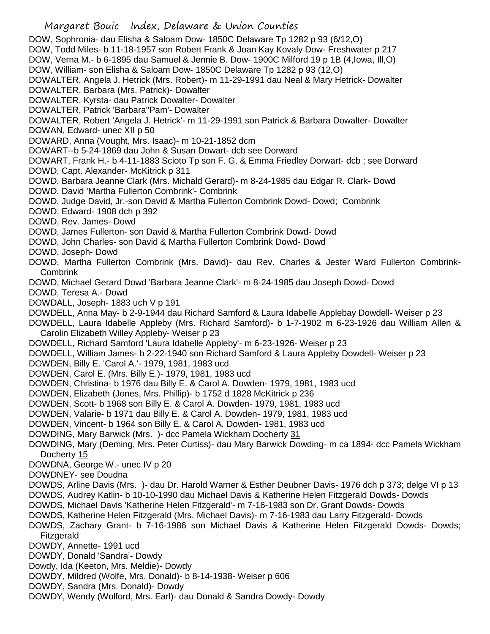Margaret Bouic Index, Delaware & Union Counties DOW, Sophronia- dau Elisha & Saloam Dow- 1850C Delaware Tp 1282 p 93 (6/12,O) DOW, Todd Miles- b 11-18-1957 son Robert Frank & Joan Kay Kovaly Dow- Freshwater p 217 DOW, Verna M.- b 6-1895 dau Samuel & Jennie B. Dow- 1900C Milford 19 p 1B (4,Iowa, Ill,O) DOW, William- son Elisha & Saloam Dow- 1850C Delaware Tp 1282 p 93 (12,O) DOWALTER, Angela J. Hetrick (Mrs. Robert)- m 11-29-1991 dau Neal & Mary Hetrick- Dowalter DOWALTER, Barbara (Mrs. Patrick)- Dowalter DOWALTER, Kyrsta- dau Patrick Dowalter- Dowalter DOWALTER, Patrick 'Barbara''Pam'- Dowalter DOWALTER, Robert 'Angela J. Hetrick'- m 11-29-1991 son Patrick & Barbara Dowalter- Dowalter DOWAN, Edward- unec XII p 50 DOWARD, Anna (Vought, Mrs. Isaac)- m 10-21-1852 dcm DOWART--b 5-24-1869 dau John & Susan Dowart- dcb see Dorward DOWART, Frank H.- b 4-11-1883 Scioto Tp son F. G. & Emma Friedley Dorwart- dcb ; see Dorward DOWD, Capt. Alexander- McKitrick p 311 DOWD, Barbara Jeanne Clark (Mrs. Michald Gerard)- m 8-24-1985 dau Edgar R. Clark- Dowd DOWD, David 'Martha Fullerton Combrink'- Combrink DOWD, Judge David, Jr.-son David & Martha Fullerton Combrink Dowd- Dowd; Combrink DOWD, Edward- 1908 dch p 392 DOWD, Rev. James- Dowd DOWD, James Fullerton- son David & Martha Fullerton Combrink Dowd- Dowd DOWD, John Charles- son David & Martha Fullerton Combrink Dowd- Dowd DOWD, Joseph- Dowd DOWD, Martha Fullerton Combrink (Mrs. David)- dau Rev. Charles & Jester Ward Fullerton Combrink-Combrink DOWD, Michael Gerard Dowd 'Barbara Jeanne Clark'- m 8-24-1985 dau Joseph Dowd- Dowd

DOWD, Teresa A.- Dowd

DOWDALL, Joseph- 1883 uch V p 191

DOWDELL, Anna May- b 2-9-1944 dau Richard Samford & Laura Idabelle Applebay Dowdell- Weiser p 23

DOWDELL, Laura Idabelle Appleby (Mrs. Richard Samford)- b 1-7-1902 m 6-23-1926 dau William Allen & Carolin Elizabeth Willey Appleby- Weiser p 23

DOWDELL, Richard Samford 'Laura Idabelle Appleby'- m 6-23-1926- Weiser p 23

DOWDELL, William James- b 2-22-1940 son Richard Samford & Laura Appleby Dowdell- Weiser p 23

DOWDEN, Billy E. 'Carol A.'- 1979, 1981, 1983 ucd

DOWDEN, Carol E. (Mrs. Billy E.)- 1979, 1981, 1983 ucd

DOWDEN, Christina- b 1976 dau Billy E. & Carol A. Dowden- 1979, 1981, 1983 ucd

DOWDEN, Elizabeth (Jones, Mrs. Phillip)- b 1752 d 1828 McKitrick p 236

DOWDEN, Scott- b 1968 son Billy E. & Carol A. Dowden- 1979, 1981, 1983 ucd

DOWDEN, Valarie- b 1971 dau Billy E. & Carol A. Dowden- 1979, 1981, 1983 ucd

DOWDEN, Vincent- b 1964 son Billy E. & Carol A. Dowden- 1981, 1983 ucd

DOWDING, Mary Barwick (Mrs. )- dcc Pamela Wickham Docherty 31

DOWDING, Mary (Deming, Mrs. Peter Curtiss)- dau Mary Barwick Dowding- m ca 1894- dcc Pamela Wickham Docherty 15

DOWDNA, George W.- unec IV p 20

DOWDNEY- see Doudna

DOWDS, Arline Davis (Mrs. )- dau Dr. Harold Warner & Esther Deubner Davis- 1976 dch p 373; delge VI p 13

DOWDS, Audrey Katlin- b 10-10-1990 dau Michael Davis & Katherine Helen Fitzgerald Dowds- Dowds

DOWDS, Michael Davis 'Katherine Helen Fitzgerald'- m 7-16-1983 son Dr. Grant Dowds- Dowds

DOWDS, Katherine Helen Fitzgerald (Mrs. Michael Davis)- m 7-16-1983 dau Larry Fitzgerald- Dowds

DOWDS, Zachary Grant- b 7-16-1986 son Michael Davis & Katherine Helen Fitzgerald Dowds- Dowds; Fitzgerald

DOWDY, Annette- 1991 ucd

DOWDY, Donald 'Sandra'- Dowdy

Dowdy, Ida (Keeton, Mrs. Meldie)- Dowdy

DOWDY, Mildred (Wolfe, Mrs. Donald)- b 8-14-1938- Weiser p 606

DOWDY, Sandra (Mrs. Donald)- Dowdy

DOWDY, Wendy (Wolford, Mrs. Earl)- dau Donald & Sandra Dowdy- Dowdy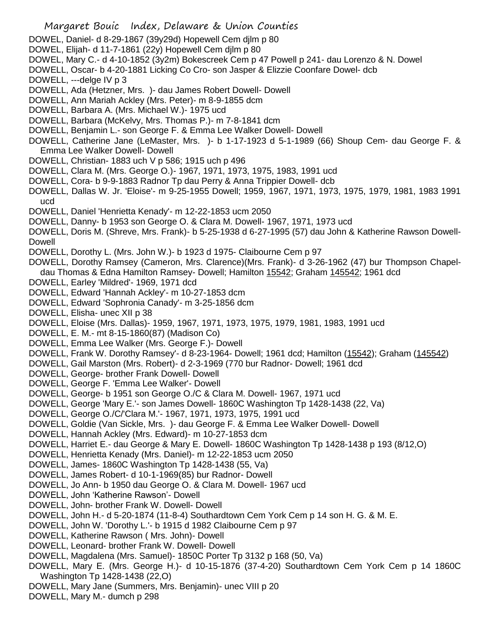- Margaret Bouic Index, Delaware & Union Counties DOWEL, Daniel- d 8-29-1867 (39y29d) Hopewell Cem djlm p 80 DOWEL, Elijah- d 11-7-1861 (22y) Hopewell Cem djlm p 80 DOWEL, Mary C.- d 4-10-1852 (3y2m) Bokescreek Cem p 47 Powell p 241- dau Lorenzo & N. Dowel DOWELL, Oscar- b 4-20-1881 Licking Co Cro- son Jasper & Elizzie Coonfare Dowel- dcb DOWELL, ---delge IV p 3 DOWELL, Ada (Hetzner, Mrs. )- dau James Robert Dowell- Dowell DOWELL, Ann Mariah Ackley (Mrs. Peter)- m 8-9-1855 dcm DOWELL, Barbara A. (Mrs. Michael W.)- 1975 ucd DOWELL, Barbara (McKelvy, Mrs. Thomas P.)- m 7-8-1841 dcm DOWELL, Benjamin L.- son George F. & Emma Lee Walker Dowell- Dowell DOWELL, Catherine Jane (LeMaster, Mrs. )- b 1-17-1923 d 5-1-1989 (66) Shoup Cem- dau George F. & Emma Lee Walker Dowell- Dowell DOWELL, Christian- 1883 uch V p 586; 1915 uch p 496 DOWELL, Clara M. (Mrs. George O.)- 1967, 1971, 1973, 1975, 1983, 1991 ucd DOWELL, Cora- b 9-9-1883 Radnor Tp dau Perry & Anna Trippier Dowell- dcb DOWELL, Dallas W. Jr. 'Eloise'- m 9-25-1955 Dowell; 1959, 1967, 1971, 1973, 1975, 1979, 1981, 1983 1991 ucd DOWELL, Daniel 'Henrietta Kenady'- m 12-22-1853 ucm 2050 DOWELL, Danny- b 1953 son George O. & Clara M. Dowell- 1967, 1971, 1973 ucd DOWELL, Doris M. (Shreve, Mrs. Frank)- b 5-25-1938 d 6-27-1995 (57) dau John & Katherine Rawson Dowell-Dowell DOWELL, Dorothy L. (Mrs. John W.)- b 1923 d 1975- Claibourne Cem p 97 DOWELL, Dorothy Ramsey (Cameron, Mrs. Clarence)(Mrs. Frank)- d 3-26-1962 (47) bur Thompson Chapeldau Thomas & Edna Hamilton Ramsey- Dowell; Hamilton 15542; Graham 145542; 1961 dcd DOWELL, Earley 'Mildred'- 1969, 1971 dcd DOWELL, Edward 'Hannah Ackley'- m 10-27-1853 dcm DOWELL, Edward 'Sophronia Canady'- m 3-25-1856 dcm DOWELL, Elisha- unec XII p 38 DOWELL, Eloise (Mrs. Dallas)- 1959, 1967, 1971, 1973, 1975, 1979, 1981, 1983, 1991 ucd DOWELL, E. M.- mt 8-15-1860(87) (Madison Co) DOWELL, Emma Lee Walker (Mrs. George F.)- Dowell DOWELL, Frank W. Dorothy Ramsey'- d 8-23-1964- Dowell; 1961 dcd; Hamilton (15542); Graham (145542) DOWELL, Gail Marston (Mrs. Robert)- d 2-3-1969 (770 bur Radnor- Dowell; 1961 dcd DOWELL, George- brother Frank Dowell- Dowell DOWELL, George F. 'Emma Lee Walker'- Dowell DOWELL, George- b 1951 son George O./C & Clara M. Dowell- 1967, 1971 ucd DOWELL, George 'Mary E.'- son James Dowell- 1860C Washington Tp 1428-1438 (22, Va) DOWELL, George O./C/'Clara M.'- 1967, 1971, 1973, 1975, 1991 ucd DOWELL, Goldie (Van Sickle, Mrs. )- dau George F. & Emma Lee Walker Dowell- Dowell DOWELL, Hannah Ackley (Mrs. Edward)- m 10-27-1853 dcm DOWELL, Harriet E.- dau George & Mary E. Dowell- 1860C Washington Tp 1428-1438 p 193 (8/12,O) DOWELL, Henrietta Kenady (Mrs. Daniel)- m 12-22-1853 ucm 2050 DOWELL, James- 1860C Washington Tp 1428-1438 (55, Va) DOWELL, James Robert- d 10-1-1969(85) bur Radnor- Dowell DOWELL, Jo Ann- b 1950 dau George O. & Clara M. Dowell- 1967 ucd DOWELL, John 'Katherine Rawson'- Dowell DOWELL, John- brother Frank W. Dowell- Dowell DOWELL, John H.- d 5-20-1874 (11-8-4) Southardtown Cem York Cem p 14 son H. G. & M. E. DOWELL, John W. 'Dorothy L.'- b 1915 d 1982 Claibourne Cem p 97 DOWELL, Katherine Rawson ( Mrs. John)- Dowell DOWELL, Leonard- brother Frank W. Dowell- Dowell
- DOWELL, Magdalena (Mrs. Samuel)- 1850C Porter Tp 3132 p 168 (50, Va)
- DOWELL, Mary E. (Mrs. George H.)- d 10-15-1876 (37-4-20) Southardtown Cem York Cem p 14 1860C Washington Tp 1428-1438 (22,O)
- DOWELL, Mary Jane (Summers, Mrs. Benjamin)- unec VIII p 20
- DOWELL, Mary M.- dumch p 298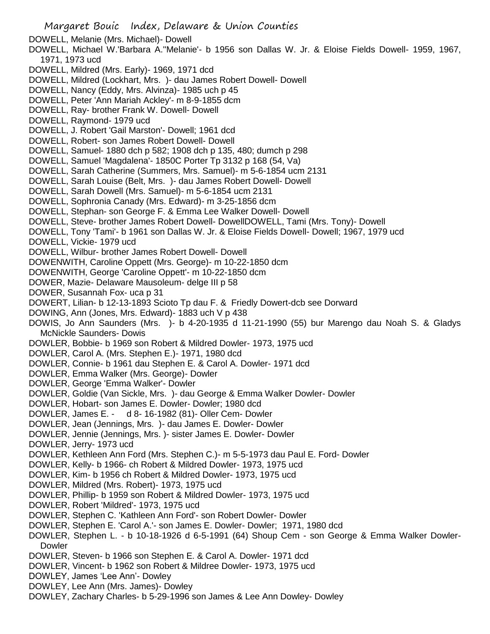DOWELL, Melanie (Mrs. Michael)- Dowell

- DOWELL, Michael W.'Barbara A.''Melanie'- b 1956 son Dallas W. Jr. & Eloise Fields Dowell- 1959, 1967, 1971, 1973 ucd
- DOWELL, Mildred (Mrs. Early)- 1969, 1971 dcd
- DOWELL, Mildred (Lockhart, Mrs. )- dau James Robert Dowell- Dowell
- DOWELL, Nancy (Eddy, Mrs. Alvinza)- 1985 uch p 45
- DOWELL, Peter 'Ann Mariah Ackley'- m 8-9-1855 dcm
- DOWELL, Ray- brother Frank W. Dowell- Dowell
- DOWELL, Raymond- 1979 ucd
- DOWELL, J. Robert 'Gail Marston'- Dowell; 1961 dcd
- DOWELL, Robert- son James Robert Dowell- Dowell
- DOWELL, Samuel- 1880 dch p 582; 1908 dch p 135, 480; dumch p 298
- DOWELL, Samuel 'Magdalena'- 1850C Porter Tp 3132 p 168 (54, Va)
- DOWELL, Sarah Catherine (Summers, Mrs. Samuel)- m 5-6-1854 ucm 2131
- DOWELL, Sarah Louise (Belt, Mrs. )- dau James Robert Dowell- Dowell
- DOWELL, Sarah Dowell (Mrs. Samuel)- m 5-6-1854 ucm 2131
- DOWELL, Sophronia Canady (Mrs. Edward)- m 3-25-1856 dcm
- DOWELL, Stephan- son George F. & Emma Lee Walker Dowell- Dowell
- DOWELL, Steve- brother James Robert Dowell- DowellDOWELL, Tami (Mrs. Tony)- Dowell
- DOWELL, Tony 'Tami'- b 1961 son Dallas W. Jr. & Eloise Fields Dowell- Dowell; 1967, 1979 ucd
- DOWELL, Vickie- 1979 ucd
- DOWELL, Wilbur- brother James Robert Dowell- Dowell
- DOWENWITH, Caroline Oppett (Mrs. George)- m 10-22-1850 dcm
- DOWENWITH, George 'Caroline Oppett'- m 10-22-1850 dcm
- DOWER, Mazie- Delaware Mausoleum- delge III p 58
- DOWER, Susannah Fox- uca p 31
- DOWERT, Lilian- b 12-13-1893 Scioto Tp dau F. & Friedly Dowert-dcb see Dorward
- DOWING, Ann (Jones, Mrs. Edward)- 1883 uch V p 438
- DOWIS, Jo Ann Saunders (Mrs. )- b 4-20-1935 d 11-21-1990 (55) bur Marengo dau Noah S. & Gladys McNickle Saunders- Dowis
- DOWLER, Bobbie- b 1969 son Robert & Mildred Dowler- 1973, 1975 ucd
- DOWLER, Carol A. (Mrs. Stephen E.)- 1971, 1980 dcd
- DOWLER, Connie- b 1961 dau Stephen E. & Carol A. Dowler- 1971 dcd
- DOWLER, Emma Walker (Mrs. George)- Dowler
- DOWLER, George 'Emma Walker'- Dowler
- DOWLER, Goldie (Van Sickle, Mrs. )- dau George & Emma Walker Dowler- Dowler
- DOWLER, Hobart- son James E. Dowler- Dowler; 1980 dcd
- DOWLER, James E. d 8- 16-1982 (81)- Oller Cem- Dowler
- DOWLER, Jean (Jennings, Mrs. )- dau James E. Dowler- Dowler
- DOWLER, Jennie (Jennings, Mrs. )- sister James E. Dowler- Dowler
- DOWLER, Jerry- 1973 ucd
- DOWLER, Kethleen Ann Ford (Mrs. Stephen C.)- m 5-5-1973 dau Paul E. Ford- Dowler
- DOWLER, Kelly- b 1966- ch Robert & Mildred Dowler- 1973, 1975 ucd
- DOWLER, Kim- b 1956 ch Robert & Mildred Dowler- 1973, 1975 ucd
- DOWLER, Mildred (Mrs. Robert)- 1973, 1975 ucd
- DOWLER, Phillip- b 1959 son Robert & Mildred Dowler- 1973, 1975 ucd
- DOWLER, Robert 'Mildred'- 1973, 1975 ucd
- DOWLER, Stephen C. 'Kathleen Ann Ford'- son Robert Dowler- Dowler
- DOWLER, Stephen E. 'Carol A.'- son James E. Dowler- Dowler; 1971, 1980 dcd
- DOWLER, Stephen L. b 10-18-1926 d 6-5-1991 (64) Shoup Cem son George & Emma Walker Dowler-**Dowler**
- DOWLER, Steven- b 1966 son Stephen E. & Carol A. Dowler- 1971 dcd
- DOWLER, Vincent- b 1962 son Robert & Mildree Dowler- 1973, 1975 ucd
- DOWLEY, James 'Lee Ann'- Dowley
- DOWLEY, Lee Ann (Mrs. James)- Dowley
- DOWLEY, Zachary Charles- b 5-29-1996 son James & Lee Ann Dowley- Dowley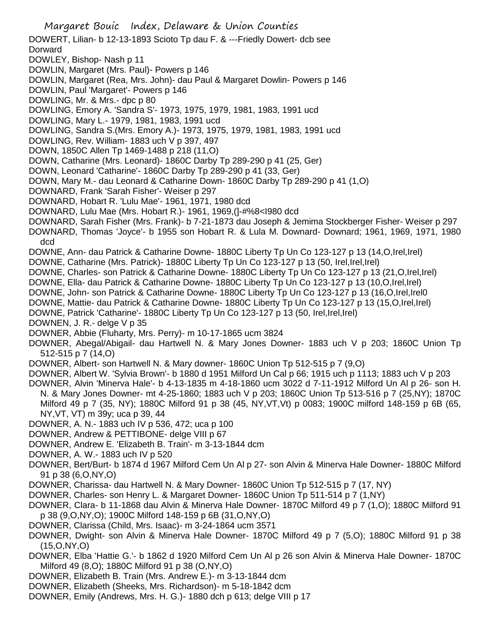Margaret Bouic Index, Delaware & Union Counties DOWERT, Lilian- b 12-13-1893 Scioto Tp dau F. & ---Friedly Dowert- dcb see Dorward DOWLEY, Bishop- Nash p 11 DOWLIN, Margaret (Mrs. Paul)- Powers p 146 DOWLIN, Margaret (Rea, Mrs. John)- dau Paul & Margaret Dowlin- Powers p 146 DOWLIN, Paul 'Margaret'- Powers p 146 DOWLING, Mr. & Mrs.- dpc p 80 DOWLING, Emory A. 'Sandra S'- 1973, 1975, 1979, 1981, 1983, 1991 ucd DOWLING, Mary L.- 1979, 1981, 1983, 1991 ucd DOWLING, Sandra S.(Mrs. Emory A.)- 1973, 1975, 1979, 1981, 1983, 1991 ucd DOWLING, Rev. William- 1883 uch V p 397, 497 DOWN, 1850C Allen Tp 1469-1488 p 218 (11,O) DOWN, Catharine (Mrs. Leonard)- 1860C Darby Tp 289-290 p 41 (25, Ger) DOWN, Leonard 'Catharine'- 1860C Darby Tp 289-290 p 41 (33, Ger) DOWN, Mary M.- dau Leonard & Catharine Down- 1860C Darby Tp 289-290 p 41 (1,O) DOWNARD, Frank 'Sarah Fisher'- Weiser p 297 DOWNARD, Hobart R. 'Lulu Mae'- 1961, 1971, 1980 dcd DOWNARD, Lulu Mae (Mrs. Hobart R.)- 1961, 1969,(]-#%8<I980 dcd DOWNARD, Sarah Fisher (Mrs. Frank)- b 7-21-1873 dau Joseph & Jemima Stockberger Fisher- Weiser p 297 DOWNARD, Thomas 'Joyce'- b 1955 son Hobart R. & Lula M. Downard- Downard; 1961, 1969, 1971, 1980 dcd DOWNE, Ann- dau Patrick & Catharine Downe- 1880C Liberty Tp Un Co 123-127 p 13 (14,O,Irel,Irel) DOWNE, Catharine (Mrs. Patrick)- 1880C Liberty Tp Un Co 123-127 p 13 (50, Irel,Irel,Irel) DOWNE, Charles- son Patrick & Catharine Downe- 1880C Liberty Tp Un Co 123-127 p 13 (21,O,Irel,Irel) DOWNE, Ella- dau Patrick & Catharine Downe- 1880C Liberty Tp Un Co 123-127 p 13 (10,O,Irel,Irel) DOWNE, John- son Patrick & Catharine Downe- 1880C Liberty Tp Un Co 123-127 p 13 (16,O,Irel,Irel0 DOWNE, Mattie- dau Patrick & Catharine Downe- 1880C Liberty Tp Un Co 123-127 p 13 (15,O,Irel,Irel) DOWNE, Patrick 'Catharine'- 1880C Liberty Tp Un Co 123-127 p 13 (50, Irel,Irel,Irel) DOWNEN, J. R.- delge V p 35 DOWNER, Abbie (Fluharty, Mrs. Perry)- m 10-17-1865 ucm 3824 DOWNER, Abegal/Abigail- dau Hartwell N. & Mary Jones Downer- 1883 uch V p 203; 1860C Union Tp 512-515 p 7 (14,O) DOWNER, Albert- son Hartwell N. & Mary downer- 1860C Union Tp 512-515 p 7 (9,O) DOWNER, Albert W. 'Sylvia Brown'- b 1880 d 1951 Milford Un Cal p 66; 1915 uch p 1113; 1883 uch V p 203

DOWNER, Alvin 'Minerva Hale'- b 4-13-1835 m 4-18-1860 ucm 3022 d 7-11-1912 Milford Un Al p 26- son H. N. & Mary Jones Downer- mt 4-25-1860; 1883 uch V p 203; 1860C Union Tp 513-516 p 7 (25,NY); 1870C Milford 49 p 7 (35, NY); 1880C Milford 91 p 38 (45, NY,VT,Vt) p 0083; 1900C milford 148-159 p 6B (65, NY,VT, VT) m 39y; uca p 39, 44

DOWNER, A. N.- 1883 uch IV p 536, 472; uca p 100

DOWNER, Andrew & PETTIBONE- delge VIII p 67

DOWNER, Andrew E. 'Elizabeth B. Train'- m 3-13-1844 dcm

DOWNER, A. W.- 1883 uch IV p 520

DOWNER, Bert/Burt- b 1874 d 1967 Milford Cem Un Al p 27- son Alvin & Minerva Hale Downer- 1880C Milford 91 p 38 (6,O,NY,O)

- DOWNER, Charissa- dau Hartwell N. & Mary Downer- 1860C Union Tp 512-515 p 7 (17, NY)
- DOWNER, Charles- son Henry L. & Margaret Downer- 1860C Union Tp 511-514 p 7 (1,NY)
- DOWNER, Clara- b 11-1868 dau Alvin & Minerva Hale Downer- 1870C Milford 49 p 7 (1,O); 1880C Milford 91 p 38 (9,O,NY,O); 1900C Milford 148-159 p 6B (31,O,NY,O)
- DOWNER, Clarissa (Child, Mrs. Isaac)- m 3-24-1864 ucm 3571
- DOWNER, Dwight- son Alvin & Minerva Hale Downer- 1870C Milford 49 p 7 (5,O); 1880C Milford 91 p 38 (15,O,NY,O)
- DOWNER, Elba 'Hattie G.'- b 1862 d 1920 Milford Cem Un Al p 26 son Alvin & Minerva Hale Downer- 1870C Milford 49 (8,O); 1880C Milford 91 p 38 (O,NY,O)
- DOWNER, Elizabeth B. Train (Mrs. Andrew E.)- m 3-13-1844 dcm
- DOWNER, Elizabeth (Sheeks, Mrs. Richardson)- m 5-18-1842 dcm
- DOWNER, Emily (Andrews, Mrs. H. G.)- 1880 dch p 613; delge VIII p 17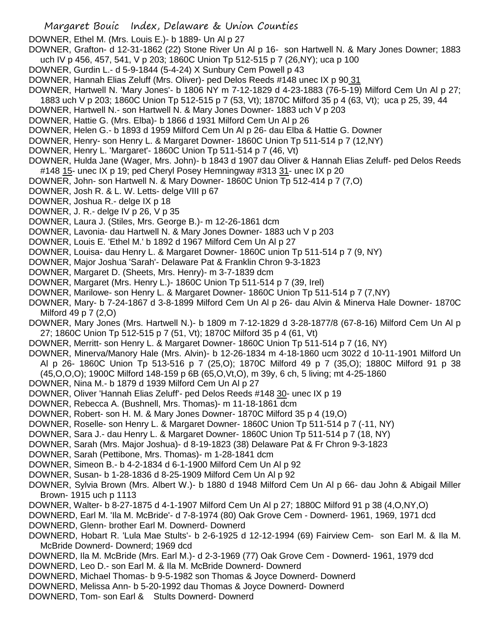- Margaret Bouic Index, Delaware & Union Counties
- DOWNER, Ethel M. (Mrs. Louis E.)- b 1889- Un Al p 27
- DOWNER, Grafton- d 12-31-1862 (22) Stone River Un Al p 16- son Hartwell N. & Mary Jones Downer; 1883 uch IV p 456, 457, 541, V p 203; 1860C Union Tp 512-515 p 7 (26,NY); uca p 100
- DOWNER, Gurdin L.- d 5-9-1844 (5-4-24) X Sunbury Cem Powell p 43
- DOWNER, Hannah Elias Zeluff (Mrs. Oliver)- ped Delos Reeds #148 unec IX p 90 31
- DOWNER, Hartwell N. 'Mary Jones'- b 1806 NY m 7-12-1829 d 4-23-1883 (76-5-19) Milford Cem Un Al p 27;
- 1883 uch V p 203; 1860C Union Tp 512-515 p 7 (53, Vt); 1870C Milford 35 p 4 (63, Vt); uca p 25, 39, 44
- DOWNER, Hartwell N.- son Hartwell N. & Mary Jones Downer- 1883 uch V p 203
- DOWNER, Hattie G. (Mrs. Elba)- b 1866 d 1931 Milford Cem Un Al p 26
- DOWNER, Helen G.- b 1893 d 1959 Milford Cem Un Al p 26- dau Elba & Hattie G. Downer
- DOWNER, Henry- son Henry L. & Margaret Downer- 1860C Union Tp 511-514 p 7 (12,NY)
- DOWNER, Henry L. 'Margaret'- 1860C Union Tp 511-514 p 7 (46, Vt)
- DOWNER, Hulda Jane (Wager, Mrs. John)- b 1843 d 1907 dau Oliver & Hannah Elias Zeluff- ped Delos Reeds #148 15- unec IX p 19; ped Cheryl Posey Hemningway #313 31- unec IX p 20
- DOWNER, John- son Hartwell N. & Mary Downer- 1860C Union Tp 512-414 p 7 (7,O)
- DOWNER, Josh R. & L. W. Letts- delge VIII p 67
- DOWNER, Joshua R.- delge IX p 18
- DOWNER, J. R.- delge IV p 26, V p 35
- DOWNER, Laura J. (Stiles, Mrs. George B.)- m 12-26-1861 dcm
- DOWNER, Lavonia- dau Hartwell N. & Mary Jones Downer- 1883 uch V p 203
- DOWNER, Louis E. 'Ethel M.' b 1892 d 1967 Milford Cem Un Al p 27
- DOWNER, Louisa- dau Henry L. & Margaret Downer- 1860C union Tp 511-514 p 7 (9, NY)
- DOWNER, Major Joshua 'Sarah'- Delaware Pat & Franklin Chron 9-3-1823
- DOWNER, Margaret D. (Sheets, Mrs. Henry)- m 3-7-1839 dcm
- DOWNER, Margaret (Mrs. Henry L.)- 1860C Union Tp 511-514 p 7 (39, Irel)
- DOWNER, Marilowe- son Henry L. & Margaret Downer- 1860C Union Tp 511-514 p 7 (7,NY)
- DOWNER, Mary- b 7-24-1867 d 3-8-1899 Milford Cem Un Al p 26- dau Alvin & Minerva Hale Downer- 1870C Milford 49 p 7 (2,O)
- DOWNER, Mary Jones (Mrs. Hartwell N.)- b 1809 m 7-12-1829 d 3-28-1877/8 (67-8-16) Milford Cem Un Al p 27; 1860C Union Tp 512-515 p 7 (51, Vt); 1870C Milford 35 p 4 (61, Vt)
- DOWNER, Merritt- son Henry L. & Margaret Downer- 1860C Union Tp 511-514 p 7 (16, NY)
- DOWNER, Minerva/Manory Hale (Mrs. Alvin)- b 12-26-1834 m 4-18-1860 ucm 3022 d 10-11-1901 Milford Un Al p 26- 1860C Union Tp 513-516 p 7 (25,O); 1870C Milford 49 p 7 (35,O); 1880C Milford 91 p 38
- (45,O,O,O); 1900C Milford 148-159 p 6B (65,O,Vt,O), m 39y, 6 ch, 5 living; mt 4-25-1860
- DOWNER, Nina M.- b 1879 d 1939 Milford Cem Un Al p 27
- DOWNER, Oliver 'Hannah Elias Zeluff'- ped Delos Reeds #148 30- unec IX p 19
- DOWNER, Rebecca A. (Bushnell, Mrs. Thomas)- m 11-18-1861 dcm
- DOWNER, Robert- son H. M. & Mary Jones Downer- 1870C Milford 35 p 4 (19,O)
- DOWNER, Roselle- son Henry L. & Margaret Downer- 1860C Union Tp 511-514 p 7 (-11, NY)
- DOWNER, Sara J.- dau Henry L. & Margaret Downer- 1860C Union Tp 511-514 p 7 (18, NY)
- DOWNER, Sarah (Mrs. Major Joshua)- d 8-19-1823 (38) Delaware Pat & Fr Chron 9-3-1823
- DOWNER, Sarah (Pettibone, Mrs. Thomas)- m 1-28-1841 dcm
- DOWNER, Simeon B.- b 4-2-1834 d 6-1-1900 Milford Cem Un Al p 92
- DOWNER, Susan- b 1-28-1836 d 8-25-1909 Milford Cem Un Al p 92
- DOWNER, Sylvia Brown (Mrs. Albert W.)- b 1880 d 1948 Milford Cem Un Al p 66- dau John & Abigail Miller Brown- 1915 uch p 1113
- DOWNER, Walter- b 8-27-1875 d 4-1-1907 Milford Cem Un Al p 27; 1880C Milford 91 p 38 (4,O,NY,O)

DOWNERD, Earl M. 'Ila M. McBride'- d 7-8-1974 (80) Oak Grove Cem - Downerd- 1961, 1969, 1971 dcd DOWNERD, Glenn- brother Earl M. Downerd- Downerd

- DOWNERD, Hobart R. 'Lula Mae Stults'- b 2-6-1925 d 12-12-1994 (69) Fairview Cem- son Earl M. & Ila M. McBride Downerd- Downerd; 1969 dcd
- DOWNERD, Ila M. McBride (Mrs. Earl M.)- d 2-3-1969 (77) Oak Grove Cem Downerd- 1961, 1979 dcd
- DOWNERD, Leo D.- son Earl M. & Ila M. McBride Downerd- Downerd
- DOWNERD, Michael Thomas- b 9-5-1982 son Thomas & Joyce Downerd- Downerd
- DOWNERD, Melissa Ann- b 5-20-1992 dau Thomas & Joyce Downerd- Downerd
- DOWNERD, Tom- son Earl & Stults Downerd- Downerd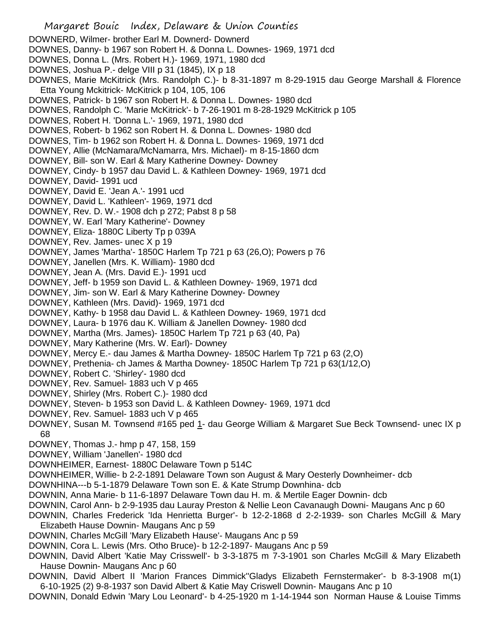- Margaret Bouic Index, Delaware & Union Counties DOWNERD, Wilmer- brother Earl M. Downerd- Downerd DOWNES, Danny- b 1967 son Robert H. & Donna L. Downes- 1969, 1971 dcd DOWNES, Donna L. (Mrs. Robert H.)- 1969, 1971, 1980 dcd DOWNES, Joshua P.- delge VIII p 31 (1845), IX p 18 DOWNES, Marie McKitrick (Mrs. Randolph C.)- b 8-31-1897 m 8-29-1915 dau George Marshall & Florence Etta Young Mckitrick- McKitrick p 104, 105, 106 DOWNES, Patrick- b 1967 son Robert H. & Donna L. Downes- 1980 dcd DOWNES, Randolph C. 'Marie McKitrick'- b 7-26-1901 m 8-28-1929 McKitrick p 105 DOWNES, Robert H. 'Donna L.'- 1969, 1971, 1980 dcd DOWNES, Robert- b 1962 son Robert H. & Donna L. Downes- 1980 dcd DOWNES, Tim- b 1962 son Robert H. & Donna L. Downes- 1969, 1971 dcd DOWNEY, Allie (McNamara/McNamarra, Mrs. Michael)- m 8-15-1860 dcm DOWNEY, Bill- son W. Earl & Mary Katherine Downey- Downey DOWNEY, Cindy- b 1957 dau David L. & Kathleen Downey- 1969, 1971 dcd DOWNEY, David- 1991 ucd DOWNEY, David E. 'Jean A.'- 1991 ucd DOWNEY, David L. 'Kathleen'- 1969, 1971 dcd DOWNEY, Rev. D. W.- 1908 dch p 272; Pabst 8 p 58 DOWNEY, W. Earl 'Mary Katherine'- Downey DOWNEY, Eliza- 1880C Liberty Tp p 039A DOWNEY, Rev. James- unec X p 19 DOWNEY, James 'Martha'- 1850C Harlem Tp 721 p 63 (26,O); Powers p 76 DOWNEY, Janellen (Mrs. K. William)- 1980 dcd DOWNEY, Jean A. (Mrs. David E.)- 1991 ucd DOWNEY, Jeff- b 1959 son David L. & Kathleen Downey- 1969, 1971 dcd DOWNEY, Jim- son W. Earl & Mary Katherine Downey- Downey DOWNEY, Kathleen (Mrs. David)- 1969, 1971 dcd DOWNEY, Kathy- b 1958 dau David L. & Kathleen Downey- 1969, 1971 dcd DOWNEY, Laura- b 1976 dau K. William & Janellen Downey- 1980 dcd DOWNEY, Martha (Mrs. James)- 1850C Harlem Tp 721 p 63 (40, Pa) DOWNEY, Mary Katherine (Mrs. W. Earl)- Downey DOWNEY, Mercy E.- dau James & Martha Downey- 1850C Harlem Tp 721 p 63 (2,O) DOWNEY, Prethenia- ch James & Martha Downey- 1850C Harlem Tp 721 p 63(1/12,O) DOWNEY, Robert C. 'Shirley'- 1980 dcd DOWNEY, Rev. Samuel- 1883 uch V p 465 DOWNEY, Shirley (Mrs. Robert C.)- 1980 dcd DOWNEY, Steven- b 1953 son David L. & Kathleen Downey- 1969, 1971 dcd DOWNEY, Rev. Samuel- 1883 uch V p 465 DOWNEY, Susan M. Townsend #165 ped 1- dau George William & Margaret Sue Beck Townsend- unec IX p 68 DOWNEY, Thomas J.- hmp p 47, 158, 159 DOWNEY, William 'Janellen'- 1980 dcd DOWNHEIMER, Earnest- 1880C Delaware Town p 514C DOWNHEIMER, Willie- b 2-2-1891 Delaware Town son August & Mary Oesterly Downheimer- dcb DOWNHINA---b 5-1-1879 Delaware Town son E. & Kate Strump Downhina- dcb DOWNIN, Anna Marie- b 11-6-1897 Delaware Town dau H. m. & Mertile Eager Downin- dcb DOWNIN, Carol Ann- b 2-9-1935 dau Lauray Preston & Nellie Leon Cavanaugh Downi- Maugans Anc p 60 DOWNIN, Charles Frederick 'Ida Henrietta Burger'- b 12-2-1868 d 2-2-1939- son Charles McGill & Mary Elizabeth Hause Downin- Maugans Anc p 59 DOWNIN, Charles McGill 'Mary Elizabeth Hause'- Maugans Anc p 59 DOWNIN, Cora L. Lewis (Mrs. Otho Bruce)- b 12-2-1897- Maugans Anc p 59 DOWNIN, David Albert 'Katie May Crisswell'- b 3-3-1875 m 7-3-1901 son Charles McGill & Mary Elizabeth Hause Downin- Maugans Anc p 60 DOWNIN, David Albert II 'Marion Frances Dimmick''Gladys Elizabeth Fernstermaker'- b 8-3-1908 m(1)
- 6-10-1925 (2) 9-8-1937 son David Albert & Katie May Criswell Downin- Maugans Anc p 10
- DOWNIN, Donald Edwin 'Mary Lou Leonard'- b 4-25-1920 m 1-14-1944 son Norman Hause & Louise Timms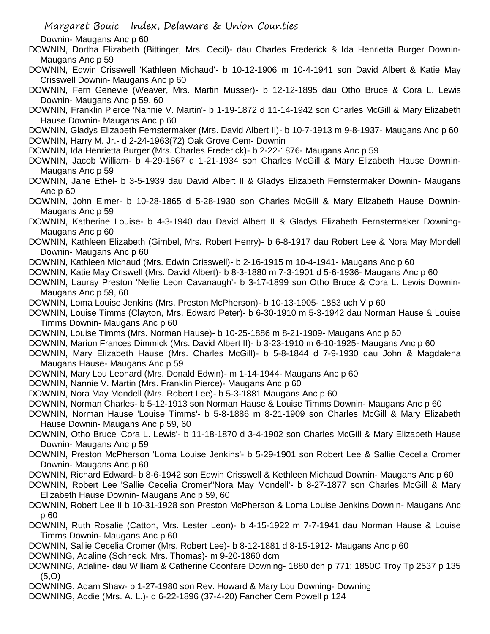Downin- Maugans Anc p 60

- DOWNIN, Dortha Elizabeth (Bittinger, Mrs. Cecil)- dau Charles Frederick & Ida Henrietta Burger Downin-Maugans Anc p 59
- DOWNIN, Edwin Crisswell 'Kathleen Michaud'- b 10-12-1906 m 10-4-1941 son David Albert & Katie May Crisswell Downin- Maugans Anc p 60
- DOWNIN, Fern Genevie (Weaver, Mrs. Martin Musser)- b 12-12-1895 dau Otho Bruce & Cora L. Lewis Downin- Maugans Anc p 59, 60
- DOWNIN, Franklin Pierce 'Nannie V. Martin'- b 1-19-1872 d 11-14-1942 son Charles McGill & Mary Elizabeth Hause Downin- Maugans Anc p 60
- DOWNIN, Gladys Elizabeth Fernstermaker (Mrs. David Albert II)- b 10-7-1913 m 9-8-1937- Maugans Anc p 60 DOWNIN, Harry M. Jr.- d 2-24-1963(72) Oak Grove Cem- Downin
- DOWNIN, Ida Henrietta Burger (Mrs. Charles Frederick)- b 2-22-1876- Maugans Anc p 59
- DOWNIN, Jacob William- b 4-29-1867 d 1-21-1934 son Charles McGill & Mary Elizabeth Hause Downin-Maugans Anc p 59
- DOWNIN, Jane Ethel- b 3-5-1939 dau David Albert II & Gladys Elizabeth Fernstermaker Downin- Maugans Anc p 60
- DOWNIN, John Elmer- b 10-28-1865 d 5-28-1930 son Charles McGill & Mary Elizabeth Hause Downin-Maugans Anc p 59
- DOWNIN, Katherine Louise- b 4-3-1940 dau David Albert II & Gladys Elizabeth Fernstermaker Downing-Maugans Anc p 60
- DOWNIN, Kathleen Elizabeth (Gimbel, Mrs. Robert Henry)- b 6-8-1917 dau Robert Lee & Nora May Mondell Downin- Maugans Anc p 60
- DOWNIN, Kathleen Michaud (Mrs. Edwin Crisswell)- b 2-16-1915 m 10-4-1941- Maugans Anc p 60
- DOWNIN, Katie May Criswell (Mrs. David Albert)- b 8-3-1880 m 7-3-1901 d 5-6-1936- Maugans Anc p 60
- DOWNIN, Lauray Preston 'Nellie Leon Cavanaugh'- b 3-17-1899 son Otho Bruce & Cora L. Lewis Downin-Maugans Anc p 59, 60
- DOWNIN, Loma Louise Jenkins (Mrs. Preston McPherson)- b 10-13-1905- 1883 uch V p 60
- DOWNIN, Louise Timms (Clayton, Mrs. Edward Peter)- b 6-30-1910 m 5-3-1942 dau Norman Hause & Louise Timms Downin- Maugans Anc p 60
- DOWNIN, Louise Timms (Mrs. Norman Hause)- b 10-25-1886 m 8-21-1909- Maugans Anc p 60
- DOWNIN, Marion Frances Dimmick (Mrs. David Albert II)- b 3-23-1910 m 6-10-1925- Maugans Anc p 60
- DOWNIN, Mary Elizabeth Hause (Mrs. Charles McGill)- b 5-8-1844 d 7-9-1930 dau John & Magdalena Maugans Hause- Maugans Anc p 59
- DOWNIN, Mary Lou Leonard (Mrs. Donald Edwin)- m 1-14-1944- Maugans Anc p 60
- DOWNIN, Nannie V. Martin (Mrs. Franklin Pierce)- Maugans Anc p 60
- DOWNIN, Nora May Mondell (Mrs. Robert Lee)- b 5-3-1881 Maugans Anc p 60
- DOWNIN, Norman Charles- b 5-12-1913 son Norman Hause & Louise Timms Downin- Maugans Anc p 60
- DOWNIN, Norman Hause 'Louise Timms'- b 5-8-1886 m 8-21-1909 son Charles McGill & Mary Elizabeth Hause Downin- Maugans Anc p 59, 60
- DOWNIN, Otho Bruce 'Cora L. Lewis'- b 11-18-1870 d 3-4-1902 son Charles McGill & Mary Elizabeth Hause Downin- Maugans Anc p 59
- DOWNIN, Preston McPherson 'Loma Louise Jenkins'- b 5-29-1901 son Robert Lee & Sallie Cecelia Cromer Downin- Maugans Anc p 60
- DOWNIN, Richard Edward- b 8-6-1942 son Edwin Crisswell & Kethleen Michaud Downin- Maugans Anc p 60
- DOWNIN, Robert Lee 'Sallie Cecelia Cromer''Nora May Mondell'- b 8-27-1877 son Charles McGill & Mary Elizabeth Hause Downin- Maugans Anc p 59, 60
- DOWNIN, Robert Lee II b 10-31-1928 son Preston McPherson & Loma Louise Jenkins Downin- Maugans Anc p 60
- DOWNIN, Ruth Rosalie (Catton, Mrs. Lester Leon)- b 4-15-1922 m 7-7-1941 dau Norman Hause & Louise Timms Downin- Maugans Anc p 60
- DOWNIN, Sallie Cecelia Cromer (Mrs. Robert Lee)- b 8-12-1881 d 8-15-1912- Maugans Anc p 60
- DOWNING, Adaline (Schneck, Mrs. Thomas)- m 9-20-1860 dcm
- DOWNING, Adaline- dau William & Catherine Coonfare Downing- 1880 dch p 771; 1850C Troy Tp 2537 p 135 (5,O)
- DOWNING, Adam Shaw- b 1-27-1980 son Rev. Howard & Mary Lou Downing- Downing
- DOWNING, Addie (Mrs. A. L.)- d 6-22-1896 (37-4-20) Fancher Cem Powell p 124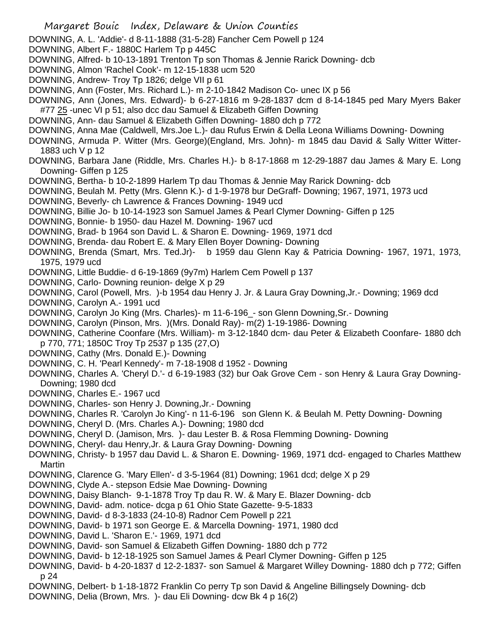DOWNING, Almon 'Rachel Cook'- m 12-15-1838 ucm 520 DOWNING, Andrew- Troy Tp 1826; delge VII p 61 DOWNING, Ann (Foster, Mrs. Richard L.)- m 2-10-1842 Madison Co- unec IX p 56 DOWNING, Ann (Jones, Mrs. Edward)- b 6-27-1816 m 9-28-1837 dcm d 8-14-1845 ped Mary Myers Baker #77 25 -unec VI p 51; also dcc dau Samuel & Elizabeth Giffen Downing DOWNING, Ann- dau Samuel & Elizabeth Giffen Downing- 1880 dch p 772 DOWNING, Anna Mae (Caldwell, Mrs.Joe L.)- dau Rufus Erwin & Della Leona Williams Downing- Downing DOWNING, Armuda P. Witter (Mrs. George)(England, Mrs. John)- m 1845 dau David & Sally Witter Witter-1883 uch V p 12 DOWNING, Barbara Jane (Riddle, Mrs. Charles H.)- b 8-17-1868 m 12-29-1887 dau James & Mary E. Long Downing- Giffen p 125 DOWNING, Bertha- b 10-2-1899 Harlem Tp dau Thomas & Jennie May Rarick Downing- dcb DOWNING, Beulah M. Petty (Mrs. Glenn K.)- d 1-9-1978 bur DeGraff- Downing; 1967, 1971, 1973 ucd DOWNING, Beverly- ch Lawrence & Frances Downing- 1949 ucd DOWNING, Billie Jo- b 10-14-1923 son Samuel James & Pearl Clymer Downing- Giffen p 125 DOWNING, Bonnie- b 1950- dau Hazel M. Downing- 1967 ucd DOWNING, Brad- b 1964 son David L. & Sharon E. Downing- 1969, 1971 dcd DOWNING, Brenda- dau Robert E. & Mary Ellen Boyer Downing- Downing DOWNING, Brenda (Smart, Mrs. Ted.Jr)- b 1959 dau Glenn Kay & Patricia Downing- 1967, 1971, 1973, 1975, 1979 ucd DOWNING, Little Buddie- d 6-19-1869 (9y7m) Harlem Cem Powell p 137 DOWNING, Carlo- Downing reunion- delge X p 29 DOWNING, Carol (Powell, Mrs. )-b 1954 dau Henry J. Jr. & Laura Gray Downing,Jr.- Downing; 1969 dcd DOWNING, Carolyn A.- 1991 ucd DOWNING, Carolyn Jo King (Mrs. Charles)- m 11-6-196\_- son Glenn Downing,Sr.- Downing DOWNING, Carolyn (Pinson, Mrs. )(Mrs. Donald Ray)- m(2) 1-19-1986- Downing DOWNING, Catherine Coonfare (Mrs. William)- m 3-12-1840 dcm- dau Peter & Elizabeth Coonfare- 1880 dch p 770, 771; 1850C Troy Tp 2537 p 135 (27,O) DOWNING, Cathy (Mrs. Donald E.)- Downing DOWNING, C. H. 'Pearl Kennedy'- m 7-18-1908 d 1952 - Downing DOWNING, Charles A. 'Cheryl D.'- d 6-19-1983 (32) bur Oak Grove Cem - son Henry & Laura Gray Downing-Downing; 1980 dcd DOWNING, Charles E.- 1967 ucd DOWNING, Charles- son Henry J. Downing,Jr.- Downing DOWNING, Charles R. 'Carolyn Jo King'- n 11-6-196 son Glenn K. & Beulah M. Petty Downing- Downing DOWNING, Cheryl D. (Mrs. Charles A.)- Downing; 1980 dcd DOWNING, Cheryl D. (Jamison, Mrs. )- dau Lester B. & Rosa Flemming Downing- Downing DOWNING, Cheryl- dau Henry,Jr. & Laura Gray Downing- Downing DOWNING, Christy- b 1957 dau David L. & Sharon E. Downing- 1969, 1971 dcd- engaged to Charles Matthew Martin DOWNING, Clarence G. 'Mary Ellen'- d 3-5-1964 (81) Downing; 1961 dcd; delge X p 29 DOWNING, Clyde A.- stepson Edsie Mae Downing- Downing DOWNING, Daisy Blanch- 9-1-1878 Troy Tp dau R. W. & Mary E. Blazer Downing- dcb DOWNING, David- adm. notice- dcga p 61 Ohio State Gazette- 9-5-1833 DOWNING, David- d 8-3-1833 (24-10-8) Radnor Cem Powell p 221 DOWNING, David- b 1971 son George E. & Marcella Downing- 1971, 1980 dcd DOWNING, David L. 'Sharon E.'- 1969, 1971 dcd DOWNING, David- son Samuel & Elizabeth Giffen Downing- 1880 dch p 772 DOWNING, David- b 12-18-1925 son Samuel James & Pearl Clymer Downing- Giffen p 125 DOWNING, David- b 4-20-1837 d 12-2-1837- son Samuel & Margaret Willey Downing- 1880 dch p 772; Giffen p 24 DOWNING, Delbert- b 1-18-1872 Franklin Co perry Tp son David & Angeline Billingsely Downing- dcb DOWNING, Delia (Brown, Mrs. )- dau Eli Downing- dcw Bk 4 p 16(2)

 Margaret Bouic Index, Delaware & Union Counties DOWNING, A. L. 'Addie'- d 8-11-1888 (31-5-28) Fancher Cem Powell p 124

DOWNING, Alfred- b 10-13-1891 Trenton Tp son Thomas & Jennie Rarick Downing- dcb

DOWNING, Albert F.- 1880C Harlem Tp p 445C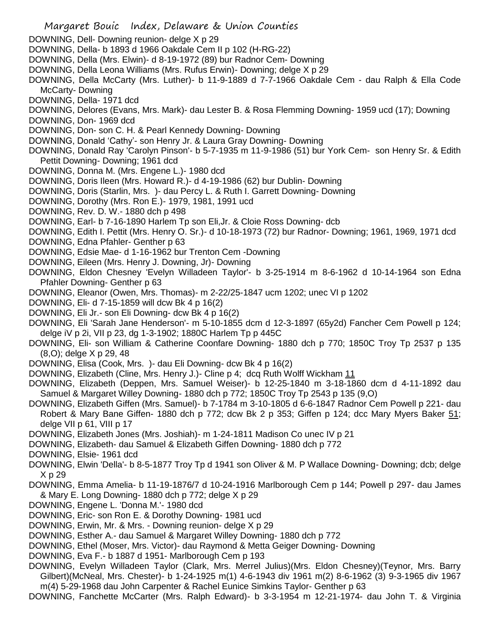- Margaret Bouic Index, Delaware & Union Counties DOWNING, Dell- Downing reunion- delge X p 29 DOWNING, Della- b 1893 d 1966 Oakdale Cem II p 102 (H-RG-22) DOWNING, Della (Mrs. Elwin)- d 8-19-1972 (89) bur Radnor Cem- Downing DOWNING, Della Leona Williams (Mrs. Rufus Erwin)- Downing; delge X p 29 DOWNING, Della McCarty (Mrs. Luther)- b 11-9-1889 d 7-7-1966 Oakdale Cem - dau Ralph & Ella Code McCarty- Downing DOWNING, Della- 1971 dcd DOWNING, Delores (Evans, Mrs. Mark)- dau Lester B. & Rosa Flemming Downing- 1959 ucd (17); Downing DOWNING, Don- 1969 dcd DOWNING, Don- son C. H. & Pearl Kennedy Downing- Downing DOWNING, Donald 'Cathy'- son Henry Jr. & Laura Gray Downing- Downing DOWNING, Donald Ray 'Carolyn Pinson'- b 5-7-1935 m 11-9-1986 (51) bur York Cem- son Henry Sr. & Edith Pettit Downing- Downing; 1961 dcd DOWNING, Donna M. (Mrs. Engene L.)- 1980 dcd DOWNING, Doris Ileen (Mrs. Howard R.)- d 4-19-1986 (62) bur Dublin- Downing DOWNING, Doris (Starlin, Mrs. )- dau Percy L. & Ruth I. Garrett Downing- Downing DOWNING, Dorothy (Mrs. Ron E.)- 1979, 1981, 1991 ucd
- DOWNING, Rev. D. W.- 1880 dch p 498
- DOWNING, Earl- b 7-16-1890 Harlem Tp son Eli,Jr. & Cloie Ross Downing- dcb
- DOWNING, Edith I. Pettit (Mrs. Henry O. Sr.)- d 10-18-1973 (72) bur Radnor- Downing; 1961, 1969, 1971 dcd
- DOWNING, Edna Pfahler- Genther p 63
- DOWNING, Edsie Mae- d 1-16-1962 bur Trenton Cem -Downing
- DOWNING, Eileen (Mrs. Henry J. Downing, Jr)- Downing
- DOWNING, Eldon Chesney 'Evelyn Willadeen Taylor'- b 3-25-1914 m 8-6-1962 d 10-14-1964 son Edna Pfahler Downing- Genther p 63
- DOWNING, Eleanor (Owen, Mrs. Thomas)- m 2-22/25-1847 ucm 1202; unec VI p 1202
- DOWNING, Eli- d 7-15-1859 will dcw Bk 4 p 16(2)
- DOWNING, Eli Jr.- son Eli Downing- dcw Bk 4 p 16(2)
- DOWNING, Eli 'Sarah Jane Henderson'- m 5-10-1855 dcm d 12-3-1897 (65y2d) Fancher Cem Powell p 124; delge iV p 2i, VII p 23, dg 1-3-1902; 1880C Harlem Tp p 445C
- DOWNING, Eli- son William & Catherine Coonfare Downing- 1880 dch p 770; 1850C Troy Tp 2537 p 135 (8,O); delge X p 29, 48
- DOWNING, Elisa (Cook, Mrs. )- dau Eli Downing- dcw Bk 4 p 16(2)
- DOWNING, Elizabeth (Cline, Mrs. Henry J.)- Cline p 4; dcq Ruth Wolff Wickham 11
- DOWNING, Elizabeth (Deppen, Mrs. Samuel Weiser)- b 12-25-1840 m 3-18-1860 dcm d 4-11-1892 dau Samuel & Margaret Willey Downing- 1880 dch p 772; 1850C Troy Tp 2543 p 135 (9,O)
- DOWNING, Elizabeth Giffen (Mrs. Samuel)- b 7-1784 m 3-10-1805 d 6-6-1847 Radnor Cem Powell p 221- dau Robert & Mary Bane Giffen- 1880 dch p 772; dcw Bk 2 p 353; Giffen p 124; dcc Mary Myers Baker 51; delge VII p 61, VIII p 17
- DOWNING, Elizabeth Jones (Mrs. Joshiah)- m 1-24-1811 Madison Co unec IV p 21
- DOWNING, Elizabeth- dau Samuel & Elizabeth Giffen Downing- 1880 dch p 772
- DOWNING, Elsie- 1961 dcd
- DOWNING, Elwin 'Della'- b 8-5-1877 Troy Tp d 1941 son Oliver & M. P Wallace Downing- Downing; dcb; delge X p 29
- DOWNING, Emma Amelia- b 11-19-1876/7 d 10-24-1916 Marlborough Cem p 144; Powell p 297- dau James & Mary E. Long Downing- 1880 dch p 772; delge X p 29
- DOWNING, Engene L. 'Donna M.'- 1980 dcd
- DOWNING, Eric- son Ron E. & Dorothy Downing- 1981 ucd
- DOWNING, Erwin, Mr. & Mrs. Downing reunion- delge X p 29
- DOWNING, Esther A.- dau Samuel & Margaret Willey Downing- 1880 dch p 772
- DOWNING, Ethel (Moser, Mrs. Victor)- dau Raymond & Metta Geiger Downing- Downing
- DOWNING, Eva F.- b 1887 d 1951- Marlborough Cem p 193
- DOWNING, Evelyn Willadeen Taylor (Clark, Mrs. Merrel Julius)(Mrs. Eldon Chesney)(Teynor, Mrs. Barry Gilbert)(McNeal, Mrs. Chester)- b 1-24-1925 m(1) 4-6-1943 div 1961 m(2) 8-6-1962 (3) 9-3-1965 div 1967 m(4) 5-29-1968 dau John Carpenter & Rachel Eunice Simkins Taylor- Genther p 63

DOWNING, Fanchette McCarter (Mrs. Ralph Edward)- b 3-3-1954 m 12-21-1974- dau John T. & Virginia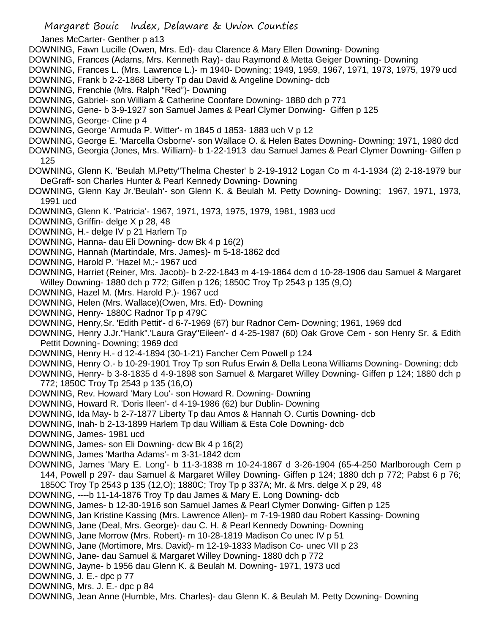Margaret Bouic Index, Delaware & Union Counties Janes McCarter- Genther p a13 DOWNING, Fawn Lucille (Owen, Mrs. Ed)- dau Clarence & Mary Ellen Downing- Downing DOWNING, Frances (Adams, Mrs. Kenneth Ray)- dau Raymond & Metta Geiger Downing- Downing DOWNING, Frances L. (Mrs. Lawrence L.)- m 1940- Downing; 1949, 1959, 1967, 1971, 1973, 1975, 1979 ucd DOWNING, Frank b 2-2-1868 Liberty Tp dau David & Angeline Downing- dcb DOWNING, Frenchie (Mrs. Ralph "Red")- Downing DOWNING, Gabriel- son William & Catherine Coonfare Downing- 1880 dch p 771 DOWNING, Gene- b 3-9-1927 son Samuel James & Pearl Clymer Donwing- Giffen p 125 DOWNING, George- Cline p 4 DOWNING, George 'Armuda P. Witter'- m 1845 d 1853- 1883 uch V p 12 DOWNING, George E. 'Marcella Osborne'- son Wallace O. & Helen Bates Downing- Downing; 1971, 1980 dcd DOWNING, Georgia (Jones, Mrs. William)- b 1-22-1913 dau Samuel James & Pearl Clymer Downing- Giffen p 125 DOWNING, Glenn K. 'Beulah M.Petty''Thelma Chester' b 2-19-1912 Logan Co m 4-1-1934 (2) 2-18-1979 bur DeGraff- son Charles Hunter & Pearl Kennedy Downing- Downing DOWNING, Glenn Kay Jr.'Beulah'- son Glenn K. & Beulah M. Petty Downing- Downing; 1967, 1971, 1973, 1991 ucd DOWNING, Glenn K. 'Patricia'- 1967, 1971, 1973, 1975, 1979, 1981, 1983 ucd DOWNING, Griffin- delge X p 28, 48 DOWNING, H.- delge IV p 21 Harlem Tp DOWNING, Hanna- dau Eli Downing- dcw Bk 4 p 16(2) DOWNING, Hannah (Martindale, Mrs. James)- m 5-18-1862 dcd DOWNING, Harold P. 'Hazel M.;- 1967 ucd DOWNING, Harriet (Reiner, Mrs. Jacob)- b 2-22-1843 m 4-19-1864 dcm d 10-28-1906 dau Samuel & Margaret Willey Downing- 1880 dch p 772; Giffen p 126; 1850C Troy Tp 2543 p 135 (9,O) DOWNING, Hazel M. (Mrs. Harold P.)- 1967 ucd DOWNING, Helen (Mrs. Wallace)(Owen, Mrs. Ed)- Downing DOWNING, Henry- 1880C Radnor Tp p 479C DOWNING, Henry,Sr. 'Edith Pettit'- d 6-7-1969 (67) bur Radnor Cem- Downing; 1961, 1969 dcd DOWNING, Henry J.Jr."Hank".'Laura Gray''Eileen'- d 4-25-1987 (60) Oak Grove Cem - son Henry Sr. & Edith Pettit Downing- Downing; 1969 dcd DOWNING, Henry H.- d 12-4-1894 (30-1-21) Fancher Cem Powell p 124 DOWNING, Henry O.- b 10-29-1901 Troy Tp son Rufus Erwin & Della Leona Williams Downing- Downing; dcb DOWNING, Henry- b 3-8-1835 d 4-9-1898 son Samuel & Margaret Willey Downing- Giffen p 124; 1880 dch p 772; 1850C Troy Tp 2543 p 135 (16,O) DOWNING, Rev. Howard 'Mary Lou'- son Howard R. Downing- Downing DOWNING, Howard R. 'Doris Ileen'- d 4-19-1986 (62) bur Dublin- Downing DOWNING, Ida May- b 2-7-1877 Liberty Tp dau Amos & Hannah O. Curtis Downing- dcb DOWNING, Inah- b 2-13-1899 Harlem Tp dau William & Esta Cole Downing- dcb DOWNING, James- 1981 ucd DOWNING, James- son Eli Downing- dcw Bk 4 p 16(2) DOWNING, James 'Martha Adams'- m 3-31-1842 dcm DOWNING, James 'Mary E. Long'- b 11-3-1838 m 10-24-1867 d 3-26-1904 (65-4-250 Marlborough Cem p 144, Powell p 297- dau Samuel & Margaret Willey Downing- Giffen p 124; 1880 dch p 772; Pabst 6 p 76; 1850C Troy Tp 2543 p 135 (12,O); 1880C; Troy Tp p 337A; Mr. & Mrs. delge X p 29, 48 DOWNING, ----b 11-14-1876 Troy Tp dau James & Mary E. Long Downing- dcb DOWNING, James- b 12-30-1916 son Samuel James & Pearl Clymer Donwing- Giffen p 125 DOWNING, Jan Kristine Kassing (Mrs. Lawrence Allen)- m 7-19-1980 dau Robert Kassing- Downing DOWNING, Jane (Deal, Mrs. George)- dau C. H. & Pearl Kennedy Downing- Downing DOWNING, Jane Morrow (Mrs. Robert)- m 10-28-1819 Madison Co unec IV p 51 DOWNING, Jane (Mortimore, Mrs. David)- m 12-19-1833 Madison Co- unec VII p 23 DOWNING, Jane- dau Samuel & Margaret Willey Downing- 1880 dch p 772 DOWNING, Jayne- b 1956 dau Glenn K. & Beulah M. Downing- 1971, 1973 ucd

- DOWNING, J. E.- dpc p 77
- DOWNING, Mrs. J. E.- dpc p 84

DOWNING, Jean Anne (Humble, Mrs. Charles)- dau Glenn K. & Beulah M. Petty Downing- Downing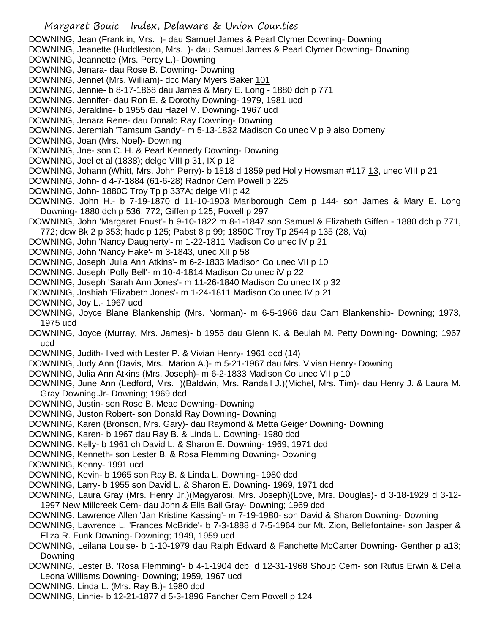DOWNING, Jean (Franklin, Mrs. )- dau Samuel James & Pearl Clymer Downing- Downing

DOWNING, Jeanette (Huddleston, Mrs. )- dau Samuel James & Pearl Clymer Downing- Downing

- DOWNING, Jeannette (Mrs. Percy L.)- Downing
- DOWNING, Jenara- dau Rose B. Downing- Downing
- DOWNING, Jennet (Mrs. William)- dcc Mary Myers Baker 101
- DOWNING, Jennie- b 8-17-1868 dau James & Mary E. Long 1880 dch p 771
- DOWNING, Jennifer- dau Ron E. & Dorothy Downing- 1979, 1981 ucd
- DOWNING, Jeraldine- b 1955 dau Hazel M. Downing- 1967 ucd
- DOWNING, Jenara Rene- dau Donald Ray Downing- Downing
- DOWNING, Jeremiah 'Tamsum Gandy'- m 5-13-1832 Madison Co unec V p 9 also Domeny
- DOWNING, Joan (Mrs. Noel)- Downing
- DOWNING, Joe- son C. H. & Pearl Kennedy Downing- Downing
- DOWNING, Joel et al (1838); delge VIII p 31, IX p 18
- DOWNING, Johann (Whitt, Mrs. John Perry)- b 1818 d 1859 ped Holly Howsman #117 13, unec VIII p 21
- DOWNING, John- d 4-7-1884 (61-6-28) Radnor Cem Powell p 225
- DOWNING, John- 1880C Troy Tp p 337A; delge VII p 42
- DOWNING, John H.- b 7-19-1870 d 11-10-1903 Marlborough Cem p 144- son James & Mary E. Long Downing- 1880 dch p 536, 772; Giffen p 125; Powell p 297
- DOWNING, John 'Margaret Foust'- b 9-10-1822 m 8-1-1847 son Samuel & Elizabeth Giffen 1880 dch p 771, 772; dcw Bk 2 p 353; hadc p 125; Pabst 8 p 99; 1850C Troy Tp 2544 p 135 (28, Va)
- DOWNING, John 'Nancy Daugherty'- m 1-22-1811 Madison Co unec IV p 21
- DOWNING, John 'Nancy Hake'- m 3-1843, unec XII p 58
- DOWNING, Joseph 'Julia Ann Atkins'- m 6-2-1833 Madison Co unec VII p 10
- DOWNING, Joseph 'Polly Bell'- m 10-4-1814 Madison Co unec iV p 22
- DOWNING, Joseph 'Sarah Ann Jones'- m 11-26-1840 Madison Co unec IX p 32
- DOWNING, Joshiah 'Elizabeth Jones'- m 1-24-1811 Madison Co unec IV p 21
- DOWNING, Joy L.- 1967 ucd
- DOWNING, Joyce Blane Blankenship (Mrs. Norman)- m 6-5-1966 dau Cam Blankenship- Downing; 1973, 1975 ucd
- DOWNING, Joyce (Murray, Mrs. James)- b 1956 dau Glenn K. & Beulah M. Petty Downing- Downing; 1967 ucd
- DOWNING, Judith- lived with Lester P. & Vivian Henry- 1961 dcd (14)
- DOWNING, Judy Ann (Davis, Mrs. Marion A.)- m 5-21-1967 dau Mrs. Vivian Henry- Downing
- DOWNING, Julia Ann Atkins (Mrs. Joseph)- m 6-2-1833 Madison Co unec VII p 10
- DOWNING, June Ann (Ledford, Mrs. )(Baldwin, Mrs. Randall J.)(Michel, Mrs. Tim)- dau Henry J. & Laura M. Gray Downing.Jr- Downing; 1969 dcd
- DOWNING, Justin- son Rose B. Mead Downing- Downing
- DOWNING, Juston Robert- son Donald Ray Downing- Downing
- DOWNING, Karen (Bronson, Mrs. Gary)- dau Raymond & Metta Geiger Downing- Downing
- DOWNING, Karen- b 1967 dau Ray B. & Linda L. Downing- 1980 dcd
- DOWNING, Kelly- b 1961 ch David L. & Sharon E. Downing- 1969, 1971 dcd
- DOWNING, Kenneth- son Lester B. & Rosa Flemming Downing- Downing
- DOWNING, Kenny- 1991 ucd
- DOWNING, Kevin- b 1965 son Ray B. & Linda L. Downing- 1980 dcd
- DOWNING, Larry- b 1955 son David L. & Sharon E. Downing- 1969, 1971 dcd
- DOWNING, Laura Gray (Mrs. Henry Jr.)(Magyarosi, Mrs. Joseph)(Love, Mrs. Douglas)- d 3-18-1929 d 3-12- 1997 New Millcreek Cem- dau John & Ella Bail Gray- Downing; 1969 dcd
- DOWNING, Lawrence Allen 'Jan Kristine Kassing'- m 7-19-1980- son David & Sharon Downing- Downing
- DOWNING, Lawrence L. 'Frances McBride'- b 7-3-1888 d 7-5-1964 bur Mt. Zion, Bellefontaine- son Jasper & Eliza R. Funk Downing- Downing; 1949, 1959 ucd
- DOWNING, Leilana Louise- b 1-10-1979 dau Ralph Edward & Fanchette McCarter Downing- Genther p a13; Downing
- DOWNING, Lester B. 'Rosa Flemming'- b 4-1-1904 dcb, d 12-31-1968 Shoup Cem- son Rufus Erwin & Della Leona Williams Downing- Downing; 1959, 1967 ucd
- DOWNING, Linda L. (Mrs. Ray B.)- 1980 dcd
- DOWNING, Linnie- b 12-21-1877 d 5-3-1896 Fancher Cem Powell p 124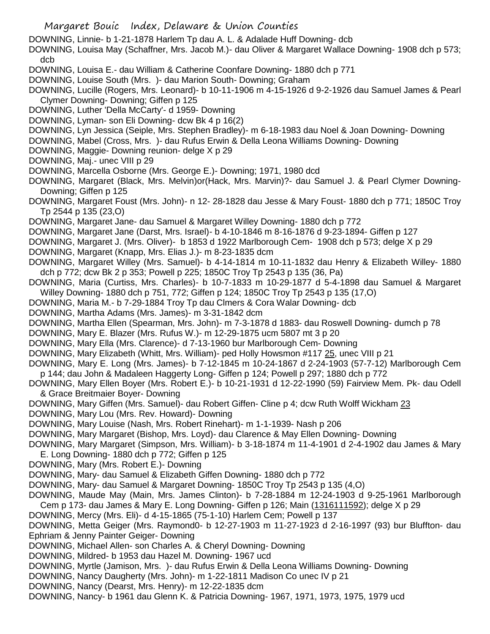- Margaret Bouic Index, Delaware & Union Counties
- DOWNING, Linnie- b 1-21-1878 Harlem Tp dau A. L. & Adalade Huff Downing- dcb
- DOWNING, Louisa May (Schaffner, Mrs. Jacob M.)- dau Oliver & Margaret Wallace Downing- 1908 dch p 573; dcb
- DOWNING, Louisa E.- dau William & Catherine Coonfare Downing- 1880 dch p 771
- DOWNING, Louise South (Mrs. )- dau Marion South- Downing; Graham
- DOWNING, Lucille (Rogers, Mrs. Leonard)- b 10-11-1906 m 4-15-1926 d 9-2-1926 dau Samuel James & Pearl Clymer Downing- Downing; Giffen p 125
- DOWNING, Luther 'Della McCarty'- d 1959- Downing
- DOWNING, Lyman- son Eli Downing- dcw Bk 4 p 16(2)
- DOWNING, Lyn Jessica (Seiple, Mrs. Stephen Bradley)- m 6-18-1983 dau Noel & Joan Downing- Downing
- DOWNING, Mabel (Cross, Mrs. )- dau Rufus Erwin & Della Leona Williams Downing- Downing
- DOWNING, Maggie- Downing reunion- delge X p 29
- DOWNING, Maj.- unec VIII p 29
- DOWNING, Marcella Osborne (Mrs. George E.)- Downing; 1971, 1980 dcd
- DOWNING, Margaret (Black, Mrs. Melvin)or(Hack, Mrs. Marvin)?- dau Samuel J. & Pearl Clymer Downing-Downing; Giffen p 125
- DOWNING, Margaret Foust (Mrs. John)- n 12- 28-1828 dau Jesse & Mary Foust- 1880 dch p 771; 1850C Troy Tp 2544 p 135 (23,O)
- DOWNING, Margaret Jane- dau Samuel & Margaret Willey Downing- 1880 dch p 772
- DOWNING, Margaret Jane (Darst, Mrs. Israel)- b 4-10-1846 m 8-16-1876 d 9-23-1894- Giffen p 127
- DOWNING, Margaret J. (Mrs. Oliver)- b 1853 d 1922 Marlborough Cem- 1908 dch p 573; delge X p 29
- DOWNING, Margaret (Knapp, Mrs. Elias J.)- m 8-23-1835 dcm
- DOWNING, Margaret Willey (Mrs. Samuel)- b 4-14-1814 m 10-11-1832 dau Henry & Elizabeth Willey- 1880 dch p 772; dcw Bk 2 p 353; Powell p 225; 1850C Troy Tp 2543 p 135 (36, Pa)
- DOWNING, Maria (Curtiss, Mrs. Charles)- b 10-7-1833 m 10-29-1877 d 5-4-1898 dau Samuel & Margaret Willey Downing- 1880 dch p 751, 772; Giffen p 124; 1850C Troy Tp 2543 p 135 (17,O)
- DOWNING, Maria M.- b 7-29-1884 Troy Tp dau Clmers & Cora Walar Downing- dcb
- DOWNING, Martha Adams (Mrs. James)- m 3-31-1842 dcm
- DOWNING, Martha Ellen (Spearman, Mrs. John)- m 7-3-1878 d 1883- dau Roswell Downing- dumch p 78
- DOWNING, Mary E. Blazer (Mrs. Rufus W.)- m 12-29-1875 ucm 5807 mt 3 p 20
- DOWNING, Mary Ella (Mrs. Clarence)- d 7-13-1960 bur Marlborough Cem- Downing
- DOWNING, Mary Elizabeth (Whitt, Mrs. William)- ped Holly Howsmon #117 25, unec VIII p 21
- DOWNING, Mary E. Long (Mrs. James)- b 7-12-1845 m 10-24-1867 d 2-24-1903 (57-7-12) Marlborough Cem p 144; dau John & Madaleen Haggerty Long- Giffen p 124; Powell p 297; 1880 dch p 772
- DOWNING, Mary Ellen Boyer (Mrs. Robert E.)- b 10-21-1931 d 12-22-1990 (59) Fairview Mem. Pk- dau Odell & Grace Breitmaier Boyer- Downing
- DOWNING, Mary Giffen (Mrs. Samuel)- dau Robert Giffen- Cline p 4; dcw Ruth Wolff Wickham 23
- DOWNING, Mary Lou (Mrs. Rev. Howard)- Downing
- DOWNING, Mary Louise (Nash, Mrs. Robert Rinehart)- m 1-1-1939- Nash p 206
- DOWNING, Mary Margaret (Bishop, Mrs. Loyd)- dau Clarence & May Ellen Downing- Downing
- DOWNING, Mary Margaret (Simpson, Mrs. William)- b 3-18-1874 m 11-4-1901 d 2-4-1902 dau James & Mary E. Long Downing- 1880 dch p 772; Giffen p 125
- DOWNING, Mary (Mrs. Robert E.)- Downing
- DOWNING, Mary- dau Samuel & Elizabeth Giffen Downing- 1880 dch p 772
- DOWNING, Mary- dau Samuel & Margaret Downing- 1850C Troy Tp 2543 p 135 (4,O)
- DOWNING, Maude May (Main, Mrs. James Clinton)- b 7-28-1884 m 12-24-1903 d 9-25-1961 Marlborough Cem p 173- dau James & Mary E. Long Downing- Giffen p 126; Main (1316111592); delge X p 29
- DOWNING, Mercy (Mrs. Eli)- d 4-15-1865 (75-1-10) Harlem Cem; Powell p 137
- DOWNING, Metta Geiger (Mrs. Raymond0- b 12-27-1903 m 11-27-1923 d 2-16-1997 (93) bur Bluffton- dau Ephriam & Jenny Painter Geiger- Downing
- DOWNING, Michael Allen- son Charles A. & Cheryl Downing- Downing
- DOWNING, Mildred- b 1953 dau Hazel M. Downing- 1967 ucd
- DOWNING, Myrtle (Jamison, Mrs. )- dau Rufus Erwin & Della Leona Williams Downing- Downing
- DOWNING, Nancy Daugherty (Mrs. John)- m 1-22-1811 Madison Co unec IV p 21
- DOWNING, Nancy (Dearst, Mrs. Henry)- m 12-22-1835 dcm
- DOWNING, Nancy- b 1961 dau Glenn K. & Patricia Downing- 1967, 1971, 1973, 1975, 1979 ucd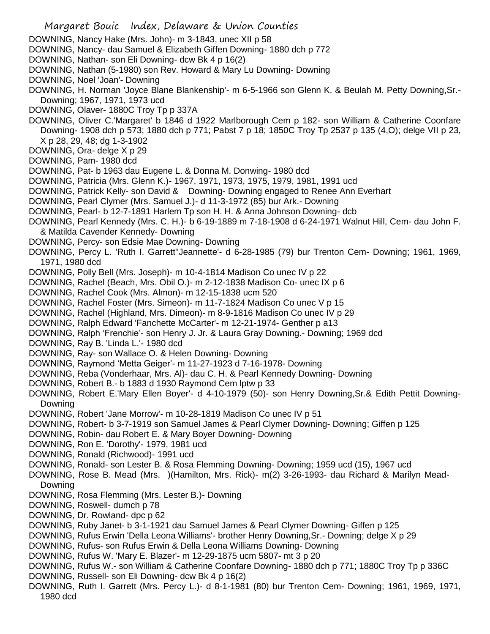Margaret Bouic Index, Delaware & Union Counties DOWNING, Nancy Hake (Mrs. John)- m 3-1843, unec XII p 58 DOWNING, Nancy- dau Samuel & Elizabeth Giffen Downing- 1880 dch p 772 DOWNING, Nathan- son Eli Downing- dcw Bk 4 p 16(2) DOWNING, Nathan (5-1980) son Rev. Howard & Mary Lu Downing- Downing DOWNING, Noel 'Joan'- Downing DOWNING, H. Norman 'Joyce Blane Blankenship'- m 6-5-1966 son Glenn K. & Beulah M. Petty Downing,Sr.- Downing; 1967, 1971, 1973 ucd DOWNING, Olaver- 1880C Troy Tp p 337A DOWNING, Oliver C.'Margaret' b 1846 d 1922 Marlborough Cem p 182- son William & Catherine Coonfare Downing- 1908 dch p 573; 1880 dch p 771; Pabst 7 p 18; 1850C Troy Tp 2537 p 135 (4,O); delge VII p 23, X p 28, 29, 48; dg 1-3-1902 DOWNING, Ora- delge X p 29 DOWNING, Pam- 1980 dcd DOWNING, Pat- b 1963 dau Eugene L. & Donna M. Donwing- 1980 dcd DOWNING, Patricia (Mrs. Glenn K.)- 1967, 1971, 1973, 1975, 1979, 1981, 1991 ucd DOWNING, Patrick Kelly- son David & Downing- Downing engaged to Renee Ann Everhart DOWNING, Pearl Clymer (Mrs. Samuel J.)- d 11-3-1972 (85) bur Ark.- Downing DOWNING, Pearl- b 12-7-1891 Harlem Tp son H. H. & Anna Johnson Downing- dcb DOWNING, Pearl Kennedy (Mrs. C. H.)- b 6-19-1889 m 7-18-1908 d 6-24-1971 Walnut Hill, Cem- dau John F. & Matilda Cavender Kennedy- Downing DOWNING, Percy- son Edsie Mae Downing- Downing DOWNING, Percy L. 'Ruth I. Garrett''Jeannette'- d 6-28-1985 (79) bur Trenton Cem- Downing; 1961, 1969, 1971, 1980 dcd DOWNING, Polly Bell (Mrs. Joseph)- m 10-4-1814 Madison Co unec IV p 22 DOWNING, Rachel (Beach, Mrs. Obil O.)- m 2-12-1838 Madison Co- unec IX p 6 DOWNING, Rachel Cook (Mrs. Almon)- m 12-15-1838 ucm 520 DOWNING, Rachel Foster (Mrs. Simeon)- m 11-7-1824 Madison Co unec V p 15 DOWNING, Rachel (Highland, Mrs. Dimeon)- m 8-9-1816 Madison Co unec IV p 29 DOWNING, Ralph Edward 'Fanchette McCarter'- m 12-21-1974- Genther p a13 DOWNING, Ralph 'Frenchie'- son Henry J. Jr. & Laura Gray Downing.- Downing; 1969 dcd DOWNING, Ray B. 'Linda L.'- 1980 dcd DOWNING, Ray- son Wallace O. & Helen Downing- Downing DOWNING, Raymond 'Metta Geiger'- m 11-27-1923 d 7-16-1978- Downing DOWNING, Reba (Vonderhaar, Mrs. Al)- dau C. H. & Pearl Kennedy Downing- Downing DOWNING, Robert B.- b 1883 d 1930 Raymond Cem lptw p 33 DOWNING, Robert E.'Mary Ellen Boyer'- d 4-10-1979 (50)- son Henry Downing,Sr.& Edith Pettit Downing-Downing DOWNING, Robert 'Jane Morrow'- m 10-28-1819 Madison Co unec IV p 51 DOWNING, Robert- b 3-7-1919 son Samuel James & Pearl Clymer Downing- Downing; Giffen p 125 DOWNING, Robin- dau Robert E. & Mary Boyer Downing- Downing DOWNING, Ron E. 'Dorothy'- 1979, 1981 ucd DOWNING, Ronald (Richwood)- 1991 ucd DOWNING, Ronald- son Lester B. & Rosa Flemming Downing- Downing; 1959 ucd (15), 1967 ucd DOWNING, Rose B. Mead (Mrs. )(Hamilton, Mrs. Rick)- m(2) 3-26-1993- dau Richard & Marilyn Mead-Downing DOWNING, Rosa Flemming (Mrs. Lester B.)- Downing DOWNING, Roswell- dumch p 78 DOWNING, Dr. Rowland- dpc p 62 DOWNING, Ruby Janet- b 3-1-1921 dau Samuel James & Pearl Clymer Downing- Giffen p 125 DOWNING, Rufus Erwin 'Della Leona Williams'- brother Henry Downing, Sr.- Downing; delge X p 29 DOWNING, Rufus- son Rufus Erwin & Della Leona Williams Downing- Downing DOWNING, Rufus W. 'Mary E. Blazer'- m 12-29-1875 ucm 5807- mt 3 p 20 DOWNING, Rufus W.- son William & Catherine Coonfare Downing- 1880 dch p 771; 1880C Troy Tp p 336C DOWNING, Russell- son Eli Downing- dcw Bk 4 p 16(2) DOWNING, Ruth I. Garrett (Mrs. Percy L.)- d 8-1-1981 (80) bur Trenton Cem- Downing; 1961, 1969, 1971, 1980 dcd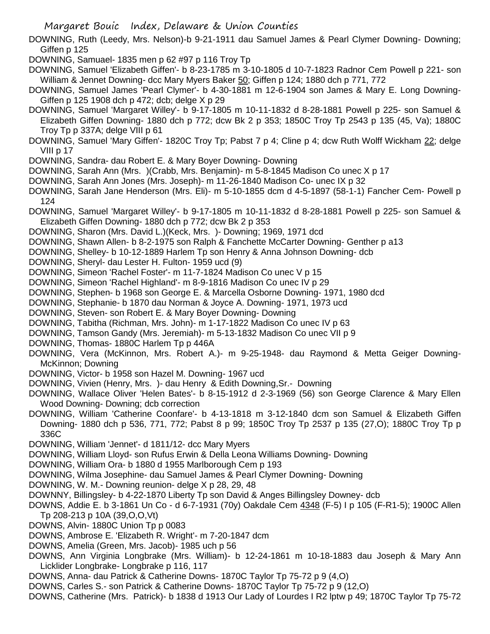Margaret Bouic Index, Delaware & Union Counties

DOWNING, Ruth (Leedy, Mrs. Nelson)-b 9-21-1911 dau Samuel James & Pearl Clymer Downing- Downing; Giffen p 125

DOWNING, Samuael- 1835 men p 62 #97 p 116 Troy Tp

DOWNING, Samuel 'Elizabeth Giffen'- b 8-23-1785 m 3-10-1805 d 10-7-1823 Radnor Cem Powell p 221- son William & Jennet Downing- dcc Mary Myers Baker 50; Giffen p 124; 1880 dch p 771, 772

DOWNING, Samuel James 'Pearl Clymer'- b 4-30-1881 m 12-6-1904 son James & Mary E. Long Downing-Giffen p 125 1908 dch p 472; dcb; delge X p 29

- DOWNING, Samuel 'Margaret Willey'- b 9-17-1805 m 10-11-1832 d 8-28-1881 Powell p 225- son Samuel & Elizabeth Giffen Downing- 1880 dch p 772; dcw Bk 2 p 353; 1850C Troy Tp 2543 p 135 (45, Va); 1880C Troy Tp p 337A; delge VIII p 61
- DOWNING, Samuel 'Mary Giffen'- 1820C Troy Tp; Pabst 7 p 4; Cline p 4; dcw Ruth Wolff Wickham 22; delge VIII p 17
- DOWNING, Sandra- dau Robert E. & Mary Boyer Downing- Downing
- DOWNING, Sarah Ann (Mrs. )(Crabb, Mrs. Benjamin)- m 5-8-1845 Madison Co unec X p 17
- DOWNING, Sarah Ann Jones (Mrs. Joseph)- m 11-26-1840 Madison Co- unec IX p 32
- DOWNING, Sarah Jane Henderson (Mrs. Eli)- m 5-10-1855 dcm d 4-5-1897 (58-1-1) Fancher Cem- Powell p 124
- DOWNING, Samuel 'Margaret Willey'- b 9-17-1805 m 10-11-1832 d 8-28-1881 Powell p 225- son Samuel & Elizabeth Giffen Downing- 1880 dch p 772; dcw Bk 2 p 353
- DOWNING, Sharon (Mrs. David L.)(Keck, Mrs. )- Downing; 1969, 1971 dcd
- DOWNING, Shawn Allen- b 8-2-1975 son Ralph & Fanchette McCarter Downing- Genther p a13
- DOWNING, Shelley- b 10-12-1889 Harlem Tp son Henry & Anna Johnson Downing- dcb
- DOWNING, Sheryl- dau Lester H. Fulton- 1959 ucd (9)
- DOWNING, Simeon 'Rachel Foster'- m 11-7-1824 Madison Co unec V p 15
- DOWNING, Simeon 'Rachel Highland'- m 8-9-1816 Madison Co unec IV p 29
- DOWNING, Stephen- b 1968 son George E. & Marcella Osborne Downing- 1971, 1980 dcd
- DOWNING, Stephanie- b 1870 dau Norman & Joyce A. Downing- 1971, 1973 ucd
- DOWNING, Steven- son Robert E. & Mary Boyer Downing- Downing
- DOWNING, Tabitha (Richman, Mrs. John)- m 1-17-1822 Madison Co unec IV p 63
- DOWNING, Tamson Gandy (Mrs. Jeremiah)- m 5-13-1832 Madison Co unec VII p 9
- DOWNING, Thomas- 1880C Harlem Tp p 446A
- DOWNING, Vera (McKinnon, Mrs. Robert A.)- m 9-25-1948- dau Raymond & Metta Geiger Downing-McKinnon; Downing
- DOWNING, Victor- b 1958 son Hazel M. Downing- 1967 ucd
- DOWNING, Vivien (Henry, Mrs. )- dau Henry & Edith Downing,Sr.- Downing
- DOWNING, Wallace Oliver 'Helen Bates'- b 8-15-1912 d 2-3-1969 (56) son George Clarence & Mary Ellen Wood Downing- Downing; dcb correction
- DOWNING, William 'Catherine Coonfare'- b 4-13-1818 m 3-12-1840 dcm son Samuel & Elizabeth Giffen Downing- 1880 dch p 536, 771, 772; Pabst 8 p 99; 1850C Troy Tp 2537 p 135 (27,O); 1880C Troy Tp p 336C
- DOWNING, William 'Jennet'- d 1811/12- dcc Mary Myers
- DOWNING, William Lloyd- son Rufus Erwin & Della Leona Williams Downing- Downing
- DOWNING, William Ora- b 1880 d 1955 Marlborough Cem p 193
- DOWNING, Wilma Josephine- dau Samuel James & Pearl Clymer Downing- Downing
- DOWNING, W. M.- Downing reunion- delge X p 28, 29, 48
- DOWNNY, Billingsley- b 4-22-1870 Liberty Tp son David & Anges Billingsley Downey- dcb
- DOWNS, Addie E. b 3-1861 Un Co d 6-7-1931 (70y) Oakdale Cem 4348 (F-5) I p 105 (F-R1-5); 1900C Allen Tp 208-213 p 10A (39,O,O,Vt)
- DOWNS, Alvin- 1880C Union Tp p 0083
- DOWNS, Ambrose E. 'Elizabeth R. Wright'- m 7-20-1847 dcm
- DOWNS, Amelia (Green, Mrs. Jacob)- 1985 uch p 56
- DOWNS, Ann Virginia Longbrake (Mrs. William)- b 12-24-1861 m 10-18-1883 dau Joseph & Mary Ann Licklider Longbrake- Longbrake p 116, 117
- DOWNS, Anna- dau Patrick & Catherine Downs- 1870C Taylor Tp 75-72 p 9 (4,O)
- DOWNS, Carles S.- son Patrick & Catherine Downs- 1870C Taylor Tp 75-72 p 9 (12,O)
- DOWNS, Catherine (Mrs. Patrick)- b 1838 d 1913 Our Lady of Lourdes I R2 lptw p 49; 1870C Taylor Tp 75-72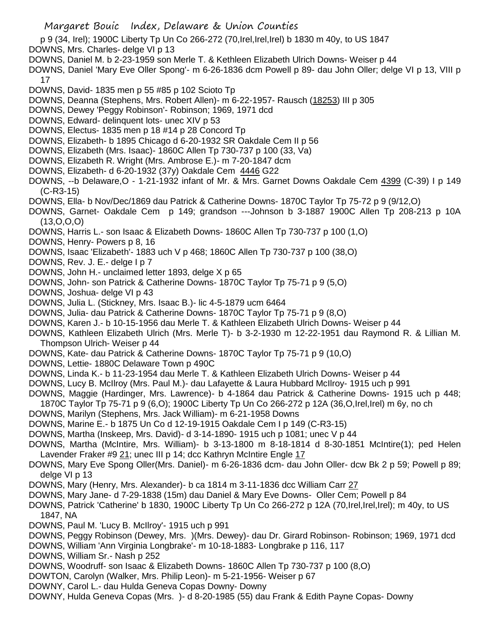- p 9 (34, Irel); 1900C Liberty Tp Un Co 266-272 (70,Irel,Irel,Irel) b 1830 m 40y, to US 1847
- DOWNS, Mrs. Charles- delge VI p 13
- DOWNS, Daniel M. b 2-23-1959 son Merle T. & Kethleen Elizabeth Ulrich Downs- Weiser p 44
- DOWNS, Daniel 'Mary Eve Oller Spong'- m 6-26-1836 dcm Powell p 89- dau John Oller; delge VI p 13, VIII p 17
- DOWNS, David- 1835 men p 55 #85 p 102 Scioto Tp
- DOWNS, Deanna (Stephens, Mrs. Robert Allen)- m 6-22-1957- Rausch (18253) III p 305
- DOWNS, Dewey 'Peggy Robinson'- Robinson; 1969, 1971 dcd
- DOWNS, Edward- delinquent lots- unec XIV p 53
- DOWNS, Electus- 1835 men p 18 #14 p 28 Concord Tp
- DOWNS, Elizabeth- b 1895 Chicago d 6-20-1932 SR Oakdale Cem II p 56
- DOWNS, Elizabeth (Mrs. Isaac)- 1860C Allen Tp 730-737 p 100 (33, Va)
- DOWNS, Elizabeth R. Wright (Mrs. Ambrose E.)- m 7-20-1847 dcm
- DOWNS, Elizabeth- d 6-20-1932 (37y) Oakdale Cem 4446 G22
- DOWNS, --b Delaware,O 1-21-1932 infant of Mr. & Mrs. Garnet Downs Oakdale Cem 4399 (C-39) I p 149 (C-R3-15)
- DOWNS, Ella- b Nov/Dec/1869 dau Patrick & Catherine Downs- 1870C Taylor Tp 75-72 p 9 (9/12,O)
- DOWNS, Garnet- Oakdale Cem p 149; grandson ---Johnson b 3-1887 1900C Allen Tp 208-213 p 10A  $(13,0,0,0)$
- DOWNS, Harris L.- son Isaac & Elizabeth Downs- 1860C Allen Tp 730-737 p 100 (1,O)
- DOWNS, Henry- Powers p 8, 16
- DOWNS, Isaac 'Elizabeth'- 1883 uch V p 468; 1860C Allen Tp 730-737 p 100 (38,O)
- DOWNS, Rev. J. E.- delge I p 7
- DOWNS, John H.- unclaimed letter 1893, delge X p 65
- DOWNS, John- son Patrick & Catherine Downs- 1870C Taylor Tp 75-71 p 9 (5,O)
- DOWNS, Joshua- delge VI p 43
- DOWNS, Julia L. (Stickney, Mrs. Isaac B.)- lic 4-5-1879 ucm 6464
- DOWNS, Julia- dau Patrick & Catherine Downs- 1870C Taylor Tp 75-71 p 9 (8,O)
- DOWNS, Karen J.- b 10-15-1956 dau Merle T. & Kathleen Elizabeth Ulrich Downs- Weiser p 44
- DOWNS, Kathleen Elizabeth Ulrich (Mrs. Merle T)- b 3-2-1930 m 12-22-1951 dau Raymond R. & Lillian M. Thompson Ulrich- Weiser p 44
- DOWNS, Kate- dau Patrick & Catherine Downs- 1870C Taylor Tp 75-71 p 9 (10,O)
- DOWNS, Lettie- 1880C Delaware Town p 490C
- DOWNS, Linda K.- b 11-23-1954 dau Merle T. & Kathleen Elizabeth Ulrich Downs- Weiser p 44
- DOWNS, Lucy B. McIlroy (Mrs. Paul M.)- dau Lafayette & Laura Hubbard McIlroy- 1915 uch p 991
- DOWNS, Maggie (Hardinger, Mrs. Lawrence)- b 4-1864 dau Patrick & Catherine Downs- 1915 uch p 448;
- 1870C Taylor Tp 75-71 p 9 (6,O); 1900C Liberty Tp Un Co 266-272 p 12A (36,O,Irel,Irel) m 6y, no ch DOWNS, Marilyn (Stephens, Mrs. Jack William)- m 6-21-1958 Downs
- DOWNS, Marine E.- b 1875 Un Co d 12-19-1915 Oakdale Cem I p 149 (C-R3-15)
- DOWNS, Martha (Inskeep, Mrs. David)- d 3-14-1890- 1915 uch p 1081; unec V p 44
- DOWNS, Martha (McIntire, Mrs. William)- b 3-13-1800 m 8-18-1814 d 8-30-1851 McIntire(1); ped Helen
- Lavender Fraker #9 21; unec III p 14; dcc Kathryn McIntire Engle 17
- DOWNS, Mary Eve Spong Oller(Mrs. Daniel)- m 6-26-1836 dcm- dau John Oller- dcw Bk 2 p 59; Powell p 89; delge VI p 13
- DOWNS, Mary (Henry, Mrs. Alexander)- b ca 1814 m 3-11-1836 dcc William Carr 27
- DOWNS, Mary Jane- d 7-29-1838 (15m) dau Daniel & Mary Eve Downs- Oller Cem; Powell p 84
- DOWNS, Patrick 'Catherine' b 1830, 1900C Liberty Tp Un Co 266-272 p 12A (70,Irel,Irel,Irel); m 40y, to US 1847, NA
- DOWNS, Paul M. 'Lucy B. McIlroy'- 1915 uch p 991
- DOWNS, Peggy Robinson (Dewey, Mrs. )(Mrs. Dewey)- dau Dr. Girard Robinson- Robinson; 1969, 1971 dcd
- DOWNS, William 'Ann Virginia Longbrake'- m 10-18-1883- Longbrake p 116, 117
- DOWNS, William Sr.- Nash p 252
- DOWNS, Woodruff- son Isaac & Elizabeth Downs- 1860C Allen Tp 730-737 p 100 (8,O)
- DOWTON, Carolyn (Walker, Mrs. Philip Leon)- m 5-21-1956- Weiser p 67
- DOWNY, Carol L.- dau Hulda Geneva Copas Downy- Downy
- DOWNY, Hulda Geneva Copas (Mrs. )- d 8-20-1985 (55) dau Frank & Edith Payne Copas- Downy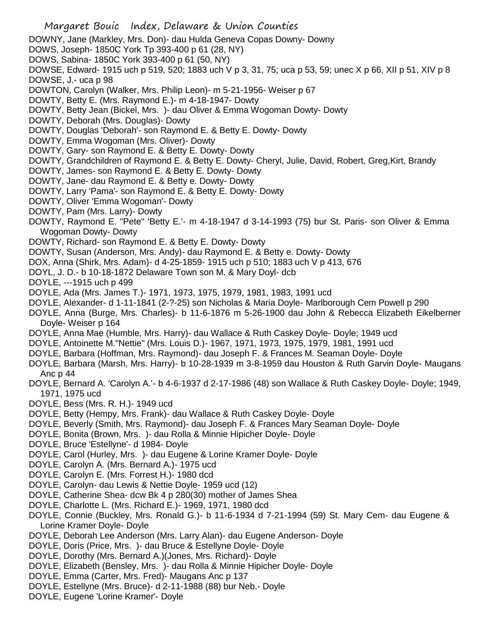DOWNY, Jane (Markley, Mrs. Don)- dau Hulda Geneva Copas Downy- Downy

- DOWS, Joseph- 1850C York Tp 393-400 p 61 (28, NY)
- DOWS, Sabina- 1850C York 393-400 p 61 (50, NY)

DOWSE, Edward- 1915 uch p 519, 520; 1883 uch V p 3, 31, 75; uca p 53, 59; unec X p 66, XII p 51, XIV p 8 DOWSE, J.- uca p 98

DOWTON, Carolyn (Walker, Mrs. Philip Leon)- m 5-21-1956- Weiser p 67

DOWTY, Betty E. (Mrs. Raymond E.)- m 4-18-1947- Dowty

- DOWTY, Betty Jean (Bickel, Mrs. )- dau Oliver & Emma Wogoman Dowty- Dowty
- DOWTY, Deborah (Mrs. Douglas)- Dowty
- DOWTY, Douglas 'Deborah'- son Raymond E. & Betty E. Dowty- Dowty
- DOWTY, Emma Wogoman (Mrs. Oliver)- Dowty
- DOWTY, Gary- son Raymond E. & Betty E. Dowty- Dowty
- DOWTY, Grandchildren of Raymond E. & Betty E. Dowty- Cheryl, Julie, David, Robert, Greg,Kirt, Brandy
- DOWTY, James- son Raymond E. & Betty E. Dowty- Dowty
- DOWTY, Jane- dau Raymond E. & Betty e. Dowty- Dowty
- DOWTY, Larry 'Pama'- son Raymond E. & Betty E. Dowty- Dowty
- DOWTY, Oliver 'Emma Wogoman'- Dowty
- DOWTY, Pam (Mrs. Larry)- Dowty
- DOWTY, Raymond E. "Pete" 'Betty E.'- m 4-18-1947 d 3-14-1993 (75) bur St. Paris- son Oliver & Emma Wogoman Dowty- Dowty
- DOWTY, Richard- son Raymond E. & Betty E. Dowty- Dowty
- DOWTY, Susan (Anderson, Mrs. Andy)- dau Raymond E. & Betty e. Dowty- Dowty
- DOX, Anna (Shirk, Mrs. Adam)- d 4-25-1859- 1915 uch p 510; 1883 uch V p 413, 676
- DOYL, J. D.- b 10-18-1872 Delaware Town son M. & Mary Doyl- dcb
- DOYLE, ---1915 uch p 499
- DOYLE, Ada (Mrs. James T.)- 1971, 1973, 1975, 1979, 1981, 1983, 1991 ucd
- DOYLE, Alexander- d 1-11-1841 (2-?-25) son Nicholas & Maria Doyle- Marlborough Cem Powell p 290
- DOYLE, Anna (Burge, Mrs. Charles)- b 11-6-1876 m 5-26-1900 dau John & Rebecca Elizabeth Eikelberner Doyle- Weiser p 164
- DOYLE, Anna Mae (Humble, Mrs. Harry)- dau Wallace & Ruth Caskey Doyle- Doyle; 1949 ucd
- DOYLE, Antoinette M."Nettie" (Mrs. Louis D.)- 1967, 1971, 1973, 1975, 1979, 1981, 1991 ucd
- DOYLE, Barbara (Hoffman, Mrs. Raymond)- dau Joseph F. & Frances M. Seaman Doyle- Doyle
- DOYLE, Barbara (Marsh, Mrs. Harry)- b 10-28-1939 m 3-8-1959 dau Houston & Ruth Garvin Doyle- Maugans Anc p 44
- DOYLE, Bernard A. 'Carolyn A.'- b 4-6-1937 d 2-17-1986 (48) son Wallace & Ruth Caskey Doyle- Doyle; 1949, 1971, 1975 ucd
- DOYLE, Bess (Mrs. R. H.)- 1949 ucd
- DOYLE, Betty (Hempy, Mrs. Frank)- dau Wallace & Ruth Caskey Doyle- Doyle
- DOYLE, Beverly (Smith, Mrs. Raymond)- dau Joseph F. & Frances Mary Seaman Doyle- Doyle
- DOYLE, Bonita (Brown, Mrs. )- dau Rolla & Minnie Hipicher Doyle- Doyle
- DOYLE, Bruce 'Estellyne'- d 1984- Doyle
- DOYLE, Carol (Hurley, Mrs. )- dau Eugene & Lorine Kramer Doyle- Doyle
- DOYLE, Carolyn A. (Mrs. Bernard A.)- 1975 ucd
- DOYLE, Carolyn E. (Mrs. Forrest H.)- 1980 dcd
- DOYLE, Carolyn- dau Lewis & Nettie Doyle- 1959 ucd (12)
- DOYLE, Catherine Shea- dcw Bk 4 p 280(30) mother of James Shea
- DOYLE, Charlotte L. (Mrs. Richard E.)- 1969, 1971, 1980 dcd
- DOYLE, Connie (Buckley, Mrs. Ronald G.)- b 11-6-1934 d 7-21-1994 (59) St. Mary Cem- dau Eugene & Lorine Kramer Doyle- Doyle
- DOYLE, Deborah Lee Anderson (Mrs. Larry Alan)- dau Eugene Anderson- Doyle
- DOYLE, Doris (Price, Mrs. )- dau Bruce & Estellyne Doyle- Doyle
- DOYLE, Dorothy (Mrs. Bernard A.)(Jones, Mrs. Richard)- Doyle
- DOYLE, Elizabeth (Bensley, Mrs. )- dau Rolla & Minnie Hipicher Doyle- Doyle
- DOYLE, Emma (Carter, Mrs. Fred)- Maugans Anc p 137
- DOYLE, Estellyne (Mrs. Bruce)- d 2-11-1988 (88) bur Neb.- Doyle
- DOYLE, Eugene 'Lorine Kramer'- Doyle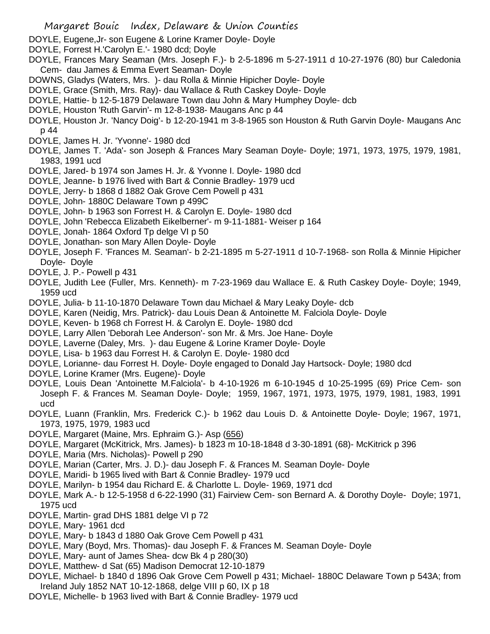- DOYLE, Eugene,Jr- son Eugene & Lorine Kramer Doyle- Doyle
- DOYLE, Forrest H.'Carolyn E.'- 1980 dcd; Doyle
- DOYLE, Frances Mary Seaman (Mrs. Joseph F.)- b 2-5-1896 m 5-27-1911 d 10-27-1976 (80) bur Caledonia Cem- dau James & Emma Evert Seaman- Doyle
- DOWNS, Gladys (Waters, Mrs. )- dau Rolla & Minnie Hipicher Doyle- Doyle
- DOYLE, Grace (Smith, Mrs. Ray)- dau Wallace & Ruth Caskey Doyle- Doyle
- DOYLE, Hattie- b 12-5-1879 Delaware Town dau John & Mary Humphey Doyle- dcb
- DOYLE, Houston 'Ruth Garvin'- m 12-8-1938- Maugans Anc p 44
- DOYLE, Houston Jr. 'Nancy Doig'- b 12-20-1941 m 3-8-1965 son Houston & Ruth Garvin Doyle- Maugans Anc p 44
- DOYLE, James H. Jr. 'Yvonne'- 1980 dcd
- DOYLE, James T. 'Ada'- son Joseph & Frances Mary Seaman Doyle- Doyle; 1971, 1973, 1975, 1979, 1981, 1983, 1991 ucd
- DOYLE, Jared- b 1974 son James H. Jr. & Yvonne I. Doyle- 1980 dcd
- DOYLE, Jeanne- b 1976 lived with Bart & Connie Bradley- 1979 ucd
- DOYLE, Jerry- b 1868 d 1882 Oak Grove Cem Powell p 431
- DOYLE, John- 1880C Delaware Town p 499C
- DOYLE, John- b 1963 son Forrest H. & Carolyn E. Doyle- 1980 dcd
- DOYLE, John 'Rebecca Elizabeth Eikelberner'- m 9-11-1881- Weiser p 164
- DOYLE, Jonah- 1864 Oxford Tp delge VI p 50
- DOYLE, Jonathan- son Mary Allen Doyle- Doyle
- DOYLE, Joseph F. 'Frances M. Seaman'- b 2-21-1895 m 5-27-1911 d 10-7-1968- son Rolla & Minnie Hipicher Doyle- Doyle
- DOYLE, J. P.- Powell p 431
- DOYLE, Judith Lee (Fuller, Mrs. Kenneth)- m 7-23-1969 dau Wallace E. & Ruth Caskey Doyle- Doyle; 1949, 1959 ucd
- DOYLE, Julia- b 11-10-1870 Delaware Town dau Michael & Mary Leaky Doyle- dcb
- DOYLE, Karen (Neidig, Mrs. Patrick)- dau Louis Dean & Antoinette M. Falciola Doyle- Doyle
- DOYLE, Keven- b 1968 ch Forrest H. & Carolyn E. Doyle- 1980 dcd
- DOYLE, Larry Allen 'Deborah Lee Anderson'- son Mr. & Mrs. Joe Hane- Doyle
- DOYLE, Laverne (Daley, Mrs. )- dau Eugene & Lorine Kramer Doyle- Doyle
- DOYLE, Lisa- b 1963 dau Forrest H. & Carolyn E. Doyle- 1980 dcd
- DOYLE, Lorianne- dau Forrest H. Doyle- Doyle engaged to Donald Jay Hartsock- Doyle; 1980 dcd
- DOYLE, Lorine Kramer (Mrs. Eugene)- Doyle
- DOYLE, Louis Dean 'Antoinette M.Falciola'- b 4-10-1926 m 6-10-1945 d 10-25-1995 (69) Price Cem- son Joseph F. & Frances M. Seaman Doyle- Doyle; 1959, 1967, 1971, 1973, 1975, 1979, 1981, 1983, 1991 ucd
- DOYLE, Luann (Franklin, Mrs. Frederick C.)- b 1962 dau Louis D. & Antoinette Doyle- Doyle; 1967, 1971, 1973, 1975, 1979, 1983 ucd
- DOYLE, Margaret (Maine, Mrs. Ephraim G.)- Asp (656)
- DOYLE, Margaret (McKitrick, Mrs. James)- b 1823 m 10-18-1848 d 3-30-1891 (68)- McKitrick p 396
- DOYLE, Maria (Mrs. Nicholas)- Powell p 290
- DOYLE, Marian (Carter, Mrs. J. D.)- dau Joseph F. & Frances M. Seaman Doyle- Doyle
- DOYLE, Maridi- b 1965 lived with Bart & Connie Bradley- 1979 ucd
- DOYLE, Marilyn- b 1954 dau Richard E. & Charlotte L. Doyle- 1969, 1971 dcd
- DOYLE, Mark A.- b 12-5-1958 d 6-22-1990 (31) Fairview Cem- son Bernard A. & Dorothy Doyle- Doyle; 1971, 1975 ucd
- DOYLE, Martin- grad DHS 1881 delge VI p 72
- DOYLE, Mary- 1961 dcd
- DOYLE, Mary- b 1843 d 1880 Oak Grove Cem Powell p 431
- DOYLE, Mary (Boyd, Mrs. Thomas)- dau Joseph F. & Frances M. Seaman Doyle- Doyle
- DOYLE, Mary- aunt of James Shea- dcw Bk 4 p 280(30)
- DOYLE, Matthew- d Sat (65) Madison Democrat 12-10-1879
- DOYLE, Michael- b 1840 d 1896 Oak Grove Cem Powell p 431; Michael- 1880C Delaware Town p 543A; from Ireland July 1852 NAT 10-12-1868, delge VIII p 60, IX p 18
- DOYLE, Michelle- b 1963 lived with Bart & Connie Bradley- 1979 ucd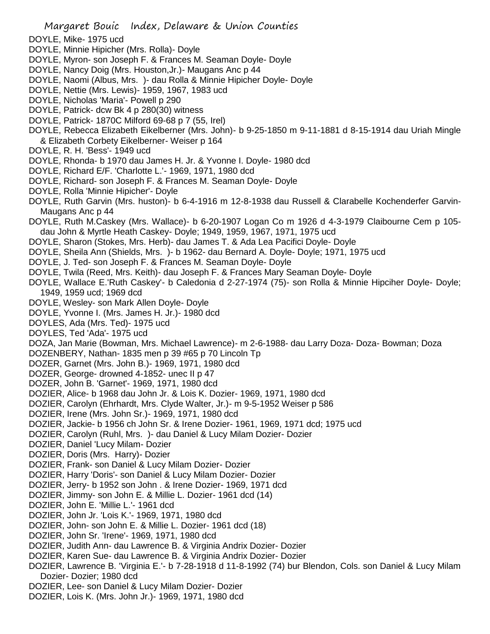- DOYLE, Mike- 1975 ucd
- DOYLE, Minnie Hipicher (Mrs. Rolla)- Doyle
- DOYLE, Myron- son Joseph F. & Frances M. Seaman Doyle- Doyle
- DOYLE, Nancy Doig (Mrs. Houston,Jr.)- Maugans Anc p 44
- DOYLE, Naomi (Albus, Mrs. )- dau Rolla & Minnie Hipicher Doyle- Doyle
- DOYLE, Nettie (Mrs. Lewis)- 1959, 1967, 1983 ucd
- DOYLE, Nicholas 'Maria'- Powell p 290
- DOYLE, Patrick- dcw Bk 4 p 280(30) witness
- DOYLE, Patrick- 1870C Milford 69-68 p 7 (55, Irel)
- DOYLE, Rebecca Elizabeth Eikelberner (Mrs. John)- b 9-25-1850 m 9-11-1881 d 8-15-1914 dau Uriah Mingle & Elizabeth Corbety Eikelberner- Weiser p 164
- DOYLE, R. H. 'Bess'- 1949 ucd
- DOYLE, Rhonda- b 1970 dau James H. Jr. & Yvonne I. Doyle- 1980 dcd
- DOYLE, Richard E/F. 'Charlotte L.'- 1969, 1971, 1980 dcd
- DOYLE, Richard- son Joseph F. & Frances M. Seaman Doyle- Doyle
- DOYLE, Rolla 'Minnie Hipicher'- Doyle
- DOYLE, Ruth Garvin (Mrs. huston)- b 6-4-1916 m 12-8-1938 dau Russell & Clarabelle Kochenderfer Garvin-Maugans Anc p 44
- DOYLE, Ruth M.Caskey (Mrs. Wallace)- b 6-20-1907 Logan Co m 1926 d 4-3-1979 Claibourne Cem p 105 dau John & Myrtle Heath Caskey- Doyle; 1949, 1959, 1967, 1971, 1975 ucd
- DOYLE, Sharon (Stokes, Mrs. Herb)- dau James T. & Ada Lea Pacifici Doyle- Doyle
- DOYLE, Sheila Ann (Shields, Mrs. )- b 1962- dau Bernard A. Doyle- Doyle; 1971, 1975 ucd
- DOYLE, J. Ted- son Joseph F. & Frances M. Seaman Doyle- Doyle
- DOYLE, Twila (Reed, Mrs. Keith)- dau Joseph F. & Frances Mary Seaman Doyle- Doyle
- DOYLE, Wallace E.'Ruth Caskey'- b Caledonia d 2-27-1974 (75)- son Rolla & Minnie Hipciher Doyle- Doyle; 1949, 1959 ucd; 1969 dcd
- DOYLE, Wesley- son Mark Allen Doyle- Doyle
- DOYLE, Yvonne I. (Mrs. James H. Jr.)- 1980 dcd
- DOYLES, Ada (Mrs. Ted)- 1975 ucd
- DOYLES, Ted 'Ada'- 1975 ucd
- DOZA, Jan Marie (Bowman, Mrs. Michael Lawrence)- m 2-6-1988- dau Larry Doza- Doza- Bowman; Doza
- DOZENBERY, Nathan- 1835 men p 39 #65 p 70 Lincoln Tp
- DOZER, Garnet (Mrs. John B.)- 1969, 1971, 1980 dcd
- DOZER, George- drowned 4-1852- unec II p 47
- DOZER, John B. 'Garnet'- 1969, 1971, 1980 dcd
- DOZIER, Alice- b 1968 dau John Jr. & Lois K. Dozier- 1969, 1971, 1980 dcd
- DOZIER, Carolyn (Ehrhardt, Mrs. Clyde Walter, Jr.)- m 9-5-1952 Weiser p 586
- DOZIER, Irene (Mrs. John Sr.)- 1969, 1971, 1980 dcd
- DOZIER, Jackie- b 1956 ch John Sr. & Irene Dozier- 1961, 1969, 1971 dcd; 1975 ucd
- DOZIER, Carolyn (Ruhl, Mrs. )- dau Daniel & Lucy Milam Dozier- Dozier
- DOZIER, Daniel 'Lucy Milam- Dozier
- DOZIER, Doris (Mrs. Harry)- Dozier
- DOZIER, Frank- son Daniel & Lucy Milam Dozier- Dozier
- DOZIER, Harry 'Doris'- son Daniel & Lucy Milam Dozier- Dozier
- DOZIER, Jerry- b 1952 son John . & Irene Dozier- 1969, 1971 dcd
- DOZIER, Jimmy- son John E. & Millie L. Dozier- 1961 dcd (14)
- DOZIER, John E. 'Millie L.'- 1961 dcd
- DOZIER, John Jr. 'Lois K.'- 1969, 1971, 1980 dcd
- DOZIER, John- son John E. & Millie L. Dozier- 1961 dcd (18)
- DOZIER, John Sr. 'Irene'- 1969, 1971, 1980 dcd
- DOZIER, Judith Ann- dau Lawrence B. & Virginia Andrix Dozier- Dozier
- DOZIER, Karen Sue- dau Lawrence B. & Virginia Andrix Dozier- Dozier
- DOZIER, Lawrence B. 'Virginia E.'- b 7-28-1918 d 11-8-1992 (74) bur Blendon, Cols. son Daniel & Lucy Milam Dozier- Dozier; 1980 dcd
- DOZIER, Lee- son Daniel & Lucy Milam Dozier- Dozier
- DOZIER, Lois K. (Mrs. John Jr.)- 1969, 1971, 1980 dcd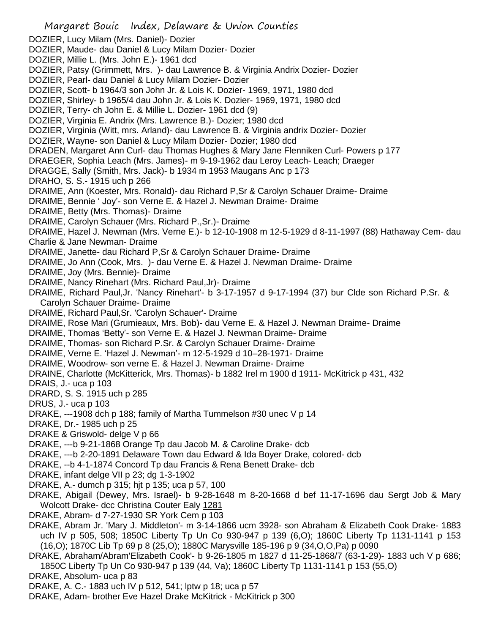- Margaret Bouic Index, Delaware & Union Counties DOZIER, Lucy Milam (Mrs. Daniel)- Dozier DOZIER, Maude- dau Daniel & Lucy Milam Dozier- Dozier DOZIER, Millie L. (Mrs. John E.)- 1961 dcd DOZIER, Patsy (Grimmett, Mrs. )- dau Lawrence B. & Virginia Andrix Dozier- Dozier DOZIER, Pearl- dau Daniel & Lucy Milam Dozier- Dozier DOZIER, Scott- b 1964/3 son John Jr. & Lois K. Dozier- 1969, 1971, 1980 dcd DOZIER, Shirley- b 1965/4 dau John Jr. & Lois K. Dozier- 1969, 1971, 1980 dcd DOZIER, Terry- ch John E. & Millie L. Dozier- 1961 dcd (9) DOZIER, Virginia E. Andrix (Mrs. Lawrence B.)- Dozier; 1980 dcd DOZIER, Virginia (Witt, mrs. Arland)- dau Lawrence B. & Virginia andrix Dozier- Dozier DOZIER, Wayne- son Daniel & Lucy Milam Dozier- Dozier; 1980 dcd DRADEN, Margaret Ann Curl- dau Thomas Hughes & Mary Jane Flenniken Curl- Powers p 177 DRAEGER, Sophia Leach (Mrs. James)- m 9-19-1962 dau Leroy Leach- Leach; Draeger DRAGGE, Sally (Smith, Mrs. Jack)- b 1934 m 1953 Maugans Anc p 173 DRAHO, S. S.- 1915 uch p 266 DRAIME, Ann (Koester, Mrs. Ronald)- dau Richard P,Sr & Carolyn Schauer Draime- Draime DRAIME, Bennie ' Joy'- son Verne E. & Hazel J. Newman Draime- Draime DRAIME, Betty (Mrs. Thomas)- Draime DRAIME, Carolyn Schauer (Mrs. Richard P.,Sr.)- Draime DRAIME, Hazel J. Newman (Mrs. Verne E.)- b 12-10-1908 m 12-5-1929 d 8-11-1997 (88) Hathaway Cem- dau Charlie & Jane Newman- Draime DRAIME, Janette- dau Richard P,Sr & Carolyn Schauer Draime- Draime DRAIME, Jo Ann (Cook, Mrs. )- dau Verne E. & Hazel J. Newman Draime- Draime DRAIME, Joy (Mrs. Bennie)- Draime DRAIME, Nancy Rinehart (Mrs. Richard Paul,Jr)- Draime DRAIME, Richard Paul,Jr. 'Nancy Rinehart'- b 3-17-1957 d 9-17-1994 (37) bur Clde son Richard P.Sr. & Carolyn Schauer Draime- Draime DRAIME, Richard Paul,Sr. 'Carolyn Schauer'- Draime DRAIME, Rose Mari (Grumieaux, Mrs. Bob)- dau Verne E. & Hazel J. Newman Draime- Draime DRAIME, Thomas 'Betty'- son Verne E. & Hazel J. Newman Draime- Draime DRAIME, Thomas- son Richard P.Sr. & Carolyn Schauer Draime- Draime DRAIME, Verne E. 'Hazel J. Newman'- m 12-5-1929 d 10–28-1971- Draime DRAIME, Woodrow- son verne E. & Hazel J. Newman Draime- Draime DRAINE, Charlotte (McKitterick, Mrs. Thomas)- b 1882 Irel m 1900 d 1911- McKitrick p 431, 432 DRAIS, J.- uca p 103 DRARD, S. S. 1915 uch p 285 DRUS, J.- uca p 103 DRAKE, ---1908 dch p 188; family of Martha Tummelson #30 unec V p 14 DRAKE, Dr.- 1985 uch p 25 DRAKE & Griswold- delge V p 66 DRAKE, ---b 9-21-1868 Orange Tp dau Jacob M. & Caroline Drake- dcb DRAKE, ---b 2-20-1891 Delaware Town dau Edward & Ida Boyer Drake, colored- dcb DRAKE, --b 4-1-1874 Concord Tp dau Francis & Rena Benett Drake- dcb DRAKE, infant delge VII p 23; dg 1-3-1902 DRAKE, A.- dumch p 315; hjt p 135; uca p 57, 100 DRAKE, Abigail (Dewey, Mrs. Israel)- b 9-28-1648 m 8-20-1668 d bef 11-17-1696 dau Sergt Job & Mary Wolcott Drake- dcc Christina Couter Ealy 1281 DRAKE, Abram- d 7-27-1930 SR York Cem p 103 DRAKE, Abram Jr. 'Mary J. Middleton'- m 3-14-1866 ucm 3928- son Abraham & Elizabeth Cook Drake- 1883 uch IV p 505, 508; 1850C Liberty Tp Un Co 930-947 p 139 (6,O); 1860C Liberty Tp 1131-1141 p 153 (16,O); 1870C Lib Tp 69 p 8 (25,O); 1880C Marysville 185-196 p 9 (34,O,O,Pa) p 0090 DRAKE, Abraham/Abram'Elizabeth Cook'- b 9-26-1805 m 1827 d 11-25-1868/7 (63-1-29)- 1883 uch V p 686; 1850C Liberty Tp Un Co 930-947 p 139 (44, Va); 1860C Liberty Tp 1131-1141 p 153 (55,O)
- DRAKE, Absolum- uca p 83
- DRAKE, A. C.- 1883 uch IV p 512, 541; lptw p 18; uca p 57
- DRAKE, Adam- brother Eve Hazel Drake McKitrick McKitrick p 300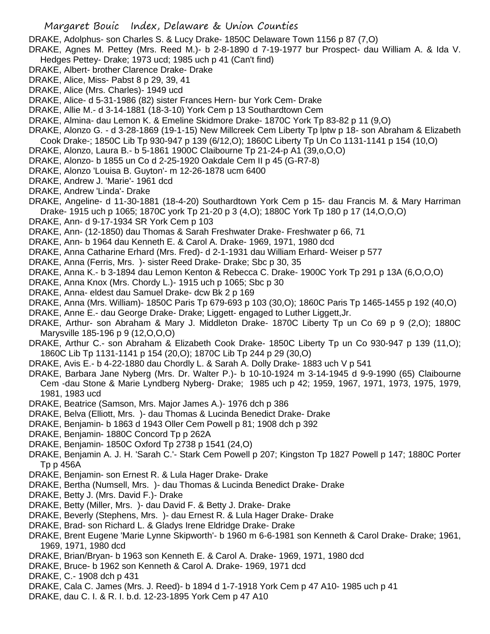DRAKE, Adolphus- son Charles S. & Lucy Drake- 1850C Delaware Town 1156 p 87 (7,O)

- DRAKE, Agnes M. Pettey (Mrs. Reed M.)- b 2-8-1890 d 7-19-1977 bur Prospect- dau William A. & Ida V. Hedges Pettey- Drake; 1973 ucd; 1985 uch p 41 (Can't find)
- DRAKE, Albert- brother Clarence Drake- Drake
- DRAKE, Alice, Miss- Pabst 8 p 29, 39, 41
- DRAKE, Alice (Mrs. Charles)- 1949 ucd
- DRAKE, Alice- d 5-31-1986 (82) sister Frances Hern- bur York Cem- Drake
- DRAKE, Allie M.- d 3-14-1881 (18-3-10) York Cem p 13 Southardtown Cem
- DRAKE, Almina- dau Lemon K. & Emeline Skidmore Drake- 1870C York Tp 83-82 p 11 (9,O)
- DRAKE, Alonzo G. d 3-28-1869 (19-1-15) New Millcreek Cem Liberty Tp lptw p 18- son Abraham & Elizabeth Cook Drake-; 1850C Lib Tp 930-947 p 139 (6/12,O); 1860C Liberty Tp Un Co 1131-1141 p 154 (10,O)
- DRAKE, Alonzo, Laura B.- b 5-1861 1900C Claibourne Tp 21-24-p A1 (39,o,O,O)
- DRAKE, Alonzo- b 1855 un Co d 2-25-1920 Oakdale Cem II p 45 (G-R7-8)
- DRAKE, Alonzo 'Louisa B. Guyton'- m 12-26-1878 ucm 6400
- DRAKE, Andrew J. 'Marie'- 1961 dcd
- DRAKE, Andrew 'Linda'- Drake
- DRAKE, Angeline- d 11-30-1881 (18-4-20) Southardtown York Cem p 15- dau Francis M. & Mary Harriman Drake- 1915 uch p 1065; 1870C york Tp 21-20 p 3 (4,O); 1880C York Tp 180 p 17 (14,O,O,O)
- DRAKE, Ann- d 9-17-1934 SR York Cem p 103
- DRAKE, Ann- (12-1850) dau Thomas & Sarah Freshwater Drake- Freshwater p 66, 71
- DRAKE, Ann- b 1964 dau Kenneth E. & Carol A. Drake- 1969, 1971, 1980 dcd
- DRAKE, Anna Catharine Erhard (Mrs. Fred)- d 2-1-1931 dau William Erhard- Weiser p 577
- DRAKE, Anna (Ferris, Mrs. )- sister Reed Drake- Drake; Sbc p 30, 35
- DRAKE, Anna K.- b 3-1894 dau Lemon Kenton & Rebecca C. Drake- 1900C York Tp 291 p 13A (6,O,O,O)
- DRAKE, Anna Knox (Mrs. Chordy L.)- 1915 uch p 1065; Sbc p 30
- DRAKE, Anna- eldest dau Samuel Drake- dcw Bk 2 p 169
- DRAKE, Anna (Mrs. William)- 1850C Paris Tp 679-693 p 103 (30,O); 1860C Paris Tp 1465-1455 p 192 (40,O)
- DRAKE, Anne E.- dau George Drake- Drake; Liggett- engaged to Luther Liggett,Jr.
- DRAKE, Arthur- son Abraham & Mary J. Middleton Drake- 1870C Liberty Tp un Co 69 p 9 (2,O); 1880C Marysville 185-196 p 9 (12,O,O,O)
- DRAKE, Arthur C.- son Abraham & Elizabeth Cook Drake- 1850C Liberty Tp un Co 930-947 p 139 (11,O); 1860C Lib Tp 1131-1141 p 154 (20,O); 1870C Lib Tp 244 p 29 (30,O)
- DRAKE, Avis E.- b 4-22-1880 dau Chordly L. & Sarah A. Dolly Drake- 1883 uch V p 541
- DRAKE, Barbara Jane Nyberg (Mrs. Dr. Walter P.)- b 10-10-1924 m 3-14-1945 d 9-9-1990 (65) Claibourne Cem -dau Stone & Marie Lyndberg Nyberg- Drake; 1985 uch p 42; 1959, 1967, 1971, 1973, 1975, 1979, 1981, 1983 ucd
- DRAKE, Beatrice (Samson, Mrs. Major James A.)- 1976 dch p 386
- DRAKE, Belva (Elliott, Mrs. )- dau Thomas & Lucinda Benedict Drake- Drake
- DRAKE, Benjamin- b 1863 d 1943 Oller Cem Powell p 81; 1908 dch p 392
- DRAKE, Benjamin- 1880C Concord Tp p 262A
- DRAKE, Benjamin- 1850C Oxford Tp 2738 p 1541 (24,O)
- DRAKE, Benjamin A. J. H. 'Sarah C.'- Stark Cem Powell p 207; Kingston Tp 1827 Powell p 147; 1880C Porter Tp p 456A
- DRAKE, Benjamin- son Ernest R. & Lula Hager Drake- Drake
- DRAKE, Bertha (Numsell, Mrs. )- dau Thomas & Lucinda Benedict Drake- Drake
- DRAKE, Betty J. (Mrs. David F.)- Drake
- DRAKE, Betty (Miller, Mrs. )- dau David F. & Betty J. Drake- Drake
- DRAKE, Beverly (Stephens, Mrs. )- dau Ernest R. & Lula Hager Drake- Drake
- DRAKE, Brad- son Richard L. & Gladys Irene Eldridge Drake- Drake
- DRAKE, Brent Eugene 'Marie Lynne Skipworth'- b 1960 m 6-6-1981 son Kenneth & Carol Drake- Drake; 1961, 1969, 1971, 1980 dcd
- DRAKE, Brian/Bryan- b 1963 son Kenneth E. & Carol A. Drake- 1969, 1971, 1980 dcd
- DRAKE, Bruce- b 1962 son Kenneth & Carol A. Drake- 1969, 1971 dcd
- DRAKE, C.- 1908 dch p 431
- DRAKE, Cala C. James (Mrs. J. Reed)- b 1894 d 1-7-1918 York Cem p 47 A10- 1985 uch p 41
- DRAKE, dau C. I. & R. I. b.d. 12-23-1895 York Cem p 47 A10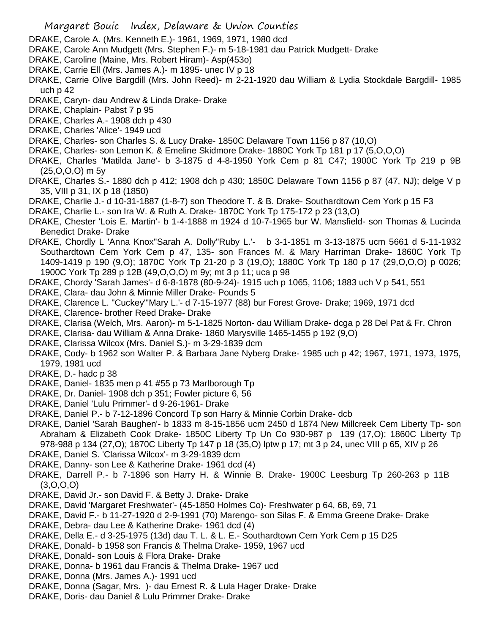- DRAKE, Carole A. (Mrs. Kenneth E.)- 1961, 1969, 1971, 1980 dcd
- DRAKE, Carole Ann Mudgett (Mrs. Stephen F.)- m 5-18-1981 dau Patrick Mudgett- Drake
- DRAKE, Caroline (Maine, Mrs. Robert Hiram)- Asp(453o)
- DRAKE, Carrie Ell (Mrs. James A.)- m 1895- unec IV p 18
- DRAKE, Carrie Olive Bargdill (Mrs. John Reed)- m 2-21-1920 dau William & Lydia Stockdale Bargdill- 1985 uch p 42
- DRAKE, Caryn- dau Andrew & Linda Drake- Drake
- DRAKE, Chaplain- Pabst 7 p 95
- DRAKE, Charles A.- 1908 dch p 430
- DRAKE, Charles 'Alice'- 1949 ucd
- DRAKE, Charles- son Charles S. & Lucy Drake- 1850C Delaware Town 1156 p 87 (10,O)
- DRAKE, Charles- son Lemon K. & Emeline Skidmore Drake- 1880C York Tp 181 p 17 (5,O,O,O)
- DRAKE, Charles 'Matilda Jane'- b 3-1875 d 4-8-1950 York Cem p 81 C47; 1900C York Tp 219 p 9B (25,O,O,O) m 5y
- DRAKE, Charles S.- 1880 dch p 412; 1908 dch p 430; 1850C Delaware Town 1156 p 87 (47, NJ); delge V p 35, VIII p 31, IX p 18 (1850)
- DRAKE, Charlie J.- d 10-31-1887 (1-8-7) son Theodore T. & B. Drake- Southardtown Cem York p 15 F3
- DRAKE, Charlie L.- son Ira W. & Ruth A. Drake- 1870C York Tp 175-172 p 23 (13,O)
- DRAKE, Chester 'Lois E. Martin'- b 1-4-1888 m 1924 d 10-7-1965 bur W. Mansfield- son Thomas & Lucinda Benedict Drake- Drake
- DRAKE, Chordly L 'Anna Knox''Sarah A. Dolly''Ruby L.'- b 3-1-1851 m 3-13-1875 ucm 5661 d 5-11-1932 Southardtown Cem York Cem p 47, 135- son Frances M. & Mary Harriman Drake- 1860C York Tp 1409-1419 p 190 (9,O); 1870C York Tp 21-20 p 3 (19,O); 1880C York Tp 180 p 17 (29,O,O,O) p 0026; 1900C York Tp 289 p 12B (49,O,O,O) m 9y; mt 3 p 11; uca p 98
- DRAKE, Chordy 'Sarah James'- d 6-8-1878 (80-9-24)- 1915 uch p 1065, 1106; 1883 uch V p 541, 551
- DRAKE, Clara- dau John & Minnie Miller Drake- Pounds 5
- DRAKE, Clarence L. "Cuckey"'Mary L.'- d 7-15-1977 (88) bur Forest Grove- Drake; 1969, 1971 dcd
- DRAKE, Clarence- brother Reed Drake- Drake
- DRAKE, Clarisa (Welch, Mrs. Aaron)- m 5-1-1825 Norton- dau William Drake- dcga p 28 Del Pat & Fr. Chron
- DRAKE, Clarisa- dau William & Anna Drake- 1860 Marysville 1465-1455 p 192 (9,O)
- DRAKE, Clarissa Wilcox (Mrs. Daniel S.)- m 3-29-1839 dcm
- DRAKE, Cody- b 1962 son Walter P. & Barbara Jane Nyberg Drake- 1985 uch p 42; 1967, 1971, 1973, 1975, 1979, 1981 ucd
- DRAKE, D.- hadc p 38
- DRAKE, Daniel- 1835 men p 41 #55 p 73 Marlborough Tp
- DRAKE, Dr. Daniel- 1908 dch p 351; Fowler picture 6, 56
- DRAKE, Daniel 'Lulu Primmer'- d 9-26-1961- Drake
- DRAKE, Daniel P.- b 7-12-1896 Concord Tp son Harry & Minnie Corbin Drake- dcb
- DRAKE, Daniel 'Sarah Baughen'- b 1833 m 8-15-1856 ucm 2450 d 1874 New Millcreek Cem Liberty Tp- son Abraham & Elizabeth Cook Drake- 1850C Liberty Tp Un Co 930-987 p 139 (17,O); 1860C Liberty Tp 978-988 p 134 (27,O); 1870C Liberty Tp 147 p 18 (35,O) lptw p 17; mt 3 p 24, unec VIII p 65, XIV p 26
- DRAKE, Daniel S. 'Clarissa Wilcox'- m 3-29-1839 dcm
- DRAKE, Danny- son Lee & Katherine Drake- 1961 dcd (4)
- DRAKE, Darrell P.- b 7-1896 son Harry H. & Winnie B. Drake- 1900C Leesburg Tp 260-263 p 11B (3,O,O,O)
- DRAKE, David Jr.- son David F. & Betty J. Drake- Drake
- DRAKE, David 'Margaret Freshwater'- (45-1850 Holmes Co)- Freshwater p 64, 68, 69, 71
- DRAKE, David F.- b 11-27-1920 d 2-9-1991 (70) Marengo- son Silas F. & Emma Greene Drake- Drake
- DRAKE, Debra- dau Lee & Katherine Drake- 1961 dcd (4)
- DRAKE, Della E.- d 3-25-1975 (13d) dau T. L. & L. E.- Southardtown Cem York Cem p 15 D25
- DRAKE, Donald- b 1958 son Francis & Thelma Drake- 1959, 1967 ucd
- DRAKE, Donald- son Louis & Flora Drake- Drake
- DRAKE, Donna- b 1961 dau Francis & Thelma Drake- 1967 ucd
- DRAKE, Donna (Mrs. James A.)- 1991 ucd
- DRAKE, Donna (Sagar, Mrs. )- dau Ernest R. & Lula Hager Drake- Drake
- DRAKE, Doris- dau Daniel & Lulu Primmer Drake- Drake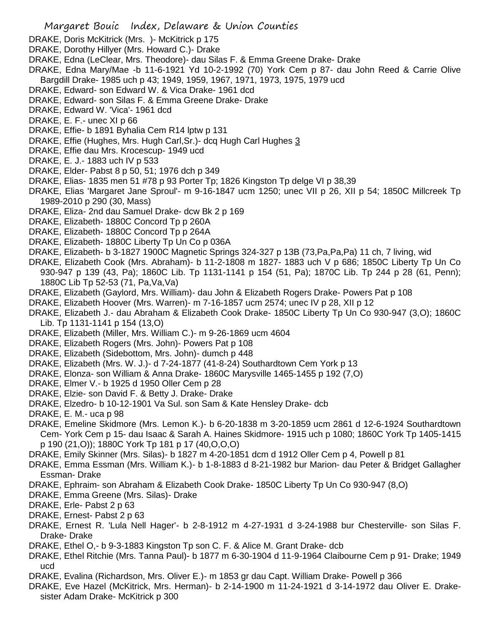- DRAKE, Doris McKitrick (Mrs. )- McKitrick p 175
- DRAKE, Dorothy Hillyer (Mrs. Howard C.)- Drake
- DRAKE, Edna (LeClear, Mrs. Theodore)- dau Silas F. & Emma Greene Drake- Drake
- DRAKE, Edna Mary/Mae -b 11-6-1921 Yd 10-2-1992 (70) York Cem p 87- dau John Reed & Carrie Olive Bargdill Drake- 1985 uch p 43; 1949, 1959, 1967, 1971, 1973, 1975, 1979 ucd
- DRAKE, Edward- son Edward W. & Vica Drake- 1961 dcd
- DRAKE, Edward- son Silas F. & Emma Greene Drake- Drake
- DRAKE, Edward W. 'Vica'- 1961 dcd
- DRAKE, E. F.- unec XI p 66
- DRAKE, Effie- b 1891 Byhalia Cem R14 lptw p 131
- DRAKE, Effie (Hughes, Mrs. Hugh Carl,Sr.)- dcq Hugh Carl Hughes 3
- DRAKE, Effie dau Mrs. Krocescup- 1949 ucd
- DRAKE, E. J.- 1883 uch IV p 533
- DRAKE, Elder- Pabst 8 p 50, 51; 1976 dch p 349
- DRAKE, Elias- 1835 men 51 #78 p 93 Porter Tp; 1826 Kingston Tp delge VI p 38,39
- DRAKE, Elias 'Margaret Jane Sproul'- m 9-16-1847 ucm 1250; unec VII p 26, XII p 54; 1850C Millcreek Tp 1989-2010 p 290 (30, Mass)
- DRAKE, Eliza- 2nd dau Samuel Drake- dcw Bk 2 p 169
- DRAKE, Elizabeth- 1880C Concord Tp p 260A
- DRAKE, Elizabeth- 1880C Concord Tp p 264A
- DRAKE, Elizabeth- 1880C Liberty Tp Un Co p 036A
- DRAKE, Elizabeth- b 3-1827 1900C Magnetic Springs 324-327 p 13B (73,Pa,Pa,Pa) 11 ch, 7 living, wid
- DRAKE, Elizabeth Cook (Mrs. Abraham)- b 11-2-1808 m 1827- 1883 uch V p 686; 1850C Liberty Tp Un Co 930-947 p 139 (43, Pa); 1860C Lib. Tp 1131-1141 p 154 (51, Pa); 1870C Lib. Tp 244 p 28 (61, Penn); 1880C Lib Tp 52-53 (71, Pa,Va,Va)
- DRAKE, Elizabeth (Gaylord, Mrs. William)- dau John & Elizabeth Rogers Drake- Powers Pat p 108
- DRAKE, Elizabeth Hoover (Mrs. Warren)- m 7-16-1857 ucm 2574; unec IV p 28, XII p 12
- DRAKE, Elizabeth J.- dau Abraham & Elizabeth Cook Drake- 1850C Liberty Tp Un Co 930-947 (3,O); 1860C Lib. Tp 1131-1141 p 154 (13,O)
- DRAKE, Elizabeth (Miller, Mrs. William C.)- m 9-26-1869 ucm 4604
- DRAKE, Elizabeth Rogers (Mrs. John)- Powers Pat p 108
- DRAKE, Elizabeth (Sidebottom, Mrs. John)- dumch p 448
- DRAKE, Elizabeth (Mrs. W. J.)- d 7-24-1877 (41-8-24) Southardtown Cem York p 13
- DRAKE, Elonza- son William & Anna Drake- 1860C Marysville 1465-1455 p 192 (7,O)
- DRAKE, Elmer V.- b 1925 d 1950 Oller Cem p 28
- DRAKE, Elzie- son David F. & Betty J. Drake- Drake
- DRAKE, Elzedro- b 10-12-1901 Va Sul. son Sam & Kate Hensley Drake- dcb
- DRAKE, E. M.- uca p 98
- DRAKE, Emeline Skidmore (Mrs. Lemon K.)- b 6-20-1838 m 3-20-1859 ucm 2861 d 12-6-1924 Southardtown Cem- York Cem p 15- dau Isaac & Sarah A. Haines Skidmore- 1915 uch p 1080; 1860C York Tp 1405-1415 p 190 (21,O)); 1880C York Tp 181 p 17 (40,O,O,O)
- DRAKE, Emily Skinner (Mrs. Silas)- b 1827 m 4-20-1851 dcm d 1912 Oller Cem p 4, Powell p 81
- DRAKE, Emma Essman (Mrs. William K.)- b 1-8-1883 d 8-21-1982 bur Marion- dau Peter & Bridget Gallagher Essman- Drake
- DRAKE, Ephraim- son Abraham & Elizabeth Cook Drake- 1850C Liberty Tp Un Co 930-947 (8,O)
- DRAKE, Emma Greene (Mrs. Silas)- Drake
- DRAKE, Erle- Pabst 2 p 63
- DRAKE, Ernest- Pabst 2 p 63
- DRAKE, Ernest R. 'Lula Nell Hager'- b 2-8-1912 m 4-27-1931 d 3-24-1988 bur Chesterville- son Silas F. Drake- Drake
- DRAKE, Ethel O,- b 9-3-1883 Kingston Tp son C. F. & Alice M. Grant Drake- dcb
- DRAKE, Ethel Ritchie (Mrs. Tanna Paul)- b 1877 m 6-30-1904 d 11-9-1964 Claibourne Cem p 91- Drake; 1949 ucd
- DRAKE, Evalina (Richardson, Mrs. Oliver E.)- m 1853 gr dau Capt. William Drake- Powell p 366
- DRAKE, Eve Hazel (McKitrick, Mrs. Herman)- b 2-14-1900 m 11-24-1921 d 3-14-1972 dau Oliver E. Drakesister Adam Drake- McKitrick p 300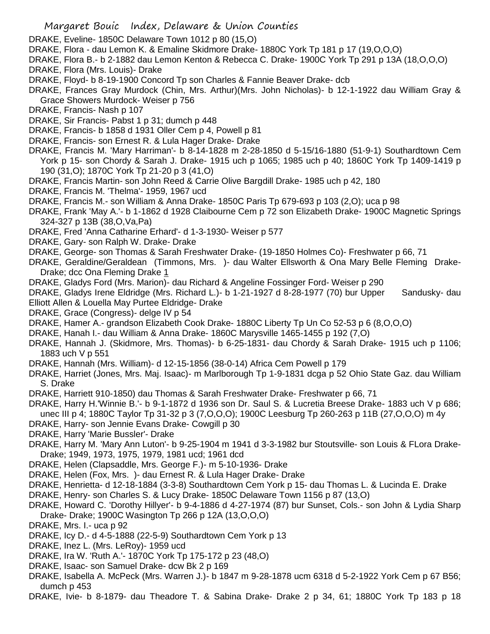- DRAKE, Eveline- 1850C Delaware Town 1012 p 80 (15,O)
- DRAKE, Flora dau Lemon K. & Emaline Skidmore Drake- 1880C York Tp 181 p 17 (19,O,O,O)
- DRAKE, Flora B.- b 2-1882 dau Lemon Kenton & Rebecca C. Drake- 1900C York Tp 291 p 13A (18,O,O,O)
- DRAKE, Flora (Mrs. Louis)- Drake
- DRAKE, Floyd- b 8-19-1900 Concord Tp son Charles & Fannie Beaver Drake- dcb
- DRAKE, Frances Gray Murdock (Chin, Mrs. Arthur)(Mrs. John Nicholas)- b 12-1-1922 dau William Gray & Grace Showers Murdock- Weiser p 756
- DRAKE, Francis- Nash p 107
- DRAKE, Sir Francis- Pabst 1 p 31; dumch p 448
- DRAKE, Francis- b 1858 d 1931 Oller Cem p 4, Powell p 81
- DRAKE, Francis- son Ernest R. & Lula Hager Drake- Drake
- DRAKE, Francis M. 'Mary Harriman'- b 8-14-1828 m 2-28-1850 d 5-15/16-1880 (51-9-1) Southardtown Cem York p 15- son Chordy & Sarah J. Drake- 1915 uch p 1065; 1985 uch p 40; 1860C York Tp 1409-1419 p 190 (31,O); 1870C York Tp 21-20 p 3 (41,O)
- DRAKE, Francis Martin- son John Reed & Carrie Olive Bargdill Drake- 1985 uch p 42, 180
- DRAKE, Francis M. 'Thelma'- 1959, 1967 ucd
- DRAKE, Francis M.- son William & Anna Drake- 1850C Paris Tp 679-693 p 103 (2,O); uca p 98
- DRAKE, Frank 'May A.'- b 1-1862 d 1928 Claibourne Cem p 72 son Elizabeth Drake- 1900C Magnetic Springs 324-327 p 13B (38,O,Va,Pa)
- DRAKE, Fred 'Anna Catharine Erhard'- d 1-3-1930- Weiser p 577
- DRAKE, Gary- son Ralph W. Drake- Drake
- DRAKE, George- son Thomas & Sarah Freshwater Drake- (19-1850 Holmes Co)- Freshwater p 66, 71
- DRAKE, Geraldine/Geraldean (Timmons, Mrs. )- dau Walter Ellsworth & Ona Mary Belle Fleming Drake-Drake; dcc Ona Fleming Drake 1
- DRAKE, Gladys Ford (Mrs. Marion)- dau Richard & Angeline Fossinger Ford- Weiser p 290
- DRAKE, Gladys Irene Eldridge (Mrs. Richard L.)- b 1-21-1927 d 8-28-1977 (70) bur Upper Sandusky- dau
- Elliott Allen & Louella May Purtee Eldridge- Drake
- DRAKE, Grace (Congress)- delge IV p 54
- DRAKE, Hamer A.- grandson Elizabeth Cook Drake- 1880C Liberty Tp Un Co 52-53 p 6 (8,O,O,O)
- DRAKE, Hanah I.- dau William & Anna Drake- 1860C Marysville 1465-1455 p 192 (7,O)
- DRAKE, Hannah J. (Skidmore, Mrs. Thomas)- b 6-25-1831- dau Chordy & Sarah Drake- 1915 uch p 1106; 1883 uch V p 551
- DRAKE, Hannah (Mrs. William)- d 12-15-1856 (38-0-14) Africa Cem Powell p 179
- DRAKE, Harriet (Jones, Mrs. Maj. Isaac)- m Marlborough Tp 1-9-1831 dcga p 52 Ohio State Gaz. dau William S. Drake
- DRAKE, Harriett 910-1850) dau Thomas & Sarah Freshwater Drake- Freshwater p 66, 71
- DRAKE, Harry H.'Winnie B.'- b 9-1-1872 d 1936 son Dr. Saul S. & Lucretia Breese Drake- 1883 uch V p 686;
- unec III p 4; 1880C Taylor Tp 31-32 p 3 (7,O,O,O); 1900C Leesburg Tp 260-263 p 11B (27,O,O,O) m 4y
- DRAKE, Harry- son Jennie Evans Drake- Cowgill p 30
- DRAKE, Harry 'Marie Bussler'- Drake
- DRAKE, Harry M. 'Mary Ann Luton'- b 9-25-1904 m 1941 d 3-3-1982 bur Stoutsville- son Louis & FLora Drake-Drake; 1949, 1973, 1975, 1979, 1981 ucd; 1961 dcd
- DRAKE, Helen (Clapsaddle, Mrs. George F.)- m 5-10-1936- Drake
- DRAKE, Helen (Fox, Mrs. )- dau Ernest R. & Lula Hager Drake- Drake
- DRAKE, Henrietta- d 12-18-1884 (3-3-8) Southardtown Cem York p 15- dau Thomas L. & Lucinda E. Drake
- DRAKE, Henry- son Charles S. & Lucy Drake- 1850C Delaware Town 1156 p 87 (13,O)
- DRAKE, Howard C. 'Dorothy Hillyer'- b 9-4-1886 d 4-27-1974 (87) bur Sunset, Cols.- son John & Lydia Sharp Drake- Drake; 1900C Wasington Tp 266 p 12A (13,O,O,O)
- DRAKE, Mrs. I.- uca p 92
- DRAKE, Icy D.- d 4-5-1888 (22-5-9) Southardtown Cem York p 13
- DRAKE, Inez L. (Mrs. LeRoy)- 1959 ucd
- DRAKE, Ira W. 'Ruth A.'- 1870C York Tp 175-172 p 23 (48,O)
- DRAKE, Isaac- son Samuel Drake- dcw Bk 2 p 169
- DRAKE, Isabella A. McPeck (Mrs. Warren J.)- b 1847 m 9-28-1878 ucm 6318 d 5-2-1922 York Cem p 67 B56; dumch p 453
- DRAKE, Ivie- b 8-1879- dau Theadore T. & Sabina Drake- Drake 2 p 34, 61; 1880C York Tp 183 p 18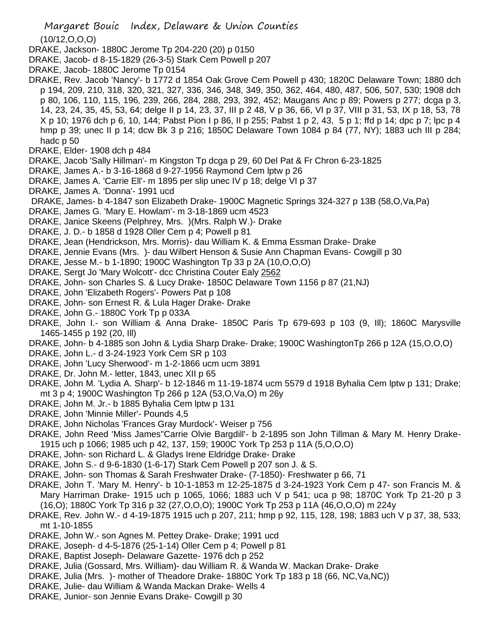Margaret Bouic Index, Delaware & Union Counties (10/12,O,O,O) DRAKE, Jackson- 1880C Jerome Tp 204-220 (20) p 0150

- DRAKE, Jacob- d 8-15-1829 (26-3-5) Stark Cem Powell p 207
- DRAKE, Jacob- 1880C Jerome Tp 0154
- DRAKE, Rev. Jacob 'Nancy'- b 1772 d 1854 Oak Grove Cem Powell p 430; 1820C Delaware Town; 1880 dch p 194, 209, 210, 318, 320, 321, 327, 336, 346, 348, 349, 350, 362, 464, 480, 487, 506, 507, 530; 1908 dch p 80, 106, 110, 115, 196, 239, 266, 284, 288, 293, 392, 452; Maugans Anc p 89; Powers p 277; dcga p 3, 14, 23, 24, 35, 45, 53, 64; delge II p 14, 23, 37, III p 2 48, V p 36, 66, VI p 37, VIII p 31, 53, IX p 18, 53, 78 X p 10; 1976 dch p 6, 10, 144; Pabst Pion I p 86, II p 255; Pabst 1 p 2, 43, 5 p 1; ffd p 14; dpc p 7; lpc p 4 hmp p 39; unec II p 14; dcw Bk 3 p 216; 1850C Delaware Town 1084 p 84 (77, NY); 1883 uch III p 284; hadc p 50
- DRAKE, Elder- 1908 dch p 484
- DRAKE, Jacob 'Sally Hillman'- m Kingston Tp dcga p 29, 60 Del Pat & Fr Chron 6-23-1825
- DRAKE, James A.- b 3-16-1868 d 9-27-1956 Raymond Cem lptw p 26
- DRAKE, James A. 'Carrie Ell'- m 1895 per slip unec IV p 18; delge VI p 37
- DRAKE, James A. 'Donna'- 1991 ucd
- DRAKE, James- b 4-1847 son Elizabeth Drake- 1900C Magnetic Springs 324-327 p 13B (58,O,Va,Pa)
- DRAKE, James G. 'Mary E. Howlam'- m 3-18-1869 ucm 4523
- DRAKE, Janice Skeens (Pelphrey, Mrs. )(Mrs. Ralph W.)- Drake
- DRAKE, J. D.- b 1858 d 1928 Oller Cem p 4; Powell p 81
- DRAKE, Jean (Hendrickson, Mrs. Morris)- dau William K. & Emma Essman Drake- Drake
- DRAKE, Jennie Evans (Mrs. )- dau Wilbert Henson & Susie Ann Chapman Evans- Cowgill p 30
- DRAKE, Jesse M.- b 1-1890; 1900C Washington Tp 33 p 2A (10,O,O,O)
- DRAKE, Sergt Jo 'Mary Wolcott'- dcc Christina Couter Ealy 2562
- DRAKE, John- son Charles S. & Lucy Drake- 1850C Delaware Town 1156 p 87 (21,NJ)
- DRAKE, John 'Elizabeth Rogers'- Powers Pat p 108
- DRAKE, John- son Ernest R. & Lula Hager Drake- Drake
- DRAKE, John G.- 1880C York Tp p 033A
- DRAKE, John I.- son William & Anna Drake- 1850C Paris Tp 679-693 p 103 (9, Ill); 1860C Marysville 1465-1455 p 192 (20, Ill)
- DRAKE, John- b 4-1885 son John & Lydia Sharp Drake- Drake; 1900C WashingtonTp 266 p 12A (15,O,O,O)
- DRAKE, John L.- d 3-24-1923 York Cem SR p 103
- DRAKE, John 'Lucy Sherwood'- m 1-2-1866 ucm ucm 3891
- DRAKE, Dr. John M.- letter, 1843, unec XII p 65
- DRAKE, John M. 'Lydia A. Sharp'- b 12-1846 m 11-19-1874 ucm 5579 d 1918 Byhalia Cem lptw p 131; Drake; mt 3 p 4; 1900C Washington Tp 266 p 12A (53,O,Va,O) m 26y
- DRAKE, John M. Jr.- b 1885 Byhalia Cem lptw p 131
- DRAKE, John 'Minnie Miller'- Pounds 4,5
- DRAKE, John Nicholas 'Frances Gray Murdock'- Weiser p 756
- DRAKE, John Reed 'Miss James''Carrie Olvie Bargdill'- b 2-1895 son John Tillman & Mary M. Henry Drake-1915 uch p 1066; 1985 uch p 42, 137, 159; 1900C York Tp 253 p 11A (5,O,O,O)
- DRAKE, John- son Richard L. & Gladys Irene Eldridge Drake- Drake
- DRAKE, John S.- d 9-6-1830 (1-6-17) Stark Cem Powell p 207 son J. & S.
- DRAKE, John- son Thomas & Sarah Freshwater Drake- (7-1850)- Freshwater p 66, 71
- DRAKE, John T. 'Mary M. Henry'- b 10-1-1853 m 12-25-1875 d 3-24-1923 York Cem p 47- son Francis M. & Mary Harriman Drake- 1915 uch p 1065, 1066; 1883 uch V p 541; uca p 98; 1870C York Tp 21-20 p 3 (16,O); 1880C York Tp 316 p 32 (27,O,O,O); 1900C York Tp 253 p 11A (46,O,O,O) m 224y
- DRAKE, Rev. John W.- d 4-19-1875 1915 uch p 207, 211; hmp p 92, 115, 128, 198; 1883 uch V p 37, 38, 533; mt 1-10-1855
- DRAKE, John W.- son Agnes M. Pettey Drake- Drake; 1991 ucd
- DRAKE, Joseph- d 4-5-1876 (25-1-14) Oller Cem p 4; Powell p 81
- DRAKE, Baptist Joseph- Delaware Gazette- 1976 dch p 252
- DRAKE, Julia (Gossard, Mrs. William)- dau William R. & Wanda W. Mackan Drake- Drake
- DRAKE, Julia (Mrs. )- mother of Theadore Drake- 1880C York Tp 183 p 18 (66, NC,Va,NC))
- DRAKE, Julie- dau William & Wanda Mackan Drake- Wells 4
- DRAKE, Junior- son Jennie Evans Drake- Cowgill p 30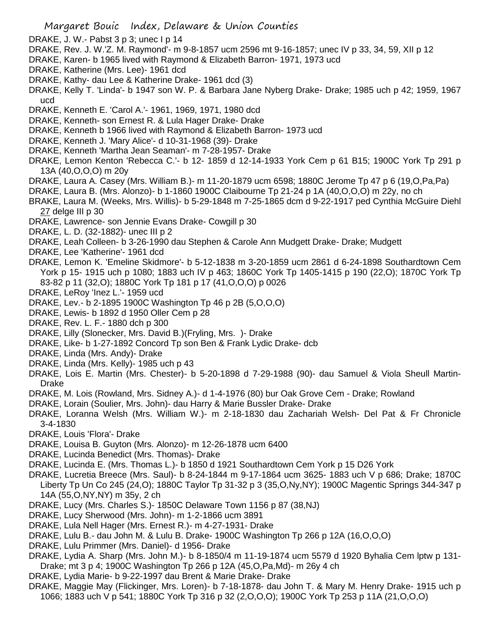- DRAKE, J. W.- Pabst 3 p 3; unec I p 14
- DRAKE, Rev. J. W.'Z. M. Raymond'- m 9-8-1857 ucm 2596 mt 9-16-1857; unec IV p 33, 34, 59, XII p 12
- DRAKE, Karen- b 1965 lived with Raymond & Elizabeth Barron- 1971, 1973 ucd
- DRAKE, Katherine (Mrs. Lee)- 1961 dcd
- DRAKE, Kathy- dau Lee & Katherine Drake- 1961 dcd (3)
- DRAKE, Kelly T. 'Linda'- b 1947 son W. P. & Barbara Jane Nyberg Drake- Drake; 1985 uch p 42; 1959, 1967 ucd
- DRAKE, Kenneth E. 'Carol A.'- 1961, 1969, 1971, 1980 dcd
- DRAKE, Kenneth- son Ernest R. & Lula Hager Drake- Drake
- DRAKE, Kenneth b 1966 lived with Raymond & Elizabeth Barron- 1973 ucd
- DRAKE, Kenneth J. 'Mary Alice'- d 10-31-1968 (39)- Drake
- DRAKE, Kenneth 'Martha Jean Seaman'- m 7-28-1957- Drake
- DRAKE, Lemon Kenton 'Rebecca C.'- b 12- 1859 d 12-14-1933 York Cem p 61 B15; 1900C York Tp 291 p 13A (40,O,O,O) m 20y
- DRAKE, Laura A. Casey (Mrs. William B.)- m 11-20-1879 ucm 6598; 1880C Jerome Tp 47 p 6 (19,O,Pa,Pa)
- DRAKE, Laura B. (Mrs. Alonzo)- b 1-1860 1900C Claibourne Tp 21-24 p 1A (40,O,O,O) m 22y, no ch
- BRAKE, Laura M. (Weeks, Mrs. Willis)- b 5-29-1848 m 7-25-1865 dcm d 9-22-1917 ped Cynthia McGuire Diehl 27 delge III p 30
- DRAKE, Lawrence- son Jennie Evans Drake- Cowgill p 30
- DRAKE, L. D. (32-1882)- unec III p 2
- DRAKE, Leah Colleen- b 3-26-1990 dau Stephen & Carole Ann Mudgett Drake- Drake; Mudgett
- DRAKE, Lee 'Katherine'- 1961 dcd
- DRAKE, Lemon K. 'Emeline Skidmore'- b 5-12-1838 m 3-20-1859 ucm 2861 d 6-24-1898 Southardtown Cem York p 15- 1915 uch p 1080; 1883 uch IV p 463; 1860C York Tp 1405-1415 p 190 (22,O); 1870C York Tp 83-82 p 11 (32,O); 1880C York Tp 181 p 17 (41,O,O,O) p 0026
- DRAKE, LeRoy 'Inez L.'- 1959 ucd
- DRAKE, Lev.- b 2-1895 1900C Washington Tp 46 p 2B (5,O,O,O)
- DRAKE, Lewis- b 1892 d 1950 Oller Cem p 28
- DRAKE, Rev. L. F.- 1880 dch p 300
- DRAKE, Lilly (Slonecker, Mrs. David B.)(Fryling, Mrs. )- Drake
- DRAKE, Like- b 1-27-1892 Concord Tp son Ben & Frank Lydic Drake- dcb
- DRAKE, Linda (Mrs. Andy)- Drake
- DRAKE, Linda (Mrs. Kelly)- 1985 uch p 43
- DRAKE, Lois E. Martin (Mrs. Chester)- b 5-20-1898 d 7-29-1988 (90)- dau Samuel & Viola Sheull Martin-Drake
- DRAKE, M. Lois (Rowland, Mrs. Sidney A.)- d 1-4-1976 (80) bur Oak Grove Cem Drake; Rowland
- DRAKE, Lorain (Soulier, Mrs. John)- dau Harry & Marie Bussler Drake- Drake
- DRAKE, Loranna Welsh (Mrs. William W.)- m 2-18-1830 dau Zachariah Welsh- Del Pat & Fr Chronicle 3-4-1830
- DRAKE, Louis 'Flora'- Drake
- DRAKE, Louisa B. Guyton (Mrs. Alonzo)- m 12-26-1878 ucm 6400
- DRAKE, Lucinda Benedict (Mrs. Thomas)- Drake
- DRAKE, Lucinda E. (Mrs. Thomas L.)- b 1850 d 1921 Southardtown Cem York p 15 D26 York
- DRAKE, Lucretia Breece (Mrs. Saul)- b 8-24-1844 m 9-17-1864 ucm 3625- 1883 uch V p 686; Drake; 1870C Liberty Tp Un Co 245 (24,O); 1880C Taylor Tp 31-32 p 3 (35,O,Ny,NY); 1900C Magentic Springs 344-347 p 14A (55,O,NY,NY) m 35y, 2 ch
- DRAKE, Lucy (Mrs. Charles S.)- 1850C Delaware Town 1156 p 87 (38,NJ)
- DRAKE, Lucy Sherwood (Mrs. John)- m 1-2-1866 ucm 3891
- DRAKE, Lula Nell Hager (Mrs. Ernest R.)- m 4-27-1931- Drake
- DRAKE, Lulu B.- dau John M. & Lulu B. Drake- 1900C Washington Tp 266 p 12A (16,O,O,O)
- DRAKE, Lulu Primmer (Mrs. Daniel)- d 1956- Drake
- DRAKE, Lydia A. Sharp (Mrs. John M.)- b 8-1850/4 m 11-19-1874 ucm 5579 d 1920 Byhalia Cem lptw p 131- Drake; mt 3 p 4; 1900C Washington Tp 266 p 12A (45,O,Pa,Md)- m 26y 4 ch
- DRAKE, Lydia Marie- b 9-22-1997 dau Brent & Marie Drake- Drake
- DRAKE, Maggie May (Flickinger, Mrs. Loren)- b 7-18-1878- dau John T. & Mary M. Henry Drake- 1915 uch p 1066; 1883 uch V p 541; 1880C York Tp 316 p 32 (2,O,O,O); 1900C York Tp 253 p 11A (21,O,O,O)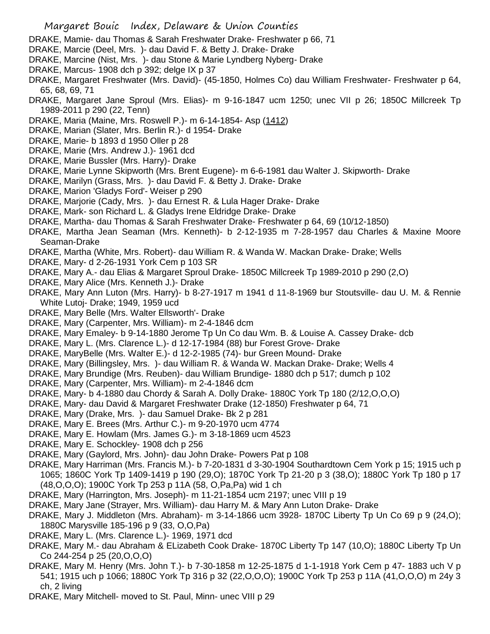- DRAKE, Mamie- dau Thomas & Sarah Freshwater Drake- Freshwater p 66, 71
- DRAKE, Marcie (Deel, Mrs. )- dau David F. & Betty J. Drake- Drake
- DRAKE, Marcine (Nist, Mrs. )- dau Stone & Marie Lyndberg Nyberg- Drake
- DRAKE, Marcus- 1908 dch p 392; delge IX p 37
- DRAKE, Margaret Freshwater (Mrs. David)- (45-1850, Holmes Co) dau William Freshwater- Freshwater p 64, 65, 68, 69, 71
- DRAKE, Margaret Jane Sproul (Mrs. Elias)- m 9-16-1847 ucm 1250; unec VII p 26; 1850C Millcreek Tp 1989-2011 p 290 (22, Tenn)
- DRAKE, Maria (Maine, Mrs. Roswell P.)- m 6-14-1854- Asp (1412)
- DRAKE, Marian (Slater, Mrs. Berlin R.)- d 1954- Drake
- DRAKE, Marie- b 1893 d 1950 Oller p 28
- DRAKE, Marie (Mrs. Andrew J.)- 1961 dcd
- DRAKE, Marie Bussler (Mrs. Harry)- Drake
- DRAKE, Marie Lynne Skipworth (Mrs. Brent Eugene)- m 6-6-1981 dau Walter J. Skipworth- Drake
- DRAKE, Marilyn (Grass, Mrs. )- dau David F. & Betty J. Drake- Drake
- DRAKE, Marion 'Gladys Ford'- Weiser p 290
- DRAKE, Marjorie (Cady, Mrs. )- dau Ernest R. & Lula Hager Drake- Drake
- DRAKE, Mark- son Richard L. & Gladys Irene Eldridge Drake- Drake
- DRAKE, Martha- dau Thomas & Sarah Freshwater Drake- Freshwater p 64, 69 (10/12-1850)
- DRAKE, Martha Jean Seaman (Mrs. Kenneth)- b 2-12-1935 m 7-28-1957 dau Charles & Maxine Moore Seaman-Drake
- DRAKE, Martha (White, Mrs. Robert)- dau William R. & Wanda W. Mackan Drake- Drake; Wells
- DRAKE, Mary- d 2-26-1931 York Cem p 103 SR
- DRAKE, Mary A.- dau Elias & Margaret Sproul Drake- 1850C Millcreek Tp 1989-2010 p 290 (2,O)
- DRAKE, Mary Alice (Mrs. Kenneth J.)- Drake
- DRAKE, Mary Ann Luton (Mrs. Harry)- b 8-27-1917 m 1941 d 11-8-1969 bur Stoutsville- dau U. M. & Rennie White Lutoj- Drake; 1949, 1959 ucd
- DRAKE, Mary Belle (Mrs. Walter Ellsworth'- Drake
- DRAKE, Mary (Carpenter, Mrs. William)- m 2-4-1846 dcm
- DRAKE, Mary Emaley- b 9-14-1880 Jerome Tp Un Co dau Wm. B. & Louise A. Cassey Drake- dcb
- DRAKE, Mary L. (Mrs. Clarence L.)- d 12-17-1984 (88) bur Forest Grove- Drake
- DRAKE, MaryBelle (Mrs. Walter E.)- d 12-2-1985 (74)- bur Green Mound- Drake
- DRAKE, Mary (Billingsley, Mrs. )- dau William R. & Wanda W. Mackan Drake- Drake; Wells 4
- DRAKE, Mary Brundige (Mrs. Reuben)- dau William Brundige- 1880 dch p 517; dumch p 102
- DRAKE, Mary (Carpenter, Mrs. William)- m 2-4-1846 dcm
- DRAKE, Mary- b 4-1880 dau Chordy & Sarah A. Dolly Drake- 1880C York Tp 180 (2/12,O,O,O)
- DRAKE, Mary- dau David & Margaret Freshwater Drake (12-1850) Freshwater p 64, 71
- DRAKE, Mary (Drake, Mrs. )- dau Samuel Drake- Bk 2 p 281
- DRAKE, Mary E. Brees (Mrs. Arthur C.)- m 9-20-1970 ucm 4774
- DRAKE, Mary E. Howlam (Mrs. James G.)- m 3-18-1869 ucm 4523
- DRAKE, Mary E. Schockley- 1908 dch p 256
- DRAKE, Mary (Gaylord, Mrs. John)- dau John Drake- Powers Pat p 108
- DRAKE, Mary Harriman (Mrs. Francis M.)- b 7-20-1831 d 3-30-1904 Southardtown Cem York p 15; 1915 uch p 1065; 1860C York Tp 1409-1419 p 190 (29,O); 1870C York Tp 21-20 p 3 (38,O); 1880C York Tp 180 p 17 (48,O,O,O); 1900C York Tp 253 p 11A (58, O,Pa,Pa) wid 1 ch
- DRAKE, Mary (Harrington, Mrs. Joseph)- m 11-21-1854 ucm 2197; unec VIII p 19
- DRAKE, Mary Jane (Strayer, Mrs. William)- dau Harry M. & Mary Ann Luton Drake- Drake
- DRAKE, Mary J. Middleton (Mrs. Abraham)- m 3-14-1866 ucm 3928- 1870C Liberty Tp Un Co 69 p 9 (24,O); 1880C Marysville 185-196 p 9 (33, O,O,Pa)
- DRAKE, Mary L. (Mrs. Clarence L.)- 1969, 1971 dcd
- DRAKE, Mary M.- dau Abraham & ELizabeth Cook Drake- 1870C Liberty Tp 147 (10,O); 1880C Liberty Tp Un Co 244-254 p 25 (20,O,O,O)
- DRAKE, Mary M. Henry (Mrs. John T.)- b 7-30-1858 m 12-25-1875 d 1-1-1918 York Cem p 47- 1883 uch V p 541; 1915 uch p 1066; 1880C York Tp 316 p 32 (22,O,O,O); 1900C York Tp 253 p 11A (41,O,O,O) m 24y 3 ch, 2 living
- DRAKE, Mary Mitchell- moved to St. Paul, Minn- unec VIII p 29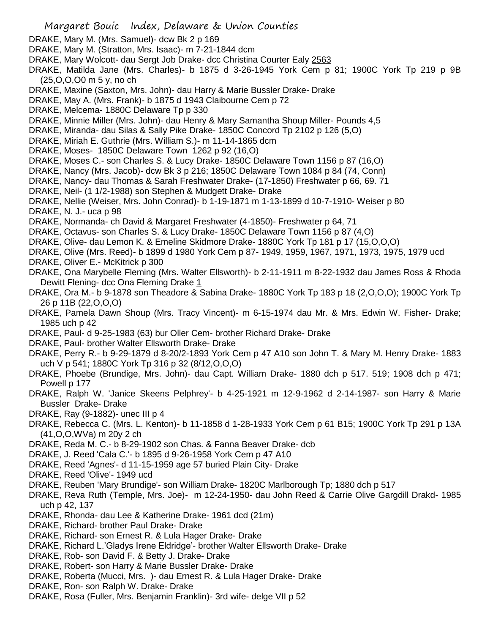- DRAKE, Mary M. (Mrs. Samuel)- dcw Bk 2 p 169
- DRAKE, Mary M. (Stratton, Mrs. Isaac)- m 7-21-1844 dcm
- DRAKE, Mary Wolcott- dau Sergt Job Drake- dcc Christina Courter Ealy 2563
- DRAKE, Matilda Jane (Mrs. Charles)- b 1875 d 3-26-1945 York Cem p 81; 1900C York Tp 219 p 9B (25,O,O,O0 m 5 y, no ch
- DRAKE, Maxine (Saxton, Mrs. John)- dau Harry & Marie Bussler Drake- Drake
- DRAKE, May A. (Mrs. Frank)- b 1875 d 1943 Claibourne Cem p 72
- DRAKE, Melcema- 1880C Delaware Tp p 330
- DRAKE, Minnie Miller (Mrs. John)- dau Henry & Mary Samantha Shoup Miller- Pounds 4,5
- DRAKE, Miranda- dau Silas & Sally Pike Drake- 1850C Concord Tp 2102 p 126 (5,O)
- DRAKE, Miriah E. Guthrie (Mrs. William S.)- m 11-14-1865 dcm
- DRAKE, Moses- 1850C Delaware Town 1262 p 92 (16,O)
- DRAKE, Moses C.- son Charles S. & Lucy Drake- 1850C Delaware Town 1156 p 87 (16,O)
- DRAKE, Nancy (Mrs. Jacob)- dcw Bk 3 p 216; 1850C Delaware Town 1084 p 84 (74, Conn)
- DRAKE, Nancy- dau Thomas & Sarah Freshwater Drake- (17-1850) Freshwater p 66, 69. 71
- DRAKE, Neil- (1 1/2-1988) son Stephen & Mudgett Drake- Drake
- DRAKE, Nellie (Weiser, Mrs. John Conrad)- b 1-19-1871 m 1-13-1899 d 10-7-1910- Weiser p 80
- DRAKE, N. J.- uca p 98
- DRAKE, Normanda- ch David & Margaret Freshwater (4-1850)- Freshwater p 64, 71
- DRAKE, Octavus- son Charles S. & Lucy Drake- 1850C Delaware Town 1156 p 87 (4,O)
- DRAKE, Olive- dau Lemon K. & Emeline Skidmore Drake- 1880C York Tp 181 p 17 (15,O,O,O)
- DRAKE, Olive (Mrs. Reed)- b 1899 d 1980 York Cem p 87- 1949, 1959, 1967, 1971, 1973, 1975, 1979 ucd
- DRAKE, Oliver E.- McKitrick p 300
- DRAKE, Ona Marybelle Fleming (Mrs. Walter Ellsworth)- b 2-11-1911 m 8-22-1932 dau James Ross & Rhoda Dewitt Flening- dcc Ona Fleming Drake 1
- DRAKE, Ora M.- b 9-1878 son Theadore & Sabina Drake- 1880C York Tp 183 p 18 (2,O,O,O); 1900C York Tp 26 p 11B (22,O,O,O)
- DRAKE, Pamela Dawn Shoup (Mrs. Tracy Vincent)- m 6-15-1974 dau Mr. & Mrs. Edwin W. Fisher- Drake; 1985 uch p 42
- DRAKE, Paul- d 9-25-1983 (63) bur Oller Cem- brother Richard Drake- Drake
- DRAKE, Paul- brother Walter Ellsworth Drake- Drake
- DRAKE, Perry R.- b 9-29-1879 d 8-20/2-1893 York Cem p 47 A10 son John T. & Mary M. Henry Drake- 1883 uch V p 541; 1880C York Tp 316 p 32 (8/12,O,O,O)
- DRAKE, Phoebe (Brundige, Mrs. John)- dau Capt. William Drake- 1880 dch p 517. 519; 1908 dch p 471; Powell p 177
- DRAKE, Ralph W. 'Janice Skeens Pelphrey'- b 4-25-1921 m 12-9-1962 d 2-14-1987- son Harry & Marie Bussler Drake- Drake
- DRAKE, Ray (9-1882)- unec III p 4
- DRAKE, Rebecca C. (Mrs. L. Kenton)- b 11-1858 d 1-28-1933 York Cem p 61 B15; 1900C York Tp 291 p 13A (41,O,O,WVa) m 20y 2 ch
- DRAKE, Reda M. C.- b 8-29-1902 son Chas. & Fanna Beaver Drake- dcb
- DRAKE, J. Reed 'Cala C.'- b 1895 d 9-26-1958 York Cem p 47 A10
- DRAKE, Reed 'Agnes'- d 11-15-1959 age 57 buried Plain City- Drake
- DRAKE, Reed 'Olive'- 1949 ucd
- DRAKE, Reuben 'Mary Brundige'- son William Drake- 1820C Marlborough Tp; 1880 dch p 517
- DRAKE, Reva Ruth (Temple, Mrs. Joe)- m 12-24-1950- dau John Reed & Carrie Olive Gargdill Drakd- 1985 uch p 42, 137
- DRAKE, Rhonda- dau Lee & Katherine Drake- 1961 dcd (21m)
- DRAKE, Richard- brother Paul Drake- Drake
- DRAKE, Richard- son Ernest R. & Lula Hager Drake- Drake
- DRAKE, Richard L.'Gladys Irene Eldridge'- brother Walter Ellsworth Drake- Drake
- DRAKE, Rob- son David F. & Betty J. Drake- Drake
- DRAKE, Robert- son Harry & Marie Bussler Drake- Drake
- DRAKE, Roberta (Mucci, Mrs. )- dau Ernest R. & Lula Hager Drake- Drake
- DRAKE, Ron- son Ralph W. Drake- Drake
- DRAKE, Rosa (Fuller, Mrs. Benjamin Franklin)- 3rd wife- delge VII p 52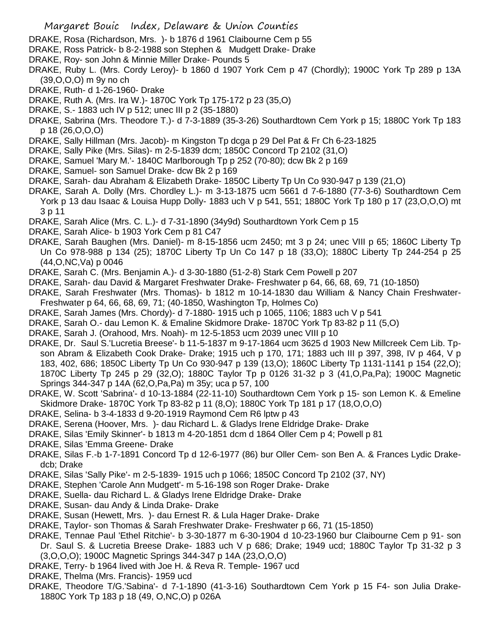- DRAKE, Rosa (Richardson, Mrs. )- b 1876 d 1961 Claibourne Cem p 55
- DRAKE, Ross Patrick- b 8-2-1988 son Stephen & Mudgett Drake- Drake
- DRAKE, Roy- son John & Minnie Miller Drake- Pounds 5
- DRAKE, Ruby L. (Mrs. Cordy Leroy)- b 1860 d 1907 York Cem p 47 (Chordly); 1900C York Tp 289 p 13A (39,O,O,O) m 9y no ch
- DRAKE, Ruth- d 1-26-1960- Drake
- DRAKE, Ruth A. (Mrs. Ira W.)- 1870C York Tp 175-172 p 23 (35,O)
- DRAKE, S.- 1883 uch IV p 512; unec III p 2 (35-1880)
- DRAKE, Sabrina (Mrs. Theodore T.)- d 7-3-1889 (35-3-26) Southardtown Cem York p 15; 1880C York Tp 183 p 18 (26,O,O,O)
- DRAKE, Sally Hillman (Mrs. Jacob)- m Kingston Tp dcga p 29 Del Pat & Fr Ch 6-23-1825
- DRAKE, Sally Pike (Mrs. Silas)- m 2-5-1839 dcm; 1850C Concord Tp 2102 (31,O)
- DRAKE, Samuel 'Mary M.'- 1840C Marlborough Tp p 252 (70-80); dcw Bk 2 p 169
- DRAKE, Samuel- son Samuel Drake- dcw Bk 2 p 169
- DRAKE, Sarah- dau Abraham & Elizabeth Drake- 1850C Liberty Tp Un Co 930-947 p 139 (21,O)
- DRAKE, Sarah A. Dolly (Mrs. Chordley L.)- m 3-13-1875 ucm 5661 d 7-6-1880 (77-3-6) Southardtown Cem York p 13 dau Isaac & Louisa Hupp Dolly- 1883 uch V p 541, 551; 1880C York Tp 180 p 17 (23,O,O,O) mt 3 p 11
- DRAKE, Sarah Alice (Mrs. C. L.)- d 7-31-1890 (34y9d) Southardtown York Cem p 15
- DRAKE, Sarah Alice- b 1903 York Cem p 81 C47
- DRAKE, Sarah Baughen (Mrs. Daniel)- m 8-15-1856 ucm 2450; mt 3 p 24; unec VIII p 65; 1860C Liberty Tp Un Co 978-988 p 134 (25); 1870C Liberty Tp Un Co 147 p 18 (33,O); 1880C Liberty Tp 244-254 p 25 (44,O,NC,Va) p 0046
- DRAKE, Sarah C. (Mrs. Benjamin A.)- d 3-30-1880 (51-2-8) Stark Cem Powell p 207
- DRAKE, Sarah- dau David & Margaret Freshwater Drake- Freshwater p 64, 66, 68, 69, 71 (10-1850)
- DRAKE, Sarah Freshwater (Mrs. Thomas)- b 1812 m 10-14-1830 dau William & Nancy Chain Freshwater-Freshwater p 64, 66, 68, 69, 71; (40-1850, Washington Tp, Holmes Co)
- DRAKE, Sarah James (Mrs. Chordy)- d 7-1880- 1915 uch p 1065, 1106; 1883 uch V p 541
- DRAKE, Sarah O.- dau Lemon K. & Emaline Skidmore Drake- 1870C York Tp 83-82 p 11 (5,O)
- DRAKE, Sarah J. (Orahood, Mrs. Noah)- m 12-5-1853 ucm 2039 unec VIII p 10
- DRAKE, Dr. Saul S.'Lucretia Breese'- b 11-5-1837 m 9-17-1864 ucm 3625 d 1903 New Millcreek Cem Lib. Tpson Abram & Elizabeth Cook Drake- Drake; 1915 uch p 170, 171; 1883 uch III p 397, 398, IV p 464, V p 183, 402, 686; 1850C Liberty Tp Un Co 930-947 p 139 (13,O); 1860C Liberty Tp 1131-1141 p 154 (22,O); 1870C Liberty Tp 245 p 29 (32,O); 1880C Taylor Tp p 0126 31-32 p 3 (41,O,Pa,Pa); 1900C Magnetic Springs 344-347 p 14A (62,O,Pa,Pa) m 35y; uca p 57, 100
- DRAKE, W. Scott 'Sabrina'- d 10-13-1884 (22-11-10) Southardtown Cem York p 15- son Lemon K. & Emeline Skidmore Drake- 1870C York Tp 83-82 p 11 (8,O); 1880C York Tp 181 p 17 (18,O,O,O)
- DRAKE, Selina- b 3-4-1833 d 9-20-1919 Raymond Cem R6 lptw p 43
- DRAKE, Serena (Hoover, Mrs. )- dau Richard L. & Gladys Irene Eldridge Drake- Drake
- DRAKE, Silas 'Emily Skinner'- b 1813 m 4-20-1851 dcm d 1864 Oller Cem p 4; Powell p 81
- DRAKE, Silas 'Emma Greene- Drake
- DRAKE, Silas F.-b 1-7-1891 Concord Tp d 12-6-1977 (86) bur Oller Cem- son Ben A. & Frances Lydic Drakedcb; Drake
- DRAKE, Silas 'Sally Pike'- m 2-5-1839- 1915 uch p 1066; 1850C Concord Tp 2102 (37, NY)
- DRAKE, Stephen 'Carole Ann Mudgett'- m 5-16-198 son Roger Drake- Drake
- DRAKE, Suella- dau Richard L. & Gladys Irene Eldridge Drake- Drake
- DRAKE, Susan- dau Andy & Linda Drake- Drake
- DRAKE, Susan (Hewett, Mrs. )- dau Ernest R. & Lula Hager Drake- Drake
- DRAKE, Taylor- son Thomas & Sarah Freshwater Drake- Freshwater p 66, 71 (15-1850)
- DRAKE, Tennae Paul 'Ethel Ritchie'- b 3-30-1877 m 6-30-1904 d 10-23-1960 bur Claibourne Cem p 91- son Dr. Saul S. & Lucretia Breese Drake- 1883 uch V p 686; Drake; 1949 ucd; 1880C Taylor Tp 31-32 p 3 (3,O,O,O); 1900C Magnetic Springs 344-347 p 14A (23,O,O,O)
- DRAKE, Terry- b 1964 lived with Joe H. & Reva R. Temple- 1967 ucd
- DRAKE, Thelma (Mrs. Francis)- 1959 ucd
- DRAKE, Theodore T/G.'Sabina'- d 7-1-1890 (41-3-16) Southardtown Cem York p 15 F4- son Julia Drake-1880C York Tp 183 p 18 (49, O,NC,O) p 026A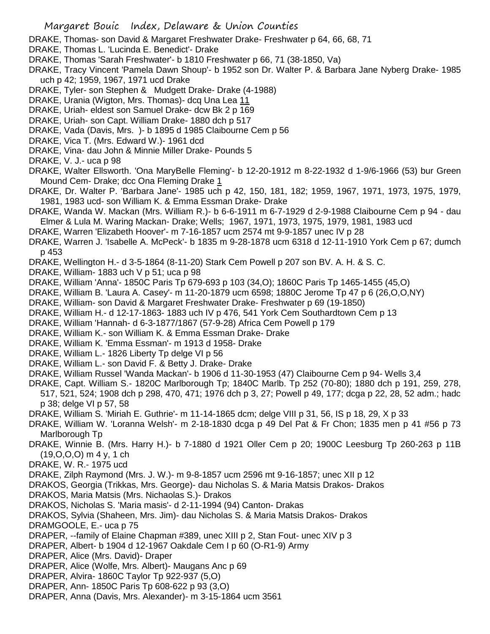- DRAKE, Thomas- son David & Margaret Freshwater Drake- Freshwater p 64, 66, 68, 71
- DRAKE, Thomas L. 'Lucinda E. Benedict'- Drake
- DRAKE, Thomas 'Sarah Freshwater'- b 1810 Freshwater p 66, 71 (38-1850, Va)
- DRAKE, Tracy Vincent 'Pamela Dawn Shoup'- b 1952 son Dr. Walter P. & Barbara Jane Nyberg Drake- 1985 uch p 42; 1959, 1967, 1971 ucd Drake
- DRAKE, Tyler- son Stephen & Mudgett Drake- Drake (4-1988)
- DRAKE, Urania (Wigton, Mrs. Thomas)- dcq Una Lea 11
- DRAKE, Uriah- eldest son Samuel Drake- dcw Bk 2 p 169
- DRAKE, Uriah- son Capt. William Drake- 1880 dch p 517
- DRAKE, Vada (Davis, Mrs. )- b 1895 d 1985 Claibourne Cem p 56
- DRAKE, Vica T. (Mrs. Edward W.)- 1961 dcd
- DRAKE, Vina- dau John & Minnie Miller Drake- Pounds 5
- DRAKE, V. J.- uca p 98
- DRAKE, Walter Ellsworth. 'Ona MaryBelle Fleming'- b 12-20-1912 m 8-22-1932 d 1-9/6-1966 (53) bur Green Mound Cem- Drake; dcc Ona Fleming Drake 1
- DRAKE, Dr. Walter P. 'Barbara Jane'- 1985 uch p 42, 150, 181, 182; 1959, 1967, 1971, 1973, 1975, 1979, 1981, 1983 ucd- son William K. & Emma Essman Drake- Drake
- DRAKE, Wanda W. Mackan (Mrs. William R.)- b 6-6-1911 m 6-7-1929 d 2-9-1988 Claibourne Cem p 94 dau Elmer & Lula M. Waring Mackan- Drake; Wells; 1967, 1971, 1973, 1975, 1979, 1981, 1983 ucd
- DRAKE, Warren 'Elizabeth Hoover'- m 7-16-1857 ucm 2574 mt 9-9-1857 unec IV p 28
- DRAKE, Warren J. 'Isabelle A. McPeck'- b 1835 m 9-28-1878 ucm 6318 d 12-11-1910 York Cem p 67; dumch p 453
- DRAKE, Wellington H.- d 3-5-1864 (8-11-20) Stark Cem Powell p 207 son BV. A. H. & S. C.
- DRAKE, William- 1883 uch V p 51; uca p 98
- DRAKE, William 'Anna'- 1850C Paris Tp 679-693 p 103 (34,O); 1860C Paris Tp 1465-1455 (45,O)
- DRAKE, William B. 'Laura A. Casey'- m 11-20-1879 ucm 6598; 1880C Jerome Tp 47 p 6 (26,O,O,NY)
- DRAKE, William- son David & Margaret Freshwater Drake- Freshwater p 69 (19-1850)
- DRAKE, William H.- d 12-17-1863- 1883 uch IV p 476, 541 York Cem Southardtown Cem p 13
- DRAKE, William 'Hannah- d 6-3-1877/1867 (57-9-28) Africa Cem Powell p 179
- DRAKE, William K.- son William K. & Emma Essman Drake- Drake
- DRAKE, William K. 'Emma Essman'- m 1913 d 1958- Drake
- DRAKE, William L.- 1826 Liberty Tp delge VI p 56
- DRAKE, William L.- son David F. & Betty J. Drake- Drake
- DRAKE, William Russel 'Wanda Mackan'- b 1906 d 11-30-1953 (47) Claibourne Cem p 94- Wells 3,4
- DRAKE, Capt. William S.- 1820C Marlborough Tp; 1840C Marlb. Tp 252 (70-80); 1880 dch p 191, 259, 278, 517, 521, 524; 1908 dch p 298, 470, 471; 1976 dch p 3, 27; Powell p 49, 177; dcga p 22, 28, 52 adm.; hadc
	- p 38; delge VI p 57, 58
- DRAKE, William S. 'Miriah E. Guthrie'- m 11-14-1865 dcm; delge VIII p 31, 56, IS p 18, 29, X p 33
- DRAKE, William W. 'Loranna Welsh'- m 2-18-1830 dcga p 49 Del Pat & Fr Chon; 1835 men p 41 #56 p 73 Marlborough Tp
- DRAKE, Winnie B. (Mrs. Harry H.)- b 7-1880 d 1921 Oller Cem p 20; 1900C Leesburg Tp 260-263 p 11B (19,O,O,O) m 4 y, 1 ch
- DRAKE, W. R.- 1975 ucd
- DRAKE, Zilph Raymond (Mrs. J. W.)- m 9-8-1857 ucm 2596 mt 9-16-1857; unec XII p 12
- DRAKOS, Georgia (Trikkas, Mrs. George)- dau Nicholas S. & Maria Matsis Drakos- Drakos
- DRAKOS, Maria Matsis (Mrs. Nichaolas S.)- Drakos
- DRAKOS, Nicholas S. 'Maria masis'- d 2-11-1994 (94) Canton- Drakas
- DRAKOS, Sylvia (Shaheen, Mrs. Jim)- dau Nicholas S. & Maria Matsis Drakos- Drakos
- DRAMGOOLE, E.- uca p 75
- DRAPER, --family of Elaine Chapman #389, unec XIII p 2, Stan Fout- unec XIV p 3
- DRAPER, Albert- b 1904 d 12-1967 Oakdale Cem I p 60 (O-R1-9) Army
- DRAPER, Alice (Mrs. David)- Draper
- DRAPER, Alice (Wolfe, Mrs. Albert)- Maugans Anc p 69
- DRAPER, Alvira- 1860C Taylor Tp 922-937 (5,O)
- DRAPER, Ann- 1850C Paris Tp 608-622 p 93 (3,O)
- DRAPER, Anna (Davis, Mrs. Alexander)- m 3-15-1864 ucm 3561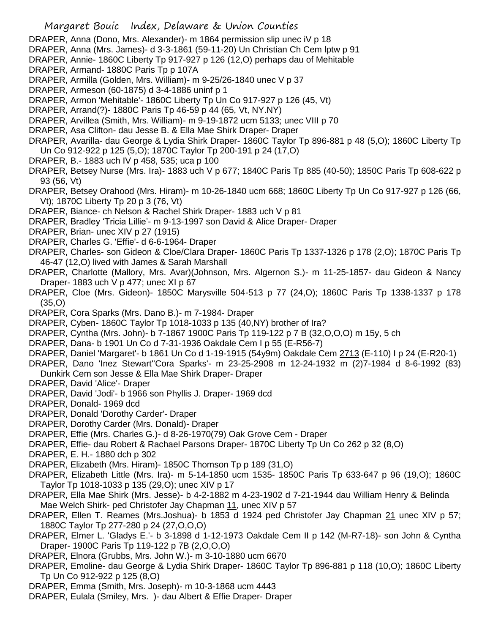## Margaret Bouic Index, Delaware & Union Counties

- DRAPER, Anna (Dono, Mrs. Alexander)- m 1864 permission slip unec iV p 18
- DRAPER, Anna (Mrs. James)- d 3-3-1861 (59-11-20) Un Christian Ch Cem lptw p 91
- DRAPER, Annie- 1860C Liberty Tp 917-927 p 126 (12,O) perhaps dau of Mehitable
- DRAPER, Armand- 1880C Paris Tp p 107A
- DRAPER, Armilla (Golden, Mrs. William)- m 9-25/26-1840 unec V p 37
- DRAPER, Armeson (60-1875) d 3-4-1886 uninf p 1
- DRAPER, Armon 'Mehitable'- 1860C Liberty Tp Un Co 917-927 p 126 (45, Vt)
- DRAPER, Arrand(?)- 1880C Paris Tp 46-59 p 44 (65, Vt, NY.NY)
- DRAPER, Arvillea (Smith, Mrs. William)- m 9-19-1872 ucm 5133; unec VIII p 70
- DRAPER, Asa Clifton- dau Jesse B. & Ella Mae Shirk Draper- Draper
- DRAPER, Avarilla- dau George & Lydia Shirk Draper- 1860C Taylor Tp 896-881 p 48 (5,O); 1860C Liberty Tp Un Co 912-922 p 125 (5,O); 1870C Taylor Tp 200-191 p 24 (17,O)
- DRAPER, B.- 1883 uch IV p 458, 535; uca p 100
- DRAPER, Betsey Nurse (Mrs. Ira)- 1883 uch V p 677; 1840C Paris Tp 885 (40-50); 1850C Paris Tp 608-622 p 93 (56, Vt)
- DRAPER, Betsey Orahood (Mrs. Hiram)- m 10-26-1840 ucm 668; 1860C Liberty Tp Un Co 917-927 p 126 (66, Vt); 1870C Liberty Tp 20 p 3 (76, Vt)
- DRAPER, Biance- ch Nelson & Rachel Shirk Draper- 1883 uch V p 81
- DRAPER, Bradley 'Tricia Lillie'- m 9-13-1997 son David & Alice Draper- Draper
- DRAPER, Brian- unec XIV p 27 (1915)
- DRAPER, Charles G. 'Effie'- d 6-6-1964- Draper
- DRAPER, Charles- son Gideon & Cloe/Clara Draper- 1860C Paris Tp 1337-1326 p 178 (2,O); 1870C Paris Tp 46-47 (12,O) lived with James & Sarah Marshall
- DRAPER, Charlotte (Mallory, Mrs. Avar)(Johnson, Mrs. Algernon S.)- m 11-25-1857- dau Gideon & Nancy Draper- 1883 uch V p 477; unec XI p 67
- DRAPER, Cloe (Mrs. Gideon)- 1850C Marysville 504-513 p 77 (24,O); 1860C Paris Tp 1338-1337 p 178 (35,O)
- DRAPER, Cora Sparks (Mrs. Dano B.)- m 7-1984- Draper
- DRAPER, Cyben- 1860C Taylor Tp 1018-1033 p 135 (40,NY) brother of Ira?
- DRAPER, Cyntha (Mrs. John)- b 7-1867 1900C Paris Tp 119-122 p 7 B (32,O,O,O) m 15y, 5 ch
- DRAPER, Dana- b 1901 Un Co d 7-31-1936 Oakdale Cem I p 55 (E-R56-7)
- DRAPER, Daniel 'Margaret'- b 1861 Un Co d 1-19-1915 (54y9m) Oakdale Cem 2713 (E-110) I p 24 (E-R20-1)
- DRAPER, Dano 'Inez Stewart''Cora Sparks'- m 23-25-2908 m 12-24-1932 m (2)7-1984 d 8-6-1992 (83) Dunkirk Cem son Jesse & Ella Mae Shirk Draper- Draper
- DRAPER, David 'Alice'- Draper
- DRAPER, David 'Jodi'- b 1966 son Phyllis J. Draper- 1969 dcd
- DRAPER, Donald- 1969 dcd
- DRAPER, Donald 'Dorothy Carder'- Draper
- DRAPER, Dorothy Carder (Mrs. Donald)- Draper
- DRAPER, Effie (Mrs. Charles G.)- d 8-26-1970(79) Oak Grove Cem Draper
- DRAPER, Effie- dau Robert & Rachael Parsons Draper- 1870C Liberty Tp Un Co 262 p 32 (8,O)
- DRAPER, E. H.- 1880 dch p 302
- DRAPER, Elizabeth (Mrs. Hiram)- 1850C Thomson Tp p 189 (31,O)
- DRAPER, Elizabeth Little (Mrs. Ira)- m 5-14-1850 ucm 1535- 1850C Paris Tp 633-647 p 96 (19,O); 1860C Taylor Tp 1018-1033 p 135 (29,O); unec XIV p 17
- DRAPER, Ella Mae Shirk (Mrs. Jesse)- b 4-2-1882 m 4-23-1902 d 7-21-1944 dau William Henry & Belinda Mae Welch Shirk- ped Christofer Jay Chapman 11, unec XIV p 57
- DRAPER, Ellen T. Reames (Mrs.Joshua)- b 1853 d 1924 ped Christofer Jay Chapman 21 unec XIV p 57; 1880C Taylor Tp 277-280 p 24 (27,O,O,O)
- DRAPER, Elmer L. 'Gladys E.'- b 3-1898 d 1-12-1973 Oakdale Cem II p 142 (M-R7-18)- son John & Cyntha Draper- 1900C Paris Tp 119-122 p 7B (2,O,O,O)
- DRAPER, Elnora (Grubbs, Mrs. John W.)- m 3-10-1880 ucm 6670
- DRAPER, Emoline- dau George & Lydia Shirk Draper- 1860C Taylor Tp 896-881 p 118 (10,O); 1860C Liberty Tp Un Co 912-922 p 125 (8,O)
- DRAPER, Emma (Smith, Mrs. Joseph)- m 10-3-1868 ucm 4443
- DRAPER, Eulala (Smiley, Mrs. )- dau Albert & Effie Draper- Draper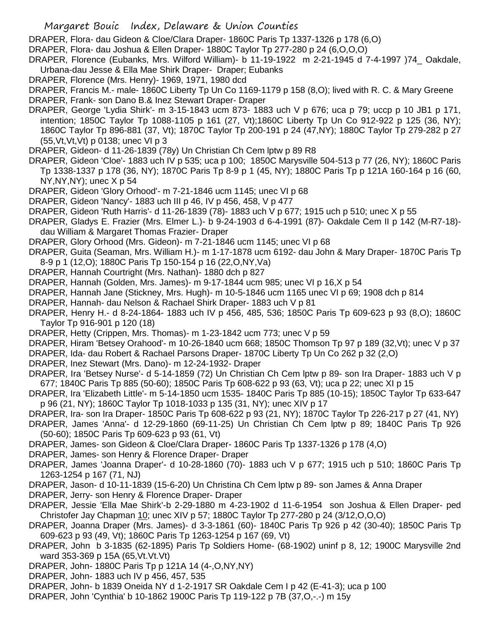- Margaret Bouic Index, Delaware & Union Counties
- DRAPER, Flora- dau Gideon & Cloe/Clara Draper- 1860C Paris Tp 1337-1326 p 178 (6,O)
- DRAPER, Flora- dau Joshua & Ellen Draper- 1880C Taylor Tp 277-280 p 24 (6,O,O,O)
- DRAPER, Florence (Eubanks, Mrs. Wilford William)- b 11-19-1922 m 2-21-1945 d 7-4-1997 )74\_ Oakdale, Urbana-dau Jesse & Ella Mae Shirk Draper- Draper; Eubanks
- DRAPER, Florence (Mrs. Henry)- 1969, 1971, 1980 dcd
- DRAPER, Francis M.- male- 1860C Liberty Tp Un Co 1169-1179 p 158 (8,O); lived with R. C. & Mary Greene DRAPER, Frank- son Dano B.& Inez Stewart Draper- Draper
- DRAPER, George 'Lydia Shirk'- m 3-15-1843 ucm 873- 1883 uch V p 676; uca p 79; uccp p 10 JB1 p 171, intention; 1850C Taylor Tp 1088-1105 p 161 (27, Vt);1860C Liberty Tp Un Co 912-922 p 125 (36, NY); 1860C Taylor Tp 896-881 (37, Vt); 1870C Taylor Tp 200-191 p 24 (47,NY); 1880C Taylor Tp 279-282 p 27 (55,Vt,Vt,Vt) p 0138; unec VI p 3
- DRAPER, Gideon- d 11-26-1839 (78y) Un Christian Ch Cem lptw p 89 R8
- DRAPER, Gideon 'Cloe'- 1883 uch IV p 535; uca p 100; 1850C Marysville 504-513 p 77 (26, NY); 1860C Paris Tp 1338-1337 p 178 (36, NY); 1870C Paris Tp 8-9 p 1 (45, NY); 1880C Paris Tp p 121A 160-164 p 16 (60,  $NY, NY, NY$ ; unec  $X$  p 54
- DRAPER, Gideon 'Glory Orhood'- m 7-21-1846 ucm 1145; unec VI p 68
- DRAPER, Gideon 'Nancy'- 1883 uch III p 46, IV p 456, 458, V p 477
- DRAPER, Gideon 'Ruth Harris'- d 11-26-1839 (78)- 1883 uch V p 677; 1915 uch p 510; unec X p 55
- DRAPER, Gladys E. Frazier (Mrs. Elmer L.)- b 9-24-1903 d 6-4-1991 (87)- Oakdale Cem II p 142 (M-R7-18) dau William & Margaret Thomas Frazier- Draper
- DRAPER, Glory Orhood (Mrs. Gideon)- m 7-21-1846 ucm 1145; unec VI p 68
- DRAPER, Guita (Seaman, Mrs. William H.)- m 1-17-1878 ucm 6192- dau John & Mary Draper- 1870C Paris Tp 8-9 p 1 (12,O); 1880C Paris Tp 150-154 p 16 (22,O,NY,Va)
- DRAPER, Hannah Courtright (Mrs. Nathan)- 1880 dch p 827
- DRAPER, Hannah (Golden, Mrs. James)- m 9-17-1844 ucm 985; unec VI p 16,X p 54
- DRAPER, Hannah Jane (Stickney, Mrs. Hugh)- m 10-5-1846 ucm 1165 unec VI p 69; 1908 dch p 814
- DRAPER, Hannah- dau Nelson & Rachael Shirk Draper- 1883 uch V p 81
- DRAPER, Henry H.- d 8-24-1864- 1883 uch IV p 456, 485, 536; 1850C Paris Tp 609-623 p 93 (8,O); 1860C Taylor Tp 916-901 p 120 (18)
- DRAPER, Hetty (Crippen, Mrs. Thomas)- m 1-23-1842 ucm 773; unec V p 59
- DRAPER, Hiram 'Betsey Orahood'- m 10-26-1840 ucm 668; 1850C Thomson Tp 97 p 189 (32,Vt); unec V p 37
- DRAPER, Ida- dau Robert & Rachael Parsons Draper- 1870C Liberty Tp Un Co 262 p 32 (2,O)
- DRAPER, Inez Stewart (Mrs. Dano)- m 12-24-1932- Draper
- DRAPER, Ira 'Betsey Nurse'- d 5-14-1859 (72) Un Christian Ch Cem lptw p 89- son Ira Draper- 1883 uch V p 677; 1840C Paris Tp 885 (50-60); 1850C Paris Tp 608-622 p 93 (63, Vt); uca p 22; unec XI p 15
- DRAPER, Ira 'Elizabeth Little'- m 5-14-1850 ucm 1535- 1840C Paris Tp 885 (10-15); 1850C Taylor Tp 633-647 p 96 (21, NY); 1860C Taylor Tp 1018-1033 p 135 (31, NY); unec XIV p 17
- DRAPER, Ira- son Ira Draper- 1850C Paris Tp 608-622 p 93 (21, NY); 1870C Taylor Tp 226-217 p 27 (41, NY)
- DRAPER, James 'Anna'- d 12-29-1860 (69-11-25) Un Christian Ch Cem lptw p 89; 1840C Paris Tp 926 (50-60); 1850C Paris Tp 609-623 p 93 (61, Vt)
- DRAPER, James- son Gideon & Cloe/Clara Draper- 1860C Paris Tp 1337-1326 p 178 (4,O)
- DRAPER, James- son Henry & Florence Draper- Draper
- DRAPER, James 'Joanna Draper'- d 10-28-1860 (70)- 1883 uch V p 677; 1915 uch p 510; 1860C Paris Tp 1263-1254 p 167 (71, NJ)
- DRAPER, Jason- d 10-11-1839 (15-6-20) Un Christina Ch Cem lptw p 89- son James & Anna Draper
- DRAPER, Jerry- son Henry & Florence Draper- Draper
- DRAPER, Jessie 'Ella Mae Shirk'-b 2-29-1880 m 4-23-1902 d 11-6-1954 son Joshua & Ellen Draper- ped Christofer Jay Chapman 10; unec XIV p 57; 1880C Taylor Tp 277-280 p 24 (3/12,O,O,O)
- DRAPER, Joanna Draper (Mrs. James)- d 3-3-1861 (60)- 1840C Paris Tp 926 p 42 (30-40); 1850C Paris Tp 609-623 p 93 (49, Vt); 1860C Paris Tp 1263-1254 p 167 (69, Vt)
- DRAPER, John b 3-1835 (62-1895) Paris Tp Soldiers Home- (68-1902) uninf p 8, 12; 1900C Marysville 2nd ward 353-369 p 15A (65,Vt.Vt.Vt)
- DRAPER, John- 1880C Paris Tp p 121A 14 (4-,O,NY,NY)
- DRAPER, John- 1883 uch IV p 456, 457, 535
- DRAPER, John- b 1839 Oneida NY d 1-2-1917 SR Oakdale Cem I p 42 (E-41-3); uca p 100
- DRAPER, John 'Cynthia' b 10-1862 1900C Paris Tp 119-122 p 7B (37,O,-.-) m 15y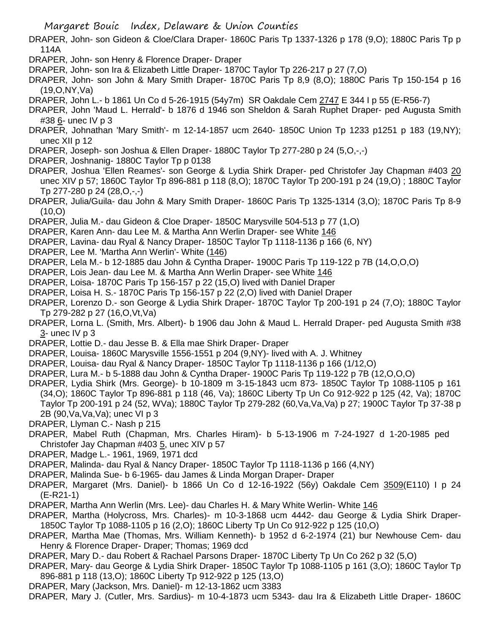Margaret Bouic Index, Delaware & Union Counties

- DRAPER, John- son Gideon & Cloe/Clara Draper- 1860C Paris Tp 1337-1326 p 178 (9,O); 1880C Paris Tp p 114A
- DRAPER, John- son Henry & Florence Draper- Draper
- DRAPER, John- son Ira & Elizabeth Little Draper- 1870C Taylor Tp 226-217 p 27 (7,O)
- DRAPER, John- son John & Mary Smith Draper- 1870C Paris Tp 8,9 (8,O); 1880C Paris Tp 150-154 p 16 (19,O,NY,Va)
- DRAPER, John L.- b 1861 Un Co d 5-26-1915 (54y7m) SR Oakdale Cem 2747 E 344 I p 55 (E-R56-7)
- DRAPER, John 'Maud L. Herrald'- b 1876 d 1946 son Sheldon & Sarah Ruphet Draper- ped Augusta Smith #38 6- unec IV p 3
- DRAPER, Johnathan 'Mary Smith'- m 12-14-1857 ucm 2640- 1850C Union Tp 1233 p1251 p 183 (19,NY); unec XII p 12
- DRAPER, Joseph- son Joshua & Ellen Draper- 1880C Taylor Tp 277-280 p 24 (5,O,-,-)
- DRAPER, Joshnanig- 1880C Taylor Tp p 0138
- DRAPER, Joshua 'Ellen Reames'- son George & Lydia Shirk Draper- ped Christofer Jay Chapman #403 20 unec XIV p 57; 1860C Taylor Tp 896-881 p 118 (8,O); 1870C Taylor Tp 200-191 p 24 (19,O) ; 1880C Taylor Tp 277-280 p 24 (28,O,-,-)
- DRAPER, Julia/Guila- dau John & Mary Smith Draper- 1860C Paris Tp 1325-1314 (3,O); 1870C Paris Tp 8-9  $(10, O)$
- DRAPER, Julia M.- dau Gideon & Cloe Draper- 1850C Marysville 504-513 p 77 (1,O)
- DRAPER, Karen Ann- dau Lee M. & Martha Ann Werlin Draper- see White 146
- DRAPER, Lavina- dau Ryal & Nancy Draper- 1850C Taylor Tp 1118-1136 p 166 (6, NY)
- DRAPER, Lee M. 'Martha Ann Werlin'- White (146)
- DRAPER, Lela M.- b 12-1885 dau John & Cyntha Draper- 1900C Paris Tp 119-122 p 7B (14,O,O,O)
- DRAPER, Lois Jean- dau Lee M. & Martha Ann Werlin Draper- see White 146
- DRAPER, Loisa- 1870C Paris Tp 156-157 p 22 (15,O) lived with Daniel Draper
- DRAPER, Loisa H. S.- 1870C Paris Tp 156-157 p 22 (2,O) lived with Daniel Draper
- DRAPER, Lorenzo D.- son George & Lydia Shirk Draper- 1870C Taylor Tp 200-191 p 24 (7,O); 1880C Taylor Tp 279-282 p 27 (16,O,Vt,Va)
- DRAPER, Lorna L. (Smith, Mrs. Albert)- b 1906 dau John & Maud L. Herrald Draper- ped Augusta Smith #38 3- unec IV p 3
- DRAPER, Lottie D.- dau Jesse B. & Ella mae Shirk Draper- Draper
- DRAPER, Louisa- 1860C Marysville 1556-1551 p 204 (9,NY)- lived with A. J. Whitney
- DRAPER, Louisa- dau Ryal & Nancy Draper- 1850C Taylor Tp 1118-1136 p 166 (1/12,O)
- DRAPER, Lura M.- b 5-1888 dau John & Cyntha Draper- 1900C Paris Tp 119-122 p 7B (12,O,O,O)
- DRAPER, Lydia Shirk (Mrs. George)- b 10-1809 m 3-15-1843 ucm 873- 1850C Taylor Tp 1088-1105 p 161 (34,O); 1860C Taylor Tp 896-881 p 118 (46, Va); 1860C Liberty Tp Un Co 912-922 p 125 (42, Va); 1870C Taylor Tp 200-191 p 24 (52, WVa); 1880C Taylor Tp 279-282 (60,Va,Va,Va) p 27; 1900C Taylor Tp 37-38 p 2B (90,Va,Va,Va); unec VI p 3
- DRAPER, Llyman C.- Nash p 215
- DRAPER, Mabel Ruth (Chapman, Mrs. Charles Hiram)- b 5-13-1906 m 7-24-1927 d 1-20-1985 ped Christofer Jay Chapman #403 5, unec XIV p 57
- DRAPER, Madge L.- 1961, 1969, 1971 dcd
- DRAPER, Malinda- dau Ryal & Nancy Draper- 1850C Taylor Tp 1118-1136 p 166 (4,NY)
- DRAPER, Malinda Sue- b 6-1965- dau James & Linda Morgan Draper- Draper
- DRAPER, Margaret (Mrs. Daniel)- b 1866 Un Co d 12-16-1922 (56y) Oakdale Cem 3509(E110) I p 24 (E-R21-1)
- DRAPER, Martha Ann Werlin (Mrs. Lee)- dau Charles H. & Mary White Werlin- White 146
- DRAPER, Martha (Holycross, Mrs. Charles)- m 10-3-1868 ucm 4442- dau George & Lydia Shirk Draper-1850C Taylor Tp 1088-1105 p 16 (2,O); 1860C Liberty Tp Un Co 912-922 p 125 (10,O)
- DRAPER, Martha Mae (Thomas, Mrs. William Kenneth)- b 1952 d 6-2-1974 (21) bur Newhouse Cem- dau Henry & Florence Draper- Draper; Thomas; 1969 dcd
- DRAPER, Mary D.- dau Robert & Rachael Parsons Draper- 1870C Liberty Tp Un Co 262 p 32 (5,O)
- DRAPER, Mary- dau George & Lydia Shirk Draper- 1850C Taylor Tp 1088-1105 p 161 (3,O); 1860C Taylor Tp 896-881 p 118 (13,O); 1860C Liberty Tp 912-922 p 125 (13,O)
- DRAPER, Mary (Jackson, Mrs. Daniel)- m 12-13-1862 ucm 3383
- DRAPER, Mary J. (Cutler, Mrs. Sardius)- m 10-4-1873 ucm 5343- dau Ira & Elizabeth Little Draper- 1860C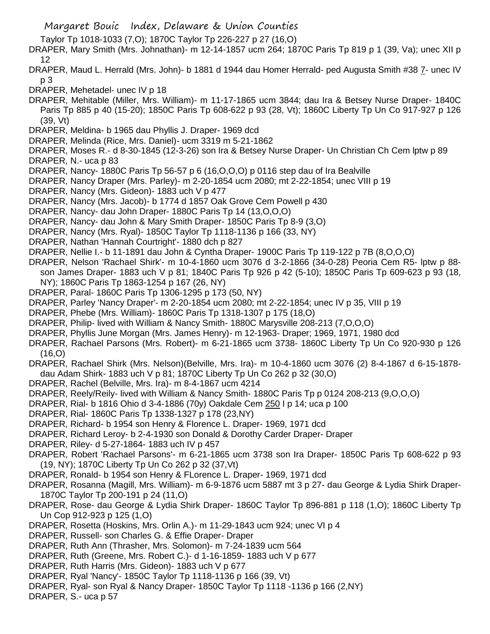- Taylor Tp 1018-1033 (7,O); 1870C Taylor Tp 226-227 p 27 (16,O)
- DRAPER, Mary Smith (Mrs. Johnathan)- m 12-14-1857 ucm 264; 1870C Paris Tp 819 p 1 (39, Va); unec XII p 12
- DRAPER, Maud L. Herrald (Mrs. John)- b 1881 d 1944 dau Homer Herrald- ped Augusta Smith #38 7- unec IV p 3
- DRAPER, Mehetadel- unec IV p 18
- DRAPER, Mehitable (Miller, Mrs. William)- m 11-17-1865 ucm 3844; dau Ira & Betsey Nurse Draper- 1840C Paris Tp 885 p 40 (15-20); 1850C Paris Tp 608-622 p 93 (28, Vt); 1860C Liberty Tp Un Co 917-927 p 126 (39, Vt)
- DRAPER, Meldina- b 1965 dau Phyllis J. Draper- 1969 dcd
- DRAPER, Melinda (Rice, Mrs. Daniel)- ucm 3319 m 5-21-1862
- DRAPER, Moses R.- d 8-30-1845 (12-3-26) son Ira & Betsey Nurse Draper- Un Christian Ch Cem lptw p 89 DRAPER, N.- uca p 83
- DRAPER, Nancy- 1880C Paris Tp 56-57 p 6 (16,O,O,O) p 0116 step dau of Ira Bealville
- DRAPER, Nancy Draper (Mrs. Parley)- m 2-20-1854 ucm 2080; mt 2-22-1854; unec VIII p 19
- DRAPER, Nancy (Mrs. Gideon)- 1883 uch V p 477
- DRAPER, Nancy (Mrs. Jacob)- b 1774 d 1857 Oak Grove Cem Powell p 430
- DRAPER, Nancy- dau John Draper- 1880C Paris Tp 14 (13,O,O,O)
- DRAPER, Nancy- dau John & Mary Smith Draper- 1850C Paris Tp 8-9 (3,O)
- DRAPER, Nancy (Mrs. Ryal)- 1850C Taylor Tp 1118-1136 p 166 (33, NY)
- DRAPER, Nathan 'Hannah Courtright'- 1880 dch p 827
- DRAPER, Nellie I.- b 11-1891 dau John & Cyntha Draper- 1900C Paris Tp 119-122 p 7B (8,O,O,O)
- DRAPER, Nelson 'Rachael Shirk'- m 10-4-1860 ucm 3076 d 3-2-1866 (34-0-28) Peoria Cem R5- lptw p 88 son James Draper- 1883 uch V p 81; 1840C Paris Tp 926 p 42 (5-10); 1850C Paris Tp 609-623 p 93 (18, NY); 1860C Paris Tp 1863-1254 p 167 (26, NY)
- DRAPER, Paral- 1860C Paris Tp 1306-1295 p 173 (50, NY)
- DRAPER, Parley 'Nancy Draper'- m 2-20-1854 ucm 2080; mt 2-22-1854; unec IV p 35, VIII p 19
- DRAPER, Phebe (Mrs. William)- 1860C Paris Tp 1318-1307 p 175 (18,O)
- DRAPER, Philip- lived with William & Nancy Smith- 1880C Marysville 208-213 (7,O,O,O)
- DRAPER, Phyllis June Morgan (Mrs. James Henry)- m 12-1963- Draper; 1969, 1971, 1980 dcd
- DRAPER, Rachael Parsons (Mrs. Robert)- m 6-21-1865 ucm 3738- 1860C Liberty Tp Un Co 920-930 p 126 (16,O)
- DRAPER, Rachael Shirk (Mrs. Nelson)(Belville, Mrs. Ira)- m 10-4-1860 ucm 3076 (2) 8-4-1867 d 6-15-1878 dau Adam Shirk- 1883 uch V p 81; 1870C Liberty Tp Un Co 262 p 32 (30,O)
- DRAPER, Rachel (Belville, Mrs. Ira)- m 8-4-1867 ucm 4214
- DRAPER, Reely/Reily- lived with William & Nancy Smith- 1880C Paris Tp p 0124 208-213 (9,O,O,O)
- DRAPER, Rial- b 1816 Ohio d 3-4-1886 (70y) Oakdale Cem 250 I p 14; uca p 100
- DRAPER, Rial- 1860C Paris Tp 1338-1327 p 178 (23,NY)
- DRAPER, Richard- b 1954 son Henry & Florence L. Draper- 1969, 1971 dcd
- DRAPER, Richard Leroy- b 2-4-1930 son Donald & Dorothy Carder Draper- Draper
- DRAPER, Riley- d 5-27-1864- 1883 uch IV p 457
- DRAPER, Robert 'Rachael Parsons'- m 6-21-1865 ucm 3738 son Ira Draper- 1850C Paris Tp 608-622 p 93 (19, NY); 1870C Liberty Tp Un Co 262 p 32 (37,Vt)
- DRAPER, Ronald- b 1954 son Henry & FLorence L. Draper- 1969, 1971 dcd
- DRAPER, Rosanna (Magill, Mrs. William)- m 6-9-1876 ucm 5887 mt 3 p 27- dau George & Lydia Shirk Draper-1870C Taylor Tp 200-191 p 24 (11,O)
- DRAPER, Rose- dau George & Lydia Shirk Draper- 1860C Taylor Tp 896-881 p 118 (1,O); 1860C Liberty Tp Un Cop 912-923 p 125 (1,O)
- DRAPER, Rosetta (Hoskins, Mrs. Orlin A.)- m 11-29-1843 ucm 924; unec VI p 4
- DRAPER, Russell- son Charles G. & Effie Draper- Draper
- DRAPER, Ruth Ann (Thrasher, Mrs. Solomon)- m 7-24-1839 ucm 564
- DRAPER, Ruth (Greene, Mrs. Robert C.)- d 1-16-1859- 1883 uch V p 677
- DRAPER, Ruth Harris (Mrs. Gideon)- 1883 uch V p 677
- DRAPER, Ryal 'Nancy'- 1850C Taylor Tp 1118-1136 p 166 (39, Vt)
- DRAPER, Ryal- son Ryal & Nancy Draper- 1850C Taylor Tp 1118 -1136 p 166 (2,NY)
- DRAPER, S.- uca p 57

Margaret Bouic Index, Delaware & Union Counties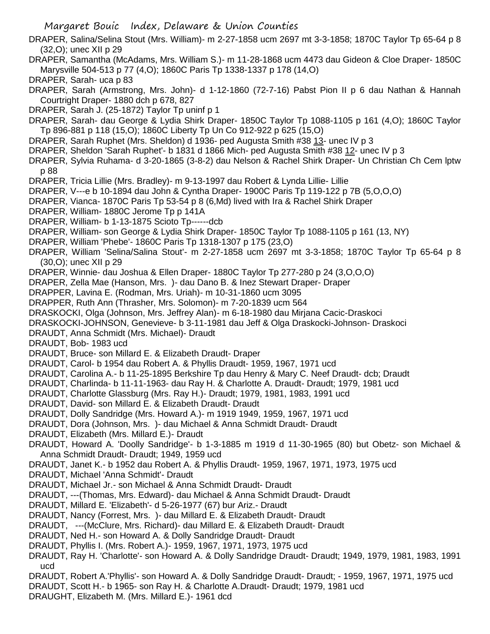- DRAPER, Salina/Selina Stout (Mrs. William)- m 2-27-1858 ucm 2697 mt 3-3-1858; 1870C Taylor Tp 65-64 p 8 (32,O); unec XII p 29
- DRAPER, Samantha (McAdams, Mrs. William S.)- m 11-28-1868 ucm 4473 dau Gideon & Cloe Draper- 1850C Marysville 504-513 p 77 (4,O); 1860C Paris Tp 1338-1337 p 178 (14,O)
- DRAPER, Sarah- uca p 83
- DRAPER, Sarah (Armstrong, Mrs. John)- d 1-12-1860 (72-7-16) Pabst Pion II p 6 dau Nathan & Hannah Courtright Draper- 1880 dch p 678, 827
- DRAPER, Sarah J. (25-1872) Taylor Tp uninf p 1
- DRAPER, Sarah- dau George & Lydia Shirk Draper- 1850C Taylor Tp 1088-1105 p 161 (4,O); 1860C Taylor Tp 896-881 p 118 (15,O); 1860C Liberty Tp Un Co 912-922 p 625 (15,O)
- DRAPER, Sarah Ruphet (Mrs. Sheldon) d 1936- ped Augusta Smith #38 13- unec IV p 3
- DRAPER, Sheldon 'Sarah Ruphet'- b 1831 d 1866 Mich- ped Augusta Smith #38 12- unec IV p 3
- DRAPER, Sylvia Ruhama- d 3-20-1865 (3-8-2) dau Nelson & Rachel Shirk Draper- Un Christian Ch Cem lptw p 88
- DRAPER, Tricia Lillie (Mrs. Bradley)- m 9-13-1997 dau Robert & Lynda Lillie- Lillie
- DRAPER, V---e b 10-1894 dau John & Cyntha Draper- 1900C Paris Tp 119-122 p 7B (5,O,O,O)
- DRAPER, Vianca- 1870C Paris Tp 53-54 p 8 (6,Md) lived with Ira & Rachel Shirk Draper
- DRAPER, William- 1880C Jerome Tp p 141A
- DRAPER, William- b 1-13-1875 Scioto Tp------dcb
- DRAPER, William- son George & Lydia Shirk Draper- 1850C Taylor Tp 1088-1105 p 161 (13, NY)
- DRAPER, William 'Phebe'- 1860C Paris Tp 1318-1307 p 175 (23,O)
- DRAPER, William 'Selina/Salina Stout'- m 2-27-1858 ucm 2697 mt 3-3-1858; 1870C Taylor Tp 65-64 p 8 (30,O); unec XII p 29
- DRAPER, Winnie- dau Joshua & Ellen Draper- 1880C Taylor Tp 277-280 p 24 (3,O,O,O)
- DRAPER, Zella Mae (Hanson, Mrs. )- dau Dano B. & Inez Stewart Draper- Draper
- DRAPPER, Lavina E. (Rodman, Mrs. Uriah)- m 10-31-1860 ucm 3095
- DRAPPER, Ruth Ann (Thrasher, Mrs. Solomon)- m 7-20-1839 ucm 564
- DRASKOCKI, Olga (Johnson, Mrs. Jeffrey Alan)- m 6-18-1980 dau Mirjana Cacic-Draskoci
- DRASKOCKI-JOHNSON, Genevieve- b 3-11-1981 dau Jeff & Olga Draskocki-Johnson- Draskoci
- DRAUDT, Anna Schmidt (Mrs. Michael)- Draudt
- DRAUDT, Bob- 1983 ucd
- DRAUDT, Bruce- son Millard E. & Elizabeth Draudt- Draper
- DRAUDT, Carol- b 1954 dau Robert A. & Phyllis Draudt- 1959, 1967, 1971 ucd
- DRAUDT, Carolina A.- b 11-25-1895 Berkshire Tp dau Henry & Mary C. Neef Draudt- dcb; Draudt
- DRAUDT, Charlinda- b 11-11-1963- dau Ray H. & Charlotte A. Draudt- Draudt; 1979, 1981 ucd
- DRAUDT, Charlotte Glassburg (Mrs. Ray H.)- Draudt; 1979, 1981, 1983, 1991 ucd
- DRAUDT, David- son Millard E. & Elizabeth Draudt- Draudt
- DRAUDT, Dolly Sandridge (Mrs. Howard A.)- m 1919 1949, 1959, 1967, 1971 ucd
- DRAUDT, Dora (Johnson, Mrs. )- dau Michael & Anna Schmidt Draudt- Draudt
- DRAUDT, Elizabeth (Mrs. Millard E.)- Draudt
- DRAUDT, Howard A. 'Doolly Sandridge'- b 1-3-1885 m 1919 d 11-30-1965 (80) but Obetz- son Michael & Anna Schmidt Draudt- Draudt; 1949, 1959 ucd
- DRAUDT, Janet K.- b 1952 dau Robert A. & Phyllis Draudt- 1959, 1967, 1971, 1973, 1975 ucd
- DRAUDT, Michael 'Anna Schmidt'- Draudt
- DRAUDT, Michael Jr.- son Michael & Anna Schmidt Draudt- Draudt
- DRAUDT, ---(Thomas, Mrs. Edward)- dau Michael & Anna Schmidt Draudt- Draudt
- DRAUDT, Millard E. 'Elizabeth'- d 5-26-1977 (67) bur Ariz.- Draudt
- DRAUDT, Nancy (Forrest, Mrs. )- dau Millard E. & Elizabeth Draudt- Draudt
- DRAUDT, ---(McClure, Mrs. Richard)- dau Millard E. & Elizabeth Draudt- Draudt
- DRAUDT, Ned H.- son Howard A. & Dolly Sandridge Draudt- Draudt
- DRAUDT, Phyllis I. (Mrs. Robert A.)- 1959, 1967, 1971, 1973, 1975 ucd
- DRAUDT, Ray H. 'Charlotte'- son Howard A. & Dolly Sandridge Draudt- Draudt; 1949, 1979, 1981, 1983, 1991 ucd
- DRAUDT, Robert A.'Phyllis'- son Howard A. & Dolly Sandridge Draudt- Draudt; 1959, 1967, 1971, 1975 ucd
- DRAUDT, Scott H.- b 1965- son Ray H. & Charlotte A.Draudt- Draudt; 1979, 1981 ucd
- DRAUGHT, Elizabeth M. (Mrs. Millard E.)- 1961 dcd